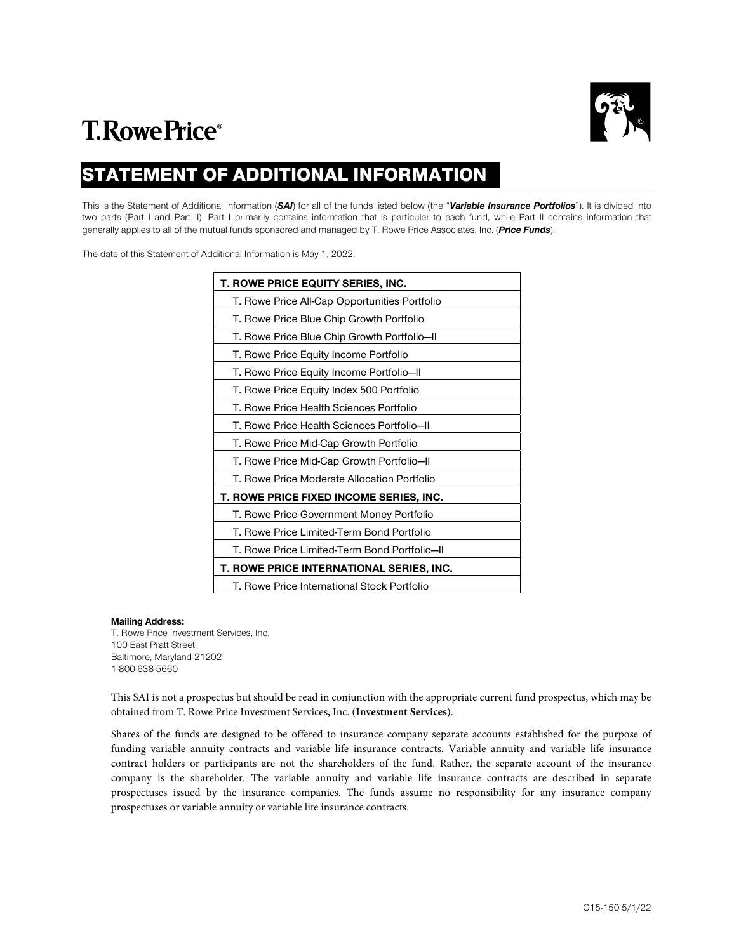

# **T.RowePrice**®

# STATEMENT OF ADDITIONAL INFORMATION

This is the Statement of Additional Information (*SAI*) for all of the funds listed below (the "*Variable Insurance Portfolios*"). It is divided into two parts (Part I and Part II). Part I primarily contains information that is particular to each fund, while Part II contains information that generally applies to all of the mutual funds sponsored and managed by T. Rowe Price Associates, Inc. (*Price Funds*).

The date of this Statement of Additional Information is May 1, 2022.

| <b>T. ROWE PRICE EQUITY SERIES, INC.</b>       |
|------------------------------------------------|
| T. Rowe Price All-Cap Opportunities Portfolio  |
| T. Rowe Price Blue Chip Growth Portfolio       |
| T. Rowe Price Blue Chip Growth Portfolio-II    |
| T. Rowe Price Equity Income Portfolio          |
| T. Rowe Price Equity Income Portfolio-II       |
| T. Rowe Price Equity Index 500 Portfolio       |
| T. Rowe Price Health Sciences Portfolio        |
| T. Rowe Price Health Sciences Portfolio-II     |
| T. Rowe Price Mid-Cap Growth Portfolio         |
| T. Rowe Price Mid-Cap Growth Portfolio-II      |
| T. Rowe Price Moderate Allocation Portfolio    |
| <b>T. ROWE PRICE FIXED INCOME SERIES, INC.</b> |
| T. Rowe Price Government Money Portfolio       |
| T. Rowe Price Limited-Term Bond Portfolio      |
| T. Rowe Price Limited-Term Bond Portfolio-II   |
| T. ROWE PRICE INTERNATIONAL SERIES, INC.       |
| T. Rowe Price International Stock Portfolio    |

# **Mailing Address:**

T. Rowe Price Investment Services, Inc. 100 East Pratt Street Baltimore, Maryland 21202 1-800-638-5660

This SAI is not a prospectus but should be read in conjunction with the appropriate current fund prospectus, which may be obtained from T. Rowe Price Investment Services, Inc. (**Investment Services**).

Shares of the funds are designed to be offered to insurance company separate accounts established for the purpose of funding variable annuity contracts and variable life insurance contracts. Variable annuity and variable life insurance contract holders or participants are not the shareholders of the fund. Rather, the separate account of the insurance company is the shareholder. The variable annuity and variable life insurance contracts are described in separate prospectuses issued by the insurance companies. The funds assume no responsibility for any insurance company prospectuses or variable annuity or variable life insurance contracts.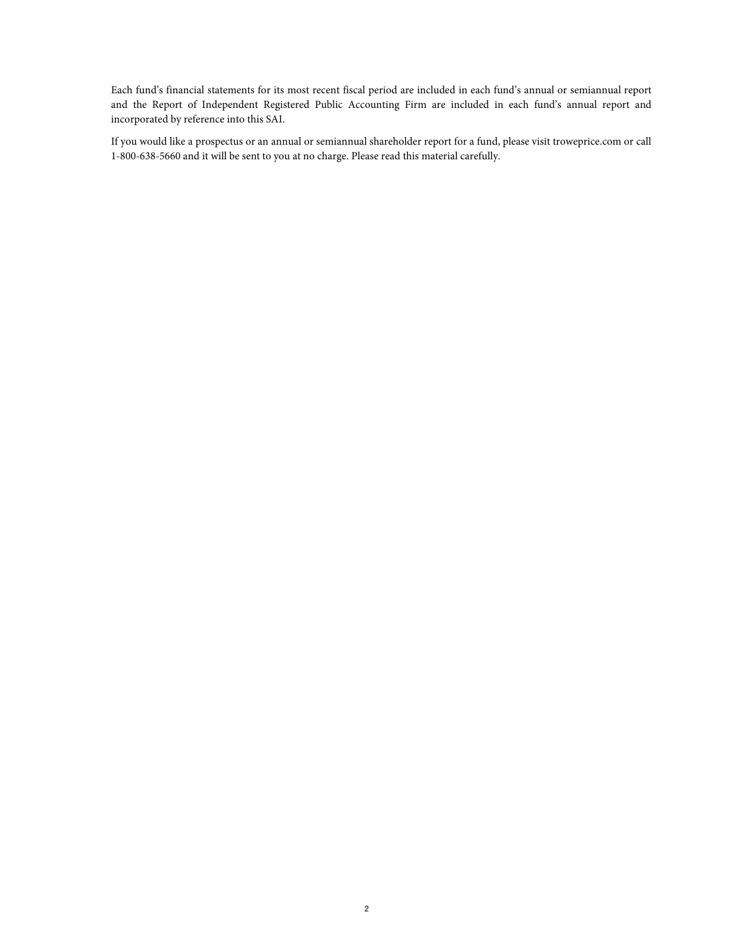Each fund's financial statements for its most recent fiscal period are included in each fund's annual or semiannual report and the Report of Independent Registered Public Accounting Firm are included in each fund's annual report and incorporated by reference into this SAI.

If you would like a prospectus or an annual or semiannual shareholder report for a fund, please visit troweprice.com or call 1-800-638-5660 and it will be sent to you at no charge. Please read this material carefully.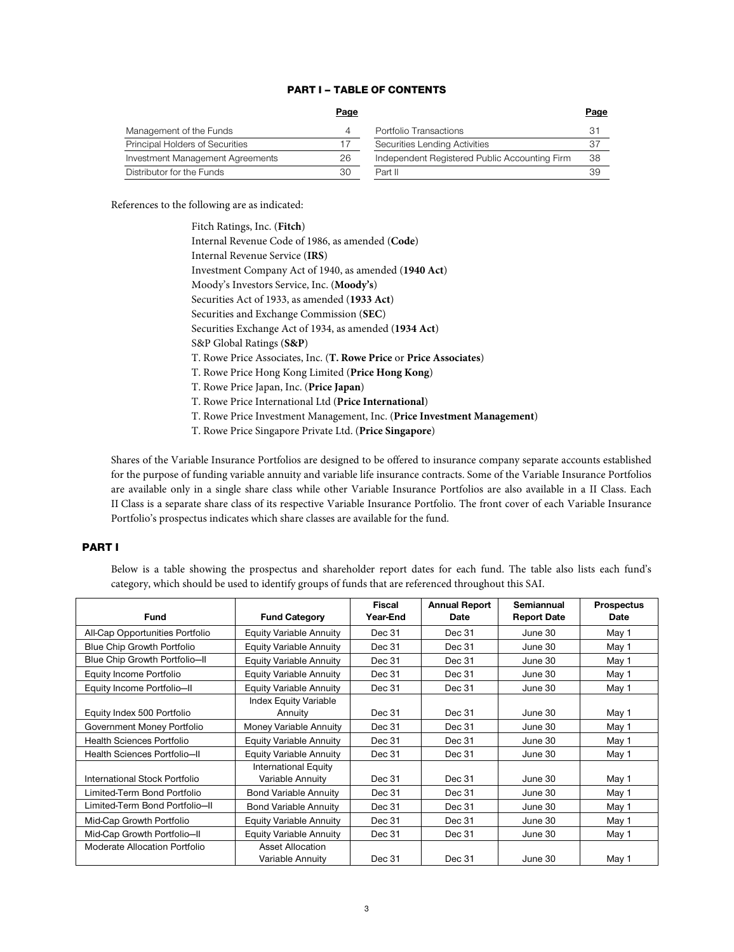# PART I – TABLE OF CONTENTS

|                                  | Page |                                               | Page |
|----------------------------------|------|-----------------------------------------------|------|
| Management of the Funds          |      | Portfolio Transactions                        | 31   |
| Principal Holders of Securities  |      | Securities Lending Activities                 |      |
| Investment Management Agreements | 26   | Independent Registered Public Accounting Firm | 38   |
| Distributor for the Funds        | 30   | Part II                                       | 39   |

References to the following are as indicated:

Shares of the Variable Insurance Portfolios are designed to be offered to insurance company separate accounts established for the purpose of funding variable annuity and variable life insurance contracts. Some of the Variable Insurance Portfolios are available only in a single share class while other Variable Insurance Portfolios are also available in a II Class. Each II Class is a separate share class of its respective Variable Insurance Portfolio. The front cover of each Variable Insurance Portfolio's prospectus indicates which share classes are available for the fund.

# PART I

Below is a table showing the prospectus and shareholder report dates for each fund. The table also lists each fund's category, which should be used to identify groups of funds that are referenced throughout this SAI.

| <b>Fund</b>                       | <b>Fund Category</b>                            | <b>Fiscal</b><br>Year-End | <b>Annual Report</b><br>Date | Semiannual<br><b>Report Date</b> | <b>Prospectus</b><br><b>Date</b> |
|-----------------------------------|-------------------------------------------------|---------------------------|------------------------------|----------------------------------|----------------------------------|
| All-Cap Opportunities Portfolio   | <b>Equity Variable Annuity</b>                  | Dec 31                    | Dec 31                       | June 30                          | May 1                            |
| <b>Blue Chip Growth Portfolio</b> | <b>Equity Variable Annuity</b>                  | Dec 31                    | Dec 31                       | June 30                          | May 1                            |
| Blue Chip Growth Portfolio-II     | <b>Equity Variable Annuity</b>                  | Dec 31                    | Dec 31                       | June 30                          | May 1                            |
| Equity Income Portfolio           | <b>Equity Variable Annuity</b>                  | Dec 31                    | Dec 31                       | June 30                          | May 1                            |
| Equity Income Portfolio-II        | <b>Equity Variable Annuity</b>                  | Dec 31                    | Dec 31                       | June 30                          | May 1                            |
| Equity Index 500 Portfolio        | <b>Index Equity Variable</b><br>Annuity         | Dec 31                    | Dec 31                       | June 30                          | May 1                            |
| Government Money Portfolio        | Money Variable Annuity                          | Dec 31                    | Dec 31                       | June 30                          | May 1                            |
| Health Sciences Portfolio         | <b>Equity Variable Annuity</b>                  | Dec 31                    | Dec 31                       | June 30                          | May 1                            |
| Health Sciences Portfolio-II      | <b>Equity Variable Annuity</b>                  | Dec 31                    | Dec 31                       | June 30                          | May 1                            |
| International Stock Portfolio     | <b>International Equity</b><br>Variable Annuity | Dec 31                    | Dec 31                       | June 30                          | May 1                            |
| Limited-Term Bond Portfolio       | <b>Bond Variable Annuity</b>                    | Dec 31                    | Dec 31                       | June 30                          | May 1                            |
| Limited-Term Bond Portfolio-II    | <b>Bond Variable Annuity</b>                    | Dec 31                    | Dec 31                       | June 30                          | May 1                            |
| Mid-Cap Growth Portfolio          | <b>Equity Variable Annuity</b>                  | Dec 31                    | Dec 31                       | June 30                          | May 1                            |
| Mid-Cap Growth Portfolio-II       | <b>Equity Variable Annuity</b>                  | Dec 31                    | Dec 31                       | June 30                          | May 1                            |
| Moderate Allocation Portfolio     | <b>Asset Allocation</b><br>Variable Annuity     | Dec 31                    | Dec 31                       | June 30                          | May 1                            |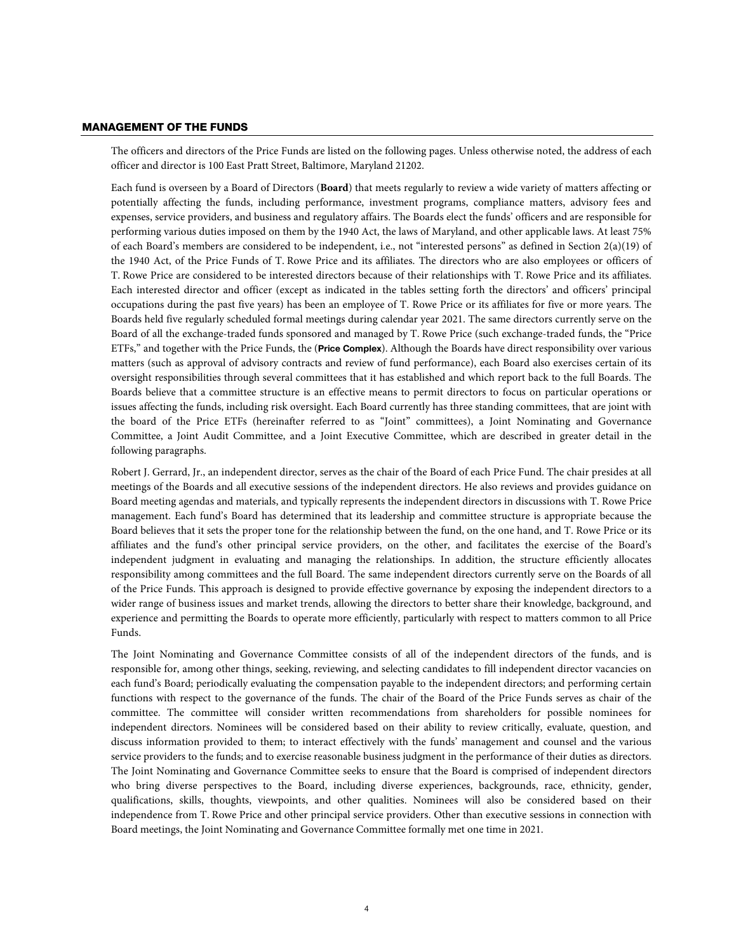### MANAGEMENT OF THE FUNDS

The officers and directors of the Price Funds are listed on the following pages. Unless otherwise noted, the address of each officer and director is 100 East Pratt Street, Baltimore, Maryland 21202.

Each fund is overseen by a Board of Directors (**Board**) that meets regularly to review a wide variety of matters affecting or potentially affecting the funds, including performance, investment programs, compliance matters, advisory fees and expenses, service providers, and business and regulatory affairs. The Boards elect the funds' officers and are responsible for performing various duties imposed on them by the 1940 Act, the laws of Maryland, and other applicable laws. At least 75% of each Board's members are considered to be independent, i.e., not "interested persons" as defined in Section 2(a)(19) of the 1940 Act, of the Price Funds of T. Rowe Price and its affiliates. The directors who are also employees or officers of T. Rowe Price are considered to be interested directors because of their relationships with T. Rowe Price and its affiliates. Each interested director and officer (except as indicated in the tables setting forth the directors' and officers' principal occupations during the past five years) has been an employee of T. Rowe Price or its affiliates for five or more years. The Boards held five regularly scheduled formal meetings during calendar year 2021. The same directors currently serve on the Board of all the exchange-traded funds sponsored and managed by T. Rowe Price (such exchange-traded funds, the "Price ETFs," and together with the Price Funds, the (**Price Complex**). Although the Boards have direct responsibility over various matters (such as approval of advisory contracts and review of fund performance), each Board also exercises certain of its oversight responsibilities through several committees that it has established and which report back to the full Boards. The Boards believe that a committee structure is an effective means to permit directors to focus on particular operations or issues affecting the funds, including risk oversight. Each Board currently has three standing committees, that are joint with the board of the Price ETFs (hereinafter referred to as "Joint" committees), a Joint Nominating and Governance Committee, a Joint Audit Committee, and a Joint Executive Committee, which are described in greater detail in the following paragraphs.

Robert J. Gerrard, Jr., an independent director, serves as the chair of the Board of each Price Fund. The chair presides at all meetings of the Boards and all executive sessions of the independent directors. He also reviews and provides guidance on Board meeting agendas and materials, and typically represents the independent directors in discussions with T. Rowe Price management. Each fund's Board has determined that its leadership and committee structure is appropriate because the Board believes that it sets the proper tone for the relationship between the fund, on the one hand, and T. Rowe Price or its affiliates and the fund's other principal service providers, on the other, and facilitates the exercise of the Board's independent judgment in evaluating and managing the relationships. In addition, the structure efficiently allocates responsibility among committees and the full Board. The same independent directors currently serve on the Boards of all of the Price Funds. This approach is designed to provide effective governance by exposing the independent directors to a wider range of business issues and market trends, allowing the directors to better share their knowledge, background, and experience and permitting the Boards to operate more efficiently, particularly with respect to matters common to all Price Funds.

The Joint Nominating and Governance Committee consists of all of the independent directors of the funds, and is responsible for, among other things, seeking, reviewing, and selecting candidates to fill independent director vacancies on each fund's Board; periodically evaluating the compensation payable to the independent directors; and performing certain functions with respect to the governance of the funds. The chair of the Board of the Price Funds serves as chair of the committee. The committee will consider written recommendations from shareholders for possible nominees for independent directors. Nominees will be considered based on their ability to review critically, evaluate, question, and discuss information provided to them; to interact effectively with the funds' management and counsel and the various service providers to the funds; and to exercise reasonable business judgment in the performance of their duties as directors. The Joint Nominating and Governance Committee seeks to ensure that the Board is comprised of independent directors who bring diverse perspectives to the Board, including diverse experiences, backgrounds, race, ethnicity, gender, qualifications, skills, thoughts, viewpoints, and other qualities. Nominees will also be considered based on their independence from T. Rowe Price and other principal service providers. Other than executive sessions in connection with Board meetings, the Joint Nominating and Governance Committee formally met one time in 2021.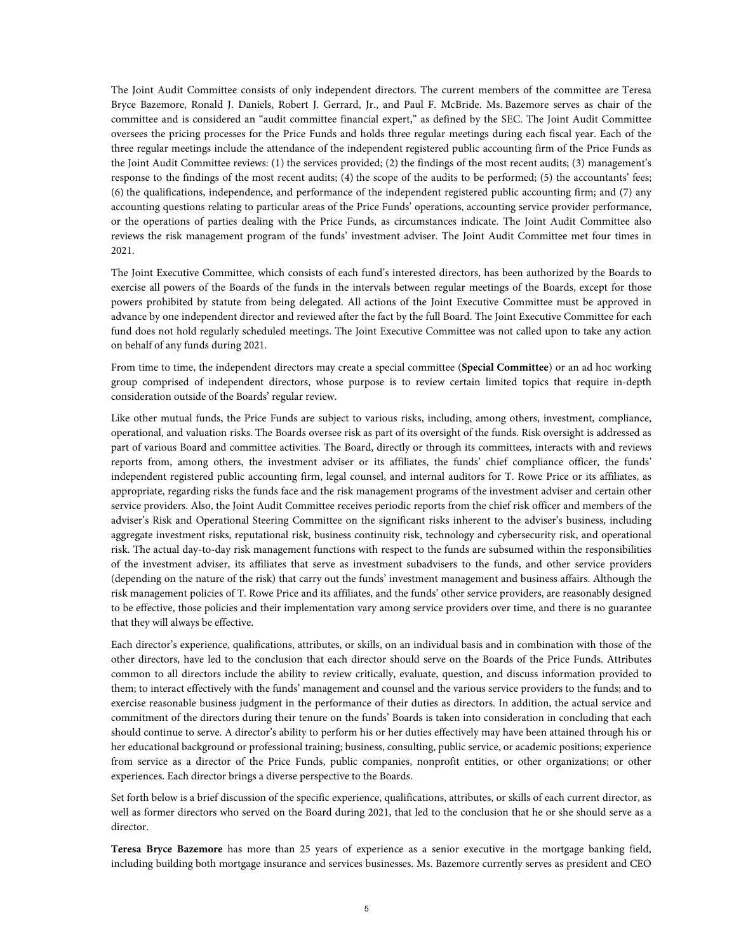The Joint Audit Committee consists of only independent directors. The current members of the committee are Teresa Bryce Bazemore, Ronald J. Daniels, Robert J. Gerrard, Jr., and Paul F. McBride. Ms. Bazemore serves as chair of the committee and is considered an "audit committee financial expert," as defined by the SEC. The Joint Audit Committee oversees the pricing processes for the Price Funds and holds three regular meetings during each fiscal year. Each of the three regular meetings include the attendance of the independent registered public accounting firm of the Price Funds as the Joint Audit Committee reviews: (1) the services provided; (2) the findings of the most recent audits; (3) management's response to the findings of the most recent audits; (4) the scope of the audits to be performed; (5) the accountants' fees; (6) the qualifications, independence, and performance of the independent registered public accounting firm; and (7) any accounting questions relating to particular areas of the Price Funds' operations, accounting service provider performance, or the operations of parties dealing with the Price Funds, as circumstances indicate. The Joint Audit Committee also reviews the risk management program of the funds' investment adviser. The Joint Audit Committee met four times in 2021.

The Joint Executive Committee, which consists of each fund's interested directors, has been authorized by the Boards to exercise all powers of the Boards of the funds in the intervals between regular meetings of the Boards, except for those powers prohibited by statute from being delegated. All actions of the Joint Executive Committee must be approved in advance by one independent director and reviewed after the fact by the full Board. The Joint Executive Committee for each fund does not hold regularly scheduled meetings. The Joint Executive Committee was not called upon to take any action on behalf of any funds during 2021.

From time to time, the independent directors may create a special committee (**Special Committee**) or an ad hoc working group comprised of independent directors, whose purpose is to review certain limited topics that require in-depth consideration outside of the Boards' regular review.

Like other mutual funds, the Price Funds are subject to various risks, including, among others, investment, compliance, operational, and valuation risks. The Boards oversee risk as part of its oversight of the funds. Risk oversight is addressed as part of various Board and committee activities. The Board, directly or through its committees, interacts with and reviews reports from, among others, the investment adviser or its affiliates, the funds' chief compliance officer, the funds' independent registered public accounting firm, legal counsel, and internal auditors for T. Rowe Price or its affiliates, as appropriate, regarding risks the funds face and the risk management programs of the investment adviser and certain other service providers. Also, the Joint Audit Committee receives periodic reports from the chief risk officer and members of the adviser's Risk and Operational Steering Committee on the significant risks inherent to the adviser's business, including aggregate investment risks, reputational risk, business continuity risk, technology and cybersecurity risk, and operational risk. The actual day-to-day risk management functions with respect to the funds are subsumed within the responsibilities of the investment adviser, its affiliates that serve as investment subadvisers to the funds, and other service providers (depending on the nature of the risk) that carry out the funds' investment management and business affairs. Although the risk management policies of T. Rowe Price and its affiliates, and the funds' other service providers, are reasonably designed to be effective, those policies and their implementation vary among service providers over time, and there is no guarantee that they will always be effective.

Each director's experience, qualifications, attributes, or skills, on an individual basis and in combination with those of the other directors, have led to the conclusion that each director should serve on the Boards of the Price Funds. Attributes common to all directors include the ability to review critically, evaluate, question, and discuss information provided to them; to interact effectively with the funds' management and counsel and the various service providers to the funds; and to exercise reasonable business judgment in the performance of their duties as directors. In addition, the actual service and commitment of the directors during their tenure on the funds' Boards is taken into consideration in concluding that each should continue to serve. A director's ability to perform his or her duties effectively may have been attained through his or her educational background or professional training; business, consulting, public service, or academic positions; experience from service as a director of the Price Funds, public companies, nonprofit entities, or other organizations; or other experiences. Each director brings a diverse perspective to the Boards.

Set forth below is a brief discussion of the specific experience, qualifications, attributes, or skills of each current director, as well as former directors who served on the Board during 2021, that led to the conclusion that he or she should serve as a director.

**Teresa Bryce Bazemore** has more than 25 years of experience as a senior executive in the mortgage banking field, including building both mortgage insurance and services businesses. Ms. Bazemore currently serves as president and CEO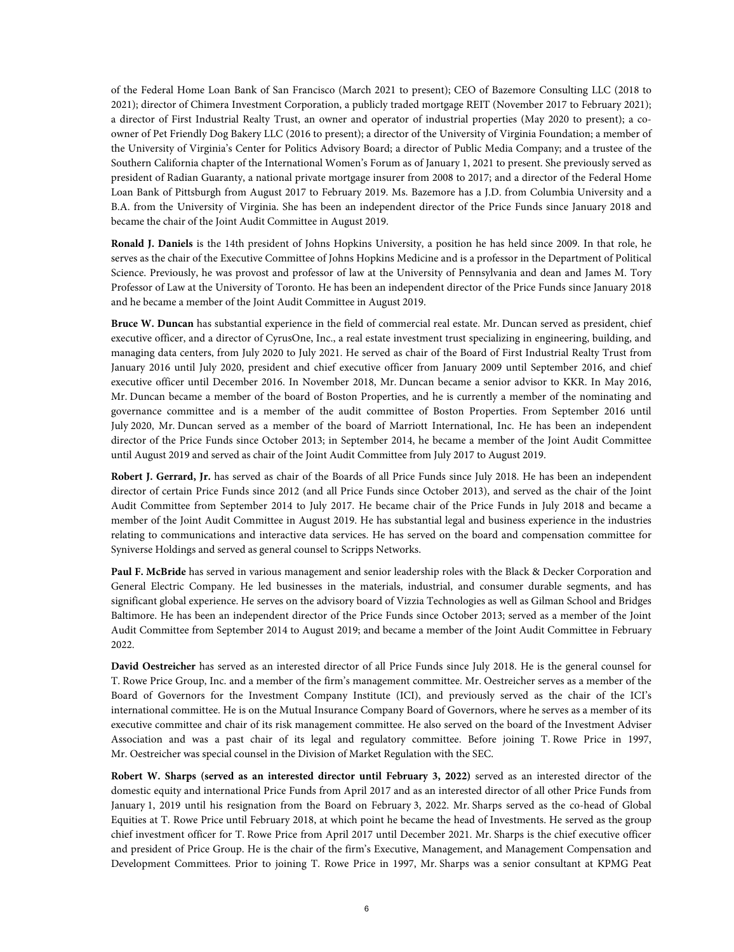of the Federal Home Loan Bank of San Francisco (March 2021 to present); CEO of Bazemore Consulting LLC (2018 to 2021); director of Chimera Investment Corporation, a publicly traded mortgage REIT (November 2017 to February 2021); a director of First Industrial Realty Trust, an owner and operator of industrial properties (May 2020 to present); a coowner of Pet Friendly Dog Bakery LLC (2016 to present); a director of the University of Virginia Foundation; a member of the University of Virginia's Center for Politics Advisory Board; a director of Public Media Company; and a trustee of the Southern California chapter of the International Women's Forum as of January 1, 2021 to present. She previously served as president of Radian Guaranty, a national private mortgage insurer from 2008 to 2017; and a director of the Federal Home Loan Bank of Pittsburgh from August 2017 to February 2019. Ms. Bazemore has a J.D. from Columbia University and a B.A. from the University of Virginia. She has been an independent director of the Price Funds since January 2018 and became the chair of the Joint Audit Committee in August 2019.

**Ronald J. Daniels** is the 14th president of Johns Hopkins University, a position he has held since 2009. In that role, he serves as the chair of the Executive Committee of Johns Hopkins Medicine and is a professor in the Department of Political Science. Previously, he was provost and professor of law at the University of Pennsylvania and dean and James M. Tory Professor of Law at the University of Toronto. He has been an independent director of the Price Funds since January 2018 and he became a member of the Joint Audit Committee in August 2019.

**Bruce W. Duncan** has substantial experience in the field of commercial real estate. Mr. Duncan served as president, chief executive officer, and a director of CyrusOne, Inc., a real estate investment trust specializing in engineering, building, and managing data centers, from July 2020 to July 2021. He served as chair of the Board of First Industrial Realty Trust from January 2016 until July 2020, president and chief executive officer from January 2009 until September 2016, and chief executive officer until December 2016. In November 2018, Mr. Duncan became a senior advisor to KKR. In May 2016, Mr. Duncan became a member of the board of Boston Properties, and he is currently a member of the nominating and governance committee and is a member of the audit committee of Boston Properties. From September 2016 until July 2020, Mr. Duncan served as a member of the board of Marriott International, Inc. He has been an independent director of the Price Funds since October 2013; in September 2014, he became a member of the Joint Audit Committee until August 2019 and served as chair of the Joint Audit Committee from July 2017 to August 2019.

**Robert J. Gerrard, Jr.** has served as chair of the Boards of all Price Funds since July 2018. He has been an independent director of certain Price Funds since 2012 (and all Price Funds since October 2013), and served as the chair of the Joint Audit Committee from September 2014 to July 2017. He became chair of the Price Funds in July 2018 and became a member of the Joint Audit Committee in August 2019. He has substantial legal and business experience in the industries relating to communications and interactive data services. He has served on the board and compensation committee for Syniverse Holdings and served as general counsel to Scripps Networks.

**Paul F. McBride** has served in various management and senior leadership roles with the Black & Decker Corporation and General Electric Company. He led businesses in the materials, industrial, and consumer durable segments, and has significant global experience. He serves on the advisory board of Vizzia Technologies as well as Gilman School and Bridges Baltimore. He has been an independent director of the Price Funds since October 2013; served as a member of the Joint Audit Committee from September 2014 to August 2019; and became a member of the Joint Audit Committee in February 2022.

**David Oestreicher** has served as an interested director of all Price Funds since July 2018. He is the general counsel for T. Rowe Price Group, Inc. and a member of the firm's management committee. Mr. Oestreicher serves as a member of the Board of Governors for the Investment Company Institute (ICI), and previously served as the chair of the ICI's international committee. He is on the Mutual Insurance Company Board of Governors, where he serves as a member of its executive committee and chair of its risk management committee. He also served on the board of the Investment Adviser Association and was a past chair of its legal and regulatory committee. Before joining T. Rowe Price in 1997, Mr. Oestreicher was special counsel in the Division of Market Regulation with the SEC.

**Robert W. Sharps (served as an interested director until February 3, 2022)** served as an interested director of the domestic equity and international Price Funds from April 2017 and as an interested director of all other Price Funds from January 1, 2019 until his resignation from the Board on February 3, 2022. Mr. Sharps served as the co-head of Global Equities at T. Rowe Price until February 2018, at which point he became the head of Investments. He served as the group chief investment officer for T. Rowe Price from April 2017 until December 2021. Mr. Sharps is the chief executive officer and president of Price Group. He is the chair of the firm's Executive, Management, and Management Compensation and Development Committees. Prior to joining T. Rowe Price in 1997, Mr. Sharps was a senior consultant at KPMG Peat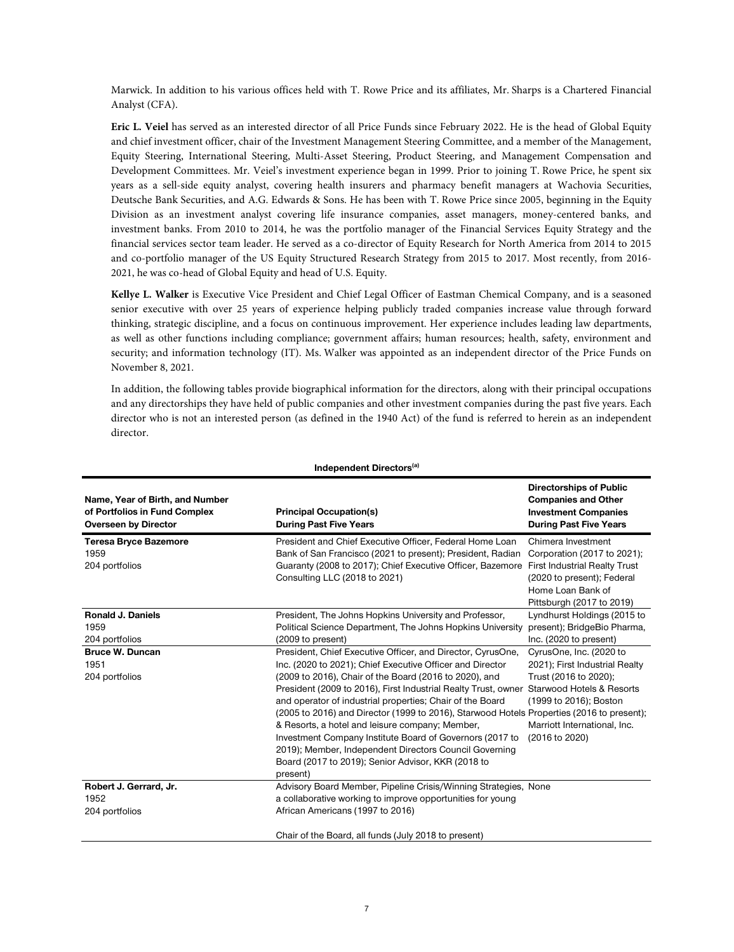Marwick. In addition to his various offices held with T. Rowe Price and its affiliates, Mr. Sharps is a Chartered Financial Analyst (CFA).

**Eric L. Veiel** has served as an interested director of all Price Funds since February 2022. He is the head of Global Equity and chief investment officer, chair of the Investment Management Steering Committee, and a member of the Management, Equity Steering, International Steering, Multi-Asset Steering, Product Steering, and Management Compensation and Development Committees. Mr. Veiel's investment experience began in 1999. Prior to joining T. Rowe Price, he spent six years as a sell-side equity analyst, covering health insurers and pharmacy benefit managers at Wachovia Securities, Deutsche Bank Securities, and A.G. Edwards & Sons. He has been with T. Rowe Price since 2005, beginning in the Equity Division as an investment analyst covering life insurance companies, asset managers, money-centered banks, and investment banks. From 2010 to 2014, he was the portfolio manager of the Financial Services Equity Strategy and the financial services sector team leader. He served as a co-director of Equity Research for North America from 2014 to 2015 and co-portfolio manager of the US Equity Structured Research Strategy from 2015 to 2017. Most recently, from 2016- 2021, he was co-head of Global Equity and head of U.S. Equity.

**Kellye L. Walker** is Executive Vice President and Chief Legal Officer of Eastman Chemical Company, and is a seasoned senior executive with over 25 years of experience helping publicly traded companies increase value through forward thinking, strategic discipline, and a focus on continuous improvement. Her experience includes leading law departments, as well as other functions including compliance; government affairs; human resources; health, safety, environment and security; and information technology (IT). Ms. Walker was appointed as an independent director of the Price Funds on November 8, 2021.

In addition, the following tables provide biographical information for the directors, along with their principal occupations and any directorships they have held of public companies and other investment companies during the past five years. Each director who is not an interested person (as defined in the 1940 Act) of the fund is referred to herein as an independent director.

| Independent Directors <sup>(a)</sup>                                                            |                                                                                                                                                                                                                                                                                                                                                                                                                                                                                                                                                                                                                                                                                     |                                                                                                                                                                           |  |  |
|-------------------------------------------------------------------------------------------------|-------------------------------------------------------------------------------------------------------------------------------------------------------------------------------------------------------------------------------------------------------------------------------------------------------------------------------------------------------------------------------------------------------------------------------------------------------------------------------------------------------------------------------------------------------------------------------------------------------------------------------------------------------------------------------------|---------------------------------------------------------------------------------------------------------------------------------------------------------------------------|--|--|
| Name, Year of Birth, and Number<br>of Portfolios in Fund Complex<br><b>Overseen by Director</b> | <b>Principal Occupation(s)</b><br><b>During Past Five Years</b>                                                                                                                                                                                                                                                                                                                                                                                                                                                                                                                                                                                                                     | <b>Directorships of Public</b><br><b>Companies and Other</b><br><b>Investment Companies</b><br><b>During Past Five Years</b>                                              |  |  |
| <b>Teresa Bryce Bazemore</b><br>1959<br>204 portfolios                                          | President and Chief Executive Officer, Federal Home Loan<br>Bank of San Francisco (2021 to present); President, Radian<br>Guaranty (2008 to 2017); Chief Executive Officer, Bazemore<br>Consulting LLC (2018 to 2021)                                                                                                                                                                                                                                                                                                                                                                                                                                                               | Chimera Investment<br>Corporation (2017 to 2021);<br><b>First Industrial Realty Trust</b><br>(2020 to present); Federal<br>Home Loan Bank of<br>Pittsburgh (2017 to 2019) |  |  |
| <b>Ronald J. Daniels</b><br>1959<br>204 portfolios                                              | President, The Johns Hopkins University and Professor,<br>Political Science Department, The Johns Hopkins University<br>(2009 to present)                                                                                                                                                                                                                                                                                                                                                                                                                                                                                                                                           | Lyndhurst Holdings (2015 to<br>present); BridgeBio Pharma,<br>Inc. (2020 to present)                                                                                      |  |  |
| <b>Bruce W. Duncan</b><br>1951<br>204 portfolios                                                | President, Chief Executive Officer, and Director, CyrusOne,<br>Inc. (2020 to 2021); Chief Executive Officer and Director<br>(2009 to 2016), Chair of the Board (2016 to 2020), and<br>President (2009 to 2016), First Industrial Realty Trust, owner Starwood Hotels & Resorts<br>and operator of industrial properties; Chair of the Board<br>(2005 to 2016) and Director (1999 to 2016), Starwood Hotels Properties (2016 to present);<br>& Resorts, a hotel and leisure company; Member,<br>Investment Company Institute Board of Governors (2017 to<br>2019); Member, Independent Directors Council Governing<br>Board (2017 to 2019); Senior Advisor, KKR (2018 to<br>present) | CyrusOne, Inc. (2020 to<br>2021); First Industrial Realty<br>Trust (2016 to 2020);<br>(1999 to 2016); Boston<br>Marriott International, Inc.<br>(2016 to 2020)            |  |  |
| Robert J. Gerrard, Jr.<br>1952<br>204 portfolios                                                | Advisory Board Member, Pipeline Crisis/Winning Strategies, None<br>a collaborative working to improve opportunities for young<br>African Americans (1997 to 2016)<br>Chair of the Board, all funds (July 2018 to present)                                                                                                                                                                                                                                                                                                                                                                                                                                                           |                                                                                                                                                                           |  |  |

7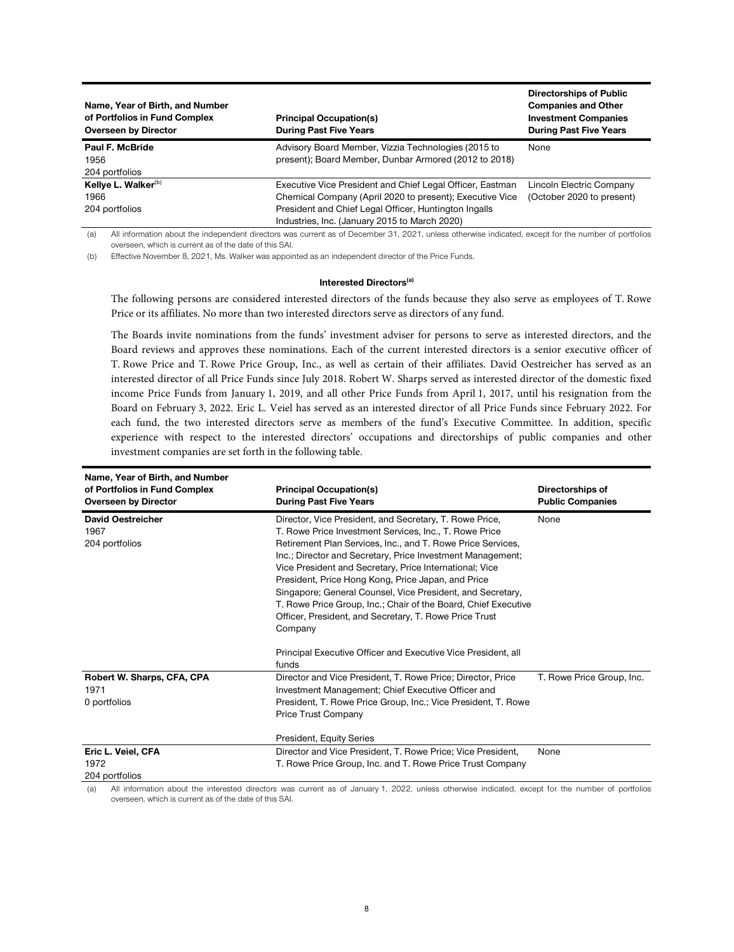| Name, Year of Birth, and Number<br>of Portfolios in Fund Complex<br><b>Overseen by Director</b> | <b>Principal Occupation(s)</b><br><b>During Past Five Years</b>                                                                                                                                                                 | <b>Directorships of Public</b><br><b>Companies and Other</b><br><b>Investment Companies</b><br><b>During Past Five Years</b> |
|-------------------------------------------------------------------------------------------------|---------------------------------------------------------------------------------------------------------------------------------------------------------------------------------------------------------------------------------|------------------------------------------------------------------------------------------------------------------------------|
| Paul F. McBride<br>1956<br>204 portfolios                                                       | Advisory Board Member, Vizzia Technologies (2015 to<br>present); Board Member, Dunbar Armored (2012 to 2018)                                                                                                                    | None                                                                                                                         |
| Kellye L. Walker <sup>(b)</sup><br>1966<br>204 portfolios                                       | Executive Vice President and Chief Legal Officer, Eastman<br>Chemical Company (April 2020 to present); Executive Vice<br>President and Chief Legal Officer, Huntington Ingalls<br>Industries, Inc. (January 2015 to March 2020) | Lincoln Electric Company<br>(October 2020 to present)                                                                        |

(a) All information about the independent directors was current as of December 31, 2021, unless otherwise indicated, except for the number of portfolios overseen, which is current as of the date of this SAI.

(b) Effective November 8, 2021, Ms. Walker was appointed as an independent director of the Price Funds.

#### **Interested Directors**<sup>(a)</sup>

The following persons are considered interested directors of the funds because they also serve as employees of T. Rowe Price or its affiliates. No more than two interested directors serve as directors of any fund.

The Boards invite nominations from the funds' investment adviser for persons to serve as interested directors, and the Board reviews and approves these nominations. Each of the current interested directors is a senior executive officer of T. Rowe Price and T. Rowe Price Group, Inc., as well as certain of their affiliates. David Oestreicher has served as an interested director of all Price Funds since July 2018. Robert W. Sharps served as interested director of the domestic fixed income Price Funds from January 1, 2019, and all other Price Funds from April 1, 2017, until his resignation from the Board on February 3, 2022. Eric L. Veiel has served as an interested director of all Price Funds since February 2022. For each fund, the two interested directors serve as members of the fund's Executive Committee. In addition, specific experience with respect to the interested directors' occupations and directorships of public companies and other investment companies are set forth in the following table.

| Name, Year of Birth, and Number<br>of Portfolios in Fund Complex<br><b>Overseen by Director</b> | <b>Principal Occupation(s)</b><br><b>During Past Five Years</b>                                                                                                                                                                                                                                                                                                                                                                                                                                                                                                      | Directorships of<br><b>Public Companies</b> |
|-------------------------------------------------------------------------------------------------|----------------------------------------------------------------------------------------------------------------------------------------------------------------------------------------------------------------------------------------------------------------------------------------------------------------------------------------------------------------------------------------------------------------------------------------------------------------------------------------------------------------------------------------------------------------------|---------------------------------------------|
| <b>David Oestreicher</b><br>1967<br>204 portfolios                                              | Director, Vice President, and Secretary, T. Rowe Price,<br>T. Rowe Price Investment Services, Inc., T. Rowe Price<br>Retirement Plan Services, Inc., and T. Rowe Price Services,<br>Inc.; Director and Secretary, Price Investment Management;<br>Vice President and Secretary, Price International; Vice<br>President, Price Hong Kong, Price Japan, and Price<br>Singapore; General Counsel, Vice President, and Secretary,<br>T. Rowe Price Group, Inc.; Chair of the Board, Chief Executive<br>Officer, President, and Secretary, T. Rowe Price Trust<br>Company | None                                        |
|                                                                                                 | Principal Executive Officer and Executive Vice President, all<br>funds                                                                                                                                                                                                                                                                                                                                                                                                                                                                                               |                                             |
| Robert W. Sharps, CFA, CPA<br>1971<br>0 portfolios                                              | Director and Vice President, T. Rowe Price; Director, Price<br>Investment Management; Chief Executive Officer and<br>President, T. Rowe Price Group, Inc.; Vice President, T. Rowe<br><b>Price Trust Company</b><br>President, Equity Series                                                                                                                                                                                                                                                                                                                         | T. Rowe Price Group, Inc.                   |
| Eric L. Veiel, CFA<br>1972<br>204 portfolios                                                    | Director and Vice President, T. Rowe Price; Vice President,<br>T. Rowe Price Group, Inc. and T. Rowe Price Trust Company                                                                                                                                                                                                                                                                                                                                                                                                                                             | None                                        |

(a) All information about the interested directors was current as of January 1, 2022, unless otherwise indicated, except for the number of portfolios overseen, which is current as of the date of this SAI.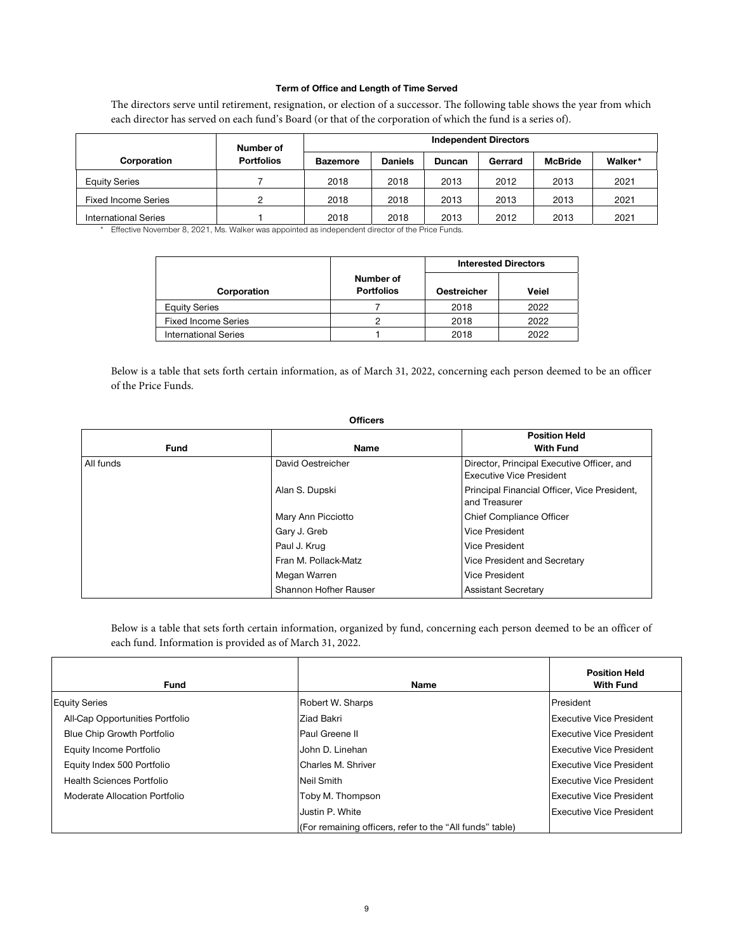### **Term of Office and Length of Time Served**

The directors serve until retirement, resignation, or election of a successor. The following table shows the year from which each director has served on each fund's Board (or that of the corporation of which the fund is a series of).

|                             | Number of         |                 |                |        | <b>Independent Directors</b> |                |         |
|-----------------------------|-------------------|-----------------|----------------|--------|------------------------------|----------------|---------|
| Corporation                 | <b>Portfolios</b> | <b>Bazemore</b> | <b>Daniels</b> | Duncan | Gerrard                      | <b>McBride</b> | Walker* |
| <b>Equity Series</b>        |                   | 2018            | 2018           | 2013   | 2012                         | 2013           | 2021    |
| <b>Fixed Income Series</b>  |                   | 2018            | 2018           | 2013   | 2013                         | 2013           | 2021    |
| <b>International Series</b> |                   | 2018            | 2018           | 2013   | 2012                         | 2013           | 2021    |

\* Effective November 8, 2021, Ms. Walker was appointed as independent director of the Price Funds.

|                             |                                | <b>Interested Directors</b> |       |  |
|-----------------------------|--------------------------------|-----------------------------|-------|--|
| Corporation                 | Number of<br><b>Portfolios</b> | <b>Oestreicher</b>          | Veiel |  |
| <b>Equity Series</b>        |                                | 2018                        | 2022  |  |
| <b>Fixed Income Series</b>  |                                | 2018                        | 2022  |  |
| <b>International Series</b> |                                | 2018                        | 2022  |  |

Below is a table that sets forth certain information, as of March 31, 2022, concerning each person deemed to be an officer of the Price Funds.

| vilicers    |                       |                                                                               |  |  |
|-------------|-----------------------|-------------------------------------------------------------------------------|--|--|
| <b>Fund</b> | <b>Name</b>           | <b>Position Held</b><br><b>With Fund</b>                                      |  |  |
| All funds   | David Oestreicher     | Director, Principal Executive Officer, and<br><b>Executive Vice President</b> |  |  |
|             | Alan S. Dupski        | Principal Financial Officer, Vice President,<br>and Treasurer                 |  |  |
|             | Mary Ann Picciotto    | Chief Compliance Officer                                                      |  |  |
|             | Gary J. Greb          | Vice President                                                                |  |  |
|             | Paul J. Krug          | <b>Vice President</b>                                                         |  |  |
|             | Fran M. Pollack-Matz  | Vice President and Secretary                                                  |  |  |
|             | Megan Warren          | <b>Vice President</b>                                                         |  |  |
|             | Shannon Hofher Rauser | <b>Assistant Secretary</b>                                                    |  |  |

**Officers** 

Below is a table that sets forth certain information, organized by fund, concerning each person deemed to be an officer of each fund. Information is provided as of March 31, 2022.

| <b>Fund</b>                     | <b>Name</b>                                              | <b>Position Held</b><br><b>With Fund</b> |
|---------------------------------|----------------------------------------------------------|------------------------------------------|
| <b>Equity Series</b>            | Robert W. Sharps                                         | President                                |
| All-Cap Opportunities Portfolio | Ziad Bakri                                               | <b>Executive Vice President</b>          |
| Blue Chip Growth Portfolio      | Paul Greene II                                           | <b>Executive Vice President</b>          |
| Equity Income Portfolio         | John D. Linehan                                          | <b>Executive Vice President</b>          |
| Equity Index 500 Portfolio      | Charles M. Shriver                                       | <b>Executive Vice President</b>          |
| Health Sciences Portfolio       | Neil Smith                                               | <b>Executive Vice President</b>          |
| Moderate Allocation Portfolio   | Toby M. Thompson                                         | <b>Executive Vice President</b>          |
|                                 | Justin P. White                                          | <b>Executive Vice President</b>          |
|                                 | (For remaining officers, refer to the "All funds" table) |                                          |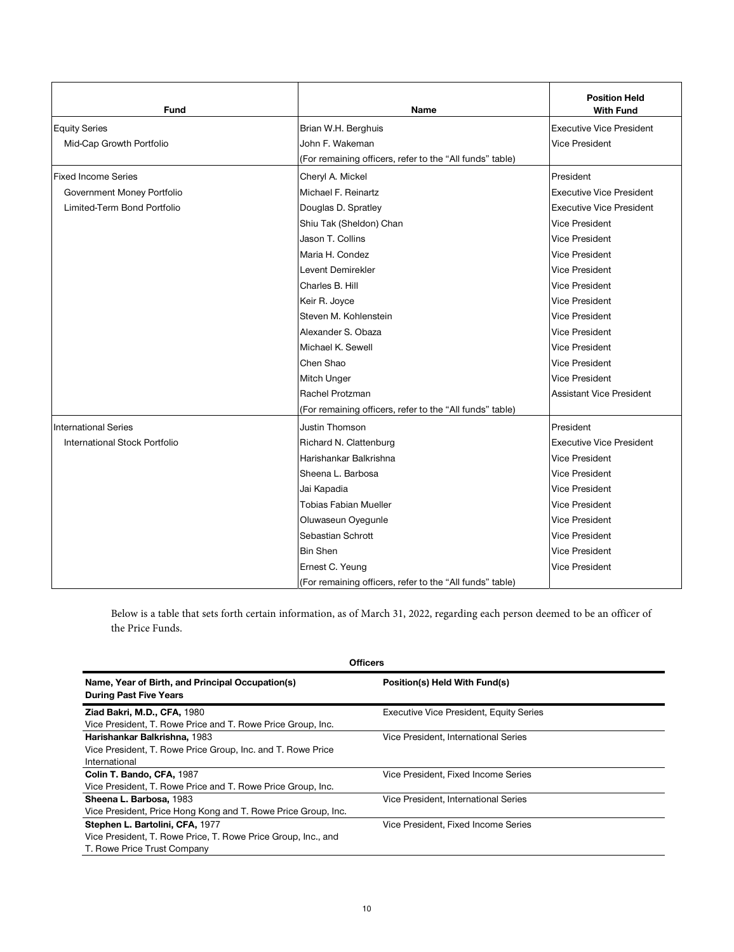| <b>Fund</b>                   | <b>Name</b>                                              | <b>Position Held</b><br><b>With Fund</b> |
|-------------------------------|----------------------------------------------------------|------------------------------------------|
| <b>Equity Series</b>          | Brian W.H. Berghuis                                      | <b>Executive Vice President</b>          |
| Mid-Cap Growth Portfolio      | John F. Wakeman                                          | <b>Vice President</b>                    |
|                               | (For remaining officers, refer to the "All funds" table) |                                          |
| <b>Fixed Income Series</b>    | Cheryl A. Mickel                                         | President                                |
| Government Money Portfolio    | Michael F. Reinartz                                      | <b>Executive Vice President</b>          |
| Limited-Term Bond Portfolio   | Douglas D. Spratley                                      | <b>Executive Vice President</b>          |
|                               | Shiu Tak (Sheldon) Chan                                  | <b>Vice President</b>                    |
|                               | Jason T. Collins                                         | <b>Vice President</b>                    |
|                               | Maria H. Condez                                          | <b>Vice President</b>                    |
|                               | Levent Demirekler                                        | Vice President                           |
|                               | Charles B. Hill                                          | <b>Vice President</b>                    |
|                               | Keir R. Joyce                                            | <b>Vice President</b>                    |
|                               | Steven M. Kohlenstein                                    | <b>Vice President</b>                    |
|                               | Alexander S. Obaza                                       | <b>Vice President</b>                    |
|                               | Michael K. Sewell                                        | <b>Vice President</b>                    |
|                               | Chen Shao                                                | <b>Vice President</b>                    |
|                               | Mitch Unger                                              | <b>Vice President</b>                    |
|                               | Rachel Protzman                                          | <b>Assistant Vice President</b>          |
|                               | (For remaining officers, refer to the "All funds" table) |                                          |
| <b>International Series</b>   | Justin Thomson                                           | President                                |
| International Stock Portfolio | Richard N. Clattenburg                                   | <b>Executive Vice President</b>          |
|                               | Harishankar Balkrishna                                   | Vice President                           |
|                               | Sheena L. Barbosa                                        | <b>Vice President</b>                    |
|                               | Jai Kapadia                                              | Vice President                           |
|                               | <b>Tobias Fabian Mueller</b>                             | <b>Vice President</b>                    |
|                               | Oluwaseun Oyegunle                                       | <b>Vice President</b>                    |
|                               | Sebastian Schrott                                        | <b>Vice President</b>                    |
|                               | <b>Bin Shen</b>                                          | <b>Vice President</b>                    |
|                               | Ernest C. Yeung                                          | <b>Vice President</b>                    |
|                               | (For remaining officers, refer to the "All funds" table) |                                          |

Below is a table that sets forth certain information, as of March 31, 2022, regarding each person deemed to be an officer of the Price Funds.

| <b>Officers</b>                                                                                                                 |                                                |  |  |  |
|---------------------------------------------------------------------------------------------------------------------------------|------------------------------------------------|--|--|--|
| Name, Year of Birth, and Principal Occupation(s)<br><b>During Past Five Years</b>                                               | Position(s) Held With Fund(s)                  |  |  |  |
| <b>Ziad Bakri, M.D., CFA, 1980</b><br>Vice President, T. Rowe Price and T. Rowe Price Group, Inc.                               | <b>Executive Vice President, Equity Series</b> |  |  |  |
| Harishankar Balkrishna, 1983<br>Vice President, T. Rowe Price Group, Inc. and T. Rowe Price<br>International                    | Vice President, International Series           |  |  |  |
| Colin T. Bando, CFA, 1987<br>Vice President, T. Rowe Price and T. Rowe Price Group, Inc.                                        | Vice President, Fixed Income Series            |  |  |  |
| Sheena L. Barbosa, 1983<br>Vice President, Price Hong Kong and T. Rowe Price Group, Inc.                                        | Vice President. International Series           |  |  |  |
| Stephen L. Bartolini, CFA, 1977<br>Vice President, T. Rowe Price, T. Rowe Price Group, Inc., and<br>T. Rowe Price Trust Company | Vice President. Fixed Income Series            |  |  |  |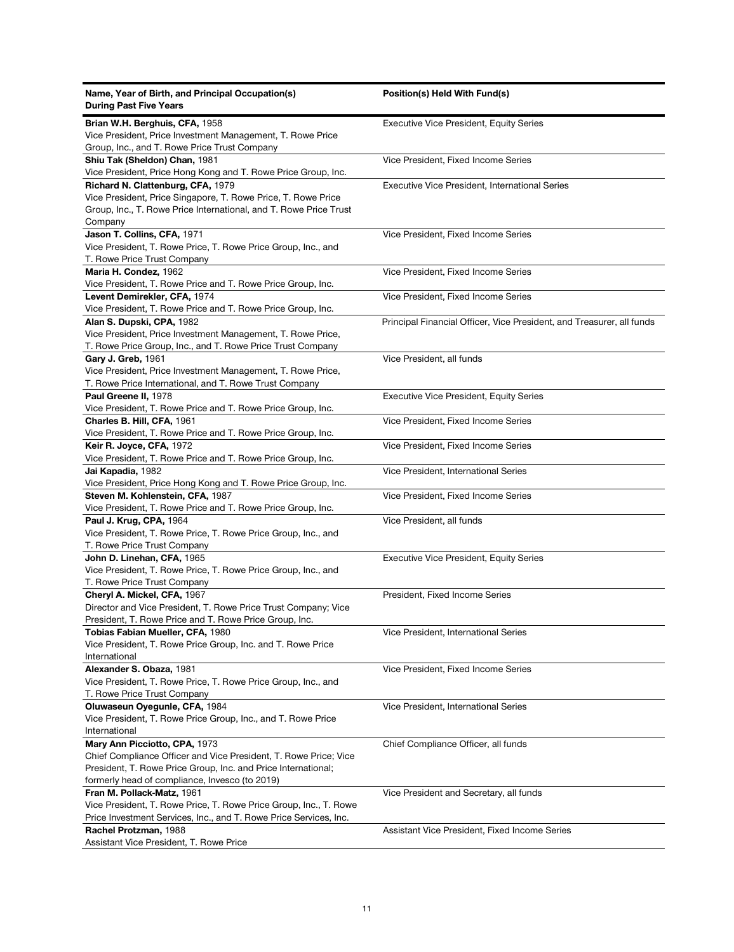| Name, Year of Birth, and Principal Occupation(s)<br><b>During Past Five Years</b> | Position(s) Held With Fund(s)                                         |
|-----------------------------------------------------------------------------------|-----------------------------------------------------------------------|
| Brian W.H. Berghuis, CFA, 1958                                                    | <b>Executive Vice President, Equity Series</b>                        |
| Vice President, Price Investment Management, T. Rowe Price                        |                                                                       |
| Group, Inc., and T. Rowe Price Trust Company                                      |                                                                       |
| Shiu Tak (Sheldon) Chan, 1981                                                     | Vice President, Fixed Income Series                                   |
| Vice President, Price Hong Kong and T. Rowe Price Group, Inc.                     |                                                                       |
| Richard N. Clattenburg, CFA, 1979                                                 | <b>Executive Vice President, International Series</b>                 |
| Vice President, Price Singapore, T. Rowe Price, T. Rowe Price                     |                                                                       |
| Group, Inc., T. Rowe Price International, and T. Rowe Price Trust                 |                                                                       |
| Company                                                                           |                                                                       |
| Jason T. Collins, CFA, 1971                                                       | Vice President, Fixed Income Series                                   |
| Vice President, T. Rowe Price, T. Rowe Price Group, Inc., and                     |                                                                       |
| T. Rowe Price Trust Company                                                       |                                                                       |
| Maria H. Condez, 1962                                                             | Vice President, Fixed Income Series                                   |
| Vice President, T. Rowe Price and T. Rowe Price Group, Inc.                       |                                                                       |
| Levent Demirekler, CFA, 1974                                                      | Vice President, Fixed Income Series                                   |
| Vice President, T. Rowe Price and T. Rowe Price Group, Inc.                       |                                                                       |
| Alan S. Dupski, CPA, 1982                                                         | Principal Financial Officer, Vice President, and Treasurer, all funds |
| Vice President, Price Investment Management, T. Rowe Price,                       |                                                                       |
| T. Rowe Price Group, Inc., and T. Rowe Price Trust Company                        |                                                                       |
| Gary J. Greb, 1961                                                                | Vice President, all funds                                             |
| Vice President, Price Investment Management, T. Rowe Price,                       |                                                                       |
| T. Rowe Price International, and T. Rowe Trust Company                            |                                                                       |
| Paul Greene II, 1978                                                              | <b>Executive Vice President, Equity Series</b>                        |
| Vice President, T. Rowe Price and T. Rowe Price Group, Inc.                       |                                                                       |
| Charles B. Hill, CFA, 1961                                                        | Vice President, Fixed Income Series                                   |
| Vice President, T. Rowe Price and T. Rowe Price Group, Inc.                       |                                                                       |
| Keir R. Joyce, CFA, 1972                                                          | Vice President, Fixed Income Series                                   |
| Vice President, T. Rowe Price and T. Rowe Price Group, Inc.                       |                                                                       |
| Jai Kapadia, 1982                                                                 | Vice President, International Series                                  |
| Vice President, Price Hong Kong and T. Rowe Price Group, Inc.                     |                                                                       |
| Steven M. Kohlenstein, CFA, 1987                                                  | Vice President, Fixed Income Series                                   |
| Vice President, T. Rowe Price and T. Rowe Price Group, Inc.                       |                                                                       |
| Paul J. Krug, CPA, 1964                                                           | Vice President, all funds                                             |
| Vice President, T. Rowe Price, T. Rowe Price Group, Inc., and                     |                                                                       |
| T. Rowe Price Trust Company                                                       |                                                                       |
| John D. Linehan, CFA, 1965                                                        | <b>Executive Vice President, Equity Series</b>                        |
| Vice President, T. Rowe Price, T. Rowe Price Group, Inc., and                     |                                                                       |
| T. Rowe Price Trust Company                                                       |                                                                       |
| Cheryl A. Mickel, CFA, 1967                                                       | President, Fixed Income Series                                        |
| Director and Vice President, T. Rowe Price Trust Company; Vice                    |                                                                       |
| President, T. Rowe Price and T. Rowe Price Group, Inc.                            |                                                                       |
| Tobias Fabian Mueller, CFA, 1980                                                  | Vice President, International Series                                  |
| Vice President, T. Rowe Price Group, Inc. and T. Rowe Price                       |                                                                       |
| International                                                                     |                                                                       |
| Alexander S. Obaza, 1981                                                          | Vice President, Fixed Income Series                                   |
| Vice President, T. Rowe Price, T. Rowe Price Group, Inc., and                     |                                                                       |
| T. Rowe Price Trust Company                                                       |                                                                       |
| Oluwaseun Oyegunle, CFA, 1984                                                     | Vice President, International Series                                  |
| Vice President, T. Rowe Price Group, Inc., and T. Rowe Price                      |                                                                       |
| International                                                                     |                                                                       |
| Mary Ann Picciotto, CPA, 1973                                                     | Chief Compliance Officer, all funds                                   |
| Chief Compliance Officer and Vice President, T. Rowe Price; Vice                  |                                                                       |
| President, T. Rowe Price Group, Inc. and Price International;                     |                                                                       |
| formerly head of compliance, Invesco (to 2019)                                    |                                                                       |
| Fran M. Pollack-Matz, 1961                                                        | Vice President and Secretary, all funds                               |
| Vice President, T. Rowe Price, T. Rowe Price Group, Inc., T. Rowe                 |                                                                       |
| Price Investment Services, Inc., and T. Rowe Price Services, Inc.                 |                                                                       |
| Rachel Protzman, 1988                                                             | Assistant Vice President, Fixed Income Series                         |
| Assistant Vice President, T. Rowe Price                                           |                                                                       |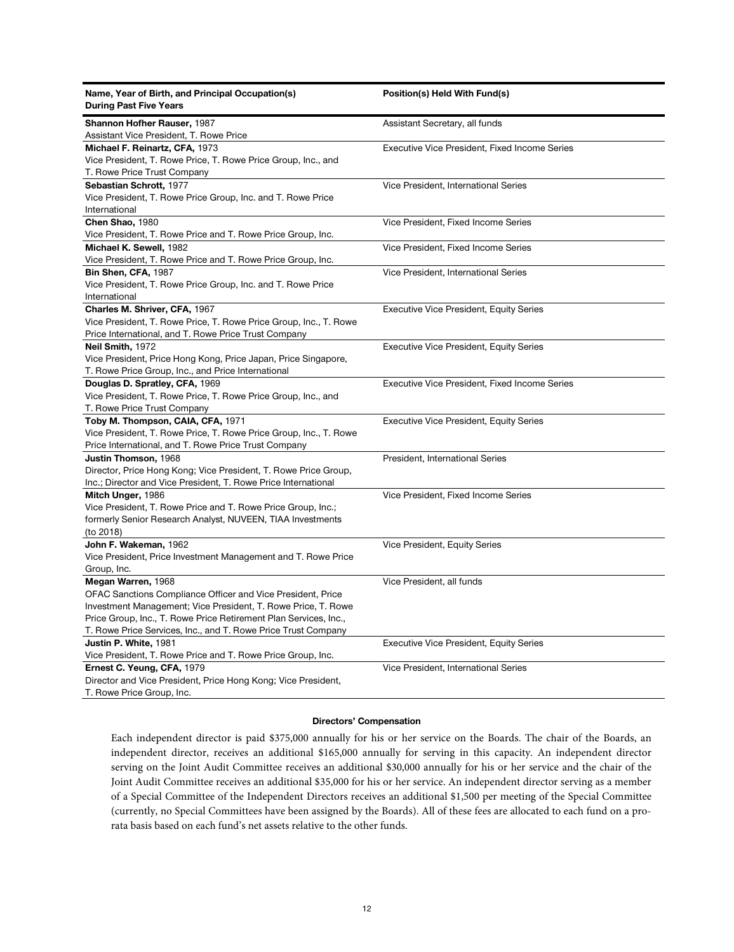| Name, Year of Birth, and Principal Occupation(s)<br><b>During Past Five Years</b>                                                                                                                                                                                                       | Position(s) Held With Fund(s)                        |
|-----------------------------------------------------------------------------------------------------------------------------------------------------------------------------------------------------------------------------------------------------------------------------------------|------------------------------------------------------|
| Shannon Hofher Rauser, 1987<br>Assistant Vice President, T. Rowe Price                                                                                                                                                                                                                  | Assistant Secretary, all funds                       |
| Michael F. Reinartz, CFA, 1973<br>Vice President, T. Rowe Price, T. Rowe Price Group, Inc., and<br>T. Rowe Price Trust Company                                                                                                                                                          | <b>Executive Vice President, Fixed Income Series</b> |
| Sebastian Schrott, 1977<br>Vice President, T. Rowe Price Group, Inc. and T. Rowe Price<br>International                                                                                                                                                                                 | Vice President, International Series                 |
| Chen Shao, 1980<br>Vice President, T. Rowe Price and T. Rowe Price Group, Inc.                                                                                                                                                                                                          | Vice President, Fixed Income Series                  |
| Michael K. Sewell, 1982<br>Vice President, T. Rowe Price and T. Rowe Price Group, Inc.                                                                                                                                                                                                  | Vice President, Fixed Income Series                  |
| Bin Shen, CFA, 1987<br>Vice President, T. Rowe Price Group, Inc. and T. Rowe Price<br>International                                                                                                                                                                                     | Vice President, International Series                 |
| Charles M. Shriver, CFA, 1967<br>Vice President, T. Rowe Price, T. Rowe Price Group, Inc., T. Rowe<br>Price International, and T. Rowe Price Trust Company                                                                                                                              | <b>Executive Vice President, Equity Series</b>       |
| Neil Smith, 1972<br>Vice President, Price Hong Kong, Price Japan, Price Singapore,<br>T. Rowe Price Group, Inc., and Price International                                                                                                                                                | <b>Executive Vice President, Equity Series</b>       |
| Douglas D. Spratley, CFA, 1969<br>Vice President, T. Rowe Price, T. Rowe Price Group, Inc., and<br>T. Rowe Price Trust Company                                                                                                                                                          | Executive Vice President, Fixed Income Series        |
| Toby M. Thompson, CAIA, CFA, 1971<br>Vice President, T. Rowe Price, T. Rowe Price Group, Inc., T. Rowe<br>Price International, and T. Rowe Price Trust Company                                                                                                                          | <b>Executive Vice President, Equity Series</b>       |
| Justin Thomson, 1968<br>Director, Price Hong Kong; Vice President, T. Rowe Price Group,<br>Inc.; Director and Vice President, T. Rowe Price International                                                                                                                               | President, International Series                      |
| Mitch Unger, 1986<br>Vice President, T. Rowe Price and T. Rowe Price Group, Inc.;<br>formerly Senior Research Analyst, NUVEEN, TIAA Investments<br>(to 2018)                                                                                                                            | Vice President, Fixed Income Series                  |
| John F. Wakeman, 1962<br>Vice President, Price Investment Management and T. Rowe Price<br>Group, Inc.                                                                                                                                                                                   | Vice President, Equity Series                        |
| Megan Warren, 1968<br>OFAC Sanctions Compliance Officer and Vice President, Price<br>Investment Management; Vice President, T. Rowe Price, T. Rowe<br>Price Group, Inc., T. Rowe Price Retirement Plan Services, Inc.,<br>T. Rowe Price Services, Inc., and T. Rowe Price Trust Company | Vice President, all funds                            |
| Justin P. White, 1981<br>Vice President, T. Rowe Price and T. Rowe Price Group, Inc.                                                                                                                                                                                                    | <b>Executive Vice President, Equity Series</b>       |
| Ernest C. Yeung, CFA, 1979<br>Director and Vice President, Price Hong Kong; Vice President,<br>T. Rowe Price Group, Inc.                                                                                                                                                                | Vice President, International Series                 |

# **Directors' Compensation**

Each independent director is paid \$375,000 annually for his or her service on the Boards. The chair of the Boards, an independent director, receives an additional \$165,000 annually for serving in this capacity. An independent director serving on the Joint Audit Committee receives an additional \$30,000 annually for his or her service and the chair of the Joint Audit Committee receives an additional \$35,000 for his or her service. An independent director serving as a member of a Special Committee of the Independent Directors receives an additional \$1,500 per meeting of the Special Committee (currently, no Special Committees have been assigned by the Boards). All of these fees are allocated to each fund on a prorata basis based on each fund's net assets relative to the other funds.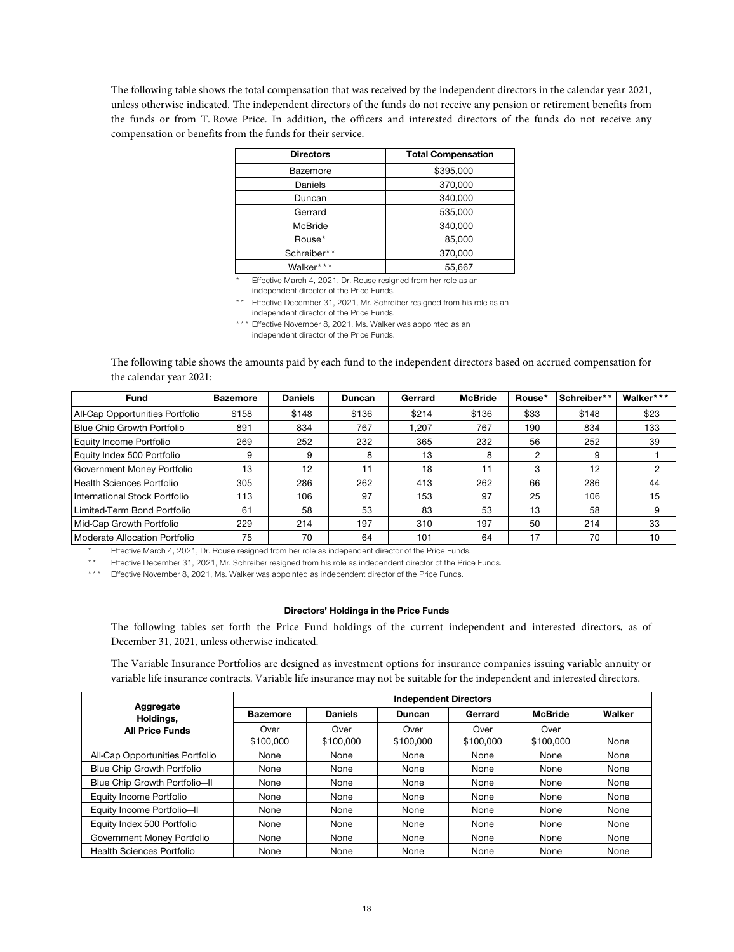The following table shows the total compensation that was received by the independent directors in the calendar year 2021, unless otherwise indicated. The independent directors of the funds do not receive any pension or retirement benefits from the funds or from T. Rowe Price. In addition, the officers and interested directors of the funds do not receive any compensation or benefits from the funds for their service.

| <b>Directors</b> | <b>Total Compensation</b> |
|------------------|---------------------------|
| Bazemore         | \$395,000                 |
| Daniels          | 370,000                   |
| Duncan           | 340,000                   |
| Gerrard          | 535,000                   |
| <b>McBride</b>   | 340,000                   |
| Rouse*           | 85,000                    |
| Schreiber**      | 370,000                   |
| Walker***        | 55,667                    |

Effective March 4, 2021, Dr. Rouse resigned from her role as an independent director of the Price Funds.

\*\* Effective December 31, 2021, Mr. Schreiber resigned from his role as an independent director of the Price Funds.

\*\*\* Effective November 8, 2021, Ms. Walker was appointed as an independent director of the Price Funds.

The following table shows the amounts paid by each fund to the independent directors based on accrued compensation for the calendar year 2021:

| <b>Fund</b>                       | <b>Bazemore</b> | <b>Daniels</b> | <b>Duncan</b> | Gerrard | <b>McBride</b> | Rouse*         | Schreiber** | Walker*** |
|-----------------------------------|-----------------|----------------|---------------|---------|----------------|----------------|-------------|-----------|
| All-Cap Opportunities Portfolio   | \$158           | \$148          | \$136         | \$214   | \$136          | \$33           | \$148       | \$23      |
| <b>Blue Chip Growth Portfolio</b> | 891             | 834            | 767           | 1.207   | 767            | 190            | 834         | 133       |
| Equity Income Portfolio           | 269             | 252            | 232           | 365     | 232            | 56             | 252         | 39        |
| Equity Index 500 Portfolio        | 9               | 9              | 8             | 13      | 8              | $\overline{2}$ | 9           |           |
| Government Money Portfolio        | 13              | 12             | 11            | 18      | 11             | 3              | 12          |           |
| Health Sciences Portfolio         | 305             | 286            | 262           | 413     | 262            | 66             | 286         | 44        |
| International Stock Portfolio     | 113             | 106            | 97            | 153     | 97             | 25             | 106         | 15        |
| Limited-Term Bond Portfolio       | 61              | 58             | 53            | 83      | 53             | 13             | 58          |           |
| Mid-Cap Growth Portfolio          | 229             | 214            | 197           | 310     | 197            | 50             | 214         | 33        |
| Moderate Allocation Portfolio     | 75              | 70             | 64            | 101     | 64             | 17             | 70          | 10        |

Effective March 4, 2021, Dr. Rouse resigned from her role as independent director of the Price Funds.

\*\* Effective December 31, 2021, Mr. Schreiber resigned from his role as independent director of the Price Funds.

\*\*\* Effective November 8, 2021, Ms. Walker was appointed as independent director of the Price Funds.

# **Directors' Holdings in the Price Funds**

The following tables set forth the Price Fund holdings of the current independent and interested directors, as of December 31, 2021, unless otherwise indicated.

The Variable Insurance Portfolios are designed as investment options for insurance companies issuing variable annuity or variable life insurance contracts. Variable life insurance may not be suitable for the independent and interested directors.

|                                  | <b>Independent Directors</b> |                   |                   |                   |                   |        |  |
|----------------------------------|------------------------------|-------------------|-------------------|-------------------|-------------------|--------|--|
| Aggregate<br>Holdings,           | <b>Bazemore</b>              | <b>Daniels</b>    | <b>Duncan</b>     | Gerrard           | <b>McBride</b>    | Walker |  |
| <b>All Price Funds</b>           | Over<br>\$100,000            | Over<br>\$100,000 | Over<br>\$100,000 | Over<br>\$100,000 | Over<br>\$100,000 | None   |  |
| All-Cap Opportunities Portfolio  | None                         | None              | None              | None              | None              | None   |  |
| Blue Chip Growth Portfolio       | None                         | None              | None              | None              | None              | None   |  |
| Blue Chip Growth Portfolio-II    | None                         | None              | None              | None              | None              | None   |  |
| Equity Income Portfolio          | None                         | None              | None              | None              | None              | None   |  |
| Equity Income Portfolio-II       | None                         | None              | None              | None              | None              | None   |  |
| Equity Index 500 Portfolio       | None                         | None              | None              | None              | None              | None   |  |
| Government Money Portfolio       | None                         | None              | None              | None              | None              | None   |  |
| <b>Health Sciences Portfolio</b> | None                         | None              | None              | None              | None              | None   |  |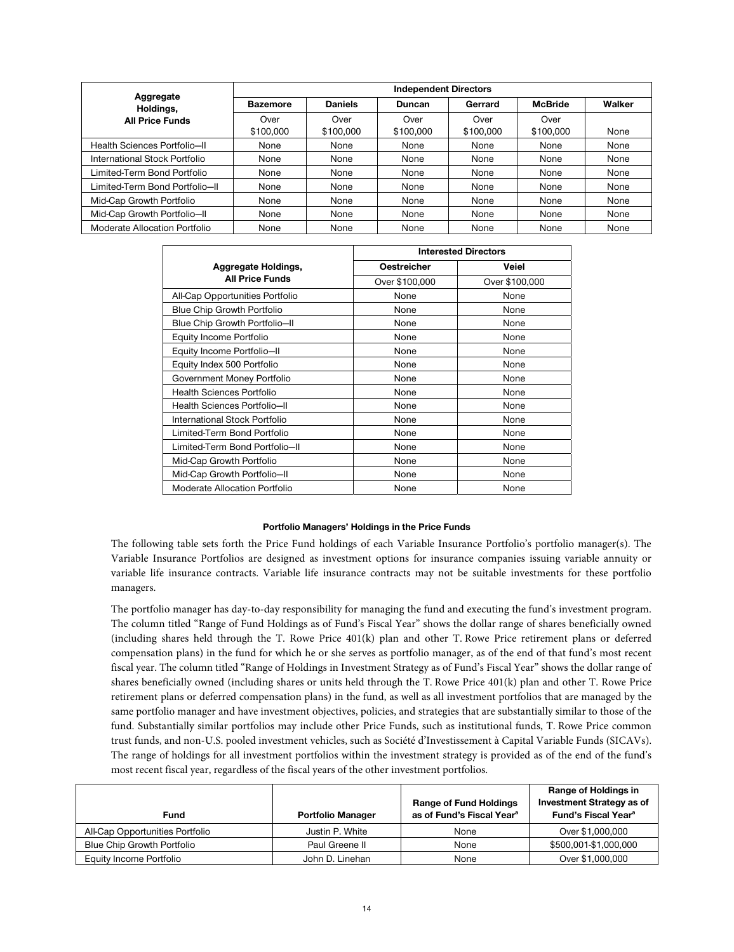|                                | <b>Independent Directors</b> |                |               |           |                |        |  |
|--------------------------------|------------------------------|----------------|---------------|-----------|----------------|--------|--|
| Aggregate<br>Holdings,         | <b>Bazemore</b>              | <b>Daniels</b> | <b>Duncan</b> | Gerrard   | <b>McBride</b> | Walker |  |
| <b>All Price Funds</b>         | Over                         | Over           | Over          | Over      | Over           |        |  |
|                                | \$100,000                    | \$100,000      | \$100,000     | \$100,000 | \$100,000      | None   |  |
| Health Sciences Portfolio-II   | None                         | None           | None          | None      | None           | None   |  |
| International Stock Portfolio  | None                         | None           | None          | None      | None           | None   |  |
| Limited-Term Bond Portfolio    | None                         | None           | None          | None      | None           | None   |  |
| Limited-Term Bond Portfolio-II | None                         | None           | None          | None      | None           | None   |  |
| Mid-Cap Growth Portfolio       | None                         | None           | None          | None      | None           | None   |  |
| Mid-Cap Growth Portfolio-II    | None                         | None           | None          | None      | None           | None   |  |
| Moderate Allocation Portfolio  | None                         | None           | None          | None      | None           | None   |  |

|                                   | <b>Interested Directors</b> |                |  |
|-----------------------------------|-----------------------------|----------------|--|
| Aggregate Holdings,               | <b>Oestreicher</b>          | Veiel          |  |
| <b>All Price Funds</b>            | Over \$100,000              | Over \$100,000 |  |
| All-Cap Opportunities Portfolio   | None                        | None           |  |
| <b>Blue Chip Growth Portfolio</b> | None                        | None           |  |
| Blue Chip Growth Portfolio-II     | None                        | None           |  |
| Equity Income Portfolio           | None                        | None           |  |
| Equity Income Portfolio-II        | None                        | None           |  |
| Equity Index 500 Portfolio        | None                        | None           |  |
| Government Money Portfolio        | None                        | None           |  |
| <b>Health Sciences Portfolio</b>  | None                        | None           |  |
| Health Sciences Portfolio-II      | None                        | None           |  |
| International Stock Portfolio     | None                        | None           |  |
| Limited-Term Bond Portfolio       | None                        | None           |  |
| Limited-Term Bond Portfolio-II    | None                        | None           |  |
| Mid-Cap Growth Portfolio          | None                        | None           |  |
| Mid-Cap Growth Portfolio-II       | None                        | None           |  |
| Moderate Allocation Portfolio     | None                        | None           |  |

# **Portfolio Managers' Holdings in the Price Funds**

The following table sets forth the Price Fund holdings of each Variable Insurance Portfolio's portfolio manager(s). The Variable Insurance Portfolios are designed as investment options for insurance companies issuing variable annuity or variable life insurance contracts. Variable life insurance contracts may not be suitable investments for these portfolio managers.

The portfolio manager has day-to-day responsibility for managing the fund and executing the fund's investment program. The column titled "Range of Fund Holdings as of Fund's Fiscal Year" shows the dollar range of shares beneficially owned (including shares held through the T. Rowe Price 401(k) plan and other T. Rowe Price retirement plans or deferred compensation plans) in the fund for which he or she serves as portfolio manager, as of the end of that fund's most recent fiscal year. The column titled "Range of Holdings in Investment Strategy as of Fund's Fiscal Year" shows the dollar range of shares beneficially owned (including shares or units held through the T. Rowe Price 401(k) plan and other T. Rowe Price retirement plans or deferred compensation plans) in the fund, as well as all investment portfolios that are managed by the same portfolio manager and have investment objectives, policies, and strategies that are substantially similar to those of the fund. Substantially similar portfolios may include other Price Funds, such as institutional funds, T. Rowe Price common trust funds, and non-U.S. pooled investment vehicles, such as Société d'Investissement à Capital Variable Funds (SICAVs). The range of holdings for all investment portfolios within the investment strategy is provided as of the end of the fund's most recent fiscal year, regardless of the fiscal years of the other investment portfolios.

| <b>Fund</b>                     | <b>Portfolio Manager</b> | <b>Range of Fund Holdings</b><br>as of Fund's Fiscal Year <sup>a</sup> | Range of Holdings in<br><b>Investment Strategy as of</b><br>Fund's Fiscal Year <sup>a</sup> |
|---------------------------------|--------------------------|------------------------------------------------------------------------|---------------------------------------------------------------------------------------------|
| All-Cap Opportunities Portfolio | Justin P. White          | None                                                                   | Over \$1,000,000                                                                            |
| Blue Chip Growth Portfolio      | Paul Greene II           | None                                                                   | \$500.001-\$1.000.000                                                                       |
| Equity Income Portfolio         | John D. Linehan          | None                                                                   | Over \$1,000,000                                                                            |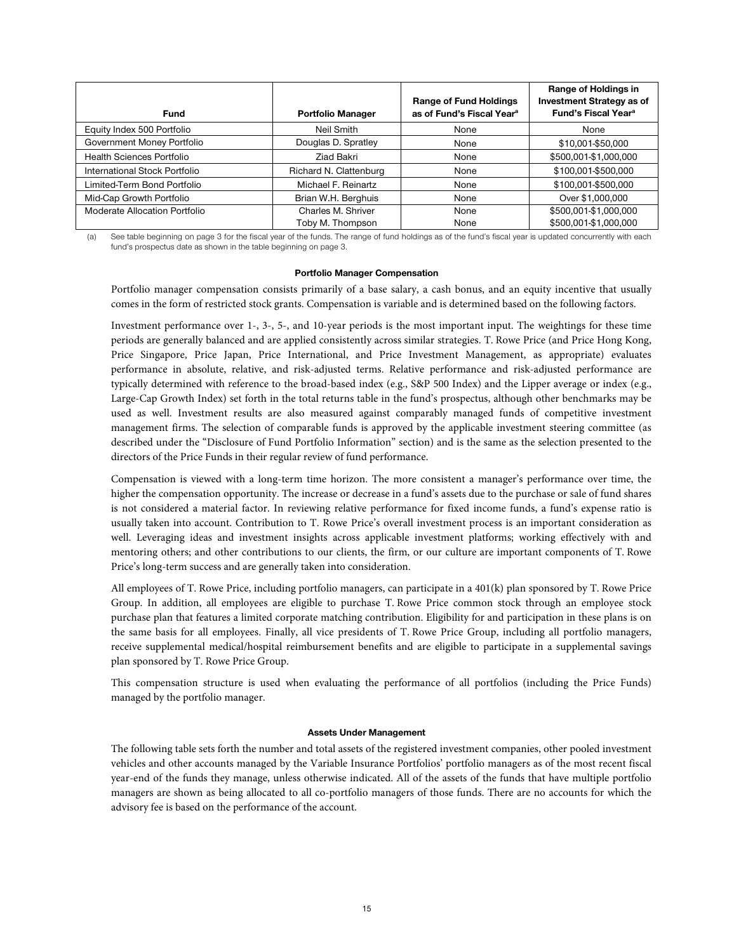| <b>Fund</b>                      | <b>Portfolio Manager</b> | <b>Range of Fund Holdings</b><br>as of Fund's Fiscal Year <sup>a</sup> | Range of Holdings in<br><b>Investment Strategy as of</b><br>Fund's Fiscal Year <sup>a</sup> |
|----------------------------------|--------------------------|------------------------------------------------------------------------|---------------------------------------------------------------------------------------------|
| Equity Index 500 Portfolio       | Neil Smith               | None                                                                   | None                                                                                        |
| Government Money Portfolio       | Douglas D. Spratley      | None                                                                   | \$10,001-\$50,000                                                                           |
| <b>Health Sciences Portfolio</b> | Ziad Bakri               | None                                                                   | \$500,001-\$1,000,000                                                                       |
| International Stock Portfolio    | Richard N. Clattenburg   | None                                                                   | \$100,001-\$500,000                                                                         |
| Limited-Term Bond Portfolio      | Michael F. Reinartz      | None                                                                   | \$100,001-\$500,000                                                                         |
| Mid-Cap Growth Portfolio         | Brian W.H. Berghuis      | None                                                                   | Over \$1,000,000                                                                            |
| Moderate Allocation Portfolio    | Charles M. Shriver       | None                                                                   | \$500,001-\$1,000,000                                                                       |
|                                  | Toby M. Thompson         | None                                                                   | \$500,001-\$1,000,000                                                                       |

(a) See table beginning on page 3 for the fiscal year of the funds. The range of fund holdings as of the fund's fiscal year is updated concurrently with each fund's prospectus date as shown in the table beginning on page 3.

# **Portfolio Manager Compensation**

Portfolio manager compensation consists primarily of a base salary, a cash bonus, and an equity incentive that usually comes in the form of restricted stock grants. Compensation is variable and is determined based on the following factors.

Investment performance over 1-, 3-, 5-, and 10-year periods is the most important input. The weightings for these time periods are generally balanced and are applied consistently across similar strategies. T. Rowe Price (and Price Hong Kong, Price Singapore, Price Japan, Price International, and Price Investment Management, as appropriate) evaluates performance in absolute, relative, and risk-adjusted terms. Relative performance and risk-adjusted performance are typically determined with reference to the broad-based index (e.g., S&P 500 Index) and the Lipper average or index (e.g., Large-Cap Growth Index) set forth in the total returns table in the fund's prospectus, although other benchmarks may be used as well. Investment results are also measured against comparably managed funds of competitive investment management firms. The selection of comparable funds is approved by the applicable investment steering committee (as described under the "Disclosure of Fund Portfolio Information" section) and is the same as the selection presented to the directors of the Price Funds in their regular review of fund performance.

Compensation is viewed with a long-term time horizon. The more consistent a manager's performance over time, the higher the compensation opportunity. The increase or decrease in a fund's assets due to the purchase or sale of fund shares is not considered a material factor. In reviewing relative performance for fixed income funds, a fund's expense ratio is usually taken into account. Contribution to T. Rowe Price's overall investment process is an important consideration as well. Leveraging ideas and investment insights across applicable investment platforms; working effectively with and mentoring others; and other contributions to our clients, the firm, or our culture are important components of T. Rowe Price's long-term success and are generally taken into consideration.

All employees of T. Rowe Price, including portfolio managers, can participate in a 401(k) plan sponsored by T. Rowe Price Group. In addition, all employees are eligible to purchase T. Rowe Price common stock through an employee stock purchase plan that features a limited corporate matching contribution. Eligibility for and participation in these plans is on the same basis for all employees. Finally, all vice presidents of T. Rowe Price Group, including all portfolio managers, receive supplemental medical/hospital reimbursement benefits and are eligible to participate in a supplemental savings plan sponsored by T. Rowe Price Group.

This compensation structure is used when evaluating the performance of all portfolios (including the Price Funds) managed by the portfolio manager.

#### **Assets Under Management**

The following table sets forth the number and total assets of the registered investment companies, other pooled investment vehicles and other accounts managed by the Variable Insurance Portfolios' portfolio managers as of the most recent fiscal year-end of the funds they manage, unless otherwise indicated. All of the assets of the funds that have multiple portfolio managers are shown as being allocated to all co-portfolio managers of those funds. There are no accounts for which the advisory fee is based on the performance of the account.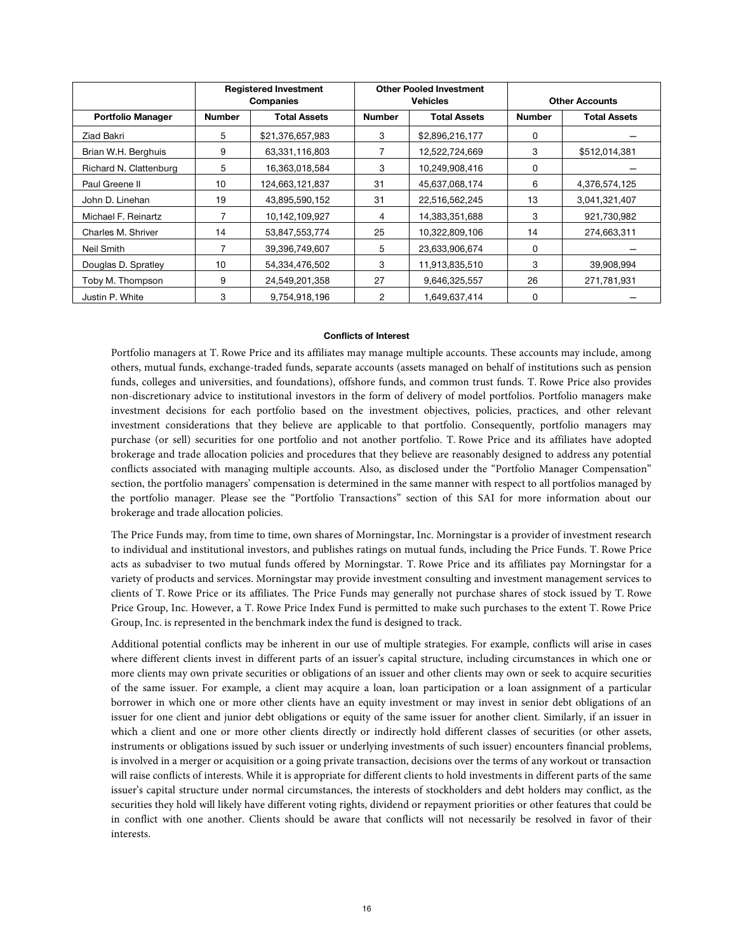|                          |               | <b>Registered Investment</b><br>Companies |               | <b>Other Pooled Investment</b><br><b>Vehicles</b> | <b>Other Accounts</b> |                     |
|--------------------------|---------------|-------------------------------------------|---------------|---------------------------------------------------|-----------------------|---------------------|
| <b>Portfolio Manager</b> | <b>Number</b> | <b>Total Assets</b>                       | <b>Number</b> | <b>Total Assets</b>                               | <b>Number</b>         | <b>Total Assets</b> |
| Ziad Bakri               | 5             | \$21,376,657,983                          | 3             | \$2,896,216,177                                   | 0                     |                     |
| Brian W.H. Berghuis      | 9             | 63,331,116,803                            |               | 12,522,724,669                                    | 3                     | \$512,014,381       |
| Richard N. Clattenburg   | 5             | 16,363,018,584                            | 3             | 10,249,908,416                                    | 0                     |                     |
| Paul Greene II           | 10            | 124,663,121,837                           | 31            | 45,637,068,174                                    | 6                     | 4,376,574,125       |
| John D. Linehan          | 19            | 43,895,590,152                            | 31            | 22,516,562,245                                    | 13                    | 3,041,321,407       |
| Michael F. Reinartz      |               | 10,142,109,927                            | 4             | 14,383,351,688                                    | 3                     | 921,730,982         |
| Charles M. Shriver       | 14            | 53,847,553,774                            | 25            | 10,322,809,106                                    | 14                    | 274,663,311         |
| Neil Smith               | 7             | 39,396,749,607                            | 5             | 23,633,906,674                                    | 0                     |                     |
| Douglas D. Spratley      | 10            | 54,334,476,502                            | 3             | 11,913,835,510                                    | 3                     | 39,908,994          |
| Toby M. Thompson         | 9             | 24,549,201,358                            | 27            | 9,646,325,557                                     | 26                    | 271,781,931         |
| Justin P. White          | 3             | 9,754,918,196                             | 2             | 1,649,637,414                                     | 0                     |                     |

#### **Conflicts of Interest**

Portfolio managers at T. Rowe Price and its affiliates may manage multiple accounts. These accounts may include, among others, mutual funds, exchange-traded funds, separate accounts (assets managed on behalf of institutions such as pension funds, colleges and universities, and foundations), offshore funds, and common trust funds. T. Rowe Price also provides non-discretionary advice to institutional investors in the form of delivery of model portfolios. Portfolio managers make investment decisions for each portfolio based on the investment objectives, policies, practices, and other relevant investment considerations that they believe are applicable to that portfolio. Consequently, portfolio managers may purchase (or sell) securities for one portfolio and not another portfolio. T. Rowe Price and its affiliates have adopted brokerage and trade allocation policies and procedures that they believe are reasonably designed to address any potential conflicts associated with managing multiple accounts. Also, as disclosed under the "Portfolio Manager Compensation" section, the portfolio managers' compensation is determined in the same manner with respect to all portfolios managed by the portfolio manager. Please see the "Portfolio Transactions" section of this SAI for more information about our brokerage and trade allocation policies.

The Price Funds may, from time to time, own shares of Morningstar, Inc. Morningstar is a provider of investment research to individual and institutional investors, and publishes ratings on mutual funds, including the Price Funds. T. Rowe Price acts as subadviser to two mutual funds offered by Morningstar. T. Rowe Price and its affiliates pay Morningstar for a variety of products and services. Morningstar may provide investment consulting and investment management services to clients of T. Rowe Price or its affiliates. The Price Funds may generally not purchase shares of stock issued by T. Rowe Price Group, Inc. However, a T. Rowe Price Index Fund is permitted to make such purchases to the extent T. Rowe Price Group, Inc. is represented in the benchmark index the fund is designed to track.

Additional potential conflicts may be inherent in our use of multiple strategies. For example, conflicts will arise in cases where different clients invest in different parts of an issuer's capital structure, including circumstances in which one or more clients may own private securities or obligations of an issuer and other clients may own or seek to acquire securities of the same issuer. For example, a client may acquire a loan, loan participation or a loan assignment of a particular borrower in which one or more other clients have an equity investment or may invest in senior debt obligations of an issuer for one client and junior debt obligations or equity of the same issuer for another client. Similarly, if an issuer in which a client and one or more other clients directly or indirectly hold different classes of securities (or other assets, instruments or obligations issued by such issuer or underlying investments of such issuer) encounters financial problems, is involved in a merger or acquisition or a going private transaction, decisions over the terms of any workout or transaction will raise conflicts of interests. While it is appropriate for different clients to hold investments in different parts of the same issuer's capital structure under normal circumstances, the interests of stockholders and debt holders may conflict, as the securities they hold will likely have different voting rights, dividend or repayment priorities or other features that could be in conflict with one another. Clients should be aware that conflicts will not necessarily be resolved in favor of their interests.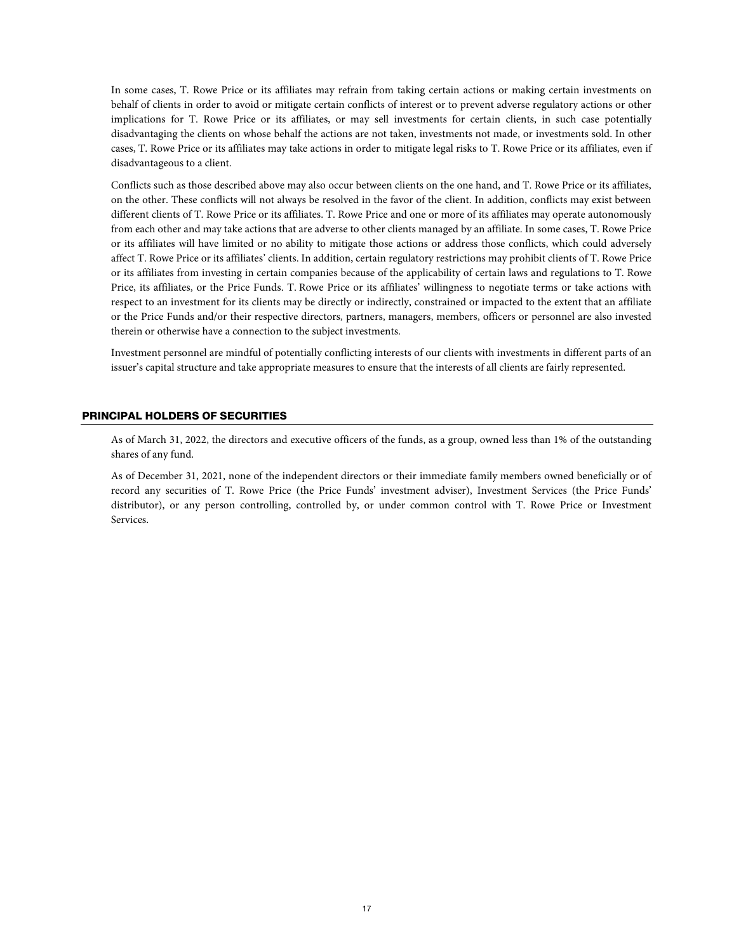In some cases, T. Rowe Price or its affiliates may refrain from taking certain actions or making certain investments on behalf of clients in order to avoid or mitigate certain conflicts of interest or to prevent adverse regulatory actions or other implications for T. Rowe Price or its affiliates, or may sell investments for certain clients, in such case potentially disadvantaging the clients on whose behalf the actions are not taken, investments not made, or investments sold. In other cases, T. Rowe Price or its affiliates may take actions in order to mitigate legal risks to T. Rowe Price or its affiliates, even if disadvantageous to a client.

Conflicts such as those described above may also occur between clients on the one hand, and T. Rowe Price or its affiliates, on the other. These conflicts will not always be resolved in the favor of the client. In addition, conflicts may exist between different clients of T. Rowe Price or its affiliates. T. Rowe Price and one or more of its affiliates may operate autonomously from each other and may take actions that are adverse to other clients managed by an affiliate. In some cases, T. Rowe Price or its affiliates will have limited or no ability to mitigate those actions or address those conflicts, which could adversely affect T. Rowe Price or its affiliates' clients. In addition, certain regulatory restrictions may prohibit clients of T. Rowe Price or its affiliates from investing in certain companies because of the applicability of certain laws and regulations to T. Rowe Price, its affiliates, or the Price Funds. T. Rowe Price or its affiliates' willingness to negotiate terms or take actions with respect to an investment for its clients may be directly or indirectly, constrained or impacted to the extent that an affiliate or the Price Funds and/or their respective directors, partners, managers, members, officers or personnel are also invested therein or otherwise have a connection to the subject investments.

Investment personnel are mindful of potentially conflicting interests of our clients with investments in different parts of an issuer's capital structure and take appropriate measures to ensure that the interests of all clients are fairly represented.

# PRINCIPAL HOLDERS OF SECURITIES

As of March 31, 2022, the directors and executive officers of the funds, as a group, owned less than 1% of the outstanding shares of any fund.

As of December 31, 2021, none of the independent directors or their immediate family members owned beneficially or of record any securities of T. Rowe Price (the Price Funds' investment adviser), Investment Services (the Price Funds' distributor), or any person controlling, controlled by, or under common control with T. Rowe Price or Investment Services.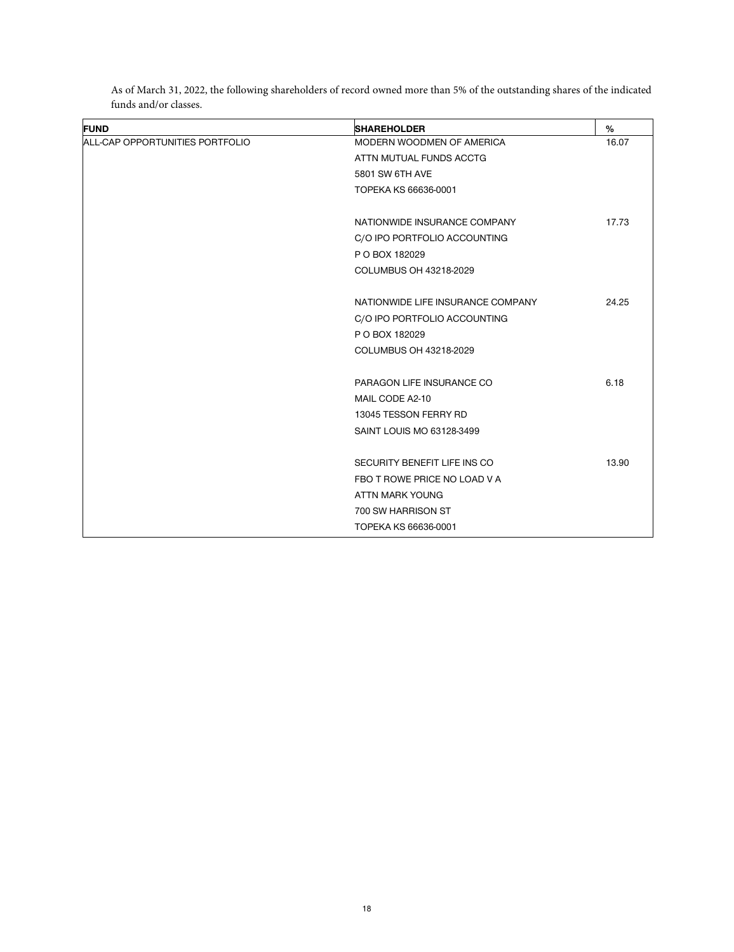| <b>FUND</b>                     | <b>SHAREHOLDER</b>                | %     |
|---------------------------------|-----------------------------------|-------|
| ALL-CAP OPPORTUNITIES PORTFOLIO | MODERN WOODMEN OF AMERICA         | 16.07 |
|                                 | ATTN MUTUAL FUNDS ACCTG           |       |
|                                 | 5801 SW 6TH AVE                   |       |
|                                 | TOPEKA KS 66636-0001              |       |
|                                 | NATIONWIDE INSURANCE COMPANY      | 17.73 |
|                                 | C/O IPO PORTFOLIO ACCOUNTING      |       |
|                                 | P O BOX 182029                    |       |
|                                 | COLUMBUS OH 43218-2029            |       |
|                                 | NATIONWIDE LIFE INSURANCE COMPANY | 24.25 |
|                                 | C/O IPO PORTFOLIO ACCOUNTING      |       |
|                                 | P O BOX 182029                    |       |
|                                 | COLUMBUS OH 43218-2029            |       |
|                                 | PARAGON LIFE INSURANCE CO         | 6.18  |
|                                 | MAIL CODE A2-10                   |       |
|                                 | 13045 TESSON FERRY RD             |       |
|                                 | SAINT LOUIS MO 63128-3499         |       |
|                                 | SECURITY BENEFIT LIFE INS CO      | 13.90 |
|                                 | FBO T ROWE PRICE NO LOAD V A      |       |
|                                 | ATTN MARK YOUNG                   |       |
|                                 | 700 SW HARRISON ST                |       |
|                                 | TOPEKA KS 66636-0001              |       |

As of March 31, 2022, the following shareholders of record owned more than 5% of the outstanding shares of the indicated funds and/or classes.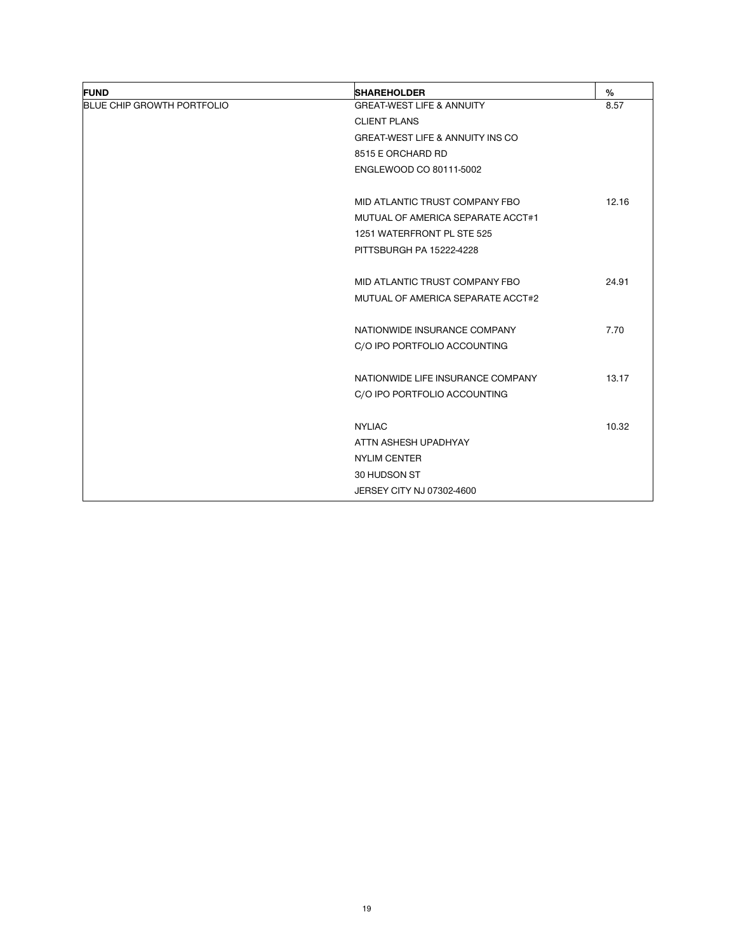| <b>FUND</b>                       | <b>SHAREHOLDER</b>                          | %     |
|-----------------------------------|---------------------------------------------|-------|
| <b>BLUE CHIP GROWTH PORTFOLIO</b> | <b>GREAT-WEST LIFE &amp; ANNUITY</b>        | 8.57  |
|                                   | <b>CLIENT PLANS</b>                         |       |
|                                   | <b>GREAT-WEST LIFE &amp; ANNUITY INS CO</b> |       |
|                                   | 8515 E ORCHARD RD                           |       |
|                                   | ENGLEWOOD CO 80111-5002                     |       |
|                                   | MID ATLANTIC TRUST COMPANY FBO              | 12.16 |
|                                   | MUTUAL OF AMERICA SEPARATE ACCT#1           |       |
|                                   | 1251 WATERFRONT PL STE 525                  |       |
|                                   | PITTSBURGH PA 15222-4228                    |       |
|                                   | MID ATLANTIC TRUST COMPANY FBO              | 24.91 |
|                                   | MUTUAL OF AMERICA SEPARATE ACCT#2           |       |
|                                   | NATIONWIDE INSURANCE COMPANY                | 7.70  |
|                                   | C/O IPO PORTFOLIO ACCOUNTING                |       |
|                                   | NATIONWIDE LIFE INSURANCE COMPANY           | 13.17 |
|                                   | C/O IPO PORTFOLIO ACCOUNTING                |       |
|                                   | <b>NYLIAC</b>                               | 10.32 |
|                                   | ATTN ASHESH UPADHYAY                        |       |
|                                   | <b>NYLIM CENTER</b>                         |       |
|                                   | 30 HUDSON ST                                |       |
|                                   | JERSEY CITY NJ 07302-4600                   |       |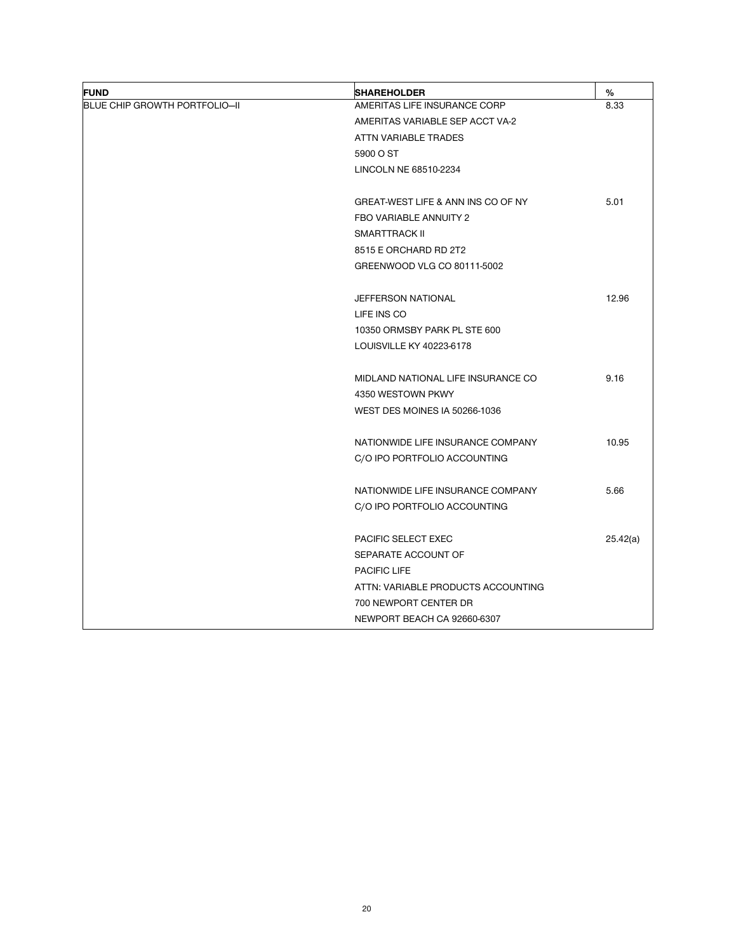| <b>FUND</b>                   | <b>SHAREHOLDER</b>                 | %        |
|-------------------------------|------------------------------------|----------|
| BLUE CHIP GROWTH PORTFOLIO-II | AMERITAS LIFE INSURANCE CORP       | 8.33     |
|                               | AMERITAS VARIABLE SEP ACCT VA-2    |          |
|                               | ATTN VARIABLE TRADES               |          |
|                               | 5900 O ST                          |          |
|                               | LINCOLN NE 68510-2234              |          |
|                               | GREAT-WEST LIFE & ANN INS CO OF NY | 5.01     |
|                               | FBO VARIABLE ANNUITY 2             |          |
|                               | SMARTTRACK II                      |          |
|                               | 8515 E ORCHARD RD 2T2              |          |
|                               | GREENWOOD VLG CO 80111-5002        |          |
|                               | JEFFERSON NATIONAL                 | 12.96    |
|                               | LIFE INS CO                        |          |
|                               | 10350 ORMSBY PARK PL STE 600       |          |
|                               | LOUISVILLE KY 40223-6178           |          |
|                               | MIDLAND NATIONAL LIFE INSURANCE CO | 9.16     |
|                               | 4350 WESTOWN PKWY                  |          |
|                               | WEST DES MOINES IA 50266-1036      |          |
|                               | NATIONWIDE LIFE INSURANCE COMPANY  | 10.95    |
|                               | C/O IPO PORTFOLIO ACCOUNTING       |          |
|                               | NATIONWIDE LIFE INSURANCE COMPANY  | 5.66     |
|                               | C/O IPO PORTFOLIO ACCOUNTING       |          |
|                               | <b>PACIFIC SELECT EXEC</b>         |          |
|                               | SEPARATE ACCOUNT OF                |          |
|                               | <b>PACIFIC LIFE</b>                |          |
|                               | ATTN: VARIABLE PRODUCTS ACCOUNTING |          |
|                               | 700 NEWPORT CENTER DR              |          |
|                               | NEWPORT BEACH CA 92660-6307        |          |
|                               |                                    | 25.42(a) |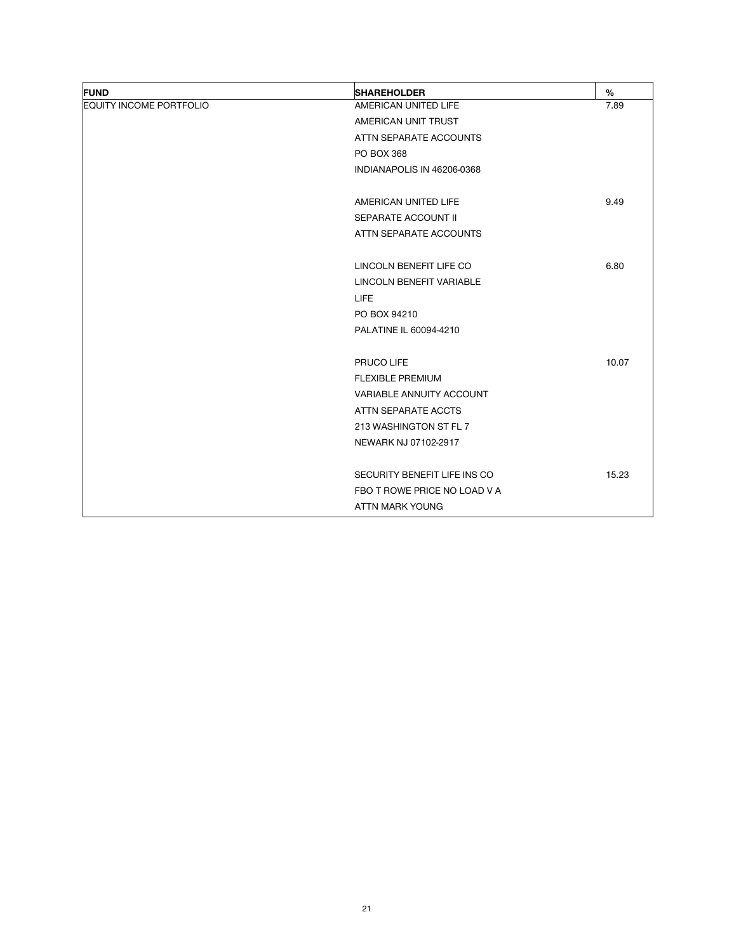| <b>FUND</b>                    | <b>SHAREHOLDER</b>              | $\%$  |
|--------------------------------|---------------------------------|-------|
| <b>EQUITY INCOME PORTFOLIO</b> | AMERICAN UNITED LIFE            | 7.89  |
|                                | AMERICAN UNIT TRUST             |       |
|                                | ATTN SEPARATE ACCOUNTS          |       |
|                                | <b>PO BOX 368</b>               |       |
|                                | INDIANAPOLIS IN 46206-0368      |       |
|                                | AMERICAN UNITED LIFE            | 9.49  |
|                                | SEPARATE ACCOUNT II             |       |
|                                | ATTN SEPARATE ACCOUNTS          |       |
|                                | LINCOLN BENEFIT LIFE CO         | 6.80  |
|                                | <b>LINCOLN BENEFIT VARIABLE</b> |       |
|                                | <b>LIFE</b>                     |       |
|                                | PO BOX 94210                    |       |
|                                | PALATINE IL 60094-4210          |       |
|                                | PRUCO LIFE                      | 10.07 |
|                                | <b>FLEXIBLE PREMIUM</b>         |       |
|                                | VARIABLE ANNUITY ACCOUNT        |       |
|                                | ATTN SEPARATE ACCTS             |       |
|                                | 213 WASHINGTON ST FL 7          |       |
|                                | NEWARK NJ 07102-2917            |       |
|                                | SECURITY BENEFIT LIFE INS CO    | 15.23 |
|                                | FBO T ROWE PRICE NO LOAD V A    |       |
|                                | ATTN MARK YOUNG                 |       |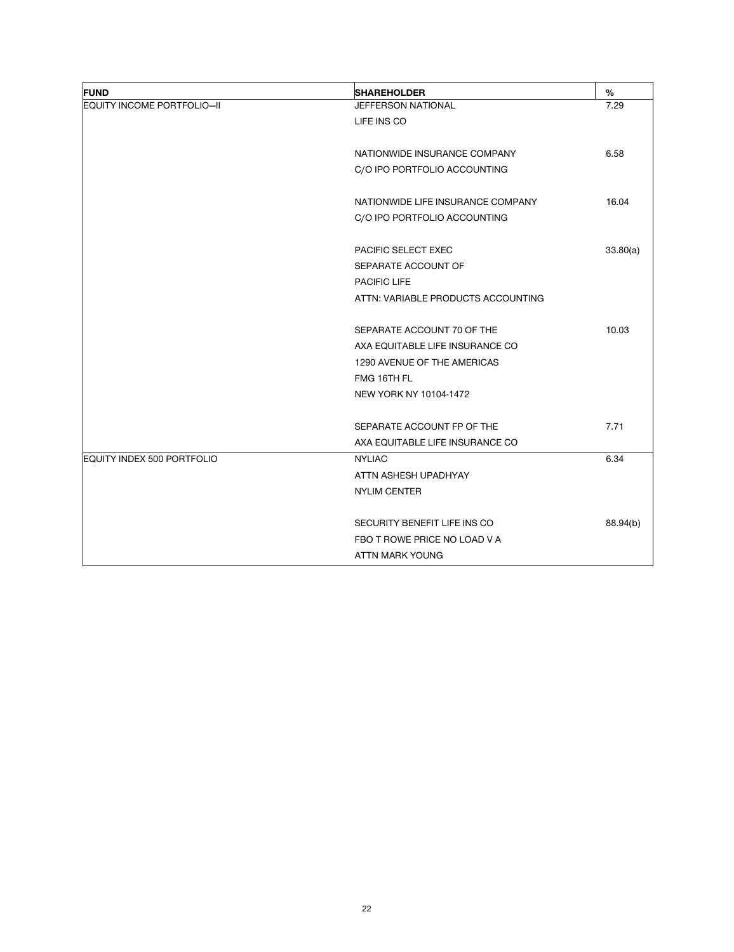| <b>FUND</b>                | <b>SHAREHOLDER</b>                 | $\%$     |
|----------------------------|------------------------------------|----------|
| EQUITY INCOME PORTFOLIO-II | JEFFERSON NATIONAL                 | 7.29     |
|                            | LIFE INS CO                        |          |
|                            |                                    |          |
|                            | NATIONWIDE INSURANCE COMPANY       | 6.58     |
|                            | C/O IPO PORTFOLIO ACCOUNTING       |          |
|                            | NATIONWIDE LIFE INSURANCE COMPANY  | 16.04    |
|                            | C/O IPO PORTFOLIO ACCOUNTING       |          |
|                            | <b>PACIFIC SELECT EXEC</b>         | 33.80(a) |
|                            | SEPARATE ACCOUNT OF                |          |
|                            | <b>PACIFIC LIFE</b>                |          |
|                            | ATTN: VARIABLE PRODUCTS ACCOUNTING |          |
|                            | SEPARATE ACCOUNT 70 OF THE         | 10.03    |
|                            | AXA EQUITABLE LIFE INSURANCE CO    |          |
|                            | 1290 AVENUE OF THE AMERICAS        |          |
|                            | FMG 16TH FL                        |          |
|                            | NEW YORK NY 10104-1472             |          |
|                            |                                    |          |
|                            | SEPARATE ACCOUNT FP OF THE         | 7.71     |
|                            | AXA EQUITABLE LIFE INSURANCE CO    |          |
| EQUITY INDEX 500 PORTFOLIO | <b>NYLIAC</b>                      | 6.34     |
|                            | ATTN ASHESH UPADHYAY               |          |
|                            | <b>NYLIM CENTER</b>                |          |
|                            | SECURITY BENEFIT LIFE INS CO       | 88.94(b) |
|                            | FBO T ROWE PRICE NO LOAD V A       |          |
|                            | ATTN MARK YOUNG                    |          |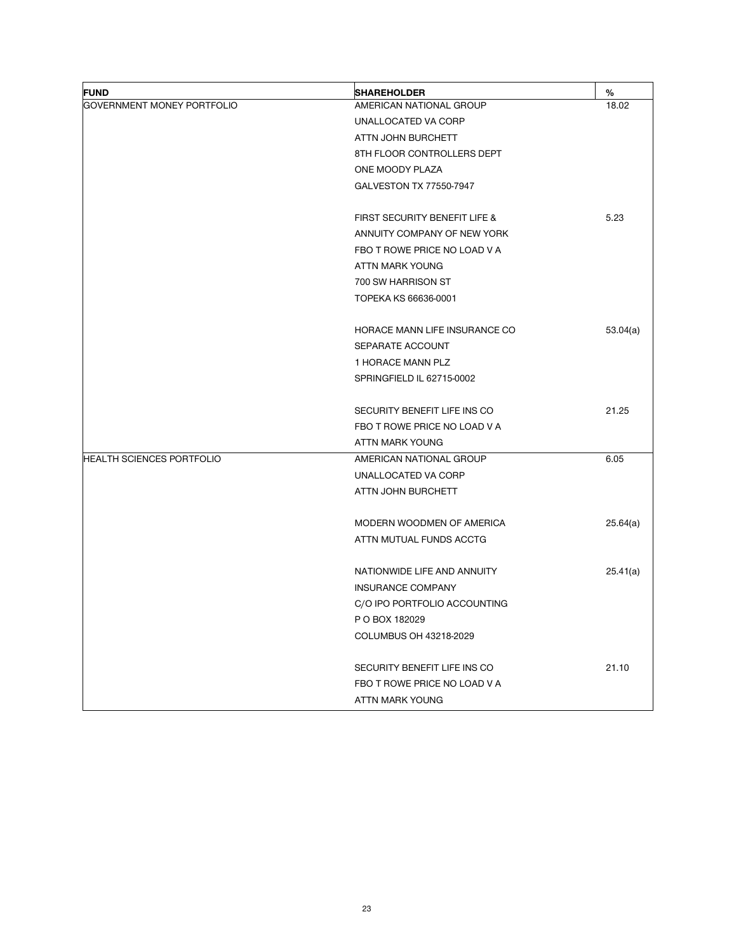| <b>FUND</b>                      | <b>SHAREHOLDER</b>            | %        |
|----------------------------------|-------------------------------|----------|
| GOVERNMENT MONEY PORTFOLIO       | AMERICAN NATIONAL GROUP       | 18.02    |
|                                  | UNALLOCATED VA CORP           |          |
|                                  | ATTN JOHN BURCHETT            |          |
|                                  | 8TH FLOOR CONTROLLERS DEPT    |          |
|                                  | ONE MOODY PLAZA               |          |
|                                  | GALVESTON TX 77550-7947       |          |
|                                  | FIRST SECURITY BENEFIT LIFE & | 5.23     |
|                                  | ANNUITY COMPANY OF NEW YORK   |          |
|                                  | FBO T ROWE PRICE NO LOAD V A  |          |
|                                  | ATTN MARK YOUNG               |          |
|                                  | 700 SW HARRISON ST            |          |
|                                  | TOPEKA KS 66636-0001          |          |
|                                  | HORACE MANN LIFE INSURANCE CO | 53.04(a) |
|                                  | SEPARATE ACCOUNT              |          |
|                                  | 1 HORACE MANN PLZ             |          |
|                                  | SPRINGFIELD IL 62715-0002     |          |
|                                  | SECURITY BENEFIT LIFE INS CO  | 21.25    |
|                                  | FBO T ROWE PRICE NO LOAD V A  |          |
|                                  | ATTN MARK YOUNG               |          |
| <b>HEALTH SCIENCES PORTFOLIO</b> | AMERICAN NATIONAL GROUP       | 6.05     |
|                                  | UNALLOCATED VA CORP           |          |
|                                  | ATTN JOHN BURCHETT            |          |
|                                  | MODERN WOODMEN OF AMERICA     | 25.64(a) |
|                                  | ATTN MUTUAL FUNDS ACCTG       |          |
|                                  | NATIONWIDE LIFE AND ANNUITY   | 25.41(a) |
|                                  | INSURANCE COMPANY             |          |
|                                  | C/O IPO PORTFOLIO ACCOUNTING  |          |
|                                  | P O BOX 182029                |          |
|                                  | COLUMBUS OH 43218-2029        |          |
|                                  | SECURITY BENEFIT LIFE INS CO  | 21.10    |
|                                  | FBO T ROWE PRICE NO LOAD V A  |          |
|                                  | ATTN MARK YOUNG               |          |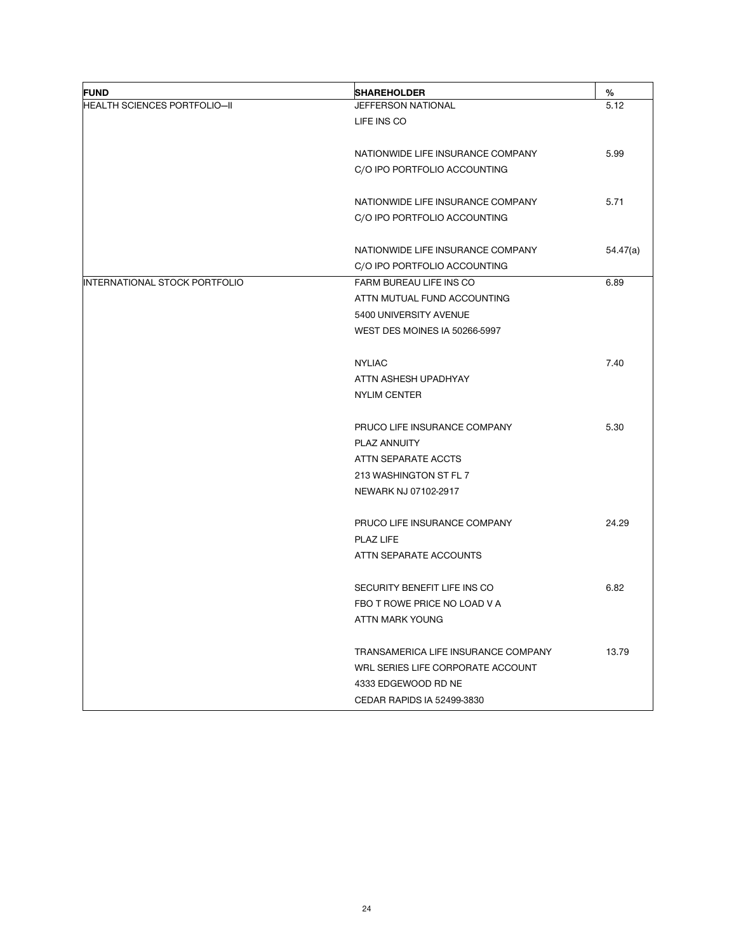| <b>FUND</b>                         | <b>SHAREHOLDER</b>                  | %        |
|-------------------------------------|-------------------------------------|----------|
| <b>HEALTH SCIENCES PORTFOLIO-II</b> | JEFFERSON NATIONAL                  | 5.12     |
|                                     | LIFE INS CO                         |          |
|                                     | NATIONWIDE LIFE INSURANCE COMPANY   | 5.99     |
|                                     | C/O IPO PORTFOLIO ACCOUNTING        |          |
|                                     | NATIONWIDE LIFE INSURANCE COMPANY   | 5.71     |
|                                     | C/O IPO PORTFOLIO ACCOUNTING        |          |
|                                     | NATIONWIDE LIFE INSURANCE COMPANY   | 54.47(a) |
|                                     | C/O IPO PORTFOLIO ACCOUNTING        |          |
| INTERNATIONAL STOCK PORTFOLIO       | FARM BUREAU LIFE INS CO             | 6.89     |
|                                     | ATTN MUTUAL FUND ACCOUNTING         |          |
|                                     | 5400 UNIVERSITY AVENUE              |          |
|                                     | WEST DES MOINES IA 50266-5997       |          |
|                                     | <b>NYLIAC</b>                       | 7.40     |
|                                     | ATTN ASHESH UPADHYAY                |          |
|                                     | <b>NYLIM CENTER</b>                 |          |
|                                     | PRUCO LIFE INSURANCE COMPANY        | 5.30     |
|                                     | PLAZ ANNUITY                        |          |
|                                     | ATTN SEPARATE ACCTS                 |          |
|                                     | 213 WASHINGTON ST FL 7              |          |
|                                     | NEWARK NJ 07102-2917                |          |
|                                     | PRUCO LIFE INSURANCE COMPANY        | 24.29    |
|                                     | PLAZ LIFE                           |          |
|                                     | ATTN SEPARATE ACCOUNTS              |          |
|                                     | SECURITY BENEFIT LIFE INS CO        | 6.82     |
|                                     | FBO T ROWE PRICE NO LOAD V A        |          |
|                                     | ATTN MARK YOUNG                     |          |
|                                     | TRANSAMERICA LIFE INSURANCE COMPANY | 13.79    |
|                                     | WRL SERIES LIFE CORPORATE ACCOUNT   |          |
|                                     | 4333 EDGEWOOD RD NE                 |          |
|                                     | CEDAR RAPIDS IA 52499-3830          |          |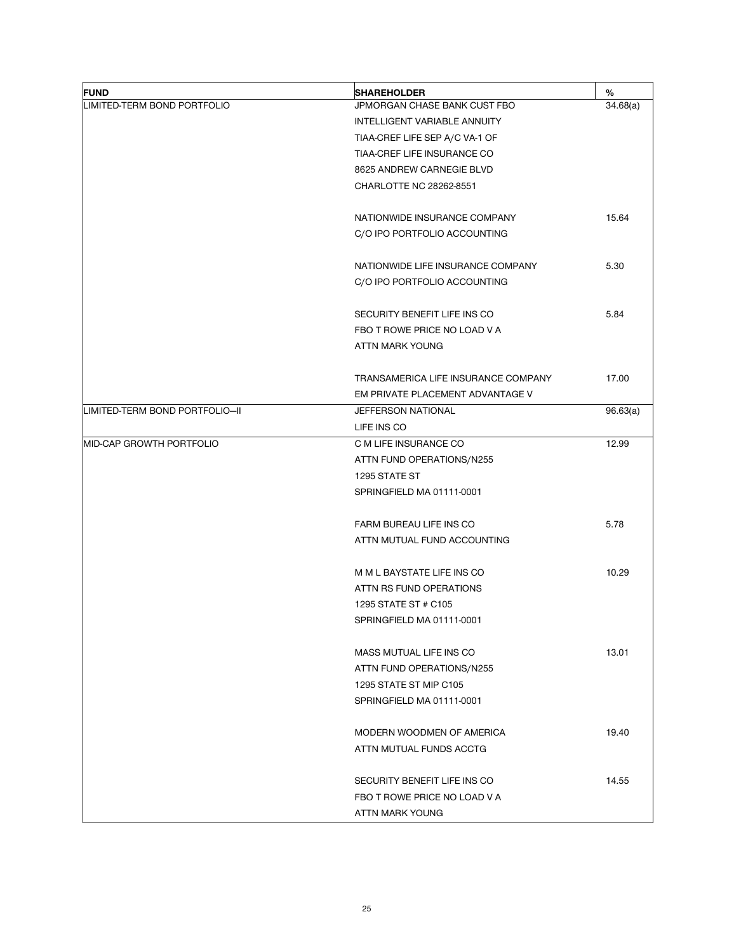| <b>FUND</b>                    | <b>SHAREHOLDER</b>                  | %        |
|--------------------------------|-------------------------------------|----------|
| LIMITED-TERM BOND PORTFOLIO    | JPMORGAN CHASE BANK CUST FBO        | 34.68(a) |
|                                | INTELLIGENT VARIABLE ANNUITY        |          |
|                                | TIAA-CREF LIFE SEP A/C VA-1 OF      |          |
|                                | TIAA-CREF LIFE INSURANCE CO         |          |
|                                | 8625 ANDREW CARNEGIE BLVD           |          |
|                                | CHARLOTTE NC 28262-8551             |          |
|                                |                                     |          |
|                                | NATIONWIDE INSURANCE COMPANY        | 15.64    |
|                                | C/O IPO PORTFOLIO ACCOUNTING        |          |
|                                | NATIONWIDE LIFE INSURANCE COMPANY   | 5.30     |
|                                | C/O IPO PORTFOLIO ACCOUNTING        |          |
|                                |                                     |          |
|                                | SECURITY BENEFIT LIFE INS CO        | 5.84     |
|                                | FBO T ROWE PRICE NO LOAD V A        |          |
|                                | ATTN MARK YOUNG                     |          |
|                                | TRANSAMERICA LIFE INSURANCE COMPANY | 17.00    |
|                                | EM PRIVATE PLACEMENT ADVANTAGE V    |          |
| LIMITED-TERM BOND PORTFOLIO-II | <b>JEFFERSON NATIONAL</b>           | 96.63(a) |
|                                | LIFE INS CO                         |          |
| MID-CAP GROWTH PORTFOLIO       | C M LIFE INSURANCE CO               | 12.99    |
|                                | ATTN FUND OPERATIONS/N255           |          |
|                                | 1295 STATE ST                       |          |
|                                | SPRINGFIELD MA 01111-0001           |          |
|                                | FARM BUREAU LIFE INS CO             | 5.78     |
|                                | ATTN MUTUAL FUND ACCOUNTING         |          |
|                                |                                     |          |
|                                | M M L BAYSTATE LIFE INS CO          | 10.29    |
|                                | ATTN RS FUND OPERATIONS             |          |
|                                | 1295 STATE ST # C105                |          |
|                                | SPRINGFIELD MA 01111-0001           |          |
|                                | MASS MUTUAL LIFE INS CO             | 13.01    |
|                                | ATTN FUND OPERATIONS/N255           |          |
|                                | 1295 STATE ST MIP C105              |          |
|                                | SPRINGFIELD MA 01111-0001           |          |
|                                |                                     |          |
|                                | MODERN WOODMEN OF AMERICA           | 19.40    |
|                                | ATTN MUTUAL FUNDS ACCTG             |          |
|                                |                                     |          |
|                                | SECURITY BENEFIT LIFE INS CO        | 14.55    |
|                                | FBO T ROWE PRICE NO LOAD V A        |          |
|                                | ATTN MARK YOUNG                     |          |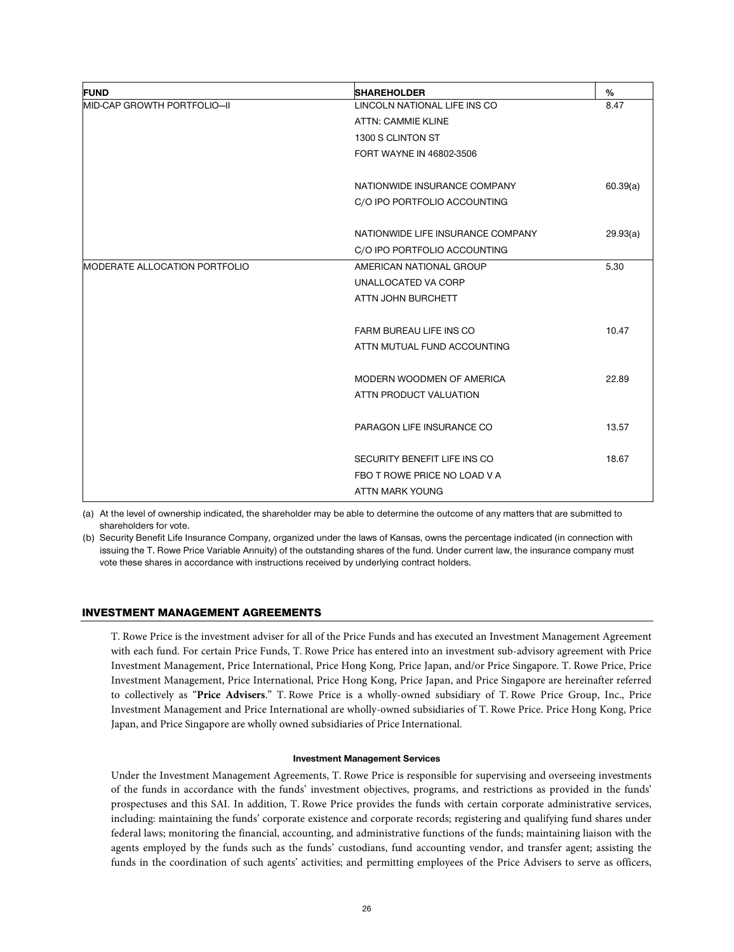| <b>FUND</b>                   | <b>SHAREHOLDER</b>                | %        |
|-------------------------------|-----------------------------------|----------|
| MID-CAP GROWTH PORTFOLIO-II   | LINCOLN NATIONAL LIFE INS CO      | 8.47     |
|                               | <b>ATTN: CAMMIE KLINE</b>         |          |
|                               | 1300 S CLINTON ST                 |          |
|                               | FORT WAYNE IN 46802-3506          |          |
|                               | NATIONWIDE INSURANCE COMPANY      | 60.39(a) |
|                               | C/O IPO PORTFOLIO ACCOUNTING      |          |
|                               | NATIONWIDE LIFE INSURANCE COMPANY | 29.93(a) |
|                               | C/O IPO PORTFOLIO ACCOUNTING      |          |
| MODERATE ALLOCATION PORTFOLIO | AMERICAN NATIONAL GROUP           | 5.30     |
|                               | UNALLOCATED VA CORP               |          |
|                               | ATTN JOHN BURCHETT                |          |
|                               | FARM BUREAU LIFE INS CO           | 10.47    |
|                               | ATTN MUTUAL FUND ACCOUNTING       |          |
|                               | MODERN WOODMEN OF AMERICA         | 22.89    |
|                               | ATTN PRODUCT VALUATION            |          |
|                               | PARAGON LIFE INSURANCE CO         | 13.57    |
|                               | SECURITY BENEFIT LIFE INS CO      | 18.67    |
|                               | FBO T ROWE PRICE NO LOAD V A      |          |
|                               | ATTN MARK YOUNG                   |          |

(a) At the level of ownership indicated, the shareholder may be able to determine the outcome of any matters that are submitted to shareholders for vote.

(b) Security Benefit Life Insurance Company, organized under the laws of Kansas, owns the percentage indicated (in connection with issuing the T. Rowe Price Variable Annuity) of the outstanding shares of the fund. Under current law, the insurance company must vote these shares in accordance with instructions received by underlying contract holders.

# INVESTMENT MANAGEMENT AGREEMENTS

T. Rowe Price is the investment adviser for all of the Price Funds and has executed an Investment Management Agreement with each fund. For certain Price Funds, T. Rowe Price has entered into an investment sub-advisory agreement with Price Investment Management, Price International, Price Hong Kong, Price Japan, and/or Price Singapore. T. Rowe Price, Price Investment Management, Price International, Price Hong Kong, Price Japan, and Price Singapore are hereinafter referred to collectively as "**Price Advisers**." T. Rowe Price is a wholly-owned subsidiary of T. Rowe Price Group, Inc., Price Investment Management and Price International are wholly-owned subsidiaries of T. Rowe Price. Price Hong Kong, Price Japan, and Price Singapore are wholly owned subsidiaries of Price International.

#### **Investment Management Services**

Under the Investment Management Agreements, T. Rowe Price is responsible for supervising and overseeing investments of the funds in accordance with the funds' investment objectives, programs, and restrictions as provided in the funds' prospectuses and this SAI. In addition, T. Rowe Price provides the funds with certain corporate administrative services, including: maintaining the funds' corporate existence and corporate records; registering and qualifying fund shares under federal laws; monitoring the financial, accounting, and administrative functions of the funds; maintaining liaison with the agents employed by the funds such as the funds' custodians, fund accounting vendor, and transfer agent; assisting the funds in the coordination of such agents' activities; and permitting employees of the Price Advisers to serve as officers,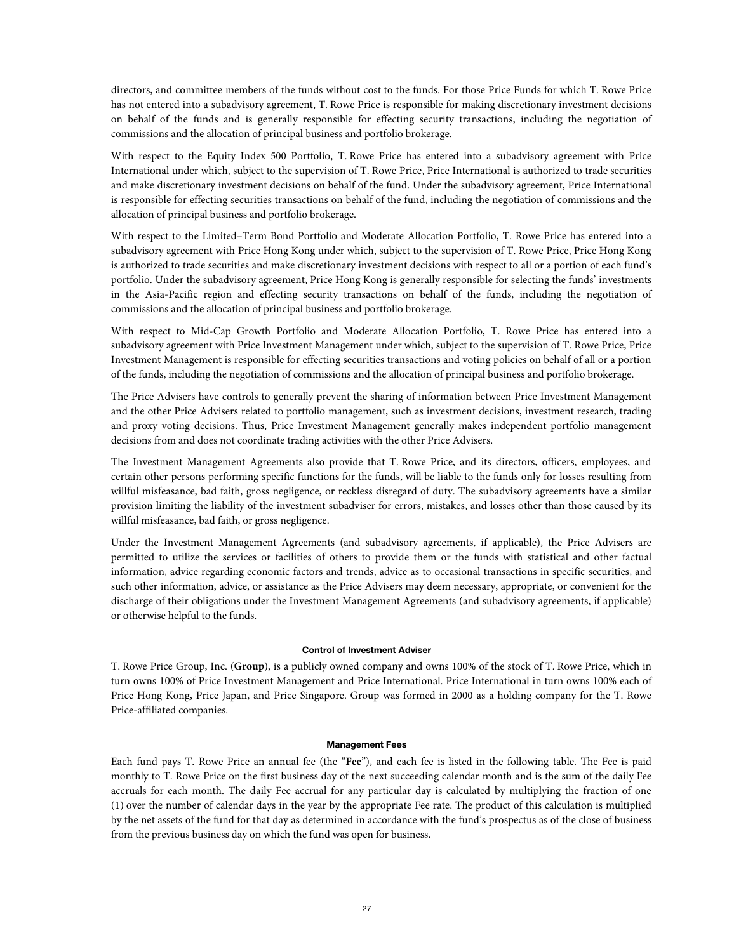directors, and committee members of the funds without cost to the funds. For those Price Funds for which T. Rowe Price has not entered into a subadvisory agreement, T. Rowe Price is responsible for making discretionary investment decisions on behalf of the funds and is generally responsible for effecting security transactions, including the negotiation of commissions and the allocation of principal business and portfolio brokerage.

With respect to the Equity Index 500 Portfolio, T. Rowe Price has entered into a subadvisory agreement with Price International under which, subject to the supervision of T. Rowe Price, Price International is authorized to trade securities and make discretionary investment decisions on behalf of the fund. Under the subadvisory agreement, Price International is responsible for effecting securities transactions on behalf of the fund, including the negotiation of commissions and the allocation of principal business and portfolio brokerage.

With respect to the Limited–Term Bond Portfolio and Moderate Allocation Portfolio, T. Rowe Price has entered into a subadvisory agreement with Price Hong Kong under which, subject to the supervision of T. Rowe Price, Price Hong Kong is authorized to trade securities and make discretionary investment decisions with respect to all or a portion of each fund's portfolio. Under the subadvisory agreement, Price Hong Kong is generally responsible for selecting the funds' investments in the Asia-Pacific region and effecting security transactions on behalf of the funds, including the negotiation of commissions and the allocation of principal business and portfolio brokerage.

With respect to Mid-Cap Growth Portfolio and Moderate Allocation Portfolio, T. Rowe Price has entered into a subadvisory agreement with Price Investment Management under which, subject to the supervision of T. Rowe Price, Price Investment Management is responsible for effecting securities transactions and voting policies on behalf of all or a portion of the funds, including the negotiation of commissions and the allocation of principal business and portfolio brokerage.

The Price Advisers have controls to generally prevent the sharing of information between Price Investment Management and the other Price Advisers related to portfolio management, such as investment decisions, investment research, trading and proxy voting decisions. Thus, Price Investment Management generally makes independent portfolio management decisions from and does not coordinate trading activities with the other Price Advisers.

The Investment Management Agreements also provide that T. Rowe Price, and its directors, officers, employees, and certain other persons performing specific functions for the funds, will be liable to the funds only for losses resulting from willful misfeasance, bad faith, gross negligence, or reckless disregard of duty. The subadvisory agreements have a similar provision limiting the liability of the investment subadviser for errors, mistakes, and losses other than those caused by its willful misfeasance, bad faith, or gross negligence.

Under the Investment Management Agreements (and subadvisory agreements, if applicable), the Price Advisers are permitted to utilize the services or facilities of others to provide them or the funds with statistical and other factual information, advice regarding economic factors and trends, advice as to occasional transactions in specific securities, and such other information, advice, or assistance as the Price Advisers may deem necessary, appropriate, or convenient for the discharge of their obligations under the Investment Management Agreements (and subadvisory agreements, if applicable) or otherwise helpful to the funds.

# **Control of Investment Adviser**

T. Rowe Price Group, Inc. (**Group**), is a publicly owned company and owns 100% of the stock of T. Rowe Price, which in turn owns 100% of Price Investment Management and Price International. Price International in turn owns 100% each of Price Hong Kong, Price Japan, and Price Singapore. Group was formed in 2000 as a holding company for the T. Rowe Price-affiliated companies.

#### **Management Fees**

Each fund pays T. Rowe Price an annual fee (the "**Fee**"), and each fee is listed in the following table. The Fee is paid monthly to T. Rowe Price on the first business day of the next succeeding calendar month and is the sum of the daily Fee accruals for each month. The daily Fee accrual for any particular day is calculated by multiplying the fraction of one (1) over the number of calendar days in the year by the appropriate Fee rate. The product of this calculation is multiplied by the net assets of the fund for that day as determined in accordance with the fund's prospectus as of the close of business from the previous business day on which the fund was open for business.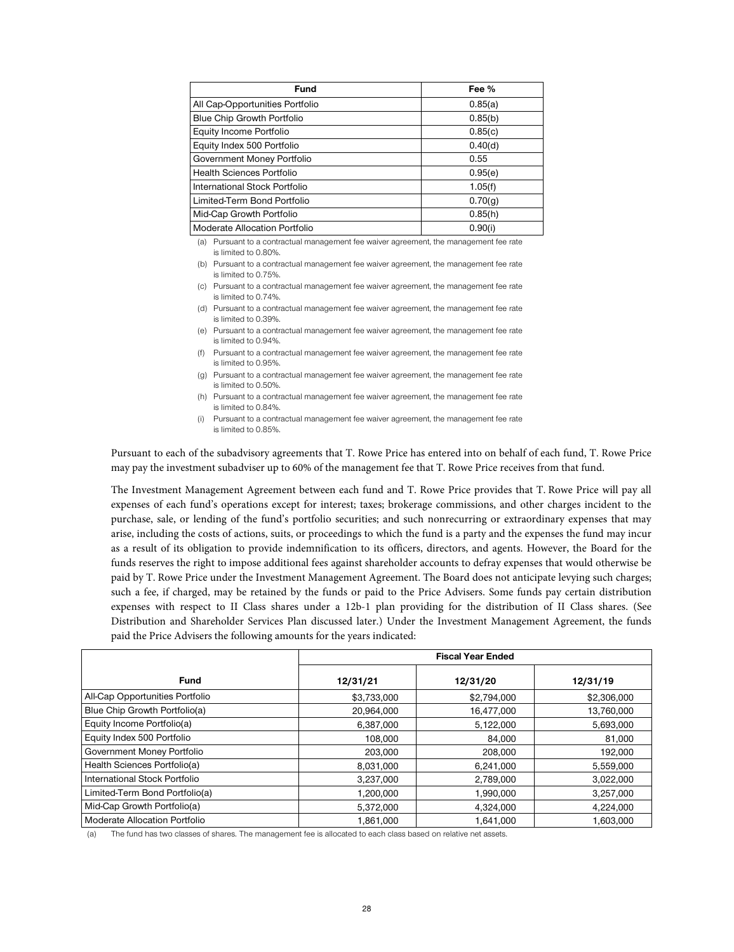| <b>Fund</b>                     | Fee %   |
|---------------------------------|---------|
| All Cap-Opportunities Portfolio | 0.85(a) |
| Blue Chip Growth Portfolio      | 0.85(b) |
| Equity Income Portfolio         | 0.85(c) |
| Equity Index 500 Portfolio      | 0.40(d) |
| Government Money Portfolio      | 0.55    |
| Health Sciences Portfolio       | 0.95(e) |
| International Stock Portfolio   | 1.05(f) |
| Limited-Term Bond Portfolio     | 0.70(q) |
| Mid-Cap Growth Portfolio        | 0.85(h) |
| Moderate Allocation Portfolio   | 0.90(i) |

(a) Pursuant to a contractual management fee waiver agreement, the management fee rate is limited to 0.80%.

(b) Pursuant to a contractual management fee waiver agreement, the management fee rate is limited to 0.75%.

(c) Pursuant to a contractual management fee waiver agreement, the management fee rate is limited to 0.74%.

- (d) Pursuant to a contractual management fee waiver agreement, the management fee rate is limited to 0.39%.
- (e) Pursuant to a contractual management fee waiver agreement, the management fee rate is limited to 0.94%.
- (f) Pursuant to a contractual management fee waiver agreement, the management fee rate is limited to 0.95%.
- (g) Pursuant to a contractual management fee waiver agreement, the management fee rate is limited to 0.50%.
- (h) Pursuant to a contractual management fee waiver agreement, the management fee rate is limited to 0.84%.
- (i) Pursuant to a contractual management fee waiver agreement, the management fee rate is limited to 0.85%.

Pursuant to each of the subadvisory agreements that T. Rowe Price has entered into on behalf of each fund, T. Rowe Price may pay the investment subadviser up to 60% of the management fee that T. Rowe Price receives from that fund.

The Investment Management Agreement between each fund and T. Rowe Price provides that T. Rowe Price will pay all expenses of each fund's operations except for interest; taxes; brokerage commissions, and other charges incident to the purchase, sale, or lending of the fund's portfolio securities; and such nonrecurring or extraordinary expenses that may arise, including the costs of actions, suits, or proceedings to which the fund is a party and the expenses the fund may incur as a result of its obligation to provide indemnification to its officers, directors, and agents. However, the Board for the funds reserves the right to impose additional fees against shareholder accounts to defray expenses that would otherwise be paid by T. Rowe Price under the Investment Management Agreement. The Board does not anticipate levying such charges; such a fee, if charged, may be retained by the funds or paid to the Price Advisers. Some funds pay certain distribution expenses with respect to II Class shares under a 12b-1 plan providing for the distribution of II Class shares. (See Distribution and Shareholder Services Plan discussed later.) Under the Investment Management Agreement, the funds paid the Price Advisers the following amounts for the years indicated:

|                                 | <b>Fiscal Year Ended</b> |             |             |
|---------------------------------|--------------------------|-------------|-------------|
| <b>Fund</b>                     | 12/31/21                 | 12/31/20    | 12/31/19    |
| All-Cap Opportunities Portfolio | \$3,733,000              | \$2,794,000 | \$2,306,000 |
| Blue Chip Growth Portfolio(a)   | 20,964,000               | 16,477,000  | 13,760,000  |
| Equity Income Portfolio(a)      | 6,387,000                | 5,122,000   | 5,693,000   |
| Equity Index 500 Portfolio      | 108,000                  | 84.000      | 81.000      |
| Government Money Portfolio      | 203,000                  | 208,000     | 192,000     |
| Health Sciences Portfolio(a)    | 8.031.000                | 6,241,000   | 5,559,000   |
| International Stock Portfolio   | 3,237,000                | 2,789,000   | 3,022,000   |
| Limited-Term Bond Portfolio(a)  | 1,200,000                | 1,990,000   | 3,257,000   |
| Mid-Cap Growth Portfolio(a)     | 5,372,000                | 4,324,000   | 4,224,000   |
| Moderate Allocation Portfolio   | 1,861,000                | 1,641,000   | 1.603.000   |

The fund has two classes of shares. The management fee is allocated to each class based on relative net assets.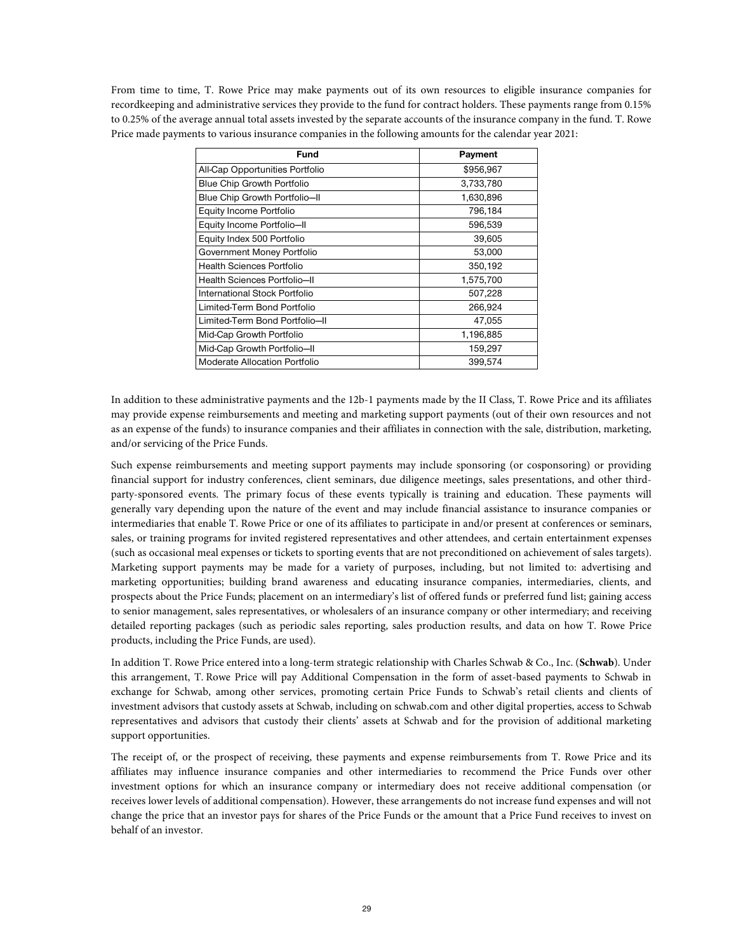From time to time, T. Rowe Price may make payments out of its own resources to eligible insurance companies for recordkeeping and administrative services they provide to the fund for contract holders. These payments range from 0.15% to 0.25% of the average annual total assets invested by the separate accounts of the insurance company in the fund. T. Rowe Price made payments to various insurance companies in the following amounts for the calendar year 2021:

| Fund                              | Payment   |
|-----------------------------------|-----------|
| All-Cap Opportunities Portfolio   | \$956,967 |
| <b>Blue Chip Growth Portfolio</b> | 3,733,780 |
| Blue Chip Growth Portfolio-II     | 1,630,896 |
| Equity Income Portfolio           | 796.184   |
| Equity Income Portfolio-II        | 596,539   |
| Equity Index 500 Portfolio        | 39,605    |
| Government Money Portfolio        | 53,000    |
| Health Sciences Portfolio         | 350,192   |
| Health Sciences Portfolio-II      | 1,575,700 |
| International Stock Portfolio     | 507,228   |
| Limited-Term Bond Portfolio       | 266,924   |
| Limited-Term Bond Portfolio-II    | 47,055    |
| Mid-Cap Growth Portfolio          | 1,196,885 |
| Mid-Cap Growth Portfolio-II       | 159,297   |
| Moderate Allocation Portfolio     | 399,574   |

In addition to these administrative payments and the 12b-1 payments made by the II Class, T. Rowe Price and its affiliates may provide expense reimbursements and meeting and marketing support payments (out of their own resources and not as an expense of the funds) to insurance companies and their affiliates in connection with the sale, distribution, marketing, and/or servicing of the Price Funds.

Such expense reimbursements and meeting support payments may include sponsoring (or cosponsoring) or providing financial support for industry conferences, client seminars, due diligence meetings, sales presentations, and other thirdparty-sponsored events. The primary focus of these events typically is training and education. These payments will generally vary depending upon the nature of the event and may include financial assistance to insurance companies or intermediaries that enable T. Rowe Price or one of its affiliates to participate in and/or present at conferences or seminars, sales, or training programs for invited registered representatives and other attendees, and certain entertainment expenses (such as occasional meal expenses or tickets to sporting events that are not preconditioned on achievement of sales targets). Marketing support payments may be made for a variety of purposes, including, but not limited to: advertising and marketing opportunities; building brand awareness and educating insurance companies, intermediaries, clients, and prospects about the Price Funds; placement on an intermediary's list of offered funds or preferred fund list; gaining access to senior management, sales representatives, or wholesalers of an insurance company or other intermediary; and receiving detailed reporting packages (such as periodic sales reporting, sales production results, and data on how T. Rowe Price products, including the Price Funds, are used).

In addition T. Rowe Price entered into a long-term strategic relationship with Charles Schwab & Co., Inc. (**Schwab**). Under this arrangement, T. Rowe Price will pay Additional Compensation in the form of asset-based payments to Schwab in exchange for Schwab, among other services, promoting certain Price Funds to Schwab's retail clients and clients of investment advisors that custody assets at Schwab, including on schwab.com and other digital properties, access to Schwab representatives and advisors that custody their clients' assets at Schwab and for the provision of additional marketing support opportunities.

The receipt of, or the prospect of receiving, these payments and expense reimbursements from T. Rowe Price and its affiliates may influence insurance companies and other intermediaries to recommend the Price Funds over other investment options for which an insurance company or intermediary does not receive additional compensation (or receives lower levels of additional compensation). However, these arrangements do not increase fund expenses and will not change the price that an investor pays for shares of the Price Funds or the amount that a Price Fund receives to invest on behalf of an investor.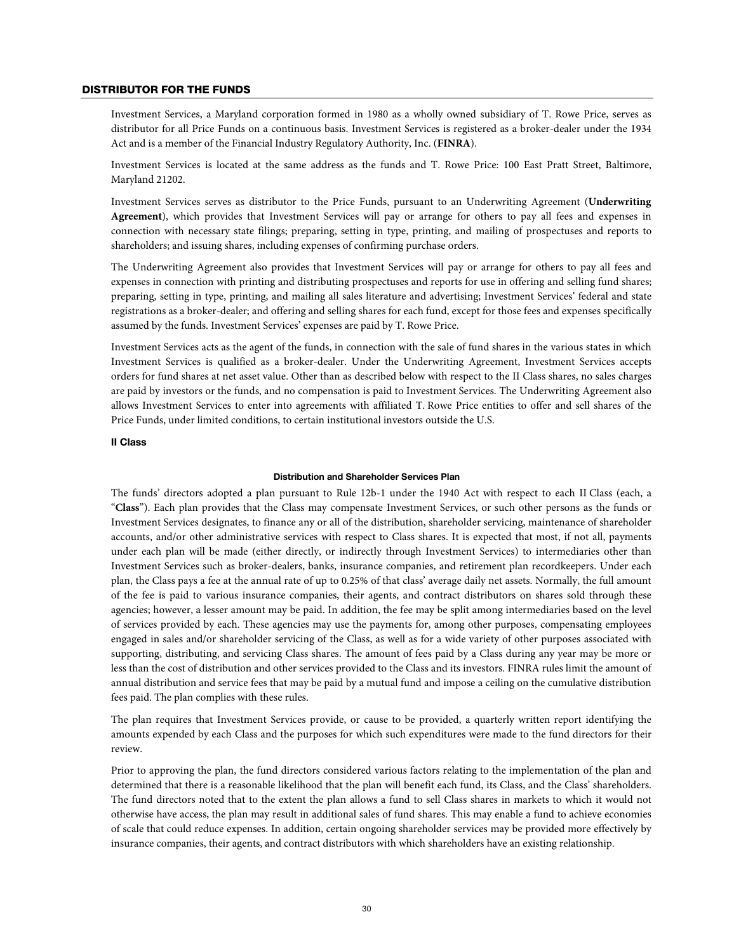#### DISTRIBUTOR FOR THE FUNDS

Investment Services, a Maryland corporation formed in 1980 as a wholly owned subsidiary of T. Rowe Price, serves as distributor for all Price Funds on a continuous basis. Investment Services is registered as a broker-dealer under the 1934 Act and is a member of the Financial Industry Regulatory Authority, Inc. (**FINRA**).

Investment Services is located at the same address as the funds and T. Rowe Price: 100 East Pratt Street, Baltimore, Maryland 21202.

Investment Services serves as distributor to the Price Funds, pursuant to an Underwriting Agreement (**Underwriting Agreement**), which provides that Investment Services will pay or arrange for others to pay all fees and expenses in connection with necessary state filings; preparing, setting in type, printing, and mailing of prospectuses and reports to shareholders; and issuing shares, including expenses of confirming purchase orders.

The Underwriting Agreement also provides that Investment Services will pay or arrange for others to pay all fees and expenses in connection with printing and distributing prospectuses and reports for use in offering and selling fund shares; preparing, setting in type, printing, and mailing all sales literature and advertising; Investment Services' federal and state registrations as a broker-dealer; and offering and selling shares for each fund, except for those fees and expenses specifically assumed by the funds. Investment Services' expenses are paid by T. Rowe Price.

Investment Services acts as the agent of the funds, in connection with the sale of fund shares in the various states in which Investment Services is qualified as a broker-dealer. Under the Underwriting Agreement, Investment Services accepts orders for fund shares at net asset value. Other than as described below with respect to the II Class shares, no sales charges are paid by investors or the funds, and no compensation is paid to Investment Services. The Underwriting Agreement also allows Investment Services to enter into agreements with affiliated T. Rowe Price entities to offer and sell shares of the Price Funds, under limited conditions, to certain institutional investors outside the U.S.

# **II Class**

#### **Distribution and Shareholder Services Plan**

The funds' directors adopted a plan pursuant to Rule 12b-1 under the 1940 Act with respect to each II Class (each, a "**Class**"). Each plan provides that the Class may compensate Investment Services, or such other persons as the funds or Investment Services designates, to finance any or all of the distribution, shareholder servicing, maintenance of shareholder accounts, and/or other administrative services with respect to Class shares. It is expected that most, if not all, payments under each plan will be made (either directly, or indirectly through Investment Services) to intermediaries other than Investment Services such as broker-dealers, banks, insurance companies, and retirement plan recordkeepers. Under each plan, the Class pays a fee at the annual rate of up to 0.25% of that class' average daily net assets. Normally, the full amount of the fee is paid to various insurance companies, their agents, and contract distributors on shares sold through these agencies; however, a lesser amount may be paid. In addition, the fee may be split among intermediaries based on the level of services provided by each. These agencies may use the payments for, among other purposes, compensating employees engaged in sales and/or shareholder servicing of the Class, as well as for a wide variety of other purposes associated with supporting, distributing, and servicing Class shares. The amount of fees paid by a Class during any year may be more or less than the cost of distribution and other services provided to the Class and its investors. FINRA rules limit the amount of annual distribution and service fees that may be paid by a mutual fund and impose a ceiling on the cumulative distribution fees paid. The plan complies with these rules.

The plan requires that Investment Services provide, or cause to be provided, a quarterly written report identifying the amounts expended by each Class and the purposes for which such expenditures were made to the fund directors for their review.

Prior to approving the plan, the fund directors considered various factors relating to the implementation of the plan and determined that there is a reasonable likelihood that the plan will benefit each fund, its Class, and the Class' shareholders. The fund directors noted that to the extent the plan allows a fund to sell Class shares in markets to which it would not otherwise have access, the plan may result in additional sales of fund shares. This may enable a fund to achieve economies of scale that could reduce expenses. In addition, certain ongoing shareholder services may be provided more effectively by insurance companies, their agents, and contract distributors with which shareholders have an existing relationship.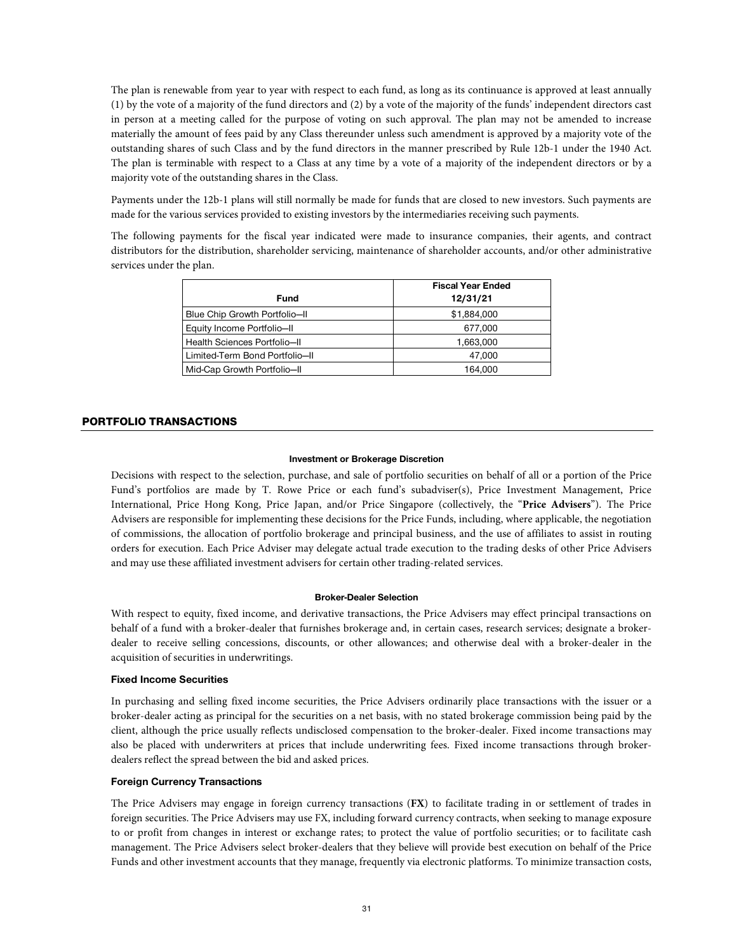The plan is renewable from year to year with respect to each fund, as long as its continuance is approved at least annually (1) by the vote of a majority of the fund directors and (2) by a vote of the majority of the funds' independent directors cast in person at a meeting called for the purpose of voting on such approval. The plan may not be amended to increase materially the amount of fees paid by any Class thereunder unless such amendment is approved by a majority vote of the outstanding shares of such Class and by the fund directors in the manner prescribed by Rule 12b-1 under the 1940 Act. The plan is terminable with respect to a Class at any time by a vote of a majority of the independent directors or by a majority vote of the outstanding shares in the Class.

Payments under the 12b-1 plans will still normally be made for funds that are closed to new investors. Such payments are made for the various services provided to existing investors by the intermediaries receiving such payments.

The following payments for the fiscal year indicated were made to insurance companies, their agents, and contract distributors for the distribution, shareholder servicing, maintenance of shareholder accounts, and/or other administrative services under the plan.

|                                | <b>Fiscal Year Ended</b> |
|--------------------------------|--------------------------|
| Fund                           | 12/31/21                 |
| Blue Chip Growth Portfolio-II  | \$1,884,000              |
| Equity Income Portfolio-II     | 677,000                  |
| Health Sciences Portfolio-II   | 1,663,000                |
| Limited-Term Bond Portfolio-II | 47.000                   |
| Mid-Cap Growth Portfolio-II    | 164.000                  |

# PORTFOLIO TRANSACTIONS

#### **Investment or Brokerage Discretion**

Decisions with respect to the selection, purchase, and sale of portfolio securities on behalf of all or a portion of the Price Fund's portfolios are made by T. Rowe Price or each fund's subadviser(s), Price Investment Management, Price International, Price Hong Kong, Price Japan, and/or Price Singapore (collectively, the "**Price Advisers**"). The Price Advisers are responsible for implementing these decisions for the Price Funds, including, where applicable, the negotiation of commissions, the allocation of portfolio brokerage and principal business, and the use of affiliates to assist in routing orders for execution. Each Price Adviser may delegate actual trade execution to the trading desks of other Price Advisers and may use these affiliated investment advisers for certain other trading-related services.

# **Broker-Dealer Selection**

With respect to equity, fixed income, and derivative transactions, the Price Advisers may effect principal transactions on behalf of a fund with a broker-dealer that furnishes brokerage and, in certain cases, research services; designate a brokerdealer to receive selling concessions, discounts, or other allowances; and otherwise deal with a broker-dealer in the acquisition of securities in underwritings.

# **Fixed Income Securities**

In purchasing and selling fixed income securities, the Price Advisers ordinarily place transactions with the issuer or a broker-dealer acting as principal for the securities on a net basis, with no stated brokerage commission being paid by the client, although the price usually reflects undisclosed compensation to the broker-dealer. Fixed income transactions may also be placed with underwriters at prices that include underwriting fees. Fixed income transactions through brokerdealers reflect the spread between the bid and asked prices.

# **Foreign Currency Transactions**

The Price Advisers may engage in foreign currency transactions (**FX**) to facilitate trading in or settlement of trades in foreign securities. The Price Advisers may use FX, including forward currency contracts, when seeking to manage exposure to or profit from changes in interest or exchange rates; to protect the value of portfolio securities; or to facilitate cash management. The Price Advisers select broker-dealers that they believe will provide best execution on behalf of the Price Funds and other investment accounts that they manage, frequently via electronic platforms. To minimize transaction costs,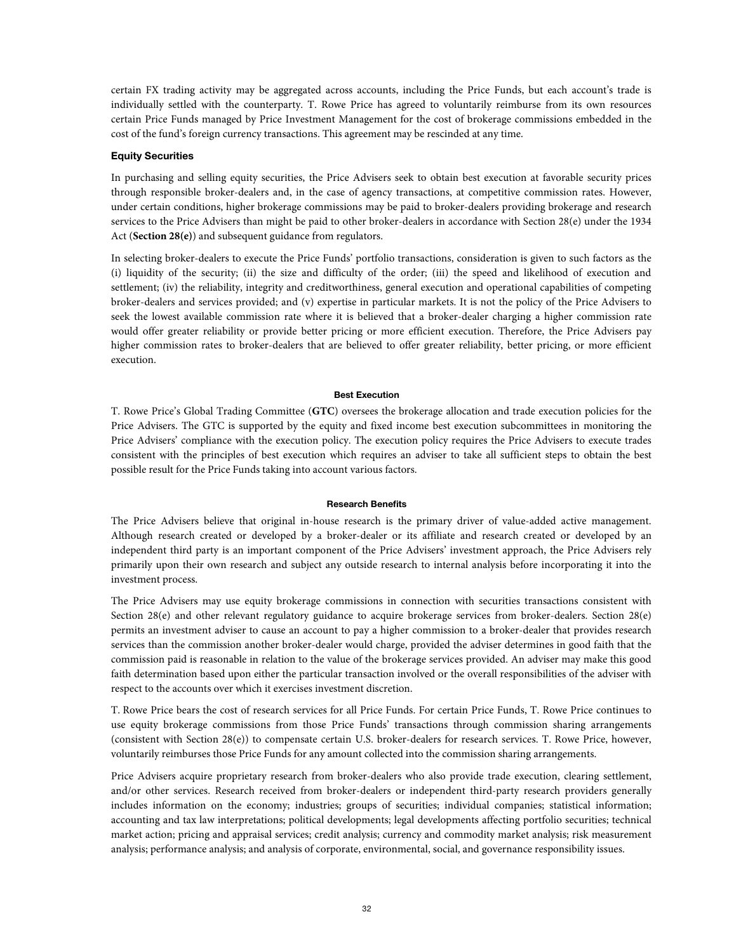certain FX trading activity may be aggregated across accounts, including the Price Funds, but each account's trade is individually settled with the counterparty. T. Rowe Price has agreed to voluntarily reimburse from its own resources certain Price Funds managed by Price Investment Management for the cost of brokerage commissions embedded in the cost of the fund's foreign currency transactions. This agreement may be rescinded at any time.

# **Equity Securities**

In purchasing and selling equity securities, the Price Advisers seek to obtain best execution at favorable security prices through responsible broker-dealers and, in the case of agency transactions, at competitive commission rates. However, under certain conditions, higher brokerage commissions may be paid to broker-dealers providing brokerage and research services to the Price Advisers than might be paid to other broker-dealers in accordance with Section 28(e) under the 1934 Act (**Section 28(e)**) and subsequent guidance from regulators.

In selecting broker-dealers to execute the Price Funds' portfolio transactions, consideration is given to such factors as the (i) liquidity of the security; (ii) the size and difficulty of the order; (iii) the speed and likelihood of execution and settlement; (iv) the reliability, integrity and creditworthiness, general execution and operational capabilities of competing broker-dealers and services provided; and (v) expertise in particular markets. It is not the policy of the Price Advisers to seek the lowest available commission rate where it is believed that a broker-dealer charging a higher commission rate would offer greater reliability or provide better pricing or more efficient execution. Therefore, the Price Advisers pay higher commission rates to broker-dealers that are believed to offer greater reliability, better pricing, or more efficient execution.

#### **Best Execution**

T. Rowe Price's Global Trading Committee (**GTC**) oversees the brokerage allocation and trade execution policies for the Price Advisers. The GTC is supported by the equity and fixed income best execution subcommittees in monitoring the Price Advisers' compliance with the execution policy. The execution policy requires the Price Advisers to execute trades consistent with the principles of best execution which requires an adviser to take all sufficient steps to obtain the best possible result for the Price Funds taking into account various factors.

#### **Research Benefits**

The Price Advisers believe that original in-house research is the primary driver of value-added active management. Although research created or developed by a broker-dealer or its affiliate and research created or developed by an independent third party is an important component of the Price Advisers' investment approach, the Price Advisers rely primarily upon their own research and subject any outside research to internal analysis before incorporating it into the investment process.

The Price Advisers may use equity brokerage commissions in connection with securities transactions consistent with Section 28(e) and other relevant regulatory guidance to acquire brokerage services from broker-dealers. Section 28(e) permits an investment adviser to cause an account to pay a higher commission to a broker-dealer that provides research services than the commission another broker-dealer would charge, provided the adviser determines in good faith that the commission paid is reasonable in relation to the value of the brokerage services provided. An adviser may make this good faith determination based upon either the particular transaction involved or the overall responsibilities of the adviser with respect to the accounts over which it exercises investment discretion.

T. Rowe Price bears the cost of research services for all Price Funds. For certain Price Funds, T. Rowe Price continues to use equity brokerage commissions from those Price Funds' transactions through commission sharing arrangements (consistent with Section 28(e)) to compensate certain U.S. broker-dealers for research services. T. Rowe Price, however, voluntarily reimburses those Price Funds for any amount collected into the commission sharing arrangements.

Price Advisers acquire proprietary research from broker-dealers who also provide trade execution, clearing settlement, and/or other services. Research received from broker-dealers or independent third-party research providers generally includes information on the economy; industries; groups of securities; individual companies; statistical information; accounting and tax law interpretations; political developments; legal developments affecting portfolio securities; technical market action; pricing and appraisal services; credit analysis; currency and commodity market analysis; risk measurement analysis; performance analysis; and analysis of corporate, environmental, social, and governance responsibility issues.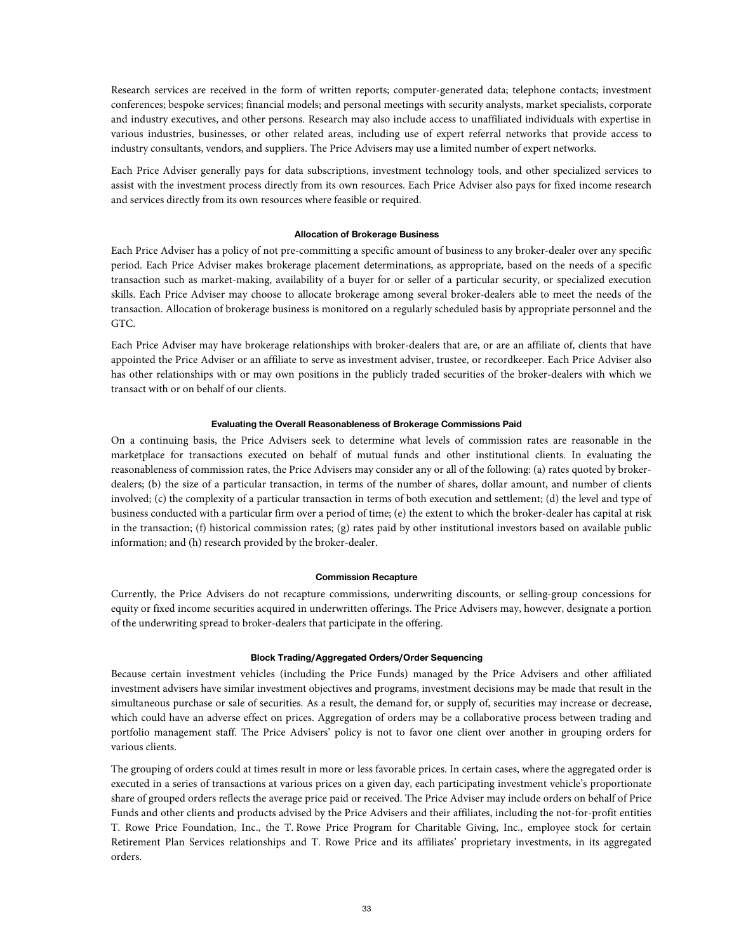Research services are received in the form of written reports; computer-generated data; telephone contacts; investment conferences; bespoke services; financial models; and personal meetings with security analysts, market specialists, corporate and industry executives, and other persons. Research may also include access to unaffiliated individuals with expertise in various industries, businesses, or other related areas, including use of expert referral networks that provide access to industry consultants, vendors, and suppliers. The Price Advisers may use a limited number of expert networks.

Each Price Adviser generally pays for data subscriptions, investment technology tools, and other specialized services to assist with the investment process directly from its own resources. Each Price Adviser also pays for fixed income research and services directly from its own resources where feasible or required.

#### **Allocation of Brokerage Business**

Each Price Adviser has a policy of not pre-committing a specific amount of business to any broker-dealer over any specific period. Each Price Adviser makes brokerage placement determinations, as appropriate, based on the needs of a specific transaction such as market-making, availability of a buyer for or seller of a particular security, or specialized execution skills. Each Price Adviser may choose to allocate brokerage among several broker-dealers able to meet the needs of the transaction. Allocation of brokerage business is monitored on a regularly scheduled basis by appropriate personnel and the GTC.

Each Price Adviser may have brokerage relationships with broker-dealers that are, or are an affiliate of, clients that have appointed the Price Adviser or an affiliate to serve as investment adviser, trustee, or recordkeeper. Each Price Adviser also has other relationships with or may own positions in the publicly traded securities of the broker-dealers with which we transact with or on behalf of our clients.

#### **Evaluating the Overall Reasonableness of Brokerage Commissions Paid**

On a continuing basis, the Price Advisers seek to determine what levels of commission rates are reasonable in the marketplace for transactions executed on behalf of mutual funds and other institutional clients. In evaluating the reasonableness of commission rates, the Price Advisers may consider any or all of the following: (a) rates quoted by brokerdealers; (b) the size of a particular transaction, in terms of the number of shares, dollar amount, and number of clients involved; (c) the complexity of a particular transaction in terms of both execution and settlement; (d) the level and type of business conducted with a particular firm over a period of time; (e) the extent to which the broker-dealer has capital at risk in the transaction; (f) historical commission rates; (g) rates paid by other institutional investors based on available public information; and (h) research provided by the broker-dealer.

#### **Commission Recapture**

Currently, the Price Advisers do not recapture commissions, underwriting discounts, or selling-group concessions for equity or fixed income securities acquired in underwritten offerings. The Price Advisers may, however, designate a portion of the underwriting spread to broker-dealers that participate in the offering.

#### **Block Trading/Aggregated Orders/Order Sequencing**

Because certain investment vehicles (including the Price Funds) managed by the Price Advisers and other affiliated investment advisers have similar investment objectives and programs, investment decisions may be made that result in the simultaneous purchase or sale of securities. As a result, the demand for, or supply of, securities may increase or decrease, which could have an adverse effect on prices. Aggregation of orders may be a collaborative process between trading and portfolio management staff. The Price Advisers' policy is not to favor one client over another in grouping orders for various clients.

The grouping of orders could at times result in more or less favorable prices. In certain cases, where the aggregated order is executed in a series of transactions at various prices on a given day, each participating investment vehicle's proportionate share of grouped orders reflects the average price paid or received. The Price Adviser may include orders on behalf of Price Funds and other clients and products advised by the Price Advisers and their affiliates, including the not-for-profit entities T. Rowe Price Foundation, Inc., the T. Rowe Price Program for Charitable Giving, Inc., employee stock for certain Retirement Plan Services relationships and T. Rowe Price and its affiliates' proprietary investments, in its aggregated orders.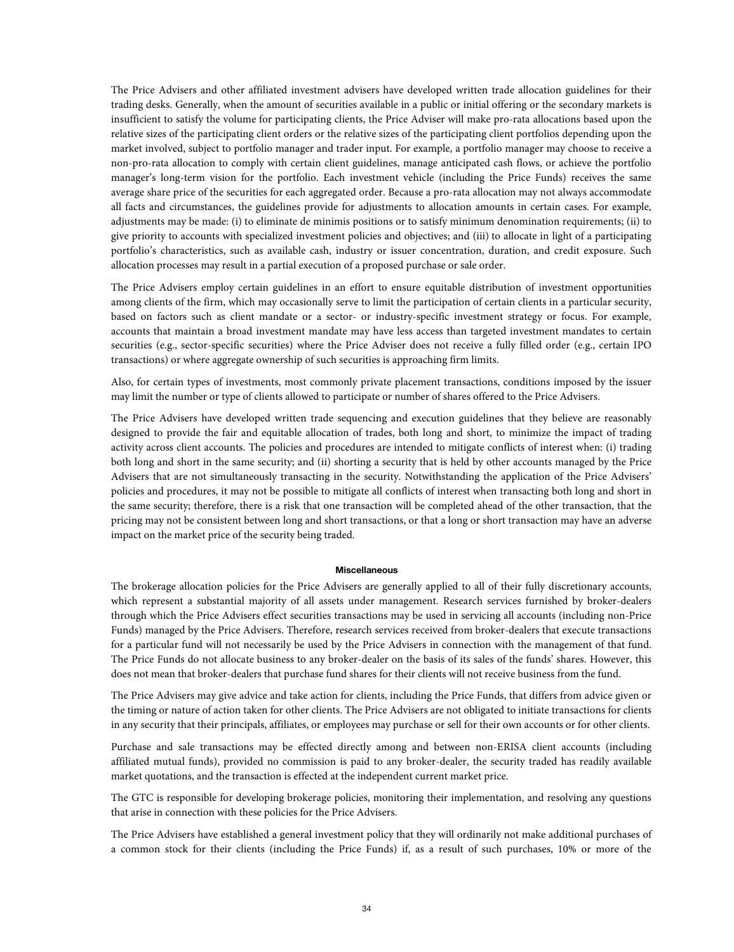The Price Advisers and other affiliated investment advisers have developed written trade allocation guidelines for their trading desks. Generally, when the amount of securities available in a public or initial offering or the secondary markets is insufficient to satisfy the volume for participating clients, the Price Adviser will make pro-rata allocations based upon the relative sizes of the participating client orders or the relative sizes of the participating client portfolios depending upon the market involved, subject to portfolio manager and trader input. For example, a portfolio manager may choose to receive a non-pro-rata allocation to comply with certain client guidelines, manage anticipated cash flows, or achieve the portfolio manager's long-term vision for the portfolio. Each investment vehicle (including the Price Funds) receives the same average share price of the securities for each aggregated order. Because a pro-rata allocation may not always accommodate all facts and circumstances, the guidelines provide for adjustments to allocation amounts in certain cases. For example, adjustments may be made: (i) to eliminate de minimis positions or to satisfy minimum denomination requirements; (ii) to give priority to accounts with specialized investment policies and objectives; and (iii) to allocate in light of a participating portfolio's characteristics, such as available cash, industry or issuer concentration, duration, and credit exposure. Such allocation processes may result in a partial execution of a proposed purchase or sale order.

The Price Advisers employ certain guidelines in an effort to ensure equitable distribution of investment opportunities among clients of the firm, which may occasionally serve to limit the participation of certain clients in a particular security, based on factors such as client mandate or a sector- or industry-specific investment strategy or focus. For example, accounts that maintain a broad investment mandate may have less access than targeted investment mandates to certain securities (e.g., sector-specific securities) where the Price Adviser does not receive a fully filled order (e.g., certain IPO transactions) or where aggregate ownership of such securities is approaching firm limits.

Also, for certain types of investments, most commonly private placement transactions, conditions imposed by the issuer may limit the number or type of clients allowed to participate or number of shares offered to the Price Advisers.

The Price Advisers have developed written trade sequencing and execution guidelines that they believe are reasonably designed to provide the fair and equitable allocation of trades, both long and short, to minimize the impact of trading activity across client accounts. The policies and procedures are intended to mitigate conflicts of interest when: (i) trading both long and short in the same security; and (ii) shorting a security that is held by other accounts managed by the Price Advisers that are not simultaneously transacting in the security. Notwithstanding the application of the Price Advisers' policies and procedures, it may not be possible to mitigate all conflicts of interest when transacting both long and short in the same security; therefore, there is a risk that one transaction will be completed ahead of the other transaction, that the pricing may not be consistent between long and short transactions, or that a long or short transaction may have an adverse impact on the market price of the security being traded.

# **Miscellaneous**

The brokerage allocation policies for the Price Advisers are generally applied to all of their fully discretionary accounts, which represent a substantial majority of all assets under management. Research services furnished by broker-dealers through which the Price Advisers effect securities transactions may be used in servicing all accounts (including non-Price Funds) managed by the Price Advisers. Therefore, research services received from broker-dealers that execute transactions for a particular fund will not necessarily be used by the Price Advisers in connection with the management of that fund. The Price Funds do not allocate business to any broker-dealer on the basis of its sales of the funds' shares. However, this does not mean that broker-dealers that purchase fund shares for their clients will not receive business from the fund.

The Price Advisers may give advice and take action for clients, including the Price Funds, that differs from advice given or the timing or nature of action taken for other clients. The Price Advisers are not obligated to initiate transactions for clients in any security that their principals, affiliates, or employees may purchase or sell for their own accounts or for other clients.

Purchase and sale transactions may be effected directly among and between non-ERISA client accounts (including affiliated mutual funds), provided no commission is paid to any broker-dealer, the security traded has readily available market quotations, and the transaction is effected at the independent current market price.

The GTC is responsible for developing brokerage policies, monitoring their implementation, and resolving any questions that arise in connection with these policies for the Price Advisers.

The Price Advisers have established a general investment policy that they will ordinarily not make additional purchases of a common stock for their clients (including the Price Funds) if, as a result of such purchases, 10% or more of the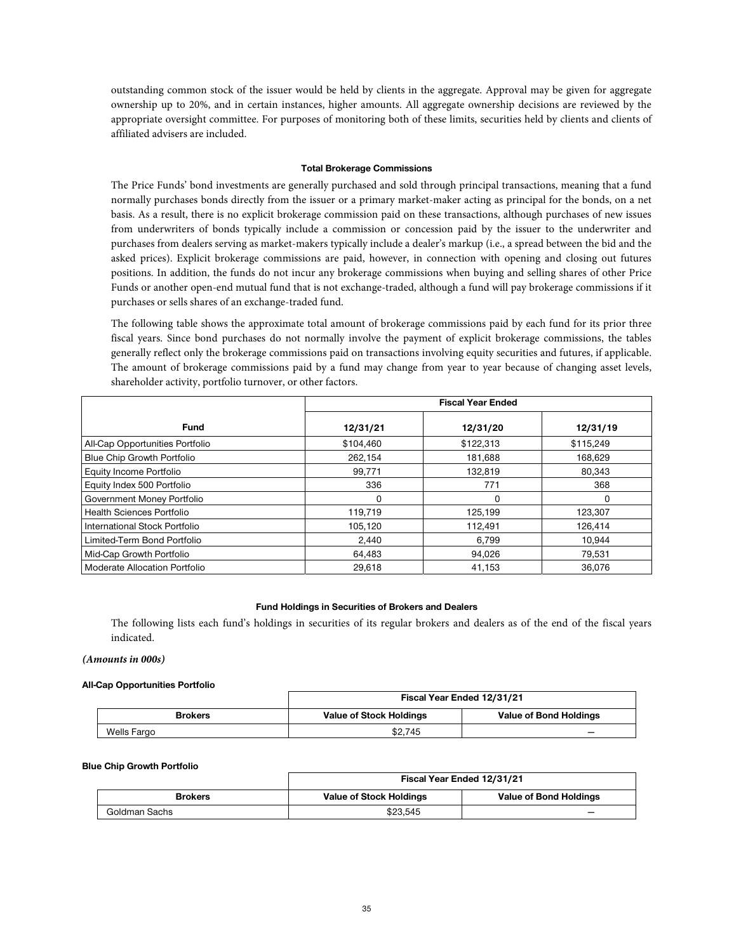outstanding common stock of the issuer would be held by clients in the aggregate. Approval may be given for aggregate ownership up to 20%, and in certain instances, higher amounts. All aggregate ownership decisions are reviewed by the appropriate oversight committee. For purposes of monitoring both of these limits, securities held by clients and clients of affiliated advisers are included.

#### **Total Brokerage Commissions**

The Price Funds' bond investments are generally purchased and sold through principal transactions, meaning that a fund normally purchases bonds directly from the issuer or a primary market-maker acting as principal for the bonds, on a net basis. As a result, there is no explicit brokerage commission paid on these transactions, although purchases of new issues from underwriters of bonds typically include a commission or concession paid by the issuer to the underwriter and purchases from dealers serving as market-makers typically include a dealer's markup (i.e., a spread between the bid and the asked prices). Explicit brokerage commissions are paid, however, in connection with opening and closing out futures positions. In addition, the funds do not incur any brokerage commissions when buying and selling shares of other Price Funds or another open-end mutual fund that is not exchange-traded, although a fund will pay brokerage commissions if it purchases or sells shares of an exchange-traded fund.

The following table shows the approximate total amount of brokerage commissions paid by each fund for its prior three fiscal years. Since bond purchases do not normally involve the payment of explicit brokerage commissions, the tables generally reflect only the brokerage commissions paid on transactions involving equity securities and futures, if applicable. The amount of brokerage commissions paid by a fund may change from year to year because of changing asset levels, shareholder activity, portfolio turnover, or other factors.

|                                   | <b>Fiscal Year Ended</b> |           |           |
|-----------------------------------|--------------------------|-----------|-----------|
| <b>Fund</b>                       | 12/31/21                 | 12/31/20  | 12/31/19  |
| All-Cap Opportunities Portfolio   | \$104.460                | \$122,313 | \$115,249 |
| <b>Blue Chip Growth Portfolio</b> | 262,154                  | 181,688   | 168,629   |
| Equity Income Portfolio           | 99.771                   | 132,819   | 80.343    |
| Equity Index 500 Portfolio        | 336                      | 771       | 368       |
| Government Money Portfolio        | 0                        | 0         | 0         |
| <b>Health Sciences Portfolio</b>  | 119,719                  | 125.199   | 123.307   |
| International Stock Portfolio     | 105.120                  | 112,491   | 126,414   |
| Limited-Term Bond Portfolio       | 2,440                    | 6,799     | 10,944    |
| Mid-Cap Growth Portfolio          | 64,483                   | 94,026    | 79,531    |
| Moderate Allocation Portfolio     | 29,618                   | 41,153    | 36.076    |

# **Fund Holdings in Securities of Brokers and Dealers**

The following lists each fund's holdings in securities of its regular brokers and dealers as of the end of the fiscal years indicated.

#### **(Amounts in 000s)**

#### **All-Cap Opportunities Portfolio**

|                | Fiscal Year Ended 12/31/21     |                               |  |
|----------------|--------------------------------|-------------------------------|--|
| <b>Brokers</b> | <b>Value of Stock Holdings</b> | <b>Value of Bond Holdings</b> |  |
| Wells Fargo    | \$2.745                        |                               |  |

#### **Blue Chip Growth Portfolio**

|                | Fiscal Year Ended 12/31/21     |                               |  |
|----------------|--------------------------------|-------------------------------|--|
| <b>Brokers</b> | <b>Value of Stock Holdings</b> | <b>Value of Bond Holdings</b> |  |
| Goldman Sachs  | \$23.545                       |                               |  |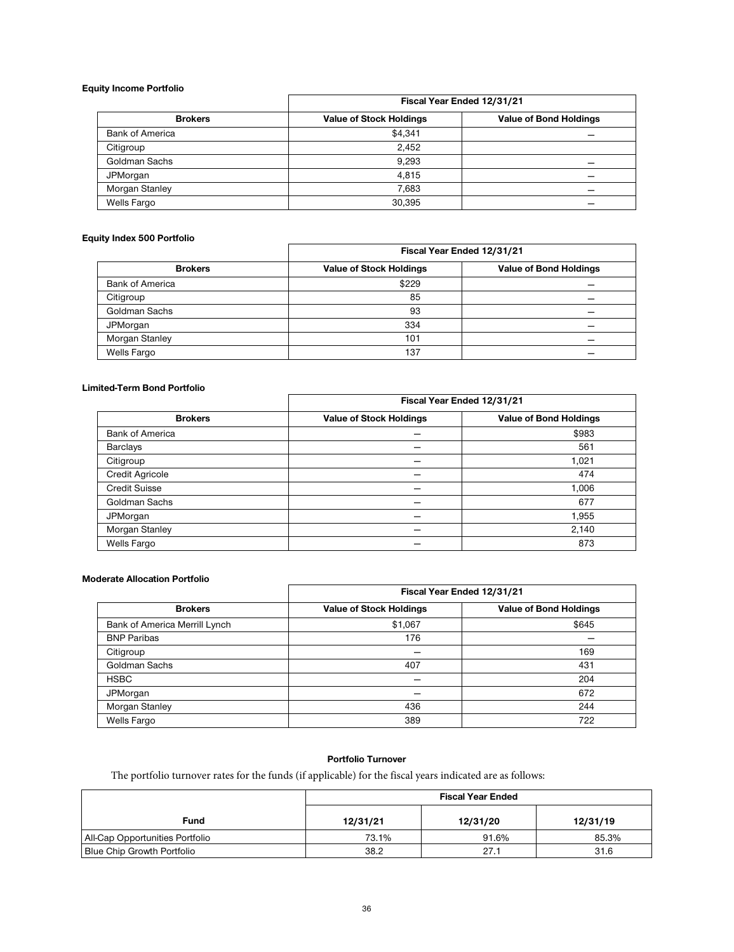#### **Equity Income Portfolio**

|                        | Fiscal Year Ended 12/31/21     |                               |  |
|------------------------|--------------------------------|-------------------------------|--|
| <b>Brokers</b>         | <b>Value of Stock Holdings</b> | <b>Value of Bond Holdings</b> |  |
| <b>Bank of America</b> | \$4,341                        |                               |  |
| Citigroup              | 2,452                          |                               |  |
| Goldman Sachs          | 9,293                          |                               |  |
| JPMorgan               | 4.815                          |                               |  |
| Morgan Stanley         | 7,683                          |                               |  |
| Wells Fargo            | 30,395                         |                               |  |

# **Equity Index 500 Portfolio**

|                        | Fiscal Year Ended 12/31/21     |                               |  |
|------------------------|--------------------------------|-------------------------------|--|
| <b>Brokers</b>         | <b>Value of Stock Holdings</b> | <b>Value of Bond Holdings</b> |  |
| <b>Bank of America</b> | \$229                          |                               |  |
| Citigroup              | 85                             |                               |  |
| Goldman Sachs          | 93                             |                               |  |
| JPMorgan               | 334                            |                               |  |
| Morgan Stanley         | 101                            |                               |  |
| Wells Fargo            | 137                            |                               |  |

# **Limited-Term Bond Portfolio**

|                        | Fiscal Year Ended 12/31/21     |                               |  |
|------------------------|--------------------------------|-------------------------------|--|
| <b>Brokers</b>         | <b>Value of Stock Holdings</b> | <b>Value of Bond Holdings</b> |  |
| <b>Bank of America</b> |                                | \$983                         |  |
| Barclays               |                                | 561                           |  |
| Citigroup              |                                | 1,021                         |  |
| <b>Credit Agricole</b> |                                | 474                           |  |
| <b>Credit Suisse</b>   |                                | 1,006                         |  |
| Goldman Sachs          |                                | 677                           |  |
| JPMorgan               |                                | 1,955                         |  |
| Morgan Stanley         |                                | 2,140                         |  |
| <b>Wells Fargo</b>     |                                | 873                           |  |

# **Moderate Allocation Portfolio**

| <b>Brokers</b>                | Fiscal Year Ended 12/31/21     |                               |  |
|-------------------------------|--------------------------------|-------------------------------|--|
|                               | <b>Value of Stock Holdings</b> | <b>Value of Bond Holdings</b> |  |
| Bank of America Merrill Lynch | \$1,067                        | \$645                         |  |
| <b>BNP Paribas</b>            | 176                            |                               |  |
| Citigroup                     |                                | 169                           |  |
| Goldman Sachs                 | 407                            | 431                           |  |
| <b>HSBC</b>                   | –                              | 204                           |  |
| JPMorgan                      |                                | 672                           |  |
| Morgan Stanley                | 436                            | 244                           |  |
| <b>Wells Fargo</b>            | 389                            | 722                           |  |

# **Portfolio Turnover**

The portfolio turnover rates for the funds (if applicable) for the fiscal years indicated are as follows:

|                                   | <b>Fiscal Year Ended</b> |          |          |
|-----------------------------------|--------------------------|----------|----------|
| Fund                              | 12/31/21                 | 12/31/20 | 12/31/19 |
| All-Cap Opportunities Portfolio   | 73.1%                    | 91.6%    | 85.3%    |
| <b>Blue Chip Growth Portfolio</b> | 38.2                     | 27.1     | 31.6     |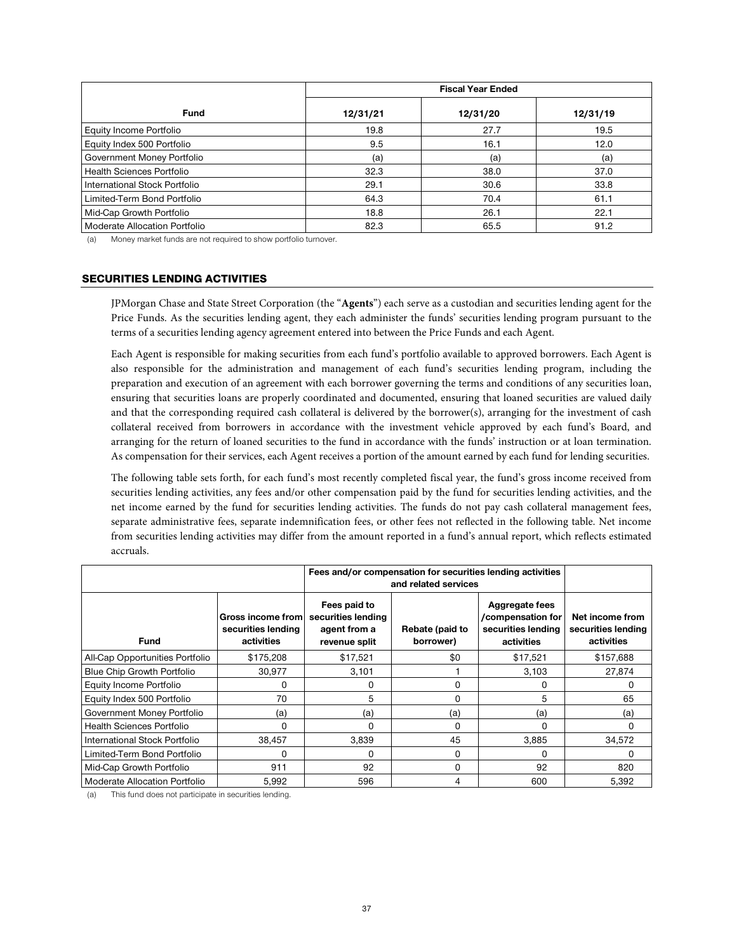|                                  | <b>Fiscal Year Ended</b> |          |          |  |
|----------------------------------|--------------------------|----------|----------|--|
| <b>Fund</b>                      | 12/31/21                 | 12/31/20 | 12/31/19 |  |
| Equity Income Portfolio          | 19.8                     | 27.7     | 19.5     |  |
| Equity Index 500 Portfolio       | 9.5                      | 16.1     | 12.0     |  |
| Government Money Portfolio       | (a)                      | (a)      | (a)      |  |
| <b>Health Sciences Portfolio</b> | 32.3                     | 38.0     | 37.0     |  |
| International Stock Portfolio    | 29.1                     | 30.6     | 33.8     |  |
| Limited-Term Bond Portfolio      | 64.3                     | 70.4     | 61.1     |  |
| Mid-Cap Growth Portfolio         | 18.8                     | 26.1     | 22.1     |  |
| Moderate Allocation Portfolio    | 82.3                     | 65.5     | 91.2     |  |

(a) Money market funds are not required to show portfolio turnover.

# SECURITIES LENDING ACTIVITIES

JPMorgan Chase and State Street Corporation (the "**Agents**") each serve as a custodian and securities lending agent for the Price Funds. As the securities lending agent, they each administer the funds' securities lending program pursuant to the terms of a securities lending agency agreement entered into between the Price Funds and each Agent.

Each Agent is responsible for making securities from each fund's portfolio available to approved borrowers. Each Agent is also responsible for the administration and management of each fund's securities lending program, including the preparation and execution of an agreement with each borrower governing the terms and conditions of any securities loan, ensuring that securities loans are properly coordinated and documented, ensuring that loaned securities are valued daily and that the corresponding required cash collateral is delivered by the borrower(s), arranging for the investment of cash collateral received from borrowers in accordance with the investment vehicle approved by each fund's Board, and arranging for the return of loaned securities to the fund in accordance with the funds' instruction or at loan termination. As compensation for their services, each Agent receives a portion of the amount earned by each fund for lending securities.

The following table sets forth, for each fund's most recently completed fiscal year, the fund's gross income received from securities lending activities, any fees and/or other compensation paid by the fund for securities lending activities, and the net income earned by the fund for securities lending activities. The funds do not pay cash collateral management fees, separate administrative fees, separate indemnification fees, or other fees not reflected in the following table. Net income from securities lending activities may differ from the amount reported in a fund's annual report, which reflects estimated accruals.

|                                   |                                                       | Fees and/or compensation for securities lending activities<br>and related services |                              |                                                                         |                                                     |
|-----------------------------------|-------------------------------------------------------|------------------------------------------------------------------------------------|------------------------------|-------------------------------------------------------------------------|-----------------------------------------------------|
| Fund                              | Gross income from<br>securities lending<br>activities | Fees paid to<br>securities lending<br>agent from a<br>revenue split                | Rebate (paid to<br>borrower) | Aggregate fees<br>/compensation for<br>securities lending<br>activities | Net income from<br>securities lending<br>activities |
| All-Cap Opportunities Portfolio   | \$175,208                                             | \$17,521                                                                           | \$0                          | \$17,521                                                                | \$157,688                                           |
| <b>Blue Chip Growth Portfolio</b> | 30.977                                                | 3.101                                                                              |                              | 3.103                                                                   | 27.874                                              |
| Equity Income Portfolio           | 0                                                     | 0                                                                                  | 0                            | 0                                                                       | 0                                                   |
| Equity Index 500 Portfolio        | 70                                                    | 5                                                                                  | $\Omega$                     | 5                                                                       | 65                                                  |
| Government Money Portfolio        | (a)                                                   | (a)                                                                                | (a)                          | (a)                                                                     | (a)                                                 |
| <b>Health Sciences Portfolio</b>  | 0                                                     | 0                                                                                  | <sup>0</sup>                 | O                                                                       | 0                                                   |
| International Stock Portfolio     | 38,457                                                | 3,839                                                                              | 45                           | 3,885                                                                   | 34,572                                              |
| Limited-Term Bond Portfolio       | $\Omega$                                              | $\Omega$                                                                           | $\Omega$                     | $\Omega$                                                                | <sup>0</sup>                                        |
| Mid-Cap Growth Portfolio          | 911                                                   | 92                                                                                 | $\Omega$                     | 92                                                                      | 820                                                 |
| Moderate Allocation Portfolio     | 5,992                                                 | 596                                                                                | 4                            | 600                                                                     | 5,392                                               |

(a) This fund does not participate in securities lending.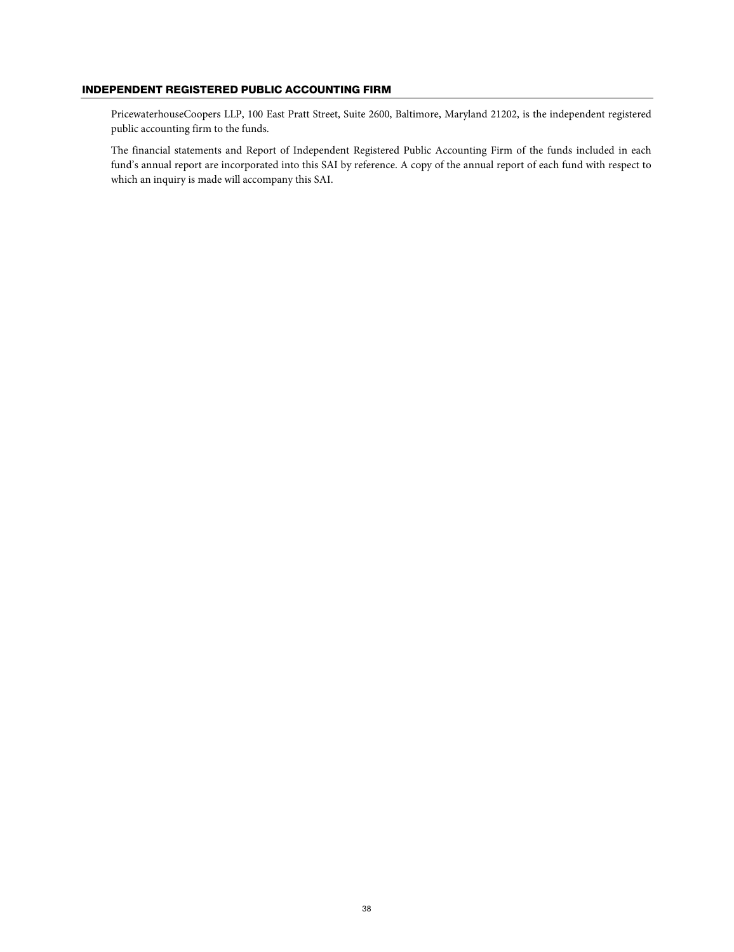# INDEPENDENT REGISTERED PUBLIC ACCOUNTING FIRM

PricewaterhouseCoopers LLP, 100 East Pratt Street, Suite 2600, Baltimore, Maryland 21202, is the independent registered public accounting firm to the funds.

The financial statements and Report of Independent Registered Public Accounting Firm of the funds included in each fund's annual report are incorporated into this SAI by reference. A copy of the annual report of each fund with respect to which an inquiry is made will accompany this SAI.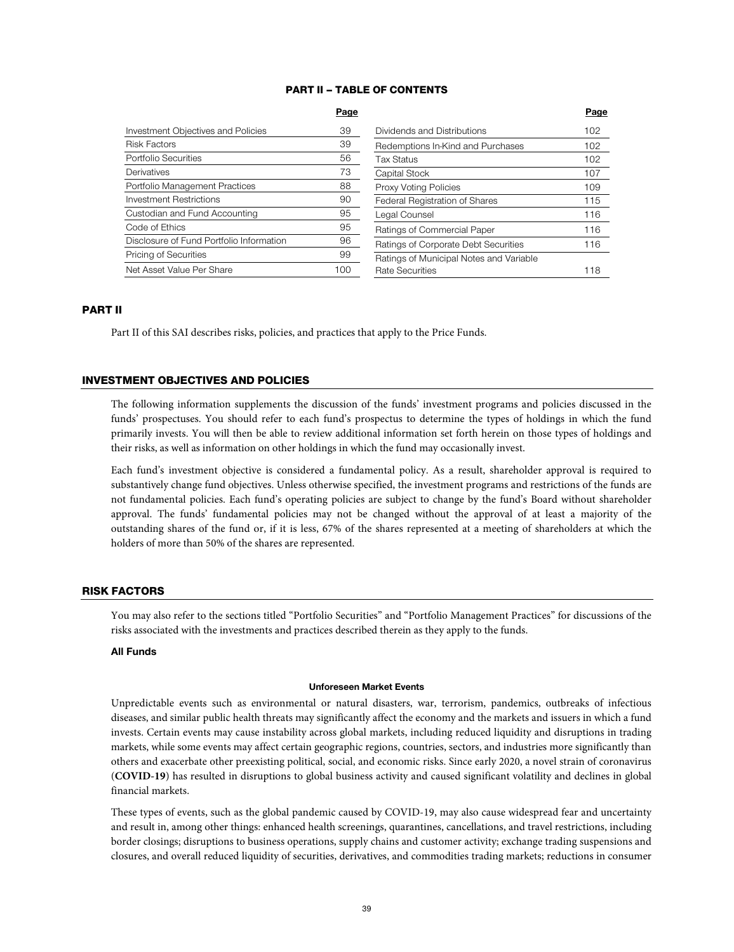# PART II – TABLE OF CONTENTS

|                                           | Page |                                         | Page |
|-------------------------------------------|------|-----------------------------------------|------|
| <b>Investment Objectives and Policies</b> | 39   | Dividends and Distributions             | 102  |
| <b>Risk Factors</b>                       | 39   | Redemptions In-Kind and Purchases       | 102  |
| Portfolio Securities                      | 56   | Tax Status                              | 102  |
| Derivatives                               | 73   | Capital Stock                           | 107  |
| Portfolio Management Practices            | 88   | Proxy Voting Policies                   | 109  |
| <b>Investment Restrictions</b>            | 90   | Federal Registration of Shares          | 115  |
| Custodian and Fund Accounting             | 95   | Legal Counsel                           | 116  |
| Code of Ethics                            | 95   | Ratings of Commercial Paper             | 116  |
| Disclosure of Fund Portfolio Information  | 96   | Ratings of Corporate Debt Securities    | 116  |
| Pricing of Securities                     | 99   | Ratings of Municipal Notes and Variable |      |
| Net Asset Value Per Share                 | 100  | <b>Rate Securities</b>                  | 118  |

### PART II

Part II of this SAI describes risks, policies, and practices that apply to the Price Funds.

# INVESTMENT OBJECTIVES AND POLICIES

The following information supplements the discussion of the funds' investment programs and policies discussed in the funds' prospectuses. You should refer to each fund's prospectus to determine the types of holdings in which the fund primarily invests. You will then be able to review additional information set forth herein on those types of holdings and their risks, as well as information on other holdings in which the fund may occasionally invest.

Each fund's investment objective is considered a fundamental policy. As a result, shareholder approval is required to substantively change fund objectives. Unless otherwise specified, the investment programs and restrictions of the funds are not fundamental policies. Each fund's operating policies are subject to change by the fund's Board without shareholder approval. The funds' fundamental policies may not be changed without the approval of at least a majority of the outstanding shares of the fund or, if it is less, 67% of the shares represented at a meeting of shareholders at which the holders of more than 50% of the shares are represented.

# RISK FACTORS

You may also refer to the sections titled "Portfolio Securities" and "Portfolio Management Practices" for discussions of the risks associated with the investments and practices described therein as they apply to the funds.

# **All Funds**

### **Unforeseen Market Events**

Unpredictable events such as environmental or natural disasters, war, terrorism, pandemics, outbreaks of infectious diseases, and similar public health threats may significantly affect the economy and the markets and issuers in which a fund invests. Certain events may cause instability across global markets, including reduced liquidity and disruptions in trading markets, while some events may affect certain geographic regions, countries, sectors, and industries more significantly than others and exacerbate other preexisting political, social, and economic risks. Since early 2020, a novel strain of coronavirus (**COVID-19**) has resulted in disruptions to global business activity and caused significant volatility and declines in global financial markets.

These types of events, such as the global pandemic caused by COVID-19, may also cause widespread fear and uncertainty and result in, among other things: enhanced health screenings, quarantines, cancellations, and travel restrictions, including border closings; disruptions to business operations, supply chains and customer activity; exchange trading suspensions and closures, and overall reduced liquidity of securities, derivatives, and commodities trading markets; reductions in consumer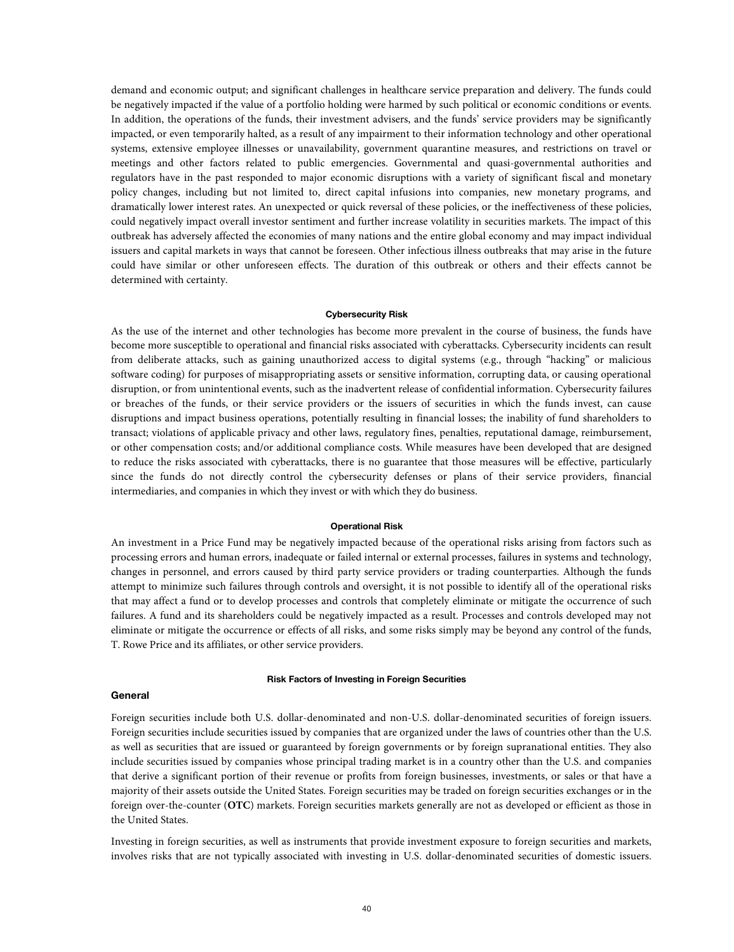demand and economic output; and significant challenges in healthcare service preparation and delivery. The funds could be negatively impacted if the value of a portfolio holding were harmed by such political or economic conditions or events. In addition, the operations of the funds, their investment advisers, and the funds' service providers may be significantly impacted, or even temporarily halted, as a result of any impairment to their information technology and other operational systems, extensive employee illnesses or unavailability, government quarantine measures, and restrictions on travel or meetings and other factors related to public emergencies. Governmental and quasi-governmental authorities and regulators have in the past responded to major economic disruptions with a variety of significant fiscal and monetary policy changes, including but not limited to, direct capital infusions into companies, new monetary programs, and dramatically lower interest rates. An unexpected or quick reversal of these policies, or the ineffectiveness of these policies, could negatively impact overall investor sentiment and further increase volatility in securities markets. The impact of this outbreak has adversely affected the economies of many nations and the entire global economy and may impact individual issuers and capital markets in ways that cannot be foreseen. Other infectious illness outbreaks that may arise in the future could have similar or other unforeseen effects. The duration of this outbreak or others and their effects cannot be determined with certainty.

### **Cybersecurity Risk**

As the use of the internet and other technologies has become more prevalent in the course of business, the funds have become more susceptible to operational and financial risks associated with cyberattacks. Cybersecurity incidents can result from deliberate attacks, such as gaining unauthorized access to digital systems (e.g., through "hacking" or malicious software coding) for purposes of misappropriating assets or sensitive information, corrupting data, or causing operational disruption, or from unintentional events, such as the inadvertent release of confidential information. Cybersecurity failures or breaches of the funds, or their service providers or the issuers of securities in which the funds invest, can cause disruptions and impact business operations, potentially resulting in financial losses; the inability of fund shareholders to transact; violations of applicable privacy and other laws, regulatory fines, penalties, reputational damage, reimbursement, or other compensation costs; and/or additional compliance costs. While measures have been developed that are designed to reduce the risks associated with cyberattacks, there is no guarantee that those measures will be effective, particularly since the funds do not directly control the cybersecurity defenses or plans of their service providers, financial intermediaries, and companies in which they invest or with which they do business.

#### **Operational Risk**

An investment in a Price Fund may be negatively impacted because of the operational risks arising from factors such as processing errors and human errors, inadequate or failed internal or external processes, failures in systems and technology, changes in personnel, and errors caused by third party service providers or trading counterparties. Although the funds attempt to minimize such failures through controls and oversight, it is not possible to identify all of the operational risks that may affect a fund or to develop processes and controls that completely eliminate or mitigate the occurrence of such failures. A fund and its shareholders could be negatively impacted as a result. Processes and controls developed may not eliminate or mitigate the occurrence or effects of all risks, and some risks simply may be beyond any control of the funds, T. Rowe Price and its affiliates, or other service providers.

### **Risk Factors of Investing in Foreign Securities**

### **General**

Foreign securities include both U.S. dollar-denominated and non-U.S. dollar-denominated securities of foreign issuers. Foreign securities include securities issued by companies that are organized under the laws of countries other than the U.S. as well as securities that are issued or guaranteed by foreign governments or by foreign supranational entities. They also include securities issued by companies whose principal trading market is in a country other than the U.S. and companies that derive a significant portion of their revenue or profits from foreign businesses, investments, or sales or that have a majority of their assets outside the United States. Foreign securities may be traded on foreign securities exchanges or in the foreign over-the-counter (**OTC**) markets. Foreign securities markets generally are not as developed or efficient as those in the United States.

Investing in foreign securities, as well as instruments that provide investment exposure to foreign securities and markets, involves risks that are not typically associated with investing in U.S. dollar-denominated securities of domestic issuers.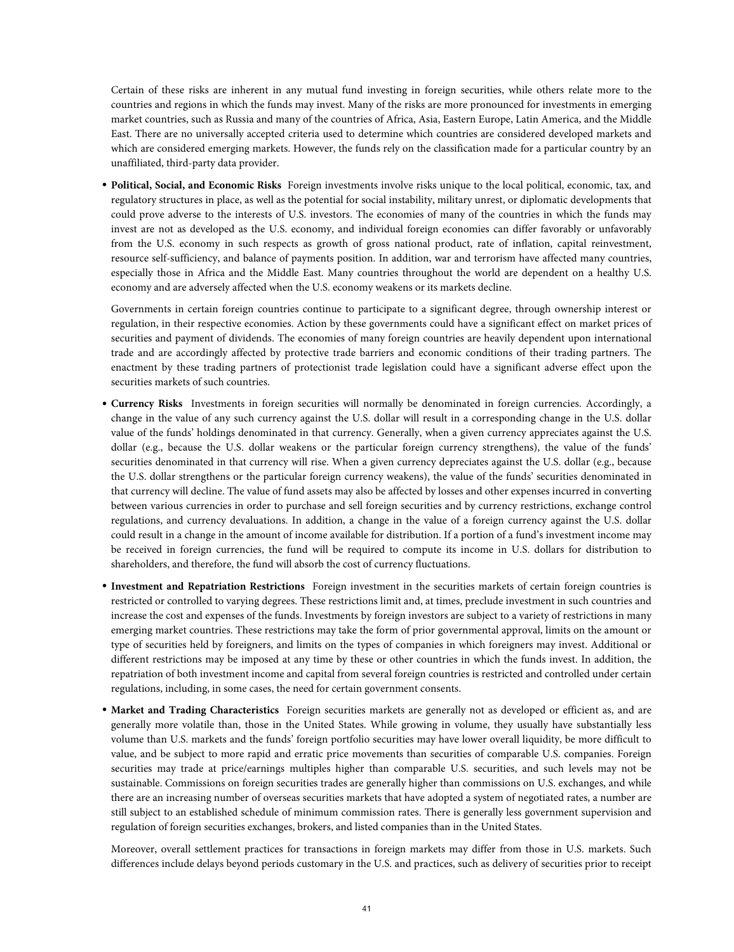Certain of these risks are inherent in any mutual fund investing in foreign securities, while others relate more to the countries and regions in which the funds may invest. Many of the risks are more pronounced for investments in emerging market countries, such as Russia and many of the countries of Africa, Asia, Eastern Europe, Latin America, and the Middle East. There are no universally accepted criteria used to determine which countries are considered developed markets and which are considered emerging markets. However, the funds rely on the classification made for a particular country by an unaffiliated, third-party data provider.

• **Political, Social, and Economic Risks** Foreign investments involve risks unique to the local political, economic, tax, and regulatory structures in place, as well as the potential for social instability, military unrest, or diplomatic developments that could prove adverse to the interests of U.S. investors. The economies of many of the countries in which the funds may invest are not as developed as the U.S. economy, and individual foreign economies can differ favorably or unfavorably from the U.S. economy in such respects as growth of gross national product, rate of inflation, capital reinvestment, resource self-sufficiency, and balance of payments position. In addition, war and terrorism have affected many countries, especially those in Africa and the Middle East. Many countries throughout the world are dependent on a healthy U.S. economy and are adversely affected when the U.S. economy weakens or its markets decline.

Governments in certain foreign countries continue to participate to a significant degree, through ownership interest or regulation, in their respective economies. Action by these governments could have a significant effect on market prices of securities and payment of dividends. The economies of many foreign countries are heavily dependent upon international trade and are accordingly affected by protective trade barriers and economic conditions of their trading partners. The enactment by these trading partners of protectionist trade legislation could have a significant adverse effect upon the securities markets of such countries.

- **Currency Risks** Investments in foreign securities will normally be denominated in foreign currencies. Accordingly, a change in the value of any such currency against the U.S. dollar will result in a corresponding change in the U.S. dollar value of the funds' holdings denominated in that currency. Generally, when a given currency appreciates against the U.S. dollar (e.g., because the U.S. dollar weakens or the particular foreign currency strengthens), the value of the funds' securities denominated in that currency will rise. When a given currency depreciates against the U.S. dollar (e.g., because the U.S. dollar strengthens or the particular foreign currency weakens), the value of the funds' securities denominated in that currency will decline. The value of fund assets may also be affected by losses and other expenses incurred in converting between various currencies in order to purchase and sell foreign securities and by currency restrictions, exchange control regulations, and currency devaluations. In addition, a change in the value of a foreign currency against the U.S. dollar could result in a change in the amount of income available for distribution. If a portion of a fund's investment income may be received in foreign currencies, the fund will be required to compute its income in U.S. dollars for distribution to shareholders, and therefore, the fund will absorb the cost of currency fluctuations.
- **Investment and Repatriation Restrictions** Foreign investment in the securities markets of certain foreign countries is restricted or controlled to varying degrees. These restrictions limit and, at times, preclude investment in such countries and increase the cost and expenses of the funds. Investments by foreign investors are subject to a variety of restrictions in many emerging market countries. These restrictions may take the form of prior governmental approval, limits on the amount or type of securities held by foreigners, and limits on the types of companies in which foreigners may invest. Additional or different restrictions may be imposed at any time by these or other countries in which the funds invest. In addition, the repatriation of both investment income and capital from several foreign countries is restricted and controlled under certain regulations, including, in some cases, the need for certain government consents.
- **Market and Trading Characteristics** Foreign securities markets are generally not as developed or efficient as, and are generally more volatile than, those in the United States. While growing in volume, they usually have substantially less volume than U.S. markets and the funds' foreign portfolio securities may have lower overall liquidity, be more difficult to value, and be subject to more rapid and erratic price movements than securities of comparable U.S. companies. Foreign securities may trade at price/earnings multiples higher than comparable U.S. securities, and such levels may not be sustainable. Commissions on foreign securities trades are generally higher than commissions on U.S. exchanges, and while there are an increasing number of overseas securities markets that have adopted a system of negotiated rates, a number are still subject to an established schedule of minimum commission rates. There is generally less government supervision and regulation of foreign securities exchanges, brokers, and listed companies than in the United States.

Moreover, overall settlement practices for transactions in foreign markets may differ from those in U.S. markets. Such differences include delays beyond periods customary in the U.S. and practices, such as delivery of securities prior to receipt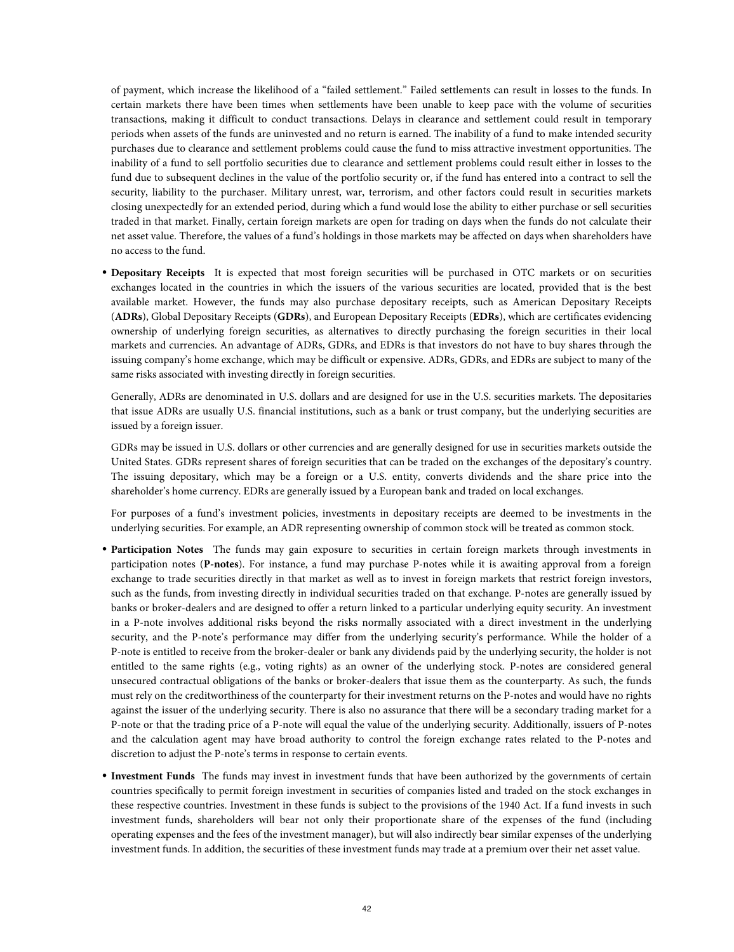of payment, which increase the likelihood of a "failed settlement." Failed settlements can result in losses to the funds. In certain markets there have been times when settlements have been unable to keep pace with the volume of securities transactions, making it difficult to conduct transactions. Delays in clearance and settlement could result in temporary periods when assets of the funds are uninvested and no return is earned. The inability of a fund to make intended security purchases due to clearance and settlement problems could cause the fund to miss attractive investment opportunities. The inability of a fund to sell portfolio securities due to clearance and settlement problems could result either in losses to the fund due to subsequent declines in the value of the portfolio security or, if the fund has entered into a contract to sell the security, liability to the purchaser. Military unrest, war, terrorism, and other factors could result in securities markets closing unexpectedly for an extended period, during which a fund would lose the ability to either purchase or sell securities traded in that market. Finally, certain foreign markets are open for trading on days when the funds do not calculate their net asset value. Therefore, the values of a fund's holdings in those markets may be affected on days when shareholders have no access to the fund.

• **Depositary Receipts** It is expected that most foreign securities will be purchased in OTC markets or on securities exchanges located in the countries in which the issuers of the various securities are located, provided that is the best available market. However, the funds may also purchase depositary receipts, such as American Depositary Receipts (**ADRs**), Global Depositary Receipts (**GDRs**), and European Depositary Receipts (**EDRs**), which are certificates evidencing ownership of underlying foreign securities, as alternatives to directly purchasing the foreign securities in their local markets and currencies. An advantage of ADRs, GDRs, and EDRs is that investors do not have to buy shares through the issuing company's home exchange, which may be difficult or expensive. ADRs, GDRs, and EDRs are subject to many of the same risks associated with investing directly in foreign securities.

Generally, ADRs are denominated in U.S. dollars and are designed for use in the U.S. securities markets. The depositaries that issue ADRs are usually U.S. financial institutions, such as a bank or trust company, but the underlying securities are issued by a foreign issuer.

GDRs may be issued in U.S. dollars or other currencies and are generally designed for use in securities markets outside the United States. GDRs represent shares of foreign securities that can be traded on the exchanges of the depositary's country. The issuing depositary, which may be a foreign or a U.S. entity, converts dividends and the share price into the shareholder's home currency. EDRs are generally issued by a European bank and traded on local exchanges.

For purposes of a fund's investment policies, investments in depositary receipts are deemed to be investments in the underlying securities. For example, an ADR representing ownership of common stock will be treated as common stock.

- **Participation Notes** The funds may gain exposure to securities in certain foreign markets through investments in participation notes (**P-notes**). For instance, a fund may purchase P-notes while it is awaiting approval from a foreign exchange to trade securities directly in that market as well as to invest in foreign markets that restrict foreign investors, such as the funds, from investing directly in individual securities traded on that exchange. P-notes are generally issued by banks or broker-dealers and are designed to offer a return linked to a particular underlying equity security. An investment in a P-note involves additional risks beyond the risks normally associated with a direct investment in the underlying security, and the P-note's performance may differ from the underlying security's performance. While the holder of a P-note is entitled to receive from the broker-dealer or bank any dividends paid by the underlying security, the holder is not entitled to the same rights (e.g., voting rights) as an owner of the underlying stock. P-notes are considered general unsecured contractual obligations of the banks or broker-dealers that issue them as the counterparty. As such, the funds must rely on the creditworthiness of the counterparty for their investment returns on the P-notes and would have no rights against the issuer of the underlying security. There is also no assurance that there will be a secondary trading market for a P-note or that the trading price of a P-note will equal the value of the underlying security. Additionally, issuers of P-notes and the calculation agent may have broad authority to control the foreign exchange rates related to the P-notes and discretion to adjust the P-note's terms in response to certain events.
- **Investment Funds** The funds may invest in investment funds that have been authorized by the governments of certain countries specifically to permit foreign investment in securities of companies listed and traded on the stock exchanges in these respective countries. Investment in these funds is subject to the provisions of the 1940 Act. If a fund invests in such investment funds, shareholders will bear not only their proportionate share of the expenses of the fund (including operating expenses and the fees of the investment manager), but will also indirectly bear similar expenses of the underlying investment funds. In addition, the securities of these investment funds may trade at a premium over their net asset value.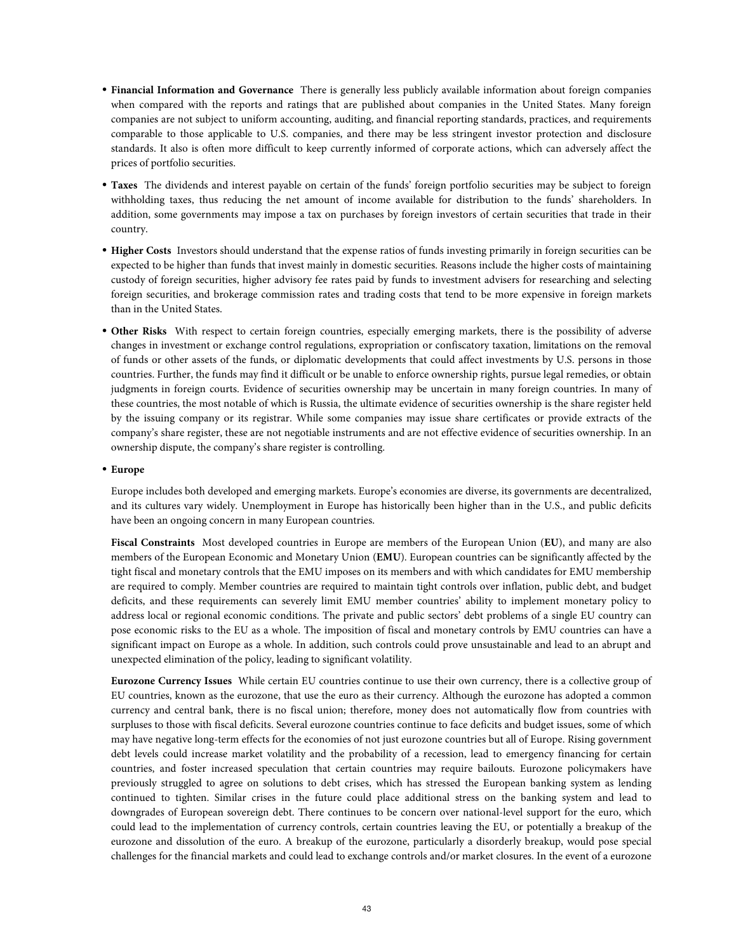- **Financial Information and Governance** There is generally less publicly available information about foreign companies when compared with the reports and ratings that are published about companies in the United States. Many foreign companies are not subject to uniform accounting, auditing, and financial reporting standards, practices, and requirements comparable to those applicable to U.S. companies, and there may be less stringent investor protection and disclosure standards. It also is often more difficult to keep currently informed of corporate actions, which can adversely affect the prices of portfolio securities.
- **Taxes** The dividends and interest payable on certain of the funds' foreign portfolio securities may be subject to foreign withholding taxes, thus reducing the net amount of income available for distribution to the funds' shareholders. In addition, some governments may impose a tax on purchases by foreign investors of certain securities that trade in their country.
- **Higher Costs** Investors should understand that the expense ratios of funds investing primarily in foreign securities can be expected to be higher than funds that invest mainly in domestic securities. Reasons include the higher costs of maintaining custody of foreign securities, higher advisory fee rates paid by funds to investment advisers for researching and selecting foreign securities, and brokerage commission rates and trading costs that tend to be more expensive in foreign markets than in the United States.
- **Other Risks** With respect to certain foreign countries, especially emerging markets, there is the possibility of adverse changes in investment or exchange control regulations, expropriation or confiscatory taxation, limitations on the removal of funds or other assets of the funds, or diplomatic developments that could affect investments by U.S. persons in those countries. Further, the funds may find it difficult or be unable to enforce ownership rights, pursue legal remedies, or obtain judgments in foreign courts. Evidence of securities ownership may be uncertain in many foreign countries. In many of these countries, the most notable of which is Russia, the ultimate evidence of securities ownership is the share register held by the issuing company or its registrar. While some companies may issue share certificates or provide extracts of the company's share register, these are not negotiable instruments and are not effective evidence of securities ownership. In an ownership dispute, the company's share register is controlling.

### • **Europe**

Europe includes both developed and emerging markets. Europe's economies are diverse, its governments are decentralized, and its cultures vary widely. Unemployment in Europe has historically been higher than in the U.S., and public deficits have been an ongoing concern in many European countries.

**Fiscal Constraints** Most developed countries in Europe are members of the European Union (**EU**), and many are also members of the European Economic and Monetary Union (**EMU**). European countries can be significantly affected by the tight fiscal and monetary controls that the EMU imposes on its members and with which candidates for EMU membership are required to comply. Member countries are required to maintain tight controls over inflation, public debt, and budget deficits, and these requirements can severely limit EMU member countries' ability to implement monetary policy to address local or regional economic conditions. The private and public sectors' debt problems of a single EU country can pose economic risks to the EU as a whole. The imposition of fiscal and monetary controls by EMU countries can have a significant impact on Europe as a whole. In addition, such controls could prove unsustainable and lead to an abrupt and unexpected elimination of the policy, leading to significant volatility.

**Eurozone Currency Issues** While certain EU countries continue to use their own currency, there is a collective group of EU countries, known as the eurozone, that use the euro as their currency. Although the eurozone has adopted a common currency and central bank, there is no fiscal union; therefore, money does not automatically flow from countries with surpluses to those with fiscal deficits. Several eurozone countries continue to face deficits and budget issues, some of which may have negative long-term effects for the economies of not just eurozone countries but all of Europe. Rising government debt levels could increase market volatility and the probability of a recession, lead to emergency financing for certain countries, and foster increased speculation that certain countries may require bailouts. Eurozone policymakers have previously struggled to agree on solutions to debt crises, which has stressed the European banking system as lending continued to tighten. Similar crises in the future could place additional stress on the banking system and lead to downgrades of European sovereign debt. There continues to be concern over national-level support for the euro, which could lead to the implementation of currency controls, certain countries leaving the EU, or potentially a breakup of the eurozone and dissolution of the euro. A breakup of the eurozone, particularly a disorderly breakup, would pose special challenges for the financial markets and could lead to exchange controls and/or market closures. In the event of a eurozone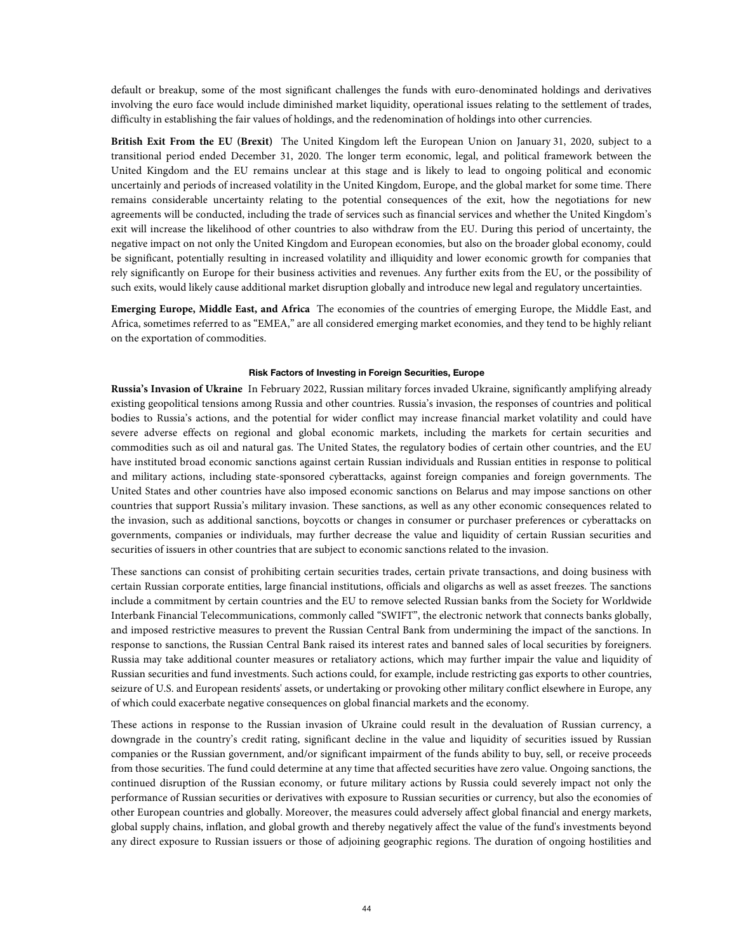default or breakup, some of the most significant challenges the funds with euro-denominated holdings and derivatives involving the euro face would include diminished market liquidity, operational issues relating to the settlement of trades, difficulty in establishing the fair values of holdings, and the redenomination of holdings into other currencies.

**British Exit From the EU (Brexit)** The United Kingdom left the European Union on January 31, 2020, subject to a transitional period ended December 31, 2020. The longer term economic, legal, and political framework between the United Kingdom and the EU remains unclear at this stage and is likely to lead to ongoing political and economic uncertainly and periods of increased volatility in the United Kingdom, Europe, and the global market for some time. There remains considerable uncertainty relating to the potential consequences of the exit, how the negotiations for new agreements will be conducted, including the trade of services such as financial services and whether the United Kingdom's exit will increase the likelihood of other countries to also withdraw from the EU. During this period of uncertainty, the negative impact on not only the United Kingdom and European economies, but also on the broader global economy, could be significant, potentially resulting in increased volatility and illiquidity and lower economic growth for companies that rely significantly on Europe for their business activities and revenues. Any further exits from the EU, or the possibility of such exits, would likely cause additional market disruption globally and introduce new legal and regulatory uncertainties.

**Emerging Europe, Middle East, and Africa** The economies of the countries of emerging Europe, the Middle East, and Africa, sometimes referred to as "EMEA," are all considered emerging market economies, and they tend to be highly reliant on the exportation of commodities.

#### **Risk Factors of Investing in Foreign Securities, Europe**

**Russia's Invasion of Ukraine** In February 2022, Russian military forces invaded Ukraine, significantly amplifying already existing geopolitical tensions among Russia and other countries. Russia's invasion, the responses of countries and political bodies to Russia's actions, and the potential for wider conflict may increase financial market volatility and could have severe adverse effects on regional and global economic markets, including the markets for certain securities and commodities such as oil and natural gas. The United States, the regulatory bodies of certain other countries, and the EU have instituted broad economic sanctions against certain Russian individuals and Russian entities in response to political and military actions, including state-sponsored cyberattacks, against foreign companies and foreign governments. The United States and other countries have also imposed economic sanctions on Belarus and may impose sanctions on other countries that support Russia's military invasion. These sanctions, as well as any other economic consequences related to the invasion, such as additional sanctions, boycotts or changes in consumer or purchaser preferences or cyberattacks on governments, companies or individuals, may further decrease the value and liquidity of certain Russian securities and securities of issuers in other countries that are subject to economic sanctions related to the invasion.

These sanctions can consist of prohibiting certain securities trades, certain private transactions, and doing business with certain Russian corporate entities, large financial institutions, officials and oligarchs as well as asset freezes. The sanctions include a commitment by certain countries and the EU to remove selected Russian banks from the Society for Worldwide Interbank Financial Telecommunications, commonly called "SWIFT", the electronic network that connects banks globally, and imposed restrictive measures to prevent the Russian Central Bank from undermining the impact of the sanctions. In response to sanctions, the Russian Central Bank raised its interest rates and banned sales of local securities by foreigners. Russia may take additional counter measures or retaliatory actions, which may further impair the value and liquidity of Russian securities and fund investments. Such actions could, for example, include restricting gas exports to other countries, seizure of U.S. and European residents' assets, or undertaking or provoking other military conflict elsewhere in Europe, any of which could exacerbate negative consequences on global financial markets and the economy.

These actions in response to the Russian invasion of Ukraine could result in the devaluation of Russian currency, a downgrade in the country's credit rating, significant decline in the value and liquidity of securities issued by Russian companies or the Russian government, and/or significant impairment of the funds ability to buy, sell, or receive proceeds from those securities. The fund could determine at any time that affected securities have zero value. Ongoing sanctions, the continued disruption of the Russian economy, or future military actions by Russia could severely impact not only the performance of Russian securities or derivatives with exposure to Russian securities or currency, but also the economies of other European countries and globally. Moreover, the measures could adversely affect global financial and energy markets, global supply chains, inflation, and global growth and thereby negatively affect the value of the fund's investments beyond any direct exposure to Russian issuers or those of adjoining geographic regions. The duration of ongoing hostilities and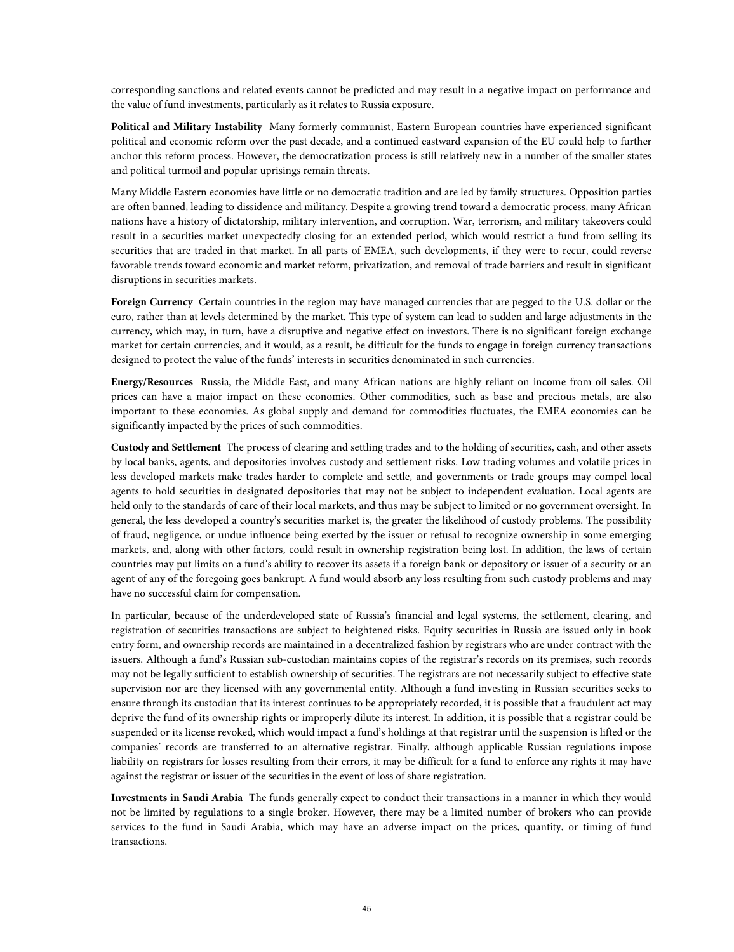corresponding sanctions and related events cannot be predicted and may result in a negative impact on performance and the value of fund investments, particularly as it relates to Russia exposure.

**Political and Military Instability** Many formerly communist, Eastern European countries have experienced significant political and economic reform over the past decade, and a continued eastward expansion of the EU could help to further anchor this reform process. However, the democratization process is still relatively new in a number of the smaller states and political turmoil and popular uprisings remain threats.

Many Middle Eastern economies have little or no democratic tradition and are led by family structures. Opposition parties are often banned, leading to dissidence and militancy. Despite a growing trend toward a democratic process, many African nations have a history of dictatorship, military intervention, and corruption. War, terrorism, and military takeovers could result in a securities market unexpectedly closing for an extended period, which would restrict a fund from selling its securities that are traded in that market. In all parts of EMEA, such developments, if they were to recur, could reverse favorable trends toward economic and market reform, privatization, and removal of trade barriers and result in significant disruptions in securities markets.

**Foreign Currency** Certain countries in the region may have managed currencies that are pegged to the U.S. dollar or the euro, rather than at levels determined by the market. This type of system can lead to sudden and large adjustments in the currency, which may, in turn, have a disruptive and negative effect on investors. There is no significant foreign exchange market for certain currencies, and it would, as a result, be difficult for the funds to engage in foreign currency transactions designed to protect the value of the funds' interests in securities denominated in such currencies.

**Energy/Resources** Russia, the Middle East, and many African nations are highly reliant on income from oil sales. Oil prices can have a major impact on these economies. Other commodities, such as base and precious metals, are also important to these economies. As global supply and demand for commodities fluctuates, the EMEA economies can be significantly impacted by the prices of such commodities.

**Custody and Settlement** The process of clearing and settling trades and to the holding of securities, cash, and other assets by local banks, agents, and depositories involves custody and settlement risks. Low trading volumes and volatile prices in less developed markets make trades harder to complete and settle, and governments or trade groups may compel local agents to hold securities in designated depositories that may not be subject to independent evaluation. Local agents are held only to the standards of care of their local markets, and thus may be subject to limited or no government oversight. In general, the less developed a country's securities market is, the greater the likelihood of custody problems. The possibility of fraud, negligence, or undue influence being exerted by the issuer or refusal to recognize ownership in some emerging markets, and, along with other factors, could result in ownership registration being lost. In addition, the laws of certain countries may put limits on a fund's ability to recover its assets if a foreign bank or depository or issuer of a security or an agent of any of the foregoing goes bankrupt. A fund would absorb any loss resulting from such custody problems and may have no successful claim for compensation.

In particular, because of the underdeveloped state of Russia's financial and legal systems, the settlement, clearing, and registration of securities transactions are subject to heightened risks. Equity securities in Russia are issued only in book entry form, and ownership records are maintained in a decentralized fashion by registrars who are under contract with the issuers. Although a fund's Russian sub-custodian maintains copies of the registrar's records on its premises, such records may not be legally sufficient to establish ownership of securities. The registrars are not necessarily subject to effective state supervision nor are they licensed with any governmental entity. Although a fund investing in Russian securities seeks to ensure through its custodian that its interest continues to be appropriately recorded, it is possible that a fraudulent act may deprive the fund of its ownership rights or improperly dilute its interest. In addition, it is possible that a registrar could be suspended or its license revoked, which would impact a fund's holdings at that registrar until the suspension is lifted or the companies' records are transferred to an alternative registrar. Finally, although applicable Russian regulations impose liability on registrars for losses resulting from their errors, it may be difficult for a fund to enforce any rights it may have against the registrar or issuer of the securities in the event of loss of share registration.

**Investments in Saudi Arabia** The funds generally expect to conduct their transactions in a manner in which they would not be limited by regulations to a single broker. However, there may be a limited number of brokers who can provide services to the fund in Saudi Arabia, which may have an adverse impact on the prices, quantity, or timing of fund transactions.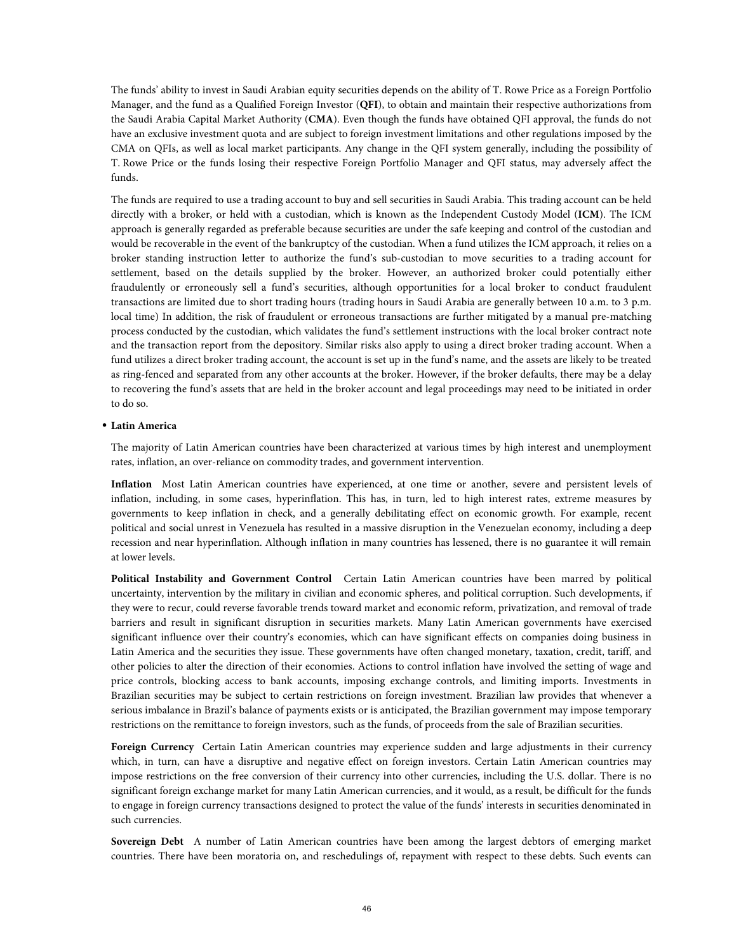The funds' ability to invest in Saudi Arabian equity securities depends on the ability of T. Rowe Price as a Foreign Portfolio Manager, and the fund as a Qualified Foreign Investor (**QFI**), to obtain and maintain their respective authorizations from the Saudi Arabia Capital Market Authority (**CMA**). Even though the funds have obtained QFI approval, the funds do not have an exclusive investment quota and are subject to foreign investment limitations and other regulations imposed by the CMA on QFIs, as well as local market participants. Any change in the QFI system generally, including the possibility of T. Rowe Price or the funds losing their respective Foreign Portfolio Manager and QFI status, may adversely affect the funds.

The funds are required to use a trading account to buy and sell securities in Saudi Arabia. This trading account can be held directly with a broker, or held with a custodian, which is known as the Independent Custody Model (**ICM**). The ICM approach is generally regarded as preferable because securities are under the safe keeping and control of the custodian and would be recoverable in the event of the bankruptcy of the custodian. When a fund utilizes the ICM approach, it relies on a broker standing instruction letter to authorize the fund's sub-custodian to move securities to a trading account for settlement, based on the details supplied by the broker. However, an authorized broker could potentially either fraudulently or erroneously sell a fund's securities, although opportunities for a local broker to conduct fraudulent transactions are limited due to short trading hours (trading hours in Saudi Arabia are generally between 10 a.m. to 3 p.m. local time) In addition, the risk of fraudulent or erroneous transactions are further mitigated by a manual pre-matching process conducted by the custodian, which validates the fund's settlement instructions with the local broker contract note and the transaction report from the depository. Similar risks also apply to using a direct broker trading account. When a fund utilizes a direct broker trading account, the account is set up in the fund's name, and the assets are likely to be treated as ring-fenced and separated from any other accounts at the broker. However, if the broker defaults, there may be a delay to recovering the fund's assets that are held in the broker account and legal proceedings may need to be initiated in order to do so.

# • **Latin America**

The majority of Latin American countries have been characterized at various times by high interest and unemployment rates, inflation, an over-reliance on commodity trades, and government intervention.

**Inflation** Most Latin American countries have experienced, at one time or another, severe and persistent levels of inflation, including, in some cases, hyperinflation. This has, in turn, led to high interest rates, extreme measures by governments to keep inflation in check, and a generally debilitating effect on economic growth. For example, recent political and social unrest in Venezuela has resulted in a massive disruption in the Venezuelan economy, including a deep recession and near hyperinflation. Although inflation in many countries has lessened, there is no guarantee it will remain at lower levels.

**Political Instability and Government Control** Certain Latin American countries have been marred by political uncertainty, intervention by the military in civilian and economic spheres, and political corruption. Such developments, if they were to recur, could reverse favorable trends toward market and economic reform, privatization, and removal of trade barriers and result in significant disruption in securities markets. Many Latin American governments have exercised significant influence over their country's economies, which can have significant effects on companies doing business in Latin America and the securities they issue. These governments have often changed monetary, taxation, credit, tariff, and other policies to alter the direction of their economies. Actions to control inflation have involved the setting of wage and price controls, blocking access to bank accounts, imposing exchange controls, and limiting imports. Investments in Brazilian securities may be subject to certain restrictions on foreign investment. Brazilian law provides that whenever a serious imbalance in Brazil's balance of payments exists or is anticipated, the Brazilian government may impose temporary restrictions on the remittance to foreign investors, such as the funds, of proceeds from the sale of Brazilian securities.

**Foreign Currency** Certain Latin American countries may experience sudden and large adjustments in their currency which, in turn, can have a disruptive and negative effect on foreign investors. Certain Latin American countries may impose restrictions on the free conversion of their currency into other currencies, including the U.S. dollar. There is no significant foreign exchange market for many Latin American currencies, and it would, as a result, be difficult for the funds to engage in foreign currency transactions designed to protect the value of the funds' interests in securities denominated in such currencies.

**Sovereign Debt** A number of Latin American countries have been among the largest debtors of emerging market countries. There have been moratoria on, and reschedulings of, repayment with respect to these debts. Such events can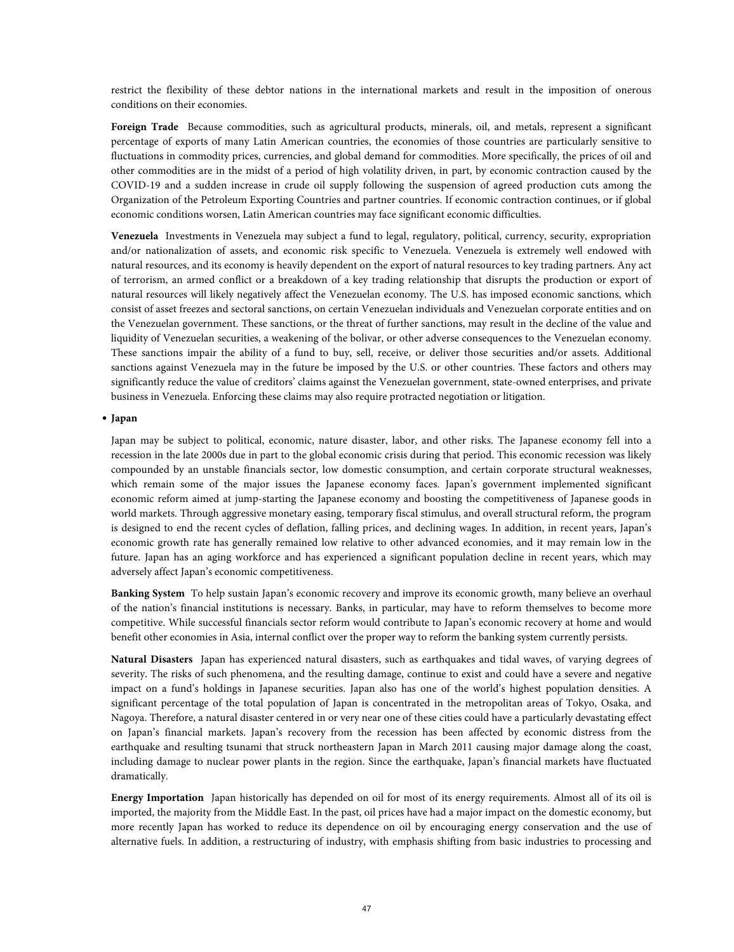restrict the flexibility of these debtor nations in the international markets and result in the imposition of onerous conditions on their economies.

**Foreign Trade** Because commodities, such as agricultural products, minerals, oil, and metals, represent a significant percentage of exports of many Latin American countries, the economies of those countries are particularly sensitive to fluctuations in commodity prices, currencies, and global demand for commodities. More specifically, the prices of oil and other commodities are in the midst of a period of high volatility driven, in part, by economic contraction caused by the COVID-19 and a sudden increase in crude oil supply following the suspension of agreed production cuts among the Organization of the Petroleum Exporting Countries and partner countries. If economic contraction continues, or if global economic conditions worsen, Latin American countries may face significant economic difficulties.

**Venezuela** Investments in Venezuela may subject a fund to legal, regulatory, political, currency, security, expropriation and/or nationalization of assets, and economic risk specific to Venezuela. Venezuela is extremely well endowed with natural resources, and its economy is heavily dependent on the export of natural resources to key trading partners. Any act of terrorism, an armed conflict or a breakdown of a key trading relationship that disrupts the production or export of natural resources will likely negatively affect the Venezuelan economy. The U.S. has imposed economic sanctions, which consist of asset freezes and sectoral sanctions, on certain Venezuelan individuals and Venezuelan corporate entities and on the Venezuelan government. These sanctions, or the threat of further sanctions, may result in the decline of the value and liquidity of Venezuelan securities, a weakening of the bolivar, or other adverse consequences to the Venezuelan economy. These sanctions impair the ability of a fund to buy, sell, receive, or deliver those securities and/or assets. Additional sanctions against Venezuela may in the future be imposed by the U.S. or other countries. These factors and others may significantly reduce the value of creditors' claims against the Venezuelan government, state-owned enterprises, and private business in Venezuela. Enforcing these claims may also require protracted negotiation or litigation.

# • **Japan**

Japan may be subject to political, economic, nature disaster, labor, and other risks. The Japanese economy fell into a recession in the late 2000s due in part to the global economic crisis during that period. This economic recession was likely compounded by an unstable financials sector, low domestic consumption, and certain corporate structural weaknesses, which remain some of the major issues the Japanese economy faces. Japan's government implemented significant economic reform aimed at jump-starting the Japanese economy and boosting the competitiveness of Japanese goods in world markets. Through aggressive monetary easing, temporary fiscal stimulus, and overall structural reform, the program is designed to end the recent cycles of deflation, falling prices, and declining wages. In addition, in recent years, Japan's economic growth rate has generally remained low relative to other advanced economies, and it may remain low in the future. Japan has an aging workforce and has experienced a significant population decline in recent years, which may adversely affect Japan's economic competitiveness.

**Banking System** To help sustain Japan's economic recovery and improve its economic growth, many believe an overhaul of the nation's financial institutions is necessary. Banks, in particular, may have to reform themselves to become more competitive. While successful financials sector reform would contribute to Japan's economic recovery at home and would benefit other economies in Asia, internal conflict over the proper way to reform the banking system currently persists.

**Natural Disasters** Japan has experienced natural disasters, such as earthquakes and tidal waves, of varying degrees of severity. The risks of such phenomena, and the resulting damage, continue to exist and could have a severe and negative impact on a fund's holdings in Japanese securities. Japan also has one of the world's highest population densities. A significant percentage of the total population of Japan is concentrated in the metropolitan areas of Tokyo, Osaka, and Nagoya. Therefore, a natural disaster centered in or very near one of these cities could have a particularly devastating effect on Japan's financial markets. Japan's recovery from the recession has been affected by economic distress from the earthquake and resulting tsunami that struck northeastern Japan in March 2011 causing major damage along the coast, including damage to nuclear power plants in the region. Since the earthquake, Japan's financial markets have fluctuated dramatically.

**Energy Importation** Japan historically has depended on oil for most of its energy requirements. Almost all of its oil is imported, the majority from the Middle East. In the past, oil prices have had a major impact on the domestic economy, but more recently Japan has worked to reduce its dependence on oil by encouraging energy conservation and the use of alternative fuels. In addition, a restructuring of industry, with emphasis shifting from basic industries to processing and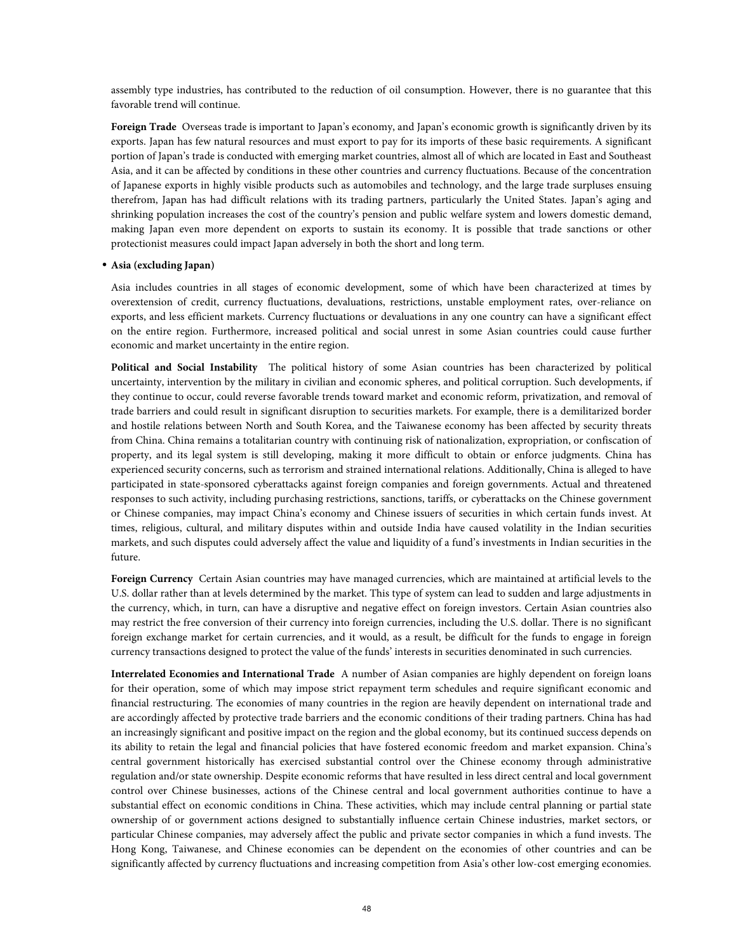assembly type industries, has contributed to the reduction of oil consumption. However, there is no guarantee that this favorable trend will continue.

**Foreign Trade** Overseas trade is important to Japan's economy, and Japan's economic growth is significantly driven by its exports. Japan has few natural resources and must export to pay for its imports of these basic requirements. A significant portion of Japan's trade is conducted with emerging market countries, almost all of which are located in East and Southeast Asia, and it can be affected by conditions in these other countries and currency fluctuations. Because of the concentration of Japanese exports in highly visible products such as automobiles and technology, and the large trade surpluses ensuing therefrom, Japan has had difficult relations with its trading partners, particularly the United States. Japan's aging and shrinking population increases the cost of the country's pension and public welfare system and lowers domestic demand, making Japan even more dependent on exports to sustain its economy. It is possible that trade sanctions or other protectionist measures could impact Japan adversely in both the short and long term.

### • **Asia (excluding Japan)**

Asia includes countries in all stages of economic development, some of which have been characterized at times by overextension of credit, currency fluctuations, devaluations, restrictions, unstable employment rates, over-reliance on exports, and less efficient markets. Currency fluctuations or devaluations in any one country can have a significant effect on the entire region. Furthermore, increased political and social unrest in some Asian countries could cause further economic and market uncertainty in the entire region.

**Political and Social Instability** The political history of some Asian countries has been characterized by political uncertainty, intervention by the military in civilian and economic spheres, and political corruption. Such developments, if they continue to occur, could reverse favorable trends toward market and economic reform, privatization, and removal of trade barriers and could result in significant disruption to securities markets. For example, there is a demilitarized border and hostile relations between North and South Korea, and the Taiwanese economy has been affected by security threats from China. China remains a totalitarian country with continuing risk of nationalization, expropriation, or confiscation of property, and its legal system is still developing, making it more difficult to obtain or enforce judgments. China has experienced security concerns, such as terrorism and strained international relations. Additionally, China is alleged to have participated in state-sponsored cyberattacks against foreign companies and foreign governments. Actual and threatened responses to such activity, including purchasing restrictions, sanctions, tariffs, or cyberattacks on the Chinese government or Chinese companies, may impact China's economy and Chinese issuers of securities in which certain funds invest. At times, religious, cultural, and military disputes within and outside India have caused volatility in the Indian securities markets, and such disputes could adversely affect the value and liquidity of a fund's investments in Indian securities in the future.

**Foreign Currency** Certain Asian countries may have managed currencies, which are maintained at artificial levels to the U.S. dollar rather than at levels determined by the market. This type of system can lead to sudden and large adjustments in the currency, which, in turn, can have a disruptive and negative effect on foreign investors. Certain Asian countries also may restrict the free conversion of their currency into foreign currencies, including the U.S. dollar. There is no significant foreign exchange market for certain currencies, and it would, as a result, be difficult for the funds to engage in foreign currency transactions designed to protect the value of the funds' interests in securities denominated in such currencies.

**Interrelated Economies and International Trade** A number of Asian companies are highly dependent on foreign loans for their operation, some of which may impose strict repayment term schedules and require significant economic and financial restructuring. The economies of many countries in the region are heavily dependent on international trade and are accordingly affected by protective trade barriers and the economic conditions of their trading partners. China has had an increasingly significant and positive impact on the region and the global economy, but its continued success depends on its ability to retain the legal and financial policies that have fostered economic freedom and market expansion. China's central government historically has exercised substantial control over the Chinese economy through administrative regulation and/or state ownership. Despite economic reforms that have resulted in less direct central and local government control over Chinese businesses, actions of the Chinese central and local government authorities continue to have a substantial effect on economic conditions in China. These activities, which may include central planning or partial state ownership of or government actions designed to substantially influence certain Chinese industries, market sectors, or particular Chinese companies, may adversely affect the public and private sector companies in which a fund invests. The Hong Kong, Taiwanese, and Chinese economies can be dependent on the economies of other countries and can be significantly affected by currency fluctuations and increasing competition from Asia's other low-cost emerging economies.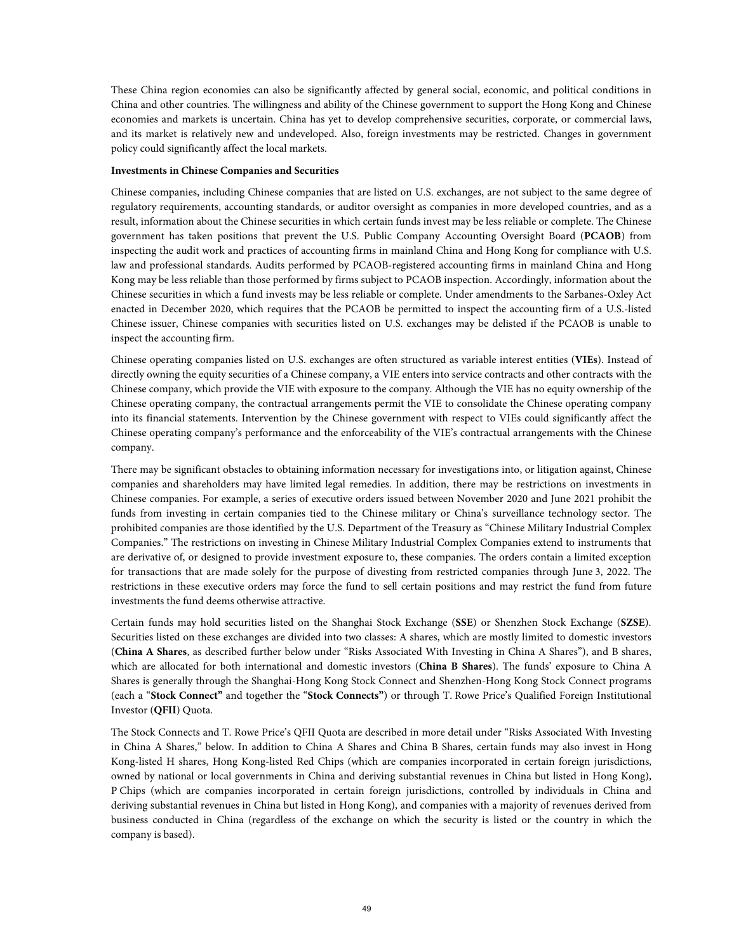These China region economies can also be significantly affected by general social, economic, and political conditions in China and other countries. The willingness and ability of the Chinese government to support the Hong Kong and Chinese economies and markets is uncertain. China has yet to develop comprehensive securities, corporate, or commercial laws, and its market is relatively new and undeveloped. Also, foreign investments may be restricted. Changes in government policy could significantly affect the local markets.

# **Investments in Chinese Companies and Securities**

Chinese companies, including Chinese companies that are listed on U.S. exchanges, are not subject to the same degree of regulatory requirements, accounting standards, or auditor oversight as companies in more developed countries, and as a result, information about the Chinese securities in which certain funds invest may be less reliable or complete. The Chinese government has taken positions that prevent the U.S. Public Company Accounting Oversight Board (**PCAOB**) from inspecting the audit work and practices of accounting firms in mainland China and Hong Kong for compliance with U.S. law and professional standards. Audits performed by PCAOB-registered accounting firms in mainland China and Hong Kong may be less reliable than those performed by firms subject to PCAOB inspection. Accordingly, information about the Chinese securities in which a fund invests may be less reliable or complete. Under amendments to the Sarbanes-Oxley Act enacted in December 2020, which requires that the PCAOB be permitted to inspect the accounting firm of a U.S.-listed Chinese issuer, Chinese companies with securities listed on U.S. exchanges may be delisted if the PCAOB is unable to inspect the accounting firm.

Chinese operating companies listed on U.S. exchanges are often structured as variable interest entities (**VIEs**). Instead of directly owning the equity securities of a Chinese company, a VIE enters into service contracts and other contracts with the Chinese company, which provide the VIE with exposure to the company. Although the VIE has no equity ownership of the Chinese operating company, the contractual arrangements permit the VIE to consolidate the Chinese operating company into its financial statements. Intervention by the Chinese government with respect to VIEs could significantly affect the Chinese operating company's performance and the enforceability of the VIE's contractual arrangements with the Chinese company.

There may be significant obstacles to obtaining information necessary for investigations into, or litigation against, Chinese companies and shareholders may have limited legal remedies. In addition, there may be restrictions on investments in Chinese companies. For example, a series of executive orders issued between November 2020 and June 2021 prohibit the funds from investing in certain companies tied to the Chinese military or China's surveillance technology sector. The prohibited companies are those identified by the U.S. Department of the Treasury as "Chinese Military Industrial Complex Companies." The restrictions on investing in Chinese Military Industrial Complex Companies extend to instruments that are derivative of, or designed to provide investment exposure to, these companies. The orders contain a limited exception for transactions that are made solely for the purpose of divesting from restricted companies through June 3, 2022. The restrictions in these executive orders may force the fund to sell certain positions and may restrict the fund from future investments the fund deems otherwise attractive.

Certain funds may hold securities listed on the Shanghai Stock Exchange (**SSE**) or Shenzhen Stock Exchange (**SZSE**). Securities listed on these exchanges are divided into two classes: A shares, which are mostly limited to domestic investors (**China A Shares**, as described further below under "Risks Associated With Investing in China A Shares"), and B shares, which are allocated for both international and domestic investors (**China B Shares**). The funds' exposure to China A Shares is generally through the Shanghai-Hong Kong Stock Connect and Shenzhen-Hong Kong Stock Connect programs (each a "**Stock Connect"** and together the "**Stock Connects"**) or through T. Rowe Price's Qualified Foreign Institutional Investor (**QFII**) Quota.

The Stock Connects and T. Rowe Price's QFII Quota are described in more detail under "Risks Associated With Investing in China A Shares," below. In addition to China A Shares and China B Shares, certain funds may also invest in Hong Kong-listed H shares, Hong Kong-listed Red Chips (which are companies incorporated in certain foreign jurisdictions, owned by national or local governments in China and deriving substantial revenues in China but listed in Hong Kong), P Chips (which are companies incorporated in certain foreign jurisdictions, controlled by individuals in China and deriving substantial revenues in China but listed in Hong Kong), and companies with a majority of revenues derived from business conducted in China (regardless of the exchange on which the security is listed or the country in which the company is based).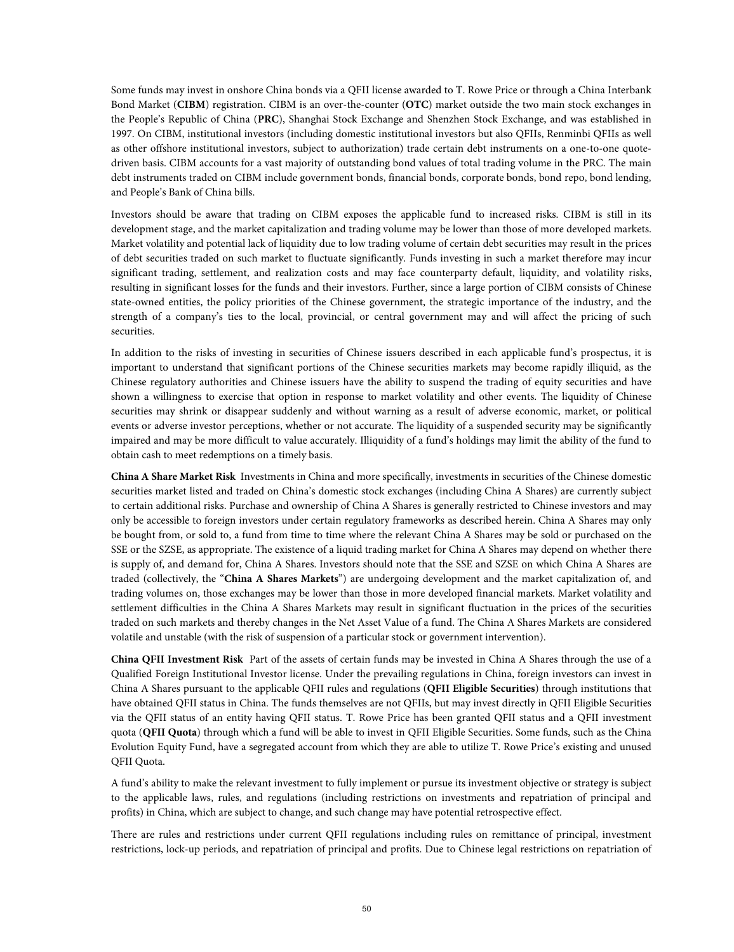Some funds may invest in onshore China bonds via a QFII license awarded to T. Rowe Price or through a China Interbank Bond Market (**CIBM**) registration. CIBM is an over-the-counter (**OTC**) market outside the two main stock exchanges in the People's Republic of China (**PRC**), Shanghai Stock Exchange and Shenzhen Stock Exchange, and was established in 1997. On CIBM, institutional investors (including domestic institutional investors but also QFIIs, Renminbi QFIIs as well as other offshore institutional investors, subject to authorization) trade certain debt instruments on a one-to-one quotedriven basis. CIBM accounts for a vast majority of outstanding bond values of total trading volume in the PRC. The main debt instruments traded on CIBM include government bonds, financial bonds, corporate bonds, bond repo, bond lending, and People's Bank of China bills.

Investors should be aware that trading on CIBM exposes the applicable fund to increased risks. CIBM is still in its development stage, and the market capitalization and trading volume may be lower than those of more developed markets. Market volatility and potential lack of liquidity due to low trading volume of certain debt securities may result in the prices of debt securities traded on such market to fluctuate significantly. Funds investing in such a market therefore may incur significant trading, settlement, and realization costs and may face counterparty default, liquidity, and volatility risks, resulting in significant losses for the funds and their investors. Further, since a large portion of CIBM consists of Chinese state-owned entities, the policy priorities of the Chinese government, the strategic importance of the industry, and the strength of a company's ties to the local, provincial, or central government may and will affect the pricing of such securities.

In addition to the risks of investing in securities of Chinese issuers described in each applicable fund's prospectus, it is important to understand that significant portions of the Chinese securities markets may become rapidly illiquid, as the Chinese regulatory authorities and Chinese issuers have the ability to suspend the trading of equity securities and have shown a willingness to exercise that option in response to market volatility and other events. The liquidity of Chinese securities may shrink or disappear suddenly and without warning as a result of adverse economic, market, or political events or adverse investor perceptions, whether or not accurate. The liquidity of a suspended security may be significantly impaired and may be more difficult to value accurately. Illiquidity of a fund's holdings may limit the ability of the fund to obtain cash to meet redemptions on a timely basis.

**China A Share Market Risk** Investments in China and more specifically, investments in securities of the Chinese domestic securities market listed and traded on China's domestic stock exchanges (including China A Shares) are currently subject to certain additional risks. Purchase and ownership of China A Shares is generally restricted to Chinese investors and may only be accessible to foreign investors under certain regulatory frameworks as described herein. China A Shares may only be bought from, or sold to, a fund from time to time where the relevant China A Shares may be sold or purchased on the SSE or the SZSE, as appropriate. The existence of a liquid trading market for China A Shares may depend on whether there is supply of, and demand for, China A Shares. Investors should note that the SSE and SZSE on which China A Shares are traded (collectively, the "**China A Shares Markets**") are undergoing development and the market capitalization of, and trading volumes on, those exchanges may be lower than those in more developed financial markets. Market volatility and settlement difficulties in the China A Shares Markets may result in significant fluctuation in the prices of the securities traded on such markets and thereby changes in the Net Asset Value of a fund. The China A Shares Markets are considered volatile and unstable (with the risk of suspension of a particular stock or government intervention).

**China QFII Investment Risk** Part of the assets of certain funds may be invested in China A Shares through the use of a Qualified Foreign Institutional Investor license. Under the prevailing regulations in China, foreign investors can invest in China A Shares pursuant to the applicable QFII rules and regulations (**QFII Eligible Securities**) through institutions that have obtained QFII status in China. The funds themselves are not QFIIs, but may invest directly in QFII Eligible Securities via the QFII status of an entity having QFII status. T. Rowe Price has been granted QFII status and a QFII investment quota (**QFII Quota**) through which a fund will be able to invest in QFII Eligible Securities. Some funds, such as the China Evolution Equity Fund, have a segregated account from which they are able to utilize T. Rowe Price's existing and unused QFII Quota.

A fund's ability to make the relevant investment to fully implement or pursue its investment objective or strategy is subject to the applicable laws, rules, and regulations (including restrictions on investments and repatriation of principal and profits) in China, which are subject to change, and such change may have potential retrospective effect.

There are rules and restrictions under current QFII regulations including rules on remittance of principal, investment restrictions, lock-up periods, and repatriation of principal and profits. Due to Chinese legal restrictions on repatriation of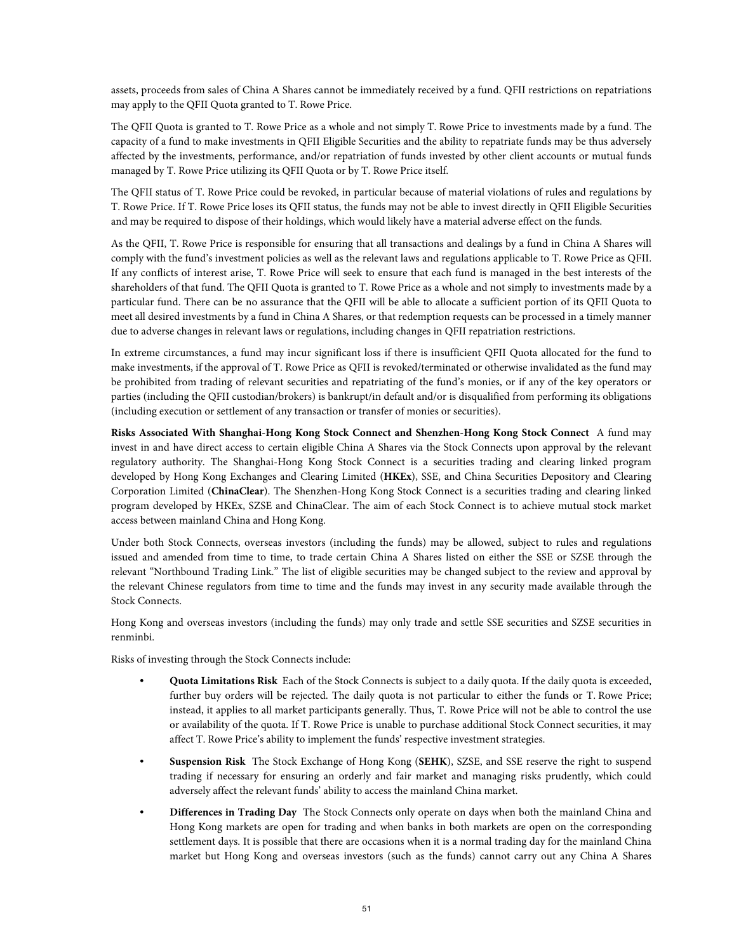assets, proceeds from sales of China A Shares cannot be immediately received by a fund. QFII restrictions on repatriations may apply to the QFII Quota granted to T. Rowe Price.

The QFII Quota is granted to T. Rowe Price as a whole and not simply T. Rowe Price to investments made by a fund. The capacity of a fund to make investments in QFII Eligible Securities and the ability to repatriate funds may be thus adversely affected by the investments, performance, and/or repatriation of funds invested by other client accounts or mutual funds managed by T. Rowe Price utilizing its QFII Quota or by T. Rowe Price itself.

The QFII status of T. Rowe Price could be revoked, in particular because of material violations of rules and regulations by T. Rowe Price. If T. Rowe Price loses its QFII status, the funds may not be able to invest directly in QFII Eligible Securities and may be required to dispose of their holdings, which would likely have a material adverse effect on the funds.

As the QFII, T. Rowe Price is responsible for ensuring that all transactions and dealings by a fund in China A Shares will comply with the fund's investment policies as well as the relevant laws and regulations applicable to T. Rowe Price as QFII. If any conflicts of interest arise, T. Rowe Price will seek to ensure that each fund is managed in the best interests of the shareholders of that fund. The QFII Quota is granted to T. Rowe Price as a whole and not simply to investments made by a particular fund. There can be no assurance that the QFII will be able to allocate a sufficient portion of its QFII Quota to meet all desired investments by a fund in China A Shares, or that redemption requests can be processed in a timely manner due to adverse changes in relevant laws or regulations, including changes in QFII repatriation restrictions.

In extreme circumstances, a fund may incur significant loss if there is insufficient QFII Quota allocated for the fund to make investments, if the approval of T. Rowe Price as QFII is revoked/terminated or otherwise invalidated as the fund may be prohibited from trading of relevant securities and repatriating of the fund's monies, or if any of the key operators or parties (including the QFII custodian/brokers) is bankrupt/in default and/or is disqualified from performing its obligations (including execution or settlement of any transaction or transfer of monies or securities).

**Risks Associated With Shanghai-Hong Kong Stock Connect and Shenzhen-Hong Kong Stock Connect** A fund may invest in and have direct access to certain eligible China A Shares via the Stock Connects upon approval by the relevant regulatory authority. The Shanghai-Hong Kong Stock Connect is a securities trading and clearing linked program developed by Hong Kong Exchanges and Clearing Limited (**HKEx**), SSE, and China Securities Depository and Clearing Corporation Limited (**ChinaClear**). The Shenzhen-Hong Kong Stock Connect is a securities trading and clearing linked program developed by HKEx, SZSE and ChinaClear. The aim of each Stock Connect is to achieve mutual stock market access between mainland China and Hong Kong.

Under both Stock Connects, overseas investors (including the funds) may be allowed, subject to rules and regulations issued and amended from time to time, to trade certain China A Shares listed on either the SSE or SZSE through the relevant "Northbound Trading Link." The list of eligible securities may be changed subject to the review and approval by the relevant Chinese regulators from time to time and the funds may invest in any security made available through the Stock Connects.

Hong Kong and overseas investors (including the funds) may only trade and settle SSE securities and SZSE securities in renminbi.

Risks of investing through the Stock Connects include:

- **Quota Limitations Risk** Each of the Stock Connects is subject to a daily quota. If the daily quota is exceeded, further buy orders will be rejected. The daily quota is not particular to either the funds or T. Rowe Price; instead, it applies to all market participants generally. Thus, T. Rowe Price will not be able to control the use or availability of the quota. If T. Rowe Price is unable to purchase additional Stock Connect securities, it may affect T. Rowe Price's ability to implement the funds' respective investment strategies.
- **Suspension Risk** The Stock Exchange of Hong Kong (**SEHK**), SZSE, and SSE reserve the right to suspend trading if necessary for ensuring an orderly and fair market and managing risks prudently, which could adversely affect the relevant funds' ability to access the mainland China market.
- **Differences in Trading Day** The Stock Connects only operate on days when both the mainland China and Hong Kong markets are open for trading and when banks in both markets are open on the corresponding settlement days. It is possible that there are occasions when it is a normal trading day for the mainland China market but Hong Kong and overseas investors (such as the funds) cannot carry out any China A Shares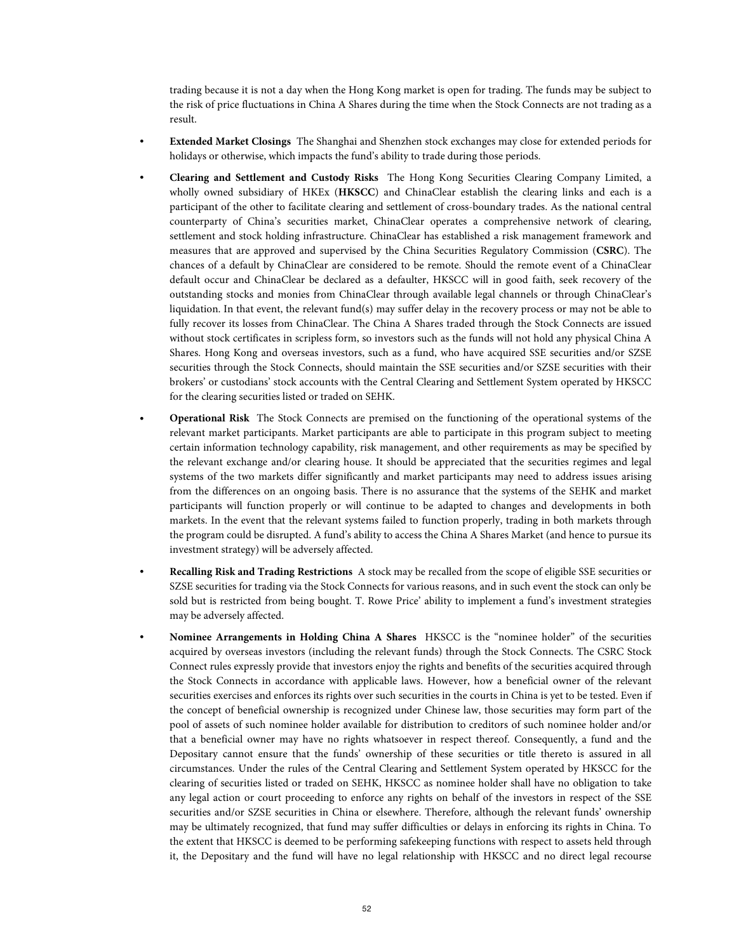trading because it is not a day when the Hong Kong market is open for trading. The funds may be subject to the risk of price fluctuations in China A Shares during the time when the Stock Connects are not trading as a result.

- **Extended Market Closings** The Shanghai and Shenzhen stock exchanges may close for extended periods for holidays or otherwise, which impacts the fund's ability to trade during those periods.
- **Clearing and Settlement and Custody Risks** The Hong Kong Securities Clearing Company Limited, a wholly owned subsidiary of HKEx (**HKSCC**) and ChinaClear establish the clearing links and each is a participant of the other to facilitate clearing and settlement of cross-boundary trades. As the national central counterparty of China's securities market, ChinaClear operates a comprehensive network of clearing, settlement and stock holding infrastructure. ChinaClear has established a risk management framework and measures that are approved and supervised by the China Securities Regulatory Commission (**CSRC**). The chances of a default by ChinaClear are considered to be remote. Should the remote event of a ChinaClear default occur and ChinaClear be declared as a defaulter, HKSCC will in good faith, seek recovery of the outstanding stocks and monies from ChinaClear through available legal channels or through ChinaClear's liquidation. In that event, the relevant fund(s) may suffer delay in the recovery process or may not be able to fully recover its losses from ChinaClear. The China A Shares traded through the Stock Connects are issued without stock certificates in scripless form, so investors such as the funds will not hold any physical China A Shares. Hong Kong and overseas investors, such as a fund, who have acquired SSE securities and/or SZSE securities through the Stock Connects, should maintain the SSE securities and/or SZSE securities with their brokers' or custodians' stock accounts with the Central Clearing and Settlement System operated by HKSCC for the clearing securities listed or traded on SEHK.
- **Operational Risk** The Stock Connects are premised on the functioning of the operational systems of the relevant market participants. Market participants are able to participate in this program subject to meeting certain information technology capability, risk management, and other requirements as may be specified by the relevant exchange and/or clearing house. It should be appreciated that the securities regimes and legal systems of the two markets differ significantly and market participants may need to address issues arising from the differences on an ongoing basis. There is no assurance that the systems of the SEHK and market participants will function properly or will continue to be adapted to changes and developments in both markets. In the event that the relevant systems failed to function properly, trading in both markets through the program could be disrupted. A fund's ability to access the China A Shares Market (and hence to pursue its investment strategy) will be adversely affected.
- **Recalling Risk and Trading Restrictions** A stock may be recalled from the scope of eligible SSE securities or SZSE securities for trading via the Stock Connects for various reasons, and in such event the stock can only be sold but is restricted from being bought. T. Rowe Price' ability to implement a fund's investment strategies may be adversely affected.
- **Nominee Arrangements in Holding China A Shares** HKSCC is the "nominee holder" of the securities acquired by overseas investors (including the relevant funds) through the Stock Connects. The CSRC Stock Connect rules expressly provide that investors enjoy the rights and benefits of the securities acquired through the Stock Connects in accordance with applicable laws. However, how a beneficial owner of the relevant securities exercises and enforces its rights over such securities in the courts in China is yet to be tested. Even if the concept of beneficial ownership is recognized under Chinese law, those securities may form part of the pool of assets of such nominee holder available for distribution to creditors of such nominee holder and/or that a beneficial owner may have no rights whatsoever in respect thereof. Consequently, a fund and the Depositary cannot ensure that the funds' ownership of these securities or title thereto is assured in all circumstances. Under the rules of the Central Clearing and Settlement System operated by HKSCC for the clearing of securities listed or traded on SEHK, HKSCC as nominee holder shall have no obligation to take any legal action or court proceeding to enforce any rights on behalf of the investors in respect of the SSE securities and/or SZSE securities in China or elsewhere. Therefore, although the relevant funds' ownership may be ultimately recognized, that fund may suffer difficulties or delays in enforcing its rights in China. To the extent that HKSCC is deemed to be performing safekeeping functions with respect to assets held through it, the Depositary and the fund will have no legal relationship with HKSCC and no direct legal recourse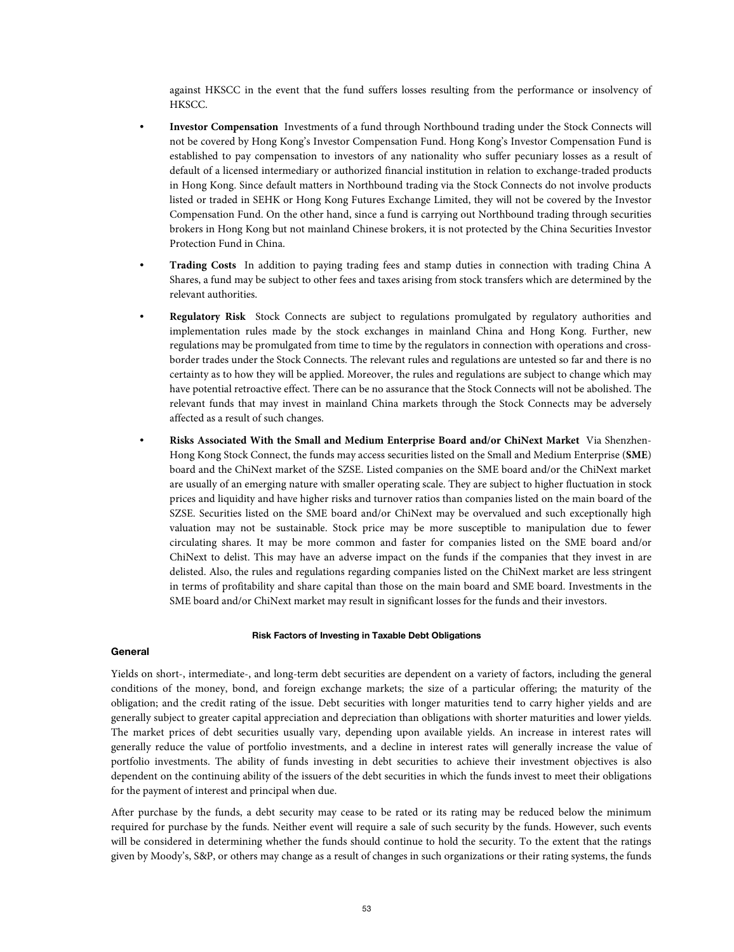against HKSCC in the event that the fund suffers losses resulting from the performance or insolvency of HKSCC.

- **Investor Compensation** Investments of a fund through Northbound trading under the Stock Connects will not be covered by Hong Kong's Investor Compensation Fund. Hong Kong's Investor Compensation Fund is established to pay compensation to investors of any nationality who suffer pecuniary losses as a result of default of a licensed intermediary or authorized financial institution in relation to exchange-traded products in Hong Kong. Since default matters in Northbound trading via the Stock Connects do not involve products listed or traded in SEHK or Hong Kong Futures Exchange Limited, they will not be covered by the Investor Compensation Fund. On the other hand, since a fund is carrying out Northbound trading through securities brokers in Hong Kong but not mainland Chinese brokers, it is not protected by the China Securities Investor Protection Fund in China.
- **Trading Costs** In addition to paying trading fees and stamp duties in connection with trading China A Shares, a fund may be subject to other fees and taxes arising from stock transfers which are determined by the relevant authorities.
- **Regulatory Risk** Stock Connects are subject to regulations promulgated by regulatory authorities and implementation rules made by the stock exchanges in mainland China and Hong Kong. Further, new regulations may be promulgated from time to time by the regulators in connection with operations and crossborder trades under the Stock Connects. The relevant rules and regulations are untested so far and there is no certainty as to how they will be applied. Moreover, the rules and regulations are subject to change which may have potential retroactive effect. There can be no assurance that the Stock Connects will not be abolished. The relevant funds that may invest in mainland China markets through the Stock Connects may be adversely affected as a result of such changes.
- **Risks Associated With the Small and Medium Enterprise Board and/or ChiNext Market** Via Shenzhen-Hong Kong Stock Connect, the funds may access securities listed on the Small and Medium Enterprise (**SME**) board and the ChiNext market of the SZSE. Listed companies on the SME board and/or the ChiNext market are usually of an emerging nature with smaller operating scale. They are subject to higher fluctuation in stock prices and liquidity and have higher risks and turnover ratios than companies listed on the main board of the SZSE. Securities listed on the SME board and/or ChiNext may be overvalued and such exceptionally high valuation may not be sustainable. Stock price may be more susceptible to manipulation due to fewer circulating shares. It may be more common and faster for companies listed on the SME board and/or ChiNext to delist. This may have an adverse impact on the funds if the companies that they invest in are delisted. Also, the rules and regulations regarding companies listed on the ChiNext market are less stringent in terms of profitability and share capital than those on the main board and SME board. Investments in the SME board and/or ChiNext market may result in significant losses for the funds and their investors.

### **Risk Factors of Investing in Taxable Debt Obligations**

### **General**

Yields on short-, intermediate-, and long-term debt securities are dependent on a variety of factors, including the general conditions of the money, bond, and foreign exchange markets; the size of a particular offering; the maturity of the obligation; and the credit rating of the issue. Debt securities with longer maturities tend to carry higher yields and are generally subject to greater capital appreciation and depreciation than obligations with shorter maturities and lower yields. The market prices of debt securities usually vary, depending upon available yields. An increase in interest rates will generally reduce the value of portfolio investments, and a decline in interest rates will generally increase the value of portfolio investments. The ability of funds investing in debt securities to achieve their investment objectives is also dependent on the continuing ability of the issuers of the debt securities in which the funds invest to meet their obligations for the payment of interest and principal when due.

After purchase by the funds, a debt security may cease to be rated or its rating may be reduced below the minimum required for purchase by the funds. Neither event will require a sale of such security by the funds. However, such events will be considered in determining whether the funds should continue to hold the security. To the extent that the ratings given by Moody's, S&P, or others may change as a result of changes in such organizations or their rating systems, the funds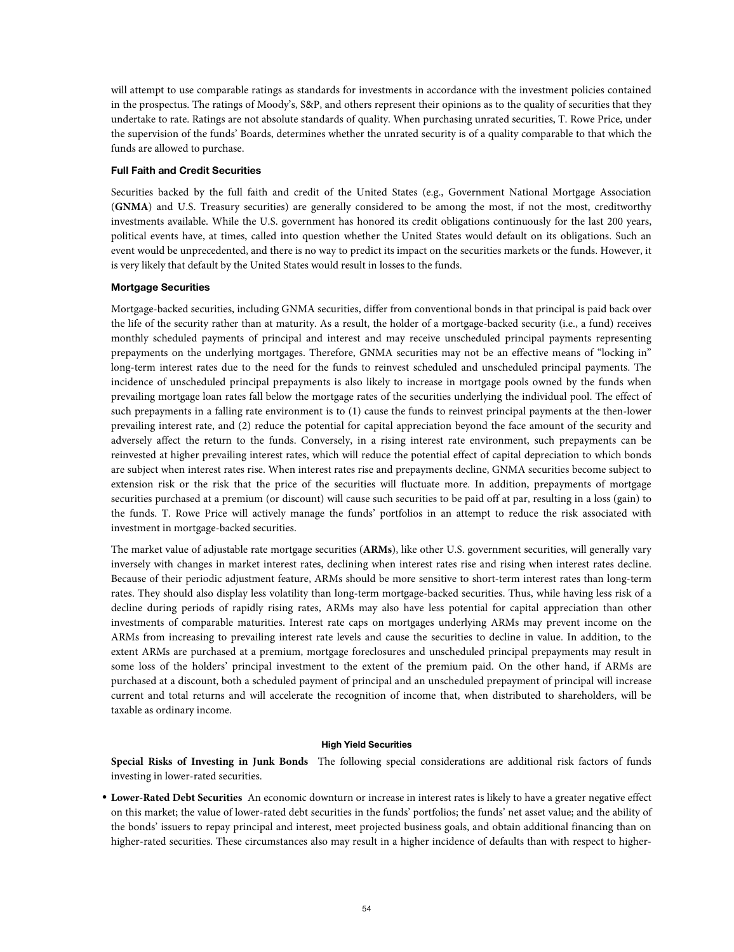will attempt to use comparable ratings as standards for investments in accordance with the investment policies contained in the prospectus. The ratings of Moody's, S&P, and others represent their opinions as to the quality of securities that they undertake to rate. Ratings are not absolute standards of quality. When purchasing unrated securities, T. Rowe Price, under the supervision of the funds' Boards, determines whether the unrated security is of a quality comparable to that which the funds are allowed to purchase.

# **Full Faith and Credit Securities**

Securities backed by the full faith and credit of the United States (e.g., Government National Mortgage Association (**GNMA**) and U.S. Treasury securities) are generally considered to be among the most, if not the most, creditworthy investments available. While the U.S. government has honored its credit obligations continuously for the last 200 years, political events have, at times, called into question whether the United States would default on its obligations. Such an event would be unprecedented, and there is no way to predict its impact on the securities markets or the funds. However, it is very likely that default by the United States would result in losses to the funds.

# **Mortgage Securities**

Mortgage-backed securities, including GNMA securities, differ from conventional bonds in that principal is paid back over the life of the security rather than at maturity. As a result, the holder of a mortgage-backed security (i.e., a fund) receives monthly scheduled payments of principal and interest and may receive unscheduled principal payments representing prepayments on the underlying mortgages. Therefore, GNMA securities may not be an effective means of "locking in" long-term interest rates due to the need for the funds to reinvest scheduled and unscheduled principal payments. The incidence of unscheduled principal prepayments is also likely to increase in mortgage pools owned by the funds when prevailing mortgage loan rates fall below the mortgage rates of the securities underlying the individual pool. The effect of such prepayments in a falling rate environment is to (1) cause the funds to reinvest principal payments at the then-lower prevailing interest rate, and (2) reduce the potential for capital appreciation beyond the face amount of the security and adversely affect the return to the funds. Conversely, in a rising interest rate environment, such prepayments can be reinvested at higher prevailing interest rates, which will reduce the potential effect of capital depreciation to which bonds are subject when interest rates rise. When interest rates rise and prepayments decline, GNMA securities become subject to extension risk or the risk that the price of the securities will fluctuate more. In addition, prepayments of mortgage securities purchased at a premium (or discount) will cause such securities to be paid off at par, resulting in a loss (gain) to the funds. T. Rowe Price will actively manage the funds' portfolios in an attempt to reduce the risk associated with investment in mortgage-backed securities.

The market value of adjustable rate mortgage securities (**ARMs**), like other U.S. government securities, will generally vary inversely with changes in market interest rates, declining when interest rates rise and rising when interest rates decline. Because of their periodic adjustment feature, ARMs should be more sensitive to short-term interest rates than long-term rates. They should also display less volatility than long-term mortgage-backed securities. Thus, while having less risk of a decline during periods of rapidly rising rates, ARMs may also have less potential for capital appreciation than other investments of comparable maturities. Interest rate caps on mortgages underlying ARMs may prevent income on the ARMs from increasing to prevailing interest rate levels and cause the securities to decline in value. In addition, to the extent ARMs are purchased at a premium, mortgage foreclosures and unscheduled principal prepayments may result in some loss of the holders' principal investment to the extent of the premium paid. On the other hand, if ARMs are purchased at a discount, both a scheduled payment of principal and an unscheduled prepayment of principal will increase current and total returns and will accelerate the recognition of income that, when distributed to shareholders, will be taxable as ordinary income.

### **High Yield Securities**

**Special Risks of Investing in Junk Bonds** The following special considerations are additional risk factors of funds investing in lower-rated securities.

• **Lower-Rated Debt Securities** An economic downturn or increase in interest rates is likely to have a greater negative effect on this market; the value of lower-rated debt securities in the funds' portfolios; the funds' net asset value; and the ability of the bonds' issuers to repay principal and interest, meet projected business goals, and obtain additional financing than on higher-rated securities. These circumstances also may result in a higher incidence of defaults than with respect to higher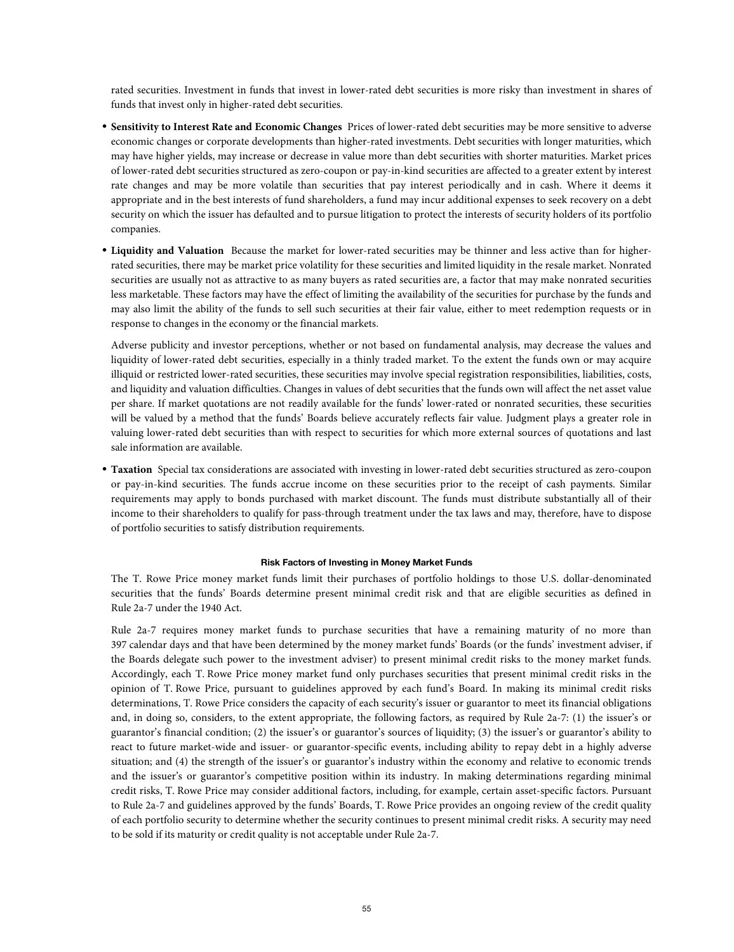rated securities. Investment in funds that invest in lower-rated debt securities is more risky than investment in shares of funds that invest only in higher-rated debt securities.

- **Sensitivity to Interest Rate and Economic Changes** Prices of lower-rated debt securities may be more sensitive to adverse economic changes or corporate developments than higher-rated investments. Debt securities with longer maturities, which may have higher yields, may increase or decrease in value more than debt securities with shorter maturities. Market prices of lower-rated debt securities structured as zero-coupon or pay-in-kind securities are affected to a greater extent by interest rate changes and may be more volatile than securities that pay interest periodically and in cash. Where it deems it appropriate and in the best interests of fund shareholders, a fund may incur additional expenses to seek recovery on a debt security on which the issuer has defaulted and to pursue litigation to protect the interests of security holders of its portfolio companies.
- **Liquidity and Valuation** Because the market for lower-rated securities may be thinner and less active than for higherrated securities, there may be market price volatility for these securities and limited liquidity in the resale market. Nonrated securities are usually not as attractive to as many buyers as rated securities are, a factor that may make nonrated securities less marketable. These factors may have the effect of limiting the availability of the securities for purchase by the funds and may also limit the ability of the funds to sell such securities at their fair value, either to meet redemption requests or in response to changes in the economy or the financial markets.

Adverse publicity and investor perceptions, whether or not based on fundamental analysis, may decrease the values and liquidity of lower-rated debt securities, especially in a thinly traded market. To the extent the funds own or may acquire illiquid or restricted lower-rated securities, these securities may involve special registration responsibilities, liabilities, costs, and liquidity and valuation difficulties. Changes in values of debt securities that the funds own will affect the net asset value per share. If market quotations are not readily available for the funds' lower-rated or nonrated securities, these securities will be valued by a method that the funds' Boards believe accurately reflects fair value. Judgment plays a greater role in valuing lower-rated debt securities than with respect to securities for which more external sources of quotations and last sale information are available.

• **Taxation** Special tax considerations are associated with investing in lower-rated debt securities structured as zero-coupon or pay-in-kind securities. The funds accrue income on these securities prior to the receipt of cash payments. Similar requirements may apply to bonds purchased with market discount. The funds must distribute substantially all of their income to their shareholders to qualify for pass-through treatment under the tax laws and may, therefore, have to dispose of portfolio securities to satisfy distribution requirements.

### **Risk Factors of Investing in Money Market Funds**

The T. Rowe Price money market funds limit their purchases of portfolio holdings to those U.S. dollar-denominated securities that the funds' Boards determine present minimal credit risk and that are eligible securities as defined in Rule 2a-7 under the 1940 Act.

Rule 2a-7 requires money market funds to purchase securities that have a remaining maturity of no more than 397 calendar days and that have been determined by the money market funds' Boards (or the funds' investment adviser, if the Boards delegate such power to the investment adviser) to present minimal credit risks to the money market funds. Accordingly, each T. Rowe Price money market fund only purchases securities that present minimal credit risks in the opinion of T. Rowe Price, pursuant to guidelines approved by each fund's Board. In making its minimal credit risks determinations, T. Rowe Price considers the capacity of each security's issuer or guarantor to meet its financial obligations and, in doing so, considers, to the extent appropriate, the following factors, as required by Rule 2a-7: (1) the issuer's or guarantor's financial condition; (2) the issuer's or guarantor's sources of liquidity; (3) the issuer's or guarantor's ability to react to future market-wide and issuer- or guarantor-specific events, including ability to repay debt in a highly adverse situation; and (4) the strength of the issuer's or guarantor's industry within the economy and relative to economic trends and the issuer's or guarantor's competitive position within its industry. In making determinations regarding minimal credit risks, T. Rowe Price may consider additional factors, including, for example, certain asset-specific factors. Pursuant to Rule 2a-7 and guidelines approved by the funds' Boards, T. Rowe Price provides an ongoing review of the credit quality of each portfolio security to determine whether the security continues to present minimal credit risks. A security may need to be sold if its maturity or credit quality is not acceptable under Rule 2a-7.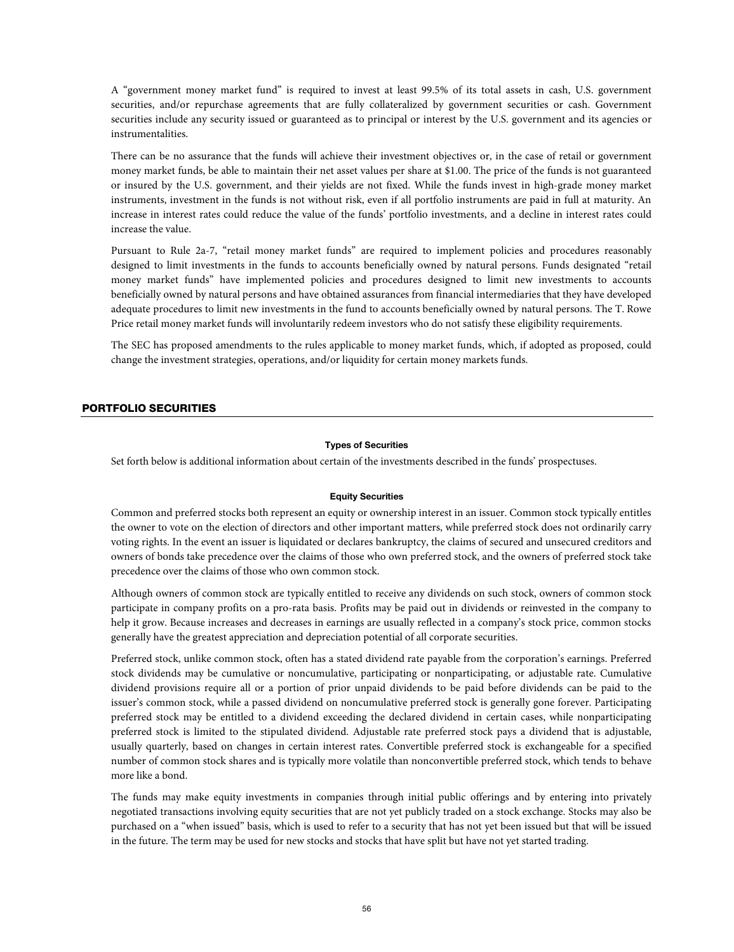A "government money market fund" is required to invest at least 99.5% of its total assets in cash, U.S. government securities, and/or repurchase agreements that are fully collateralized by government securities or cash. Government securities include any security issued or guaranteed as to principal or interest by the U.S. government and its agencies or instrumentalities.

There can be no assurance that the funds will achieve their investment objectives or, in the case of retail or government money market funds, be able to maintain their net asset values per share at \$1.00. The price of the funds is not guaranteed or insured by the U.S. government, and their yields are not fixed. While the funds invest in high-grade money market instruments, investment in the funds is not without risk, even if all portfolio instruments are paid in full at maturity. An increase in interest rates could reduce the value of the funds' portfolio investments, and a decline in interest rates could increase the value.

Pursuant to Rule 2a-7, "retail money market funds" are required to implement policies and procedures reasonably designed to limit investments in the funds to accounts beneficially owned by natural persons. Funds designated "retail money market funds" have implemented policies and procedures designed to limit new investments to accounts beneficially owned by natural persons and have obtained assurances from financial intermediaries that they have developed adequate procedures to limit new investments in the fund to accounts beneficially owned by natural persons. The T. Rowe Price retail money market funds will involuntarily redeem investors who do not satisfy these eligibility requirements.

The SEC has proposed amendments to the rules applicable to money market funds, which, if adopted as proposed, could change the investment strategies, operations, and/or liquidity for certain money markets funds.

# PORTFOLIO SECURITIES

# **Types of Securities**

Set forth below is additional information about certain of the investments described in the funds' prospectuses.

# **Equity Securities**

Common and preferred stocks both represent an equity or ownership interest in an issuer. Common stock typically entitles the owner to vote on the election of directors and other important matters, while preferred stock does not ordinarily carry voting rights. In the event an issuer is liquidated or declares bankruptcy, the claims of secured and unsecured creditors and owners of bonds take precedence over the claims of those who own preferred stock, and the owners of preferred stock take precedence over the claims of those who own common stock.

Although owners of common stock are typically entitled to receive any dividends on such stock, owners of common stock participate in company profits on a pro-rata basis. Profits may be paid out in dividends or reinvested in the company to help it grow. Because increases and decreases in earnings are usually reflected in a company's stock price, common stocks generally have the greatest appreciation and depreciation potential of all corporate securities.

Preferred stock, unlike common stock, often has a stated dividend rate payable from the corporation's earnings. Preferred stock dividends may be cumulative or noncumulative, participating or nonparticipating, or adjustable rate. Cumulative dividend provisions require all or a portion of prior unpaid dividends to be paid before dividends can be paid to the issuer's common stock, while a passed dividend on noncumulative preferred stock is generally gone forever. Participating preferred stock may be entitled to a dividend exceeding the declared dividend in certain cases, while nonparticipating preferred stock is limited to the stipulated dividend. Adjustable rate preferred stock pays a dividend that is adjustable, usually quarterly, based on changes in certain interest rates. Convertible preferred stock is exchangeable for a specified number of common stock shares and is typically more volatile than nonconvertible preferred stock, which tends to behave more like a bond.

The funds may make equity investments in companies through initial public offerings and by entering into privately negotiated transactions involving equity securities that are not yet publicly traded on a stock exchange. Stocks may also be purchased on a "when issued" basis, which is used to refer to a security that has not yet been issued but that will be issued in the future. The term may be used for new stocks and stocks that have split but have not yet started trading.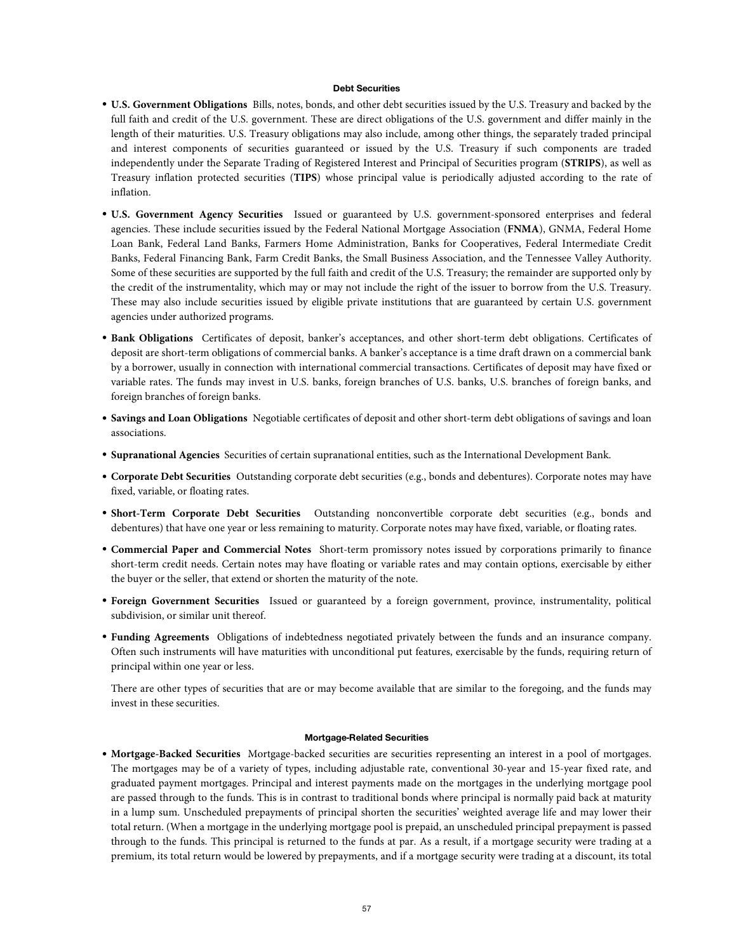### **Debt Securities**

- **U.S. Government Obligations** Bills, notes, bonds, and other debt securities issued by the U.S. Treasury and backed by the full faith and credit of the U.S. government. These are direct obligations of the U.S. government and differ mainly in the length of their maturities. U.S. Treasury obligations may also include, among other things, the separately traded principal and interest components of securities guaranteed or issued by the U.S. Treasury if such components are traded independently under the Separate Trading of Registered Interest and Principal of Securities program (**STRIPS**), as well as Treasury inflation protected securities (**TIPS**) whose principal value is periodically adjusted according to the rate of inflation.
- **U.S. Government Agency Securities** Issued or guaranteed by U.S. government-sponsored enterprises and federal agencies. These include securities issued by the Federal National Mortgage Association (**FNMA**), GNMA, Federal Home Loan Bank, Federal Land Banks, Farmers Home Administration, Banks for Cooperatives, Federal Intermediate Credit Banks, Federal Financing Bank, Farm Credit Banks, the Small Business Association, and the Tennessee Valley Authority. Some of these securities are supported by the full faith and credit of the U.S. Treasury; the remainder are supported only by the credit of the instrumentality, which may or may not include the right of the issuer to borrow from the U.S. Treasury. These may also include securities issued by eligible private institutions that are guaranteed by certain U.S. government agencies under authorized programs.
- **Bank Obligations** Certificates of deposit, banker's acceptances, and other short-term debt obligations. Certificates of deposit are short-term obligations of commercial banks. A banker's acceptance is a time draft drawn on a commercial bank by a borrower, usually in connection with international commercial transactions. Certificates of deposit may have fixed or variable rates. The funds may invest in U.S. banks, foreign branches of U.S. banks, U.S. branches of foreign banks, and foreign branches of foreign banks.
- **Savings and Loan Obligations** Negotiable certificates of deposit and other short-term debt obligations of savings and loan associations.
- **Supranational Agencies** Securities of certain supranational entities, such as the International Development Bank.
- **Corporate Debt Securities** Outstanding corporate debt securities (e.g., bonds and debentures). Corporate notes may have fixed, variable, or floating rates.
- **Short-Term Corporate Debt Securities** Outstanding nonconvertible corporate debt securities (e.g., bonds and debentures) that have one year or less remaining to maturity. Corporate notes may have fixed, variable, or floating rates.
- **Commercial Paper and Commercial Notes** Short-term promissory notes issued by corporations primarily to finance short-term credit needs. Certain notes may have floating or variable rates and may contain options, exercisable by either the buyer or the seller, that extend or shorten the maturity of the note.
- **Foreign Government Securities** Issued or guaranteed by a foreign government, province, instrumentality, political subdivision, or similar unit thereof.
- **Funding Agreements** Obligations of indebtedness negotiated privately between the funds and an insurance company. Often such instruments will have maturities with unconditional put features, exercisable by the funds, requiring return of principal within one year or less.

There are other types of securities that are or may become available that are similar to the foregoing, and the funds may invest in these securities.

### **Mortgage-Related Securities**

• **Mortgage-Backed Securities** Mortgage-backed securities are securities representing an interest in a pool of mortgages. The mortgages may be of a variety of types, including adjustable rate, conventional 30-year and 15-year fixed rate, and graduated payment mortgages. Principal and interest payments made on the mortgages in the underlying mortgage pool are passed through to the funds. This is in contrast to traditional bonds where principal is normally paid back at maturity in a lump sum. Unscheduled prepayments of principal shorten the securities' weighted average life and may lower their total return. (When a mortgage in the underlying mortgage pool is prepaid, an unscheduled principal prepayment is passed through to the funds. This principal is returned to the funds at par. As a result, if a mortgage security were trading at a premium, its total return would be lowered by prepayments, and if a mortgage security were trading at a discount, its total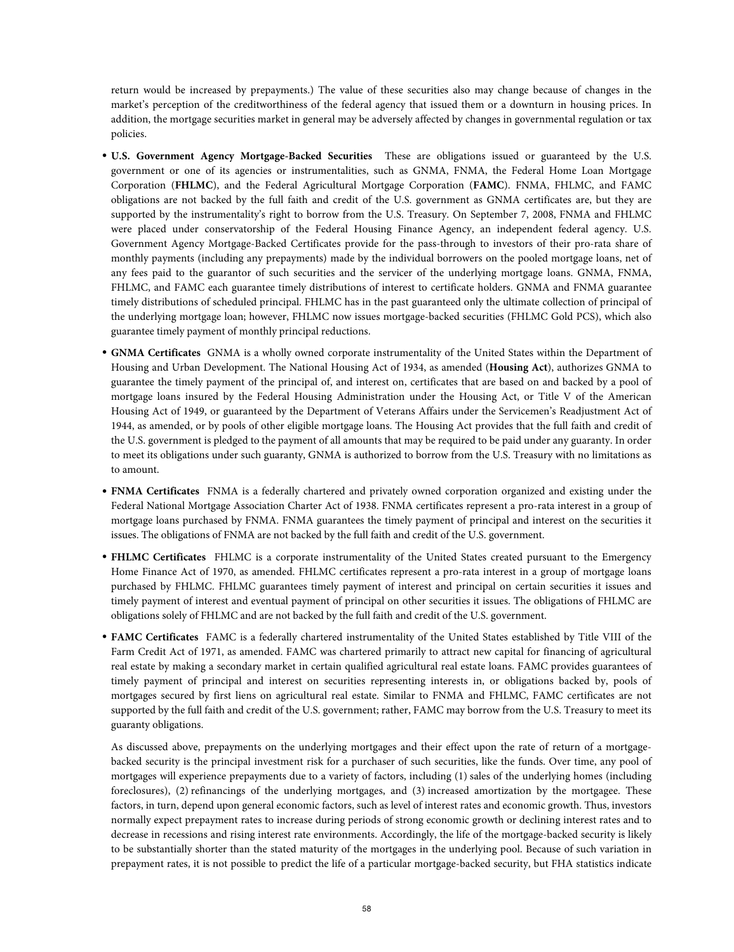return would be increased by prepayments.) The value of these securities also may change because of changes in the market's perception of the creditworthiness of the federal agency that issued them or a downturn in housing prices. In addition, the mortgage securities market in general may be adversely affected by changes in governmental regulation or tax policies.

- **U.S. Government Agency Mortgage-Backed Securities** These are obligations issued or guaranteed by the U.S. government or one of its agencies or instrumentalities, such as GNMA, FNMA, the Federal Home Loan Mortgage Corporation (**FHLMC**), and the Federal Agricultural Mortgage Corporation (**FAMC**). FNMA, FHLMC, and FAMC obligations are not backed by the full faith and credit of the U.S. government as GNMA certificates are, but they are supported by the instrumentality's right to borrow from the U.S. Treasury. On September 7, 2008, FNMA and FHLMC were placed under conservatorship of the Federal Housing Finance Agency, an independent federal agency. U.S. Government Agency Mortgage-Backed Certificates provide for the pass-through to investors of their pro-rata share of monthly payments (including any prepayments) made by the individual borrowers on the pooled mortgage loans, net of any fees paid to the guarantor of such securities and the servicer of the underlying mortgage loans. GNMA, FNMA, FHLMC, and FAMC each guarantee timely distributions of interest to certificate holders. GNMA and FNMA guarantee timely distributions of scheduled principal. FHLMC has in the past guaranteed only the ultimate collection of principal of the underlying mortgage loan; however, FHLMC now issues mortgage-backed securities (FHLMC Gold PCS), which also guarantee timely payment of monthly principal reductions.
- **GNMA Certificates** GNMA is a wholly owned corporate instrumentality of the United States within the Department of Housing and Urban Development. The National Housing Act of 1934, as amended (**Housing Act**), authorizes GNMA to guarantee the timely payment of the principal of, and interest on, certificates that are based on and backed by a pool of mortgage loans insured by the Federal Housing Administration under the Housing Act, or Title V of the American Housing Act of 1949, or guaranteed by the Department of Veterans Affairs under the Servicemen's Readjustment Act of 1944, as amended, or by pools of other eligible mortgage loans. The Housing Act provides that the full faith and credit of the U.S. government is pledged to the payment of all amounts that may be required to be paid under any guaranty. In order to meet its obligations under such guaranty, GNMA is authorized to borrow from the U.S. Treasury with no limitations as to amount.
- **FNMA Certificates** FNMA is a federally chartered and privately owned corporation organized and existing under the Federal National Mortgage Association Charter Act of 1938. FNMA certificates represent a pro-rata interest in a group of mortgage loans purchased by FNMA. FNMA guarantees the timely payment of principal and interest on the securities it issues. The obligations of FNMA are not backed by the full faith and credit of the U.S. government.
- **FHLMC Certificates** FHLMC is a corporate instrumentality of the United States created pursuant to the Emergency Home Finance Act of 1970, as amended. FHLMC certificates represent a pro-rata interest in a group of mortgage loans purchased by FHLMC. FHLMC guarantees timely payment of interest and principal on certain securities it issues and timely payment of interest and eventual payment of principal on other securities it issues. The obligations of FHLMC are obligations solely of FHLMC and are not backed by the full faith and credit of the U.S. government.
- **FAMC Certificates** FAMC is a federally chartered instrumentality of the United States established by Title VIII of the Farm Credit Act of 1971, as amended. FAMC was chartered primarily to attract new capital for financing of agricultural real estate by making a secondary market in certain qualified agricultural real estate loans. FAMC provides guarantees of timely payment of principal and interest on securities representing interests in, or obligations backed by, pools of mortgages secured by first liens on agricultural real estate. Similar to FNMA and FHLMC, FAMC certificates are not supported by the full faith and credit of the U.S. government; rather, FAMC may borrow from the U.S. Treasury to meet its guaranty obligations.

As discussed above, prepayments on the underlying mortgages and their effect upon the rate of return of a mortgagebacked security is the principal investment risk for a purchaser of such securities, like the funds. Over time, any pool of mortgages will experience prepayments due to a variety of factors, including (1) sales of the underlying homes (including foreclosures), (2) refinancings of the underlying mortgages, and (3) increased amortization by the mortgagee. These factors, in turn, depend upon general economic factors, such as level of interest rates and economic growth. Thus, investors normally expect prepayment rates to increase during periods of strong economic growth or declining interest rates and to decrease in recessions and rising interest rate environments. Accordingly, the life of the mortgage-backed security is likely to be substantially shorter than the stated maturity of the mortgages in the underlying pool. Because of such variation in prepayment rates, it is not possible to predict the life of a particular mortgage-backed security, but FHA statistics indicate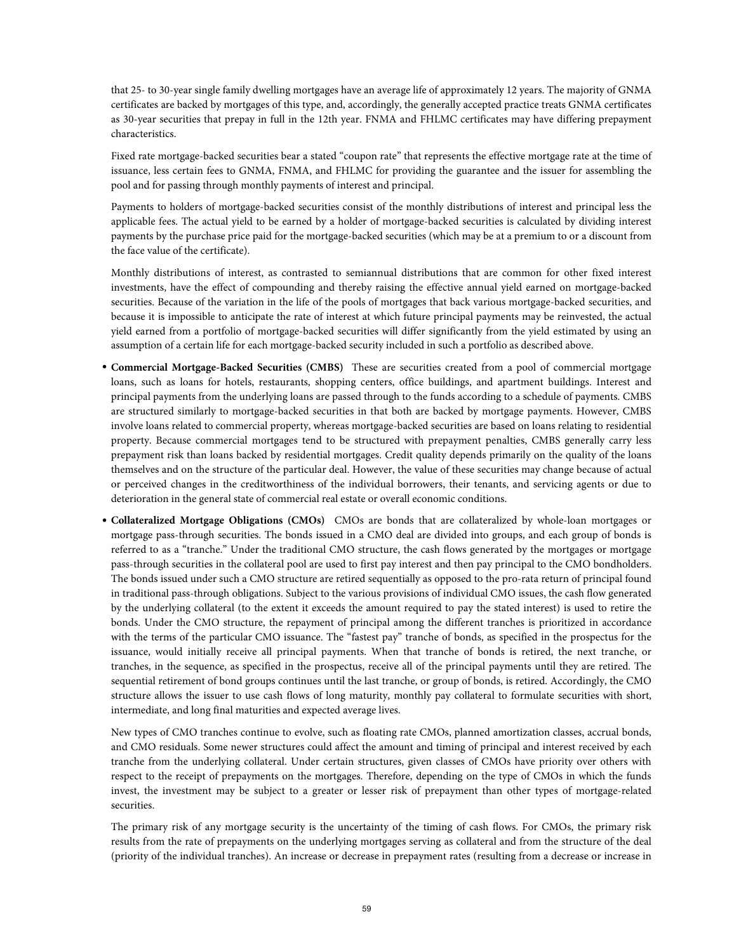that 25- to 30-year single family dwelling mortgages have an average life of approximately 12 years. The majority of GNMA certificates are backed by mortgages of this type, and, accordingly, the generally accepted practice treats GNMA certificates as 30-year securities that prepay in full in the 12th year. FNMA and FHLMC certificates may have differing prepayment characteristics.

Fixed rate mortgage-backed securities bear a stated "coupon rate" that represents the effective mortgage rate at the time of issuance, less certain fees to GNMA, FNMA, and FHLMC for providing the guarantee and the issuer for assembling the pool and for passing through monthly payments of interest and principal.

Payments to holders of mortgage-backed securities consist of the monthly distributions of interest and principal less the applicable fees. The actual yield to be earned by a holder of mortgage-backed securities is calculated by dividing interest payments by the purchase price paid for the mortgage-backed securities (which may be at a premium to or a discount from the face value of the certificate).

Monthly distributions of interest, as contrasted to semiannual distributions that are common for other fixed interest investments, have the effect of compounding and thereby raising the effective annual yield earned on mortgage-backed securities. Because of the variation in the life of the pools of mortgages that back various mortgage-backed securities, and because it is impossible to anticipate the rate of interest at which future principal payments may be reinvested, the actual yield earned from a portfolio of mortgage-backed securities will differ significantly from the yield estimated by using an assumption of a certain life for each mortgage-backed security included in such a portfolio as described above.

- **Commercial Mortgage-Backed Securities (CMBS)** These are securities created from a pool of commercial mortgage loans, such as loans for hotels, restaurants, shopping centers, office buildings, and apartment buildings. Interest and principal payments from the underlying loans are passed through to the funds according to a schedule of payments. CMBS are structured similarly to mortgage-backed securities in that both are backed by mortgage payments. However, CMBS involve loans related to commercial property, whereas mortgage-backed securities are based on loans relating to residential property. Because commercial mortgages tend to be structured with prepayment penalties, CMBS generally carry less prepayment risk than loans backed by residential mortgages. Credit quality depends primarily on the quality of the loans themselves and on the structure of the particular deal. However, the value of these securities may change because of actual or perceived changes in the creditworthiness of the individual borrowers, their tenants, and servicing agents or due to deterioration in the general state of commercial real estate or overall economic conditions.
- **Collateralized Mortgage Obligations (CMOs)** CMOs are bonds that are collateralized by whole-loan mortgages or mortgage pass-through securities. The bonds issued in a CMO deal are divided into groups, and each group of bonds is referred to as a "tranche." Under the traditional CMO structure, the cash flows generated by the mortgages or mortgage pass-through securities in the collateral pool are used to first pay interest and then pay principal to the CMO bondholders. The bonds issued under such a CMO structure are retired sequentially as opposed to the pro-rata return of principal found in traditional pass-through obligations. Subject to the various provisions of individual CMO issues, the cash flow generated by the underlying collateral (to the extent it exceeds the amount required to pay the stated interest) is used to retire the bonds. Under the CMO structure, the repayment of principal among the different tranches is prioritized in accordance with the terms of the particular CMO issuance. The "fastest pay" tranche of bonds, as specified in the prospectus for the issuance, would initially receive all principal payments. When that tranche of bonds is retired, the next tranche, or tranches, in the sequence, as specified in the prospectus, receive all of the principal payments until they are retired. The sequential retirement of bond groups continues until the last tranche, or group of bonds, is retired. Accordingly, the CMO structure allows the issuer to use cash flows of long maturity, monthly pay collateral to formulate securities with short, intermediate, and long final maturities and expected average lives.

New types of CMO tranches continue to evolve, such as floating rate CMOs, planned amortization classes, accrual bonds, and CMO residuals. Some newer structures could affect the amount and timing of principal and interest received by each tranche from the underlying collateral. Under certain structures, given classes of CMOs have priority over others with respect to the receipt of prepayments on the mortgages. Therefore, depending on the type of CMOs in which the funds invest, the investment may be subject to a greater or lesser risk of prepayment than other types of mortgage-related securities.

The primary risk of any mortgage security is the uncertainty of the timing of cash flows. For CMOs, the primary risk results from the rate of prepayments on the underlying mortgages serving as collateral and from the structure of the deal (priority of the individual tranches). An increase or decrease in prepayment rates (resulting from a decrease or increase in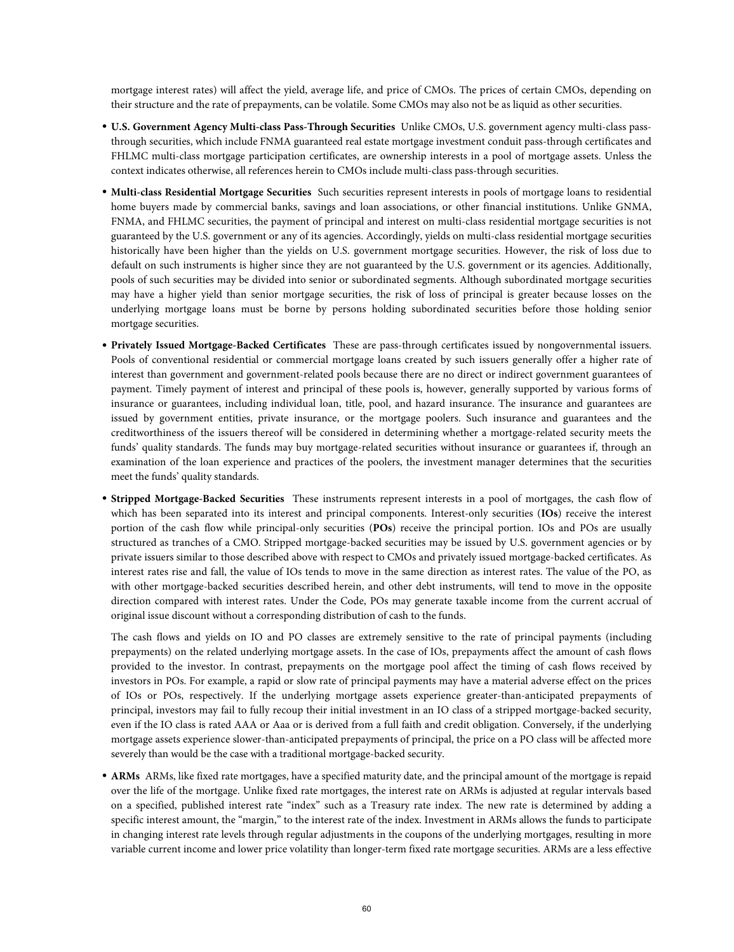mortgage interest rates) will affect the yield, average life, and price of CMOs. The prices of certain CMOs, depending on their structure and the rate of prepayments, can be volatile. Some CMOs may also not be as liquid as other securities.

- **U.S. Government Agency Multi-class Pass-Through Securities** Unlike CMOs, U.S. government agency multi-class passthrough securities, which include FNMA guaranteed real estate mortgage investment conduit pass-through certificates and FHLMC multi-class mortgage participation certificates, are ownership interests in a pool of mortgage assets. Unless the context indicates otherwise, all references herein to CMOs include multi-class pass-through securities.
- **Multi-class Residential Mortgage Securities** Such securities represent interests in pools of mortgage loans to residential home buyers made by commercial banks, savings and loan associations, or other financial institutions. Unlike GNMA, FNMA, and FHLMC securities, the payment of principal and interest on multi-class residential mortgage securities is not guaranteed by the U.S. government or any of its agencies. Accordingly, yields on multi-class residential mortgage securities historically have been higher than the yields on U.S. government mortgage securities. However, the risk of loss due to default on such instruments is higher since they are not guaranteed by the U.S. government or its agencies. Additionally, pools of such securities may be divided into senior or subordinated segments. Although subordinated mortgage securities may have a higher yield than senior mortgage securities, the risk of loss of principal is greater because losses on the underlying mortgage loans must be borne by persons holding subordinated securities before those holding senior mortgage securities.
- **Privately Issued Mortgage-Backed Certificates** These are pass-through certificates issued by nongovernmental issuers. Pools of conventional residential or commercial mortgage loans created by such issuers generally offer a higher rate of interest than government and government-related pools because there are no direct or indirect government guarantees of payment. Timely payment of interest and principal of these pools is, however, generally supported by various forms of insurance or guarantees, including individual loan, title, pool, and hazard insurance. The insurance and guarantees are issued by government entities, private insurance, or the mortgage poolers. Such insurance and guarantees and the creditworthiness of the issuers thereof will be considered in determining whether a mortgage-related security meets the funds' quality standards. The funds may buy mortgage-related securities without insurance or guarantees if, through an examination of the loan experience and practices of the poolers, the investment manager determines that the securities meet the funds' quality standards.
- **Stripped Mortgage-Backed Securities** These instruments represent interests in a pool of mortgages, the cash flow of which has been separated into its interest and principal components. Interest-only securities (**IOs**) receive the interest portion of the cash flow while principal-only securities (**POs**) receive the principal portion. IOs and POs are usually structured as tranches of a CMO. Stripped mortgage-backed securities may be issued by U.S. government agencies or by private issuers similar to those described above with respect to CMOs and privately issued mortgage-backed certificates. As interest rates rise and fall, the value of IOs tends to move in the same direction as interest rates. The value of the PO, as with other mortgage-backed securities described herein, and other debt instruments, will tend to move in the opposite direction compared with interest rates. Under the Code, POs may generate taxable income from the current accrual of original issue discount without a corresponding distribution of cash to the funds.

The cash flows and yields on IO and PO classes are extremely sensitive to the rate of principal payments (including prepayments) on the related underlying mortgage assets. In the case of IOs, prepayments affect the amount of cash flows provided to the investor. In contrast, prepayments on the mortgage pool affect the timing of cash flows received by investors in POs. For example, a rapid or slow rate of principal payments may have a material adverse effect on the prices of IOs or POs, respectively. If the underlying mortgage assets experience greater-than-anticipated prepayments of principal, investors may fail to fully recoup their initial investment in an IO class of a stripped mortgage-backed security, even if the IO class is rated AAA or Aaa or is derived from a full faith and credit obligation. Conversely, if the underlying mortgage assets experience slower-than-anticipated prepayments of principal, the price on a PO class will be affected more severely than would be the case with a traditional mortgage-backed security.

• **ARMs** ARMs, like fixed rate mortgages, have a specified maturity date, and the principal amount of the mortgage is repaid over the life of the mortgage. Unlike fixed rate mortgages, the interest rate on ARMs is adjusted at regular intervals based on a specified, published interest rate "index" such as a Treasury rate index. The new rate is determined by adding a specific interest amount, the "margin," to the interest rate of the index. Investment in ARMs allows the funds to participate in changing interest rate levels through regular adjustments in the coupons of the underlying mortgages, resulting in more variable current income and lower price volatility than longer-term fixed rate mortgage securities. ARMs are a less effective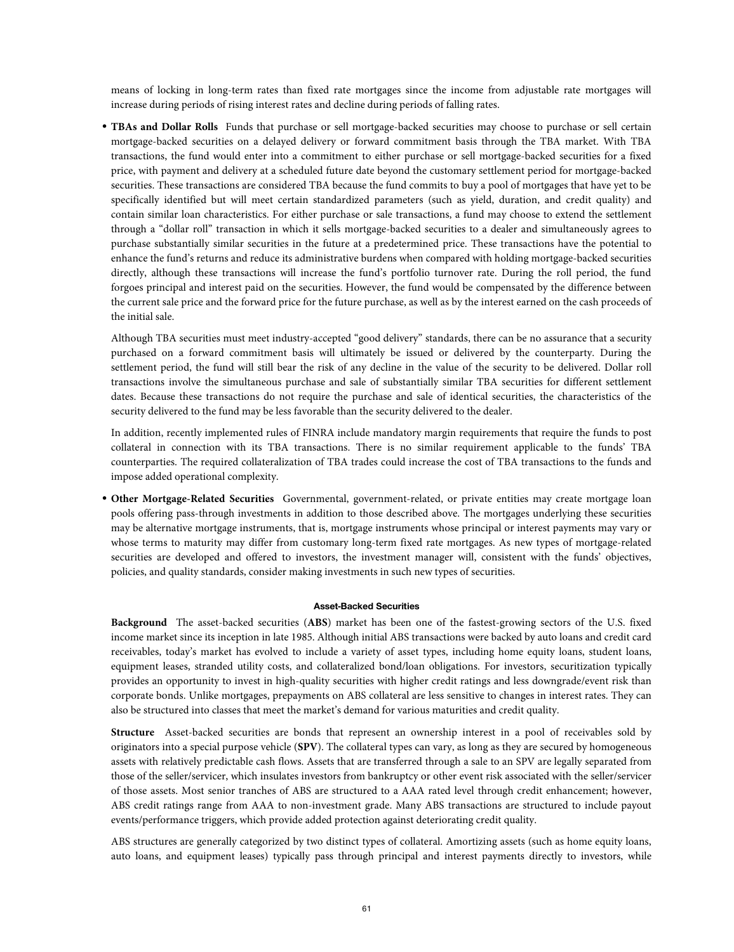means of locking in long-term rates than fixed rate mortgages since the income from adjustable rate mortgages will increase during periods of rising interest rates and decline during periods of falling rates.

• **TBAs and Dollar Rolls** Funds that purchase or sell mortgage-backed securities may choose to purchase or sell certain mortgage-backed securities on a delayed delivery or forward commitment basis through the TBA market. With TBA transactions, the fund would enter into a commitment to either purchase or sell mortgage-backed securities for a fixed price, with payment and delivery at a scheduled future date beyond the customary settlement period for mortgage-backed securities. These transactions are considered TBA because the fund commits to buy a pool of mortgages that have yet to be specifically identified but will meet certain standardized parameters (such as yield, duration, and credit quality) and contain similar loan characteristics. For either purchase or sale transactions, a fund may choose to extend the settlement through a "dollar roll" transaction in which it sells mortgage-backed securities to a dealer and simultaneously agrees to purchase substantially similar securities in the future at a predetermined price. These transactions have the potential to enhance the fund's returns and reduce its administrative burdens when compared with holding mortgage-backed securities directly, although these transactions will increase the fund's portfolio turnover rate. During the roll period, the fund forgoes principal and interest paid on the securities. However, the fund would be compensated by the difference between the current sale price and the forward price for the future purchase, as well as by the interest earned on the cash proceeds of the initial sale.

Although TBA securities must meet industry-accepted "good delivery" standards, there can be no assurance that a security purchased on a forward commitment basis will ultimately be issued or delivered by the counterparty. During the settlement period, the fund will still bear the risk of any decline in the value of the security to be delivered. Dollar roll transactions involve the simultaneous purchase and sale of substantially similar TBA securities for different settlement dates. Because these transactions do not require the purchase and sale of identical securities, the characteristics of the security delivered to the fund may be less favorable than the security delivered to the dealer.

In addition, recently implemented rules of FINRA include mandatory margin requirements that require the funds to post collateral in connection with its TBA transactions. There is no similar requirement applicable to the funds' TBA counterparties. The required collateralization of TBA trades could increase the cost of TBA transactions to the funds and impose added operational complexity.

• **Other Mortgage-Related Securities** Governmental, government-related, or private entities may create mortgage loan pools offering pass-through investments in addition to those described above. The mortgages underlying these securities may be alternative mortgage instruments, that is, mortgage instruments whose principal or interest payments may vary or whose terms to maturity may differ from customary long-term fixed rate mortgages. As new types of mortgage-related securities are developed and offered to investors, the investment manager will, consistent with the funds' objectives, policies, and quality standards, consider making investments in such new types of securities.

### **Asset-Backed Securities**

**Background** The asset-backed securities (**ABS**) market has been one of the fastest-growing sectors of the U.S. fixed income market since its inception in late 1985. Although initial ABS transactions were backed by auto loans and credit card receivables, today's market has evolved to include a variety of asset types, including home equity loans, student loans, equipment leases, stranded utility costs, and collateralized bond/loan obligations. For investors, securitization typically provides an opportunity to invest in high-quality securities with higher credit ratings and less downgrade/event risk than corporate bonds. Unlike mortgages, prepayments on ABS collateral are less sensitive to changes in interest rates. They can also be structured into classes that meet the market's demand for various maturities and credit quality.

**Structure** Asset-backed securities are bonds that represent an ownership interest in a pool of receivables sold by originators into a special purpose vehicle (**SPV**). The collateral types can vary, as long as they are secured by homogeneous assets with relatively predictable cash flows. Assets that are transferred through a sale to an SPV are legally separated from those of the seller/servicer, which insulates investors from bankruptcy or other event risk associated with the seller/servicer of those assets. Most senior tranches of ABS are structured to a AAA rated level through credit enhancement; however, ABS credit ratings range from AAA to non-investment grade. Many ABS transactions are structured to include payout events/performance triggers, which provide added protection against deteriorating credit quality.

ABS structures are generally categorized by two distinct types of collateral. Amortizing assets (such as home equity loans, auto loans, and equipment leases) typically pass through principal and interest payments directly to investors, while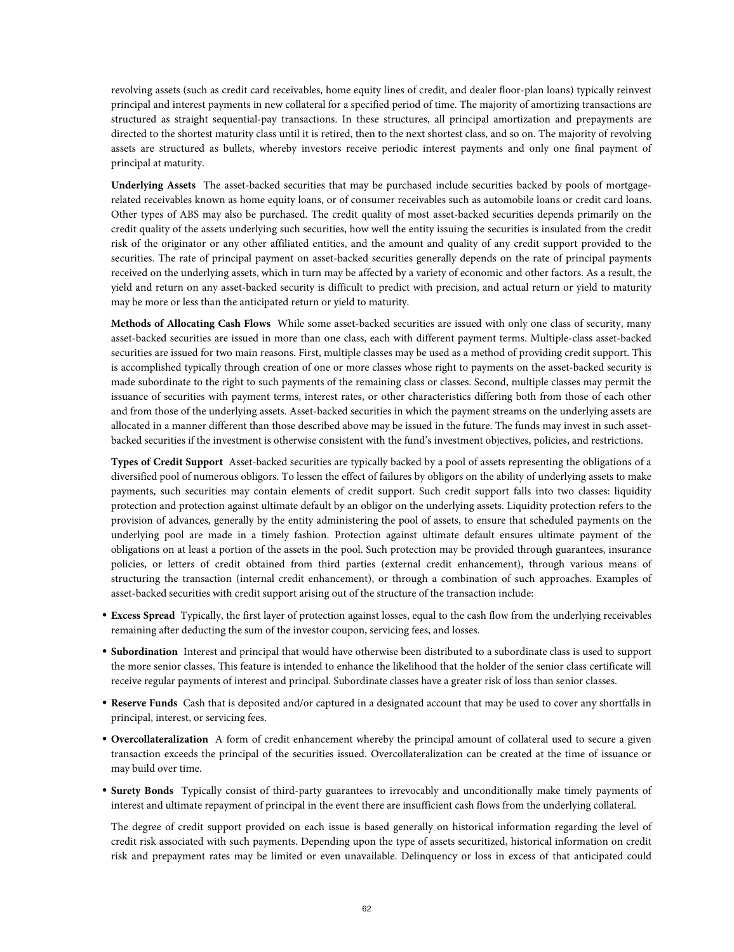revolving assets (such as credit card receivables, home equity lines of credit, and dealer floor-plan loans) typically reinvest principal and interest payments in new collateral for a specified period of time. The majority of amortizing transactions are structured as straight sequential-pay transactions. In these structures, all principal amortization and prepayments are directed to the shortest maturity class until it is retired, then to the next shortest class, and so on. The majority of revolving assets are structured as bullets, whereby investors receive periodic interest payments and only one final payment of principal at maturity.

**Underlying Assets** The asset-backed securities that may be purchased include securities backed by pools of mortgagerelated receivables known as home equity loans, or of consumer receivables such as automobile loans or credit card loans. Other types of ABS may also be purchased. The credit quality of most asset-backed securities depends primarily on the credit quality of the assets underlying such securities, how well the entity issuing the securities is insulated from the credit risk of the originator or any other affiliated entities, and the amount and quality of any credit support provided to the securities. The rate of principal payment on asset-backed securities generally depends on the rate of principal payments received on the underlying assets, which in turn may be affected by a variety of economic and other factors. As a result, the yield and return on any asset-backed security is difficult to predict with precision, and actual return or yield to maturity may be more or less than the anticipated return or yield to maturity.

**Methods of Allocating Cash Flows** While some asset-backed securities are issued with only one class of security, many asset-backed securities are issued in more than one class, each with different payment terms. Multiple-class asset-backed securities are issued for two main reasons. First, multiple classes may be used as a method of providing credit support. This is accomplished typically through creation of one or more classes whose right to payments on the asset-backed security is made subordinate to the right to such payments of the remaining class or classes. Second, multiple classes may permit the issuance of securities with payment terms, interest rates, or other characteristics differing both from those of each other and from those of the underlying assets. Asset-backed securities in which the payment streams on the underlying assets are allocated in a manner different than those described above may be issued in the future. The funds may invest in such assetbacked securities if the investment is otherwise consistent with the fund's investment objectives, policies, and restrictions.

**Types of Credit Support** Asset-backed securities are typically backed by a pool of assets representing the obligations of a diversified pool of numerous obligors. To lessen the effect of failures by obligors on the ability of underlying assets to make payments, such securities may contain elements of credit support. Such credit support falls into two classes: liquidity protection and protection against ultimate default by an obligor on the underlying assets. Liquidity protection refers to the provision of advances, generally by the entity administering the pool of assets, to ensure that scheduled payments on the underlying pool are made in a timely fashion. Protection against ultimate default ensures ultimate payment of the obligations on at least a portion of the assets in the pool. Such protection may be provided through guarantees, insurance policies, or letters of credit obtained from third parties (external credit enhancement), through various means of structuring the transaction (internal credit enhancement), or through a combination of such approaches. Examples of asset-backed securities with credit support arising out of the structure of the transaction include:

- **Excess Spread** Typically, the first layer of protection against losses, equal to the cash flow from the underlying receivables remaining after deducting the sum of the investor coupon, servicing fees, and losses.
- **Subordination** Interest and principal that would have otherwise been distributed to a subordinate class is used to support the more senior classes. This feature is intended to enhance the likelihood that the holder of the senior class certificate will receive regular payments of interest and principal. Subordinate classes have a greater risk of loss than senior classes.
- **Reserve Funds** Cash that is deposited and/or captured in a designated account that may be used to cover any shortfalls in principal, interest, or servicing fees.
- **Overcollateralization** A form of credit enhancement whereby the principal amount of collateral used to secure a given transaction exceeds the principal of the securities issued. Overcollateralization can be created at the time of issuance or may build over time.
- **Surety Bonds** Typically consist of third-party guarantees to irrevocably and unconditionally make timely payments of interest and ultimate repayment of principal in the event there are insufficient cash flows from the underlying collateral.

The degree of credit support provided on each issue is based generally on historical information regarding the level of credit risk associated with such payments. Depending upon the type of assets securitized, historical information on credit risk and prepayment rates may be limited or even unavailable. Delinquency or loss in excess of that anticipated could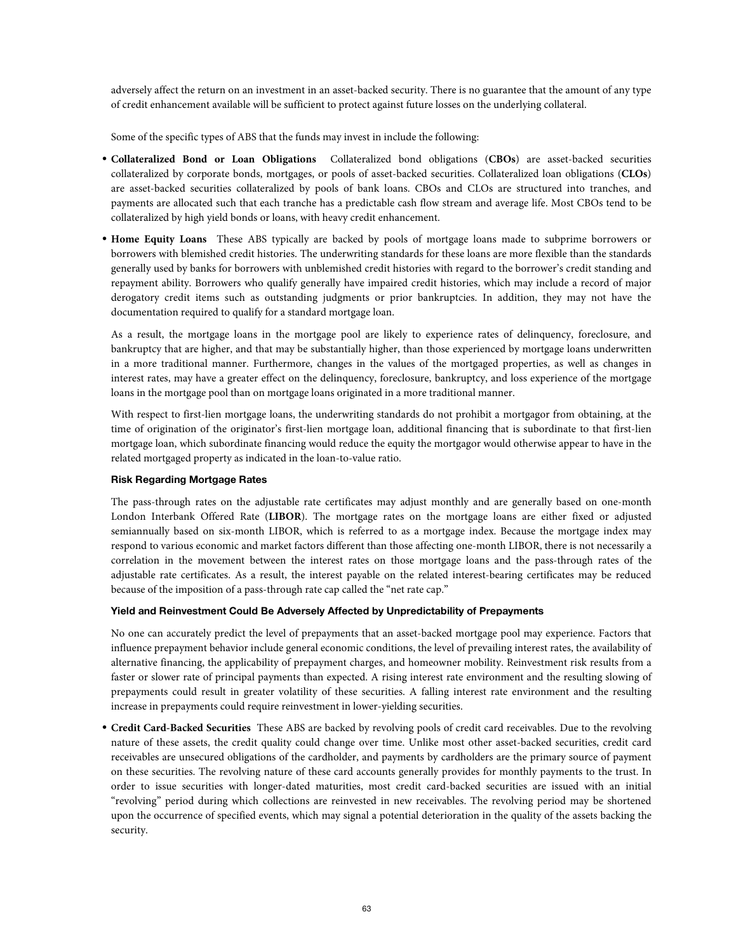adversely affect the return on an investment in an asset-backed security. There is no guarantee that the amount of any type of credit enhancement available will be sufficient to protect against future losses on the underlying collateral.

Some of the specific types of ABS that the funds may invest in include the following:

- **Collateralized Bond or Loan Obligations** Collateralized bond obligations (**CBOs**) are asset-backed securities collateralized by corporate bonds, mortgages, or pools of asset-backed securities. Collateralized loan obligations (**CLOs**) are asset-backed securities collateralized by pools of bank loans. CBOs and CLOs are structured into tranches, and payments are allocated such that each tranche has a predictable cash flow stream and average life. Most CBOs tend to be collateralized by high yield bonds or loans, with heavy credit enhancement.
- **Home Equity Loans** These ABS typically are backed by pools of mortgage loans made to subprime borrowers or borrowers with blemished credit histories. The underwriting standards for these loans are more flexible than the standards generally used by banks for borrowers with unblemished credit histories with regard to the borrower's credit standing and repayment ability. Borrowers who qualify generally have impaired credit histories, which may include a record of major derogatory credit items such as outstanding judgments or prior bankruptcies. In addition, they may not have the documentation required to qualify for a standard mortgage loan.

As a result, the mortgage loans in the mortgage pool are likely to experience rates of delinquency, foreclosure, and bankruptcy that are higher, and that may be substantially higher, than those experienced by mortgage loans underwritten in a more traditional manner. Furthermore, changes in the values of the mortgaged properties, as well as changes in interest rates, may have a greater effect on the delinquency, foreclosure, bankruptcy, and loss experience of the mortgage loans in the mortgage pool than on mortgage loans originated in a more traditional manner.

With respect to first-lien mortgage loans, the underwriting standards do not prohibit a mortgagor from obtaining, at the time of origination of the originator's first-lien mortgage loan, additional financing that is subordinate to that first-lien mortgage loan, which subordinate financing would reduce the equity the mortgagor would otherwise appear to have in the related mortgaged property as indicated in the loan-to-value ratio.

# **Risk Regarding Mortgage Rates**

The pass-through rates on the adjustable rate certificates may adjust monthly and are generally based on one-month London Interbank Offered Rate (**LIBOR**). The mortgage rates on the mortgage loans are either fixed or adjusted semiannually based on six-month LIBOR, which is referred to as a mortgage index. Because the mortgage index may respond to various economic and market factors different than those affecting one-month LIBOR, there is not necessarily a correlation in the movement between the interest rates on those mortgage loans and the pass-through rates of the adjustable rate certificates. As a result, the interest payable on the related interest-bearing certificates may be reduced because of the imposition of a pass-through rate cap called the "net rate cap."

# **Yield and Reinvestment Could Be Adversely Affected by Unpredictability of Prepayments**

No one can accurately predict the level of prepayments that an asset-backed mortgage pool may experience. Factors that influence prepayment behavior include general economic conditions, the level of prevailing interest rates, the availability of alternative financing, the applicability of prepayment charges, and homeowner mobility. Reinvestment risk results from a faster or slower rate of principal payments than expected. A rising interest rate environment and the resulting slowing of prepayments could result in greater volatility of these securities. A falling interest rate environment and the resulting increase in prepayments could require reinvestment in lower-yielding securities.

• **Credit Card-Backed Securities** These ABS are backed by revolving pools of credit card receivables. Due to the revolving nature of these assets, the credit quality could change over time. Unlike most other asset-backed securities, credit card receivables are unsecured obligations of the cardholder, and payments by cardholders are the primary source of payment on these securities. The revolving nature of these card accounts generally provides for monthly payments to the trust. In order to issue securities with longer-dated maturities, most credit card-backed securities are issued with an initial "revolving" period during which collections are reinvested in new receivables. The revolving period may be shortened upon the occurrence of specified events, which may signal a potential deterioration in the quality of the assets backing the security.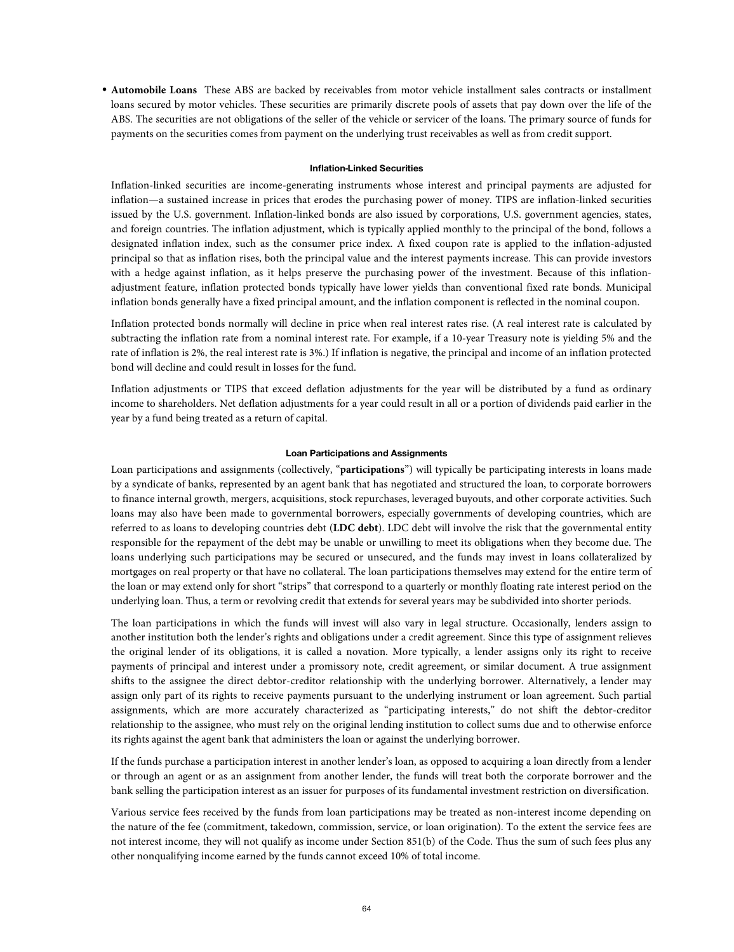• **Automobile Loans** These ABS are backed by receivables from motor vehicle installment sales contracts or installment loans secured by motor vehicles. These securities are primarily discrete pools of assets that pay down over the life of the ABS. The securities are not obligations of the seller of the vehicle or servicer of the loans. The primary source of funds for payments on the securities comes from payment on the underlying trust receivables as well as from credit support.

### **Inflation-Linked Securities**

Inflation-linked securities are income-generating instruments whose interest and principal payments are adjusted for inflation—a sustained increase in prices that erodes the purchasing power of money. TIPS are inflation-linked securities issued by the U.S. government. Inflation-linked bonds are also issued by corporations, U.S. government agencies, states, and foreign countries. The inflation adjustment, which is typically applied monthly to the principal of the bond, follows a designated inflation index, such as the consumer price index. A fixed coupon rate is applied to the inflation-adjusted principal so that as inflation rises, both the principal value and the interest payments increase. This can provide investors with a hedge against inflation, as it helps preserve the purchasing power of the investment. Because of this inflationadjustment feature, inflation protected bonds typically have lower yields than conventional fixed rate bonds. Municipal inflation bonds generally have a fixed principal amount, and the inflation component is reflected in the nominal coupon.

Inflation protected bonds normally will decline in price when real interest rates rise. (A real interest rate is calculated by subtracting the inflation rate from a nominal interest rate. For example, if a 10-year Treasury note is yielding 5% and the rate of inflation is 2%, the real interest rate is 3%.) If inflation is negative, the principal and income of an inflation protected bond will decline and could result in losses for the fund.

Inflation adjustments or TIPS that exceed deflation adjustments for the year will be distributed by a fund as ordinary income to shareholders. Net deflation adjustments for a year could result in all or a portion of dividends paid earlier in the year by a fund being treated as a return of capital.

### **Loan Participations and Assignments**

Loan participations and assignments (collectively, "**participations**") will typically be participating interests in loans made by a syndicate of banks, represented by an agent bank that has negotiated and structured the loan, to corporate borrowers to finance internal growth, mergers, acquisitions, stock repurchases, leveraged buyouts, and other corporate activities. Such loans may also have been made to governmental borrowers, especially governments of developing countries, which are referred to as loans to developing countries debt (**LDC debt**). LDC debt will involve the risk that the governmental entity responsible for the repayment of the debt may be unable or unwilling to meet its obligations when they become due. The loans underlying such participations may be secured or unsecured, and the funds may invest in loans collateralized by mortgages on real property or that have no collateral. The loan participations themselves may extend for the entire term of the loan or may extend only for short "strips" that correspond to a quarterly or monthly floating rate interest period on the underlying loan. Thus, a term or revolving credit that extends for several years may be subdivided into shorter periods.

The loan participations in which the funds will invest will also vary in legal structure. Occasionally, lenders assign to another institution both the lender's rights and obligations under a credit agreement. Since this type of assignment relieves the original lender of its obligations, it is called a novation. More typically, a lender assigns only its right to receive payments of principal and interest under a promissory note, credit agreement, or similar document. A true assignment shifts to the assignee the direct debtor-creditor relationship with the underlying borrower. Alternatively, a lender may assign only part of its rights to receive payments pursuant to the underlying instrument or loan agreement. Such partial assignments, which are more accurately characterized as "participating interests," do not shift the debtor-creditor relationship to the assignee, who must rely on the original lending institution to collect sums due and to otherwise enforce its rights against the agent bank that administers the loan or against the underlying borrower.

If the funds purchase a participation interest in another lender's loan, as opposed to acquiring a loan directly from a lender or through an agent or as an assignment from another lender, the funds will treat both the corporate borrower and the bank selling the participation interest as an issuer for purposes of its fundamental investment restriction on diversification.

Various service fees received by the funds from loan participations may be treated as non-interest income depending on the nature of the fee (commitment, takedown, commission, service, or loan origination). To the extent the service fees are not interest income, they will not qualify as income under Section 851(b) of the Code. Thus the sum of such fees plus any other nonqualifying income earned by the funds cannot exceed 10% of total income.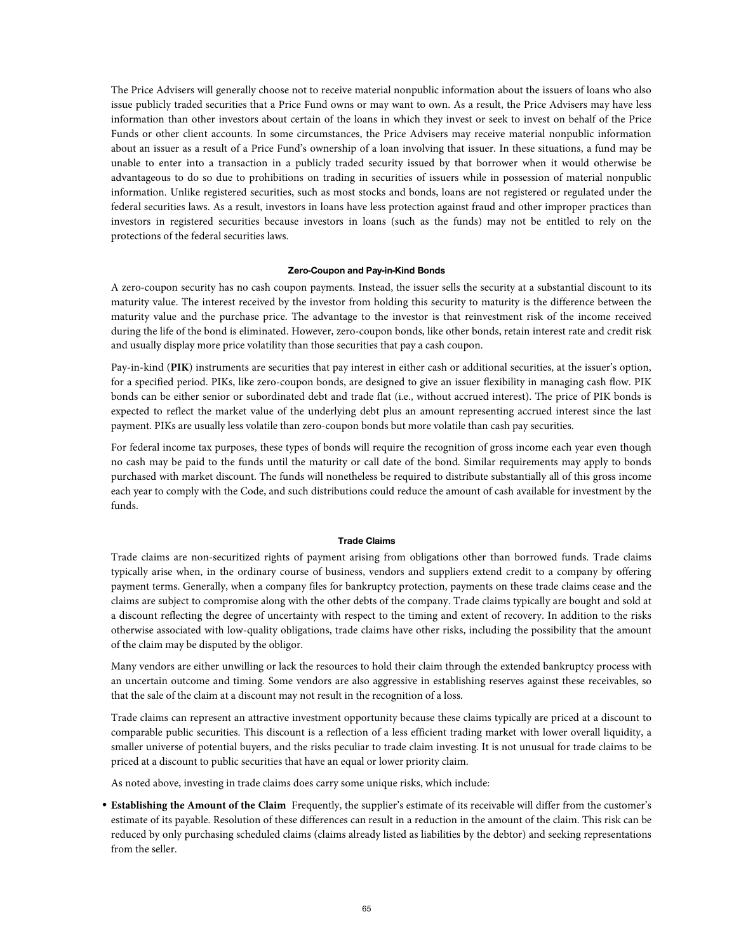The Price Advisers will generally choose not to receive material nonpublic information about the issuers of loans who also issue publicly traded securities that a Price Fund owns or may want to own. As a result, the Price Advisers may have less information than other investors about certain of the loans in which they invest or seek to invest on behalf of the Price Funds or other client accounts. In some circumstances, the Price Advisers may receive material nonpublic information about an issuer as a result of a Price Fund's ownership of a loan involving that issuer. In these situations, a fund may be unable to enter into a transaction in a publicly traded security issued by that borrower when it would otherwise be advantageous to do so due to prohibitions on trading in securities of issuers while in possession of material nonpublic information. Unlike registered securities, such as most stocks and bonds, loans are not registered or regulated under the federal securities laws. As a result, investors in loans have less protection against fraud and other improper practices than investors in registered securities because investors in loans (such as the funds) may not be entitled to rely on the protections of the federal securities laws.

#### **Zero-Coupon and Pay-in-Kind Bonds**

A zero-coupon security has no cash coupon payments. Instead, the issuer sells the security at a substantial discount to its maturity value. The interest received by the investor from holding this security to maturity is the difference between the maturity value and the purchase price. The advantage to the investor is that reinvestment risk of the income received during the life of the bond is eliminated. However, zero-coupon bonds, like other bonds, retain interest rate and credit risk and usually display more price volatility than those securities that pay a cash coupon.

Pay-in-kind (**PIK**) instruments are securities that pay interest in either cash or additional securities, at the issuer's option, for a specified period. PIKs, like zero-coupon bonds, are designed to give an issuer flexibility in managing cash flow. PIK bonds can be either senior or subordinated debt and trade flat (i.e., without accrued interest). The price of PIK bonds is expected to reflect the market value of the underlying debt plus an amount representing accrued interest since the last payment. PIKs are usually less volatile than zero-coupon bonds but more volatile than cash pay securities.

For federal income tax purposes, these types of bonds will require the recognition of gross income each year even though no cash may be paid to the funds until the maturity or call date of the bond. Similar requirements may apply to bonds purchased with market discount. The funds will nonetheless be required to distribute substantially all of this gross income each year to comply with the Code, and such distributions could reduce the amount of cash available for investment by the funds.

#### **Trade Claims**

Trade claims are non-securitized rights of payment arising from obligations other than borrowed funds. Trade claims typically arise when, in the ordinary course of business, vendors and suppliers extend credit to a company by offering payment terms. Generally, when a company files for bankruptcy protection, payments on these trade claims cease and the claims are subject to compromise along with the other debts of the company. Trade claims typically are bought and sold at a discount reflecting the degree of uncertainty with respect to the timing and extent of recovery. In addition to the risks otherwise associated with low-quality obligations, trade claims have other risks, including the possibility that the amount of the claim may be disputed by the obligor.

Many vendors are either unwilling or lack the resources to hold their claim through the extended bankruptcy process with an uncertain outcome and timing. Some vendors are also aggressive in establishing reserves against these receivables, so that the sale of the claim at a discount may not result in the recognition of a loss.

Trade claims can represent an attractive investment opportunity because these claims typically are priced at a discount to comparable public securities. This discount is a reflection of a less efficient trading market with lower overall liquidity, a smaller universe of potential buyers, and the risks peculiar to trade claim investing. It is not unusual for trade claims to be priced at a discount to public securities that have an equal or lower priority claim.

As noted above, investing in trade claims does carry some unique risks, which include:

• **Establishing the Amount of the Claim** Frequently, the supplier's estimate of its receivable will differ from the customer's estimate of its payable. Resolution of these differences can result in a reduction in the amount of the claim. This risk can be reduced by only purchasing scheduled claims (claims already listed as liabilities by the debtor) and seeking representations from the seller.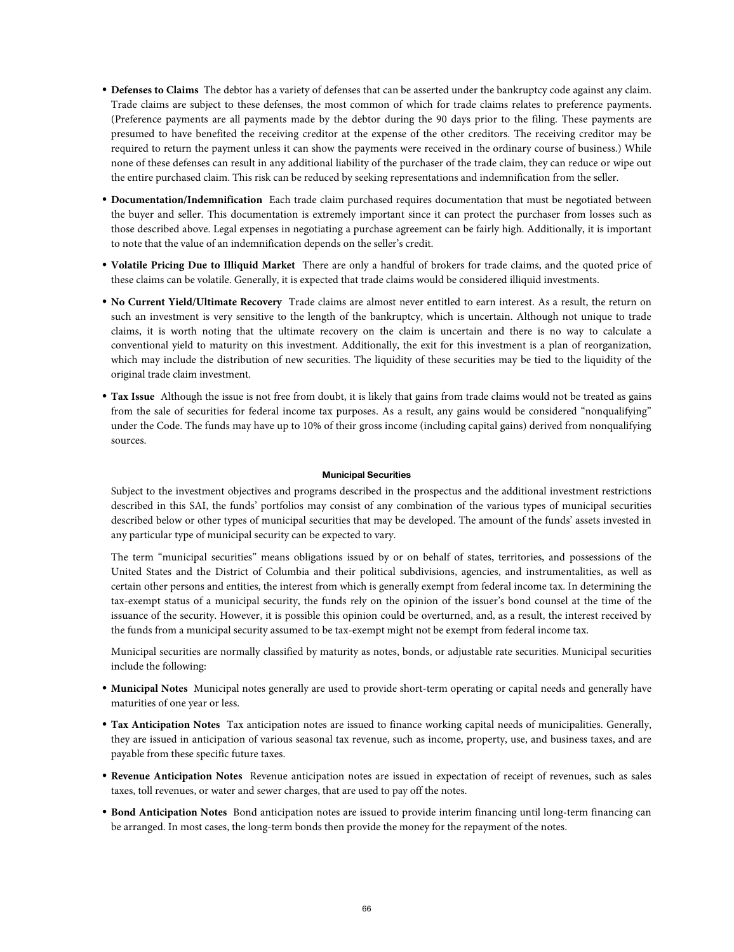- **Defenses to Claims** The debtor has a variety of defenses that can be asserted under the bankruptcy code against any claim. Trade claims are subject to these defenses, the most common of which for trade claims relates to preference payments. (Preference payments are all payments made by the debtor during the 90 days prior to the filing. These payments are presumed to have benefited the receiving creditor at the expense of the other creditors. The receiving creditor may be required to return the payment unless it can show the payments were received in the ordinary course of business.) While none of these defenses can result in any additional liability of the purchaser of the trade claim, they can reduce or wipe out the entire purchased claim. This risk can be reduced by seeking representations and indemnification from the seller.
- **Documentation/Indemnification** Each trade claim purchased requires documentation that must be negotiated between the buyer and seller. This documentation is extremely important since it can protect the purchaser from losses such as those described above. Legal expenses in negotiating a purchase agreement can be fairly high. Additionally, it is important to note that the value of an indemnification depends on the seller's credit.
- **Volatile Pricing Due to Illiquid Market** There are only a handful of brokers for trade claims, and the quoted price of these claims can be volatile. Generally, it is expected that trade claims would be considered illiquid investments.
- **No Current Yield/Ultimate Recovery** Trade claims are almost never entitled to earn interest. As a result, the return on such an investment is very sensitive to the length of the bankruptcy, which is uncertain. Although not unique to trade claims, it is worth noting that the ultimate recovery on the claim is uncertain and there is no way to calculate a conventional yield to maturity on this investment. Additionally, the exit for this investment is a plan of reorganization, which may include the distribution of new securities. The liquidity of these securities may be tied to the liquidity of the original trade claim investment.
- **Tax Issue** Although the issue is not free from doubt, it is likely that gains from trade claims would not be treated as gains from the sale of securities for federal income tax purposes. As a result, any gains would be considered "nonqualifying" under the Code. The funds may have up to 10% of their gross income (including capital gains) derived from nonqualifying sources.

### **Municipal Securities**

Subject to the investment objectives and programs described in the prospectus and the additional investment restrictions described in this SAI, the funds' portfolios may consist of any combination of the various types of municipal securities described below or other types of municipal securities that may be developed. The amount of the funds' assets invested in any particular type of municipal security can be expected to vary.

The term "municipal securities" means obligations issued by or on behalf of states, territories, and possessions of the United States and the District of Columbia and their political subdivisions, agencies, and instrumentalities, as well as certain other persons and entities, the interest from which is generally exempt from federal income tax. In determining the tax-exempt status of a municipal security, the funds rely on the opinion of the issuer's bond counsel at the time of the issuance of the security. However, it is possible this opinion could be overturned, and, as a result, the interest received by the funds from a municipal security assumed to be tax-exempt might not be exempt from federal income tax.

Municipal securities are normally classified by maturity as notes, bonds, or adjustable rate securities. Municipal securities include the following:

- **Municipal Notes** Municipal notes generally are used to provide short-term operating or capital needs and generally have maturities of one year or less.
- **Tax Anticipation Notes** Tax anticipation notes are issued to finance working capital needs of municipalities. Generally, they are issued in anticipation of various seasonal tax revenue, such as income, property, use, and business taxes, and are payable from these specific future taxes.
- **Revenue Anticipation Notes** Revenue anticipation notes are issued in expectation of receipt of revenues, such as sales taxes, toll revenues, or water and sewer charges, that are used to pay off the notes.
- **Bond Anticipation Notes** Bond anticipation notes are issued to provide interim financing until long-term financing can be arranged. In most cases, the long-term bonds then provide the money for the repayment of the notes.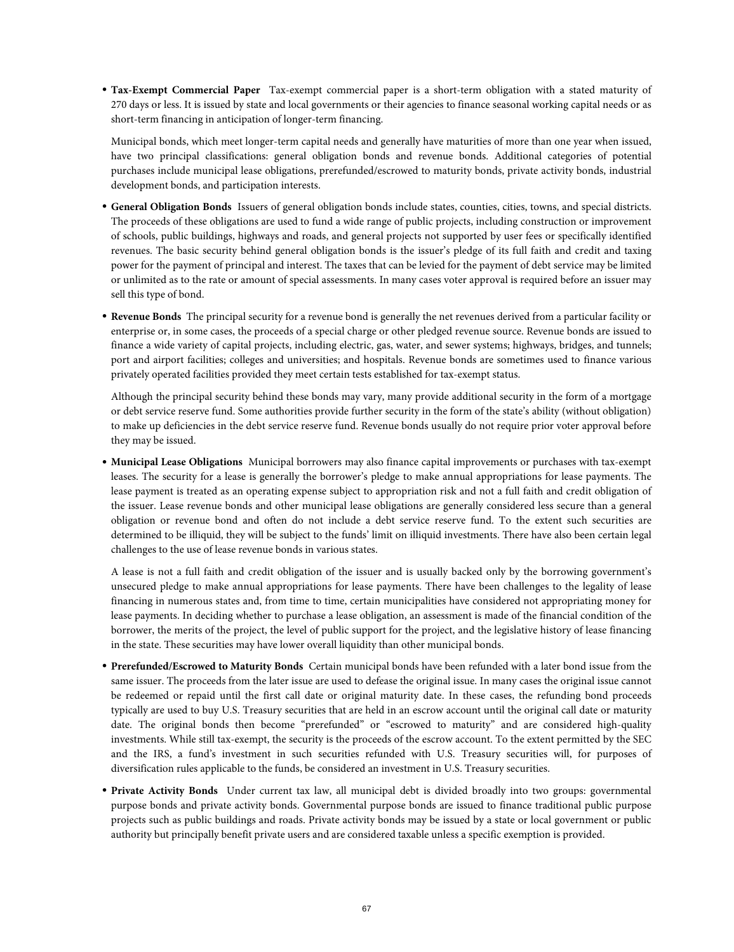• **Tax-Exempt Commercial Paper** Tax-exempt commercial paper is a short-term obligation with a stated maturity of 270 days or less. It is issued by state and local governments or their agencies to finance seasonal working capital needs or as short-term financing in anticipation of longer-term financing.

Municipal bonds, which meet longer-term capital needs and generally have maturities of more than one year when issued, have two principal classifications: general obligation bonds and revenue bonds. Additional categories of potential purchases include municipal lease obligations, prerefunded/escrowed to maturity bonds, private activity bonds, industrial development bonds, and participation interests.

- **General Obligation Bonds** Issuers of general obligation bonds include states, counties, cities, towns, and special districts. The proceeds of these obligations are used to fund a wide range of public projects, including construction or improvement of schools, public buildings, highways and roads, and general projects not supported by user fees or specifically identified revenues. The basic security behind general obligation bonds is the issuer's pledge of its full faith and credit and taxing power for the payment of principal and interest. The taxes that can be levied for the payment of debt service may be limited or unlimited as to the rate or amount of special assessments. In many cases voter approval is required before an issuer may sell this type of bond.
- **Revenue Bonds** The principal security for a revenue bond is generally the net revenues derived from a particular facility or enterprise or, in some cases, the proceeds of a special charge or other pledged revenue source. Revenue bonds are issued to finance a wide variety of capital projects, including electric, gas, water, and sewer systems; highways, bridges, and tunnels; port and airport facilities; colleges and universities; and hospitals. Revenue bonds are sometimes used to finance various privately operated facilities provided they meet certain tests established for tax-exempt status.

Although the principal security behind these bonds may vary, many provide additional security in the form of a mortgage or debt service reserve fund. Some authorities provide further security in the form of the state's ability (without obligation) to make up deficiencies in the debt service reserve fund. Revenue bonds usually do not require prior voter approval before they may be issued.

• **Municipal Lease Obligations** Municipal borrowers may also finance capital improvements or purchases with tax-exempt leases. The security for a lease is generally the borrower's pledge to make annual appropriations for lease payments. The lease payment is treated as an operating expense subject to appropriation risk and not a full faith and credit obligation of the issuer. Lease revenue bonds and other municipal lease obligations are generally considered less secure than a general obligation or revenue bond and often do not include a debt service reserve fund. To the extent such securities are determined to be illiquid, they will be subject to the funds' limit on illiquid investments. There have also been certain legal challenges to the use of lease revenue bonds in various states.

A lease is not a full faith and credit obligation of the issuer and is usually backed only by the borrowing government's unsecured pledge to make annual appropriations for lease payments. There have been challenges to the legality of lease financing in numerous states and, from time to time, certain municipalities have considered not appropriating money for lease payments. In deciding whether to purchase a lease obligation, an assessment is made of the financial condition of the borrower, the merits of the project, the level of public support for the project, and the legislative history of lease financing in the state. These securities may have lower overall liquidity than other municipal bonds.

- **Prerefunded/Escrowed to Maturity Bonds** Certain municipal bonds have been refunded with a later bond issue from the same issuer. The proceeds from the later issue are used to defease the original issue. In many cases the original issue cannot be redeemed or repaid until the first call date or original maturity date. In these cases, the refunding bond proceeds typically are used to buy U.S. Treasury securities that are held in an escrow account until the original call date or maturity date. The original bonds then become "prerefunded" or "escrowed to maturity" and are considered high-quality investments. While still tax-exempt, the security is the proceeds of the escrow account. To the extent permitted by the SEC and the IRS, a fund's investment in such securities refunded with U.S. Treasury securities will, for purposes of diversification rules applicable to the funds, be considered an investment in U.S. Treasury securities.
- **Private Activity Bonds** Under current tax law, all municipal debt is divided broadly into two groups: governmental purpose bonds and private activity bonds. Governmental purpose bonds are issued to finance traditional public purpose projects such as public buildings and roads. Private activity bonds may be issued by a state or local government or public authority but principally benefit private users and are considered taxable unless a specific exemption is provided.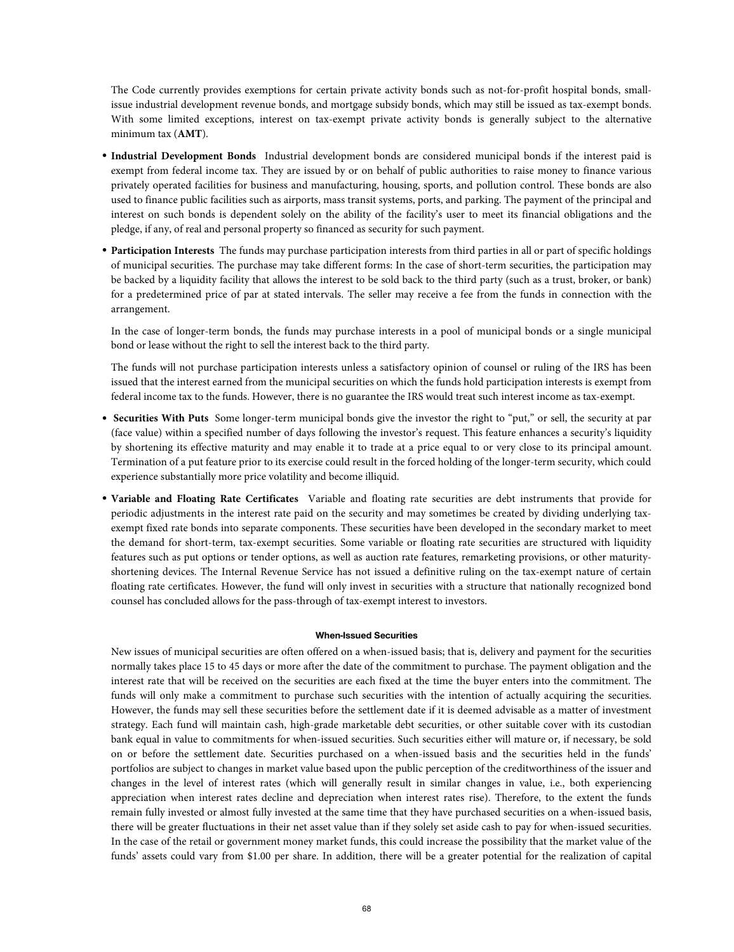The Code currently provides exemptions for certain private activity bonds such as not-for-profit hospital bonds, smallissue industrial development revenue bonds, and mortgage subsidy bonds, which may still be issued as tax-exempt bonds. With some limited exceptions, interest on tax-exempt private activity bonds is generally subject to the alternative minimum tax (**AMT**).

- **Industrial Development Bonds** Industrial development bonds are considered municipal bonds if the interest paid is exempt from federal income tax. They are issued by or on behalf of public authorities to raise money to finance various privately operated facilities for business and manufacturing, housing, sports, and pollution control. These bonds are also used to finance public facilities such as airports, mass transit systems, ports, and parking. The payment of the principal and interest on such bonds is dependent solely on the ability of the facility's user to meet its financial obligations and the pledge, if any, of real and personal property so financed as security for such payment.
- **Participation Interests** The funds may purchase participation interests from third parties in all or part of specific holdings of municipal securities. The purchase may take different forms: In the case of short-term securities, the participation may be backed by a liquidity facility that allows the interest to be sold back to the third party (such as a trust, broker, or bank) for a predetermined price of par at stated intervals. The seller may receive a fee from the funds in connection with the arrangement.

In the case of longer-term bonds, the funds may purchase interests in a pool of municipal bonds or a single municipal bond or lease without the right to sell the interest back to the third party.

The funds will not purchase participation interests unless a satisfactory opinion of counsel or ruling of the IRS has been issued that the interest earned from the municipal securities on which the funds hold participation interests is exempt from federal income tax to the funds. However, there is no guarantee the IRS would treat such interest income as tax-exempt.

- **Securities With Puts** Some longer-term municipal bonds give the investor the right to "put," or sell, the security at par (face value) within a specified number of days following the investor's request. This feature enhances a security's liquidity by shortening its effective maturity and may enable it to trade at a price equal to or very close to its principal amount. Termination of a put feature prior to its exercise could result in the forced holding of the longer-term security, which could experience substantially more price volatility and become illiquid.
- **Variable and Floating Rate Certificates** Variable and floating rate securities are debt instruments that provide for periodic adjustments in the interest rate paid on the security and may sometimes be created by dividing underlying taxexempt fixed rate bonds into separate components. These securities have been developed in the secondary market to meet the demand for short-term, tax-exempt securities. Some variable or floating rate securities are structured with liquidity features such as put options or tender options, as well as auction rate features, remarketing provisions, or other maturityshortening devices. The Internal Revenue Service has not issued a definitive ruling on the tax-exempt nature of certain floating rate certificates. However, the fund will only invest in securities with a structure that nationally recognized bond counsel has concluded allows for the pass-through of tax-exempt interest to investors.

# **When-Issued Securities**

New issues of municipal securities are often offered on a when-issued basis; that is, delivery and payment for the securities normally takes place 15 to 45 days or more after the date of the commitment to purchase. The payment obligation and the interest rate that will be received on the securities are each fixed at the time the buyer enters into the commitment. The funds will only make a commitment to purchase such securities with the intention of actually acquiring the securities. However, the funds may sell these securities before the settlement date if it is deemed advisable as a matter of investment strategy. Each fund will maintain cash, high-grade marketable debt securities, or other suitable cover with its custodian bank equal in value to commitments for when-issued securities. Such securities either will mature or, if necessary, be sold on or before the settlement date. Securities purchased on a when-issued basis and the securities held in the funds' portfolios are subject to changes in market value based upon the public perception of the creditworthiness of the issuer and changes in the level of interest rates (which will generally result in similar changes in value, i.e., both experiencing appreciation when interest rates decline and depreciation when interest rates rise). Therefore, to the extent the funds remain fully invested or almost fully invested at the same time that they have purchased securities on a when-issued basis, there will be greater fluctuations in their net asset value than if they solely set aside cash to pay for when-issued securities. In the case of the retail or government money market funds, this could increase the possibility that the market value of the funds' assets could vary from \$1.00 per share. In addition, there will be a greater potential for the realization of capital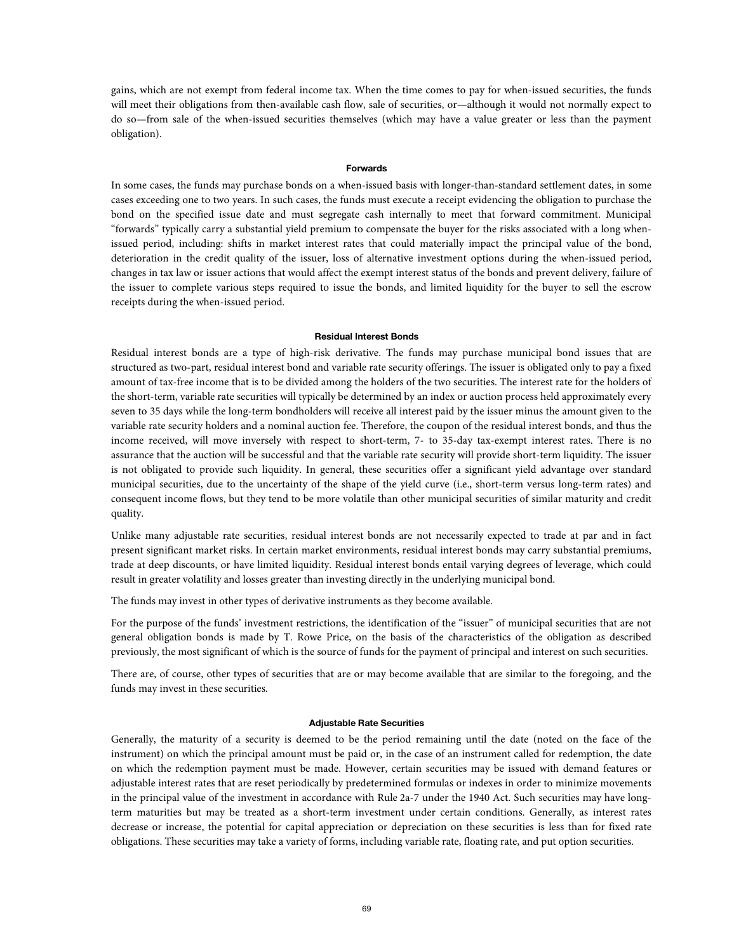gains, which are not exempt from federal income tax. When the time comes to pay for when-issued securities, the funds will meet their obligations from then-available cash flow, sale of securities, or—although it would not normally expect to do so—from sale of the when-issued securities themselves (which may have a value greater or less than the payment obligation).

### **Forwards**

In some cases, the funds may purchase bonds on a when-issued basis with longer-than-standard settlement dates, in some cases exceeding one to two years. In such cases, the funds must execute a receipt evidencing the obligation to purchase the bond on the specified issue date and must segregate cash internally to meet that forward commitment. Municipal "forwards" typically carry a substantial yield premium to compensate the buyer for the risks associated with a long whenissued period, including: shifts in market interest rates that could materially impact the principal value of the bond, deterioration in the credit quality of the issuer, loss of alternative investment options during the when-issued period, changes in tax law or issuer actions that would affect the exempt interest status of the bonds and prevent delivery, failure of the issuer to complete various steps required to issue the bonds, and limited liquidity for the buyer to sell the escrow receipts during the when-issued period.

### **Residual Interest Bonds**

Residual interest bonds are a type of high-risk derivative. The funds may purchase municipal bond issues that are structured as two-part, residual interest bond and variable rate security offerings. The issuer is obligated only to pay a fixed amount of tax-free income that is to be divided among the holders of the two securities. The interest rate for the holders of the short-term, variable rate securities will typically be determined by an index or auction process held approximately every seven to 35 days while the long-term bondholders will receive all interest paid by the issuer minus the amount given to the variable rate security holders and a nominal auction fee. Therefore, the coupon of the residual interest bonds, and thus the income received, will move inversely with respect to short-term, 7- to 35-day tax-exempt interest rates. There is no assurance that the auction will be successful and that the variable rate security will provide short-term liquidity. The issuer is not obligated to provide such liquidity. In general, these securities offer a significant yield advantage over standard municipal securities, due to the uncertainty of the shape of the yield curve (i.e., short-term versus long-term rates) and consequent income flows, but they tend to be more volatile than other municipal securities of similar maturity and credit quality.

Unlike many adjustable rate securities, residual interest bonds are not necessarily expected to trade at par and in fact present significant market risks. In certain market environments, residual interest bonds may carry substantial premiums, trade at deep discounts, or have limited liquidity. Residual interest bonds entail varying degrees of leverage, which could result in greater volatility and losses greater than investing directly in the underlying municipal bond.

The funds may invest in other types of derivative instruments as they become available.

For the purpose of the funds' investment restrictions, the identification of the "issuer" of municipal securities that are not general obligation bonds is made by T. Rowe Price, on the basis of the characteristics of the obligation as described previously, the most significant of which is the source of funds for the payment of principal and interest on such securities.

There are, of course, other types of securities that are or may become available that are similar to the foregoing, and the funds may invest in these securities.

### **Adjustable Rate Securities**

Generally, the maturity of a security is deemed to be the period remaining until the date (noted on the face of the instrument) on which the principal amount must be paid or, in the case of an instrument called for redemption, the date on which the redemption payment must be made. However, certain securities may be issued with demand features or adjustable interest rates that are reset periodically by predetermined formulas or indexes in order to minimize movements in the principal value of the investment in accordance with Rule 2a-7 under the 1940 Act. Such securities may have longterm maturities but may be treated as a short-term investment under certain conditions. Generally, as interest rates decrease or increase, the potential for capital appreciation or depreciation on these securities is less than for fixed rate obligations. These securities may take a variety of forms, including variable rate, floating rate, and put option securities.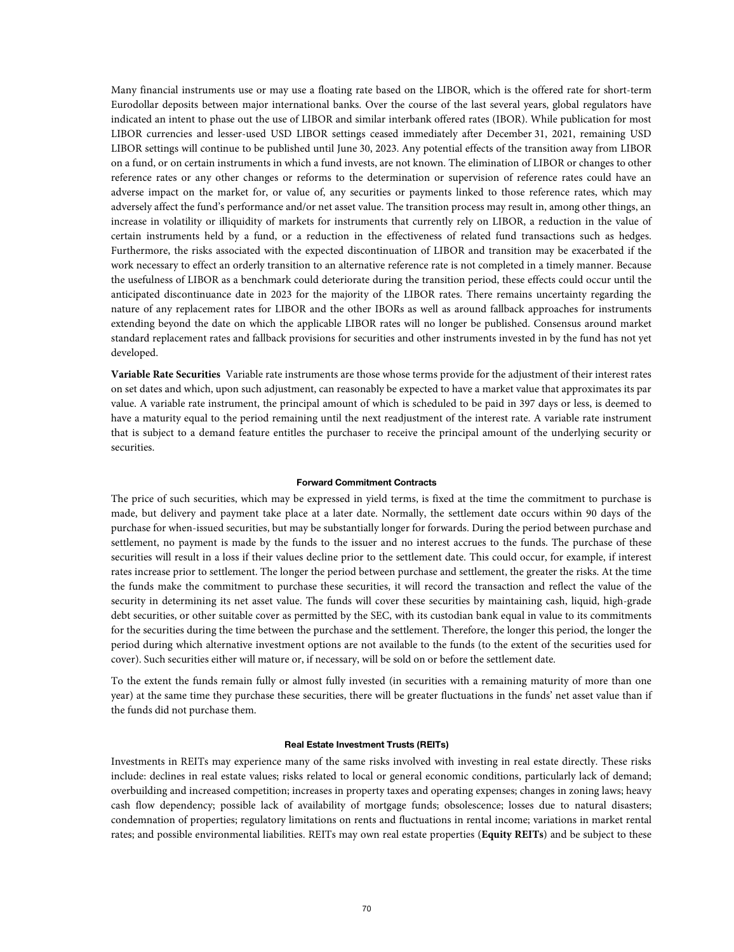Many financial instruments use or may use a floating rate based on the LIBOR, which is the offered rate for short-term Eurodollar deposits between major international banks. Over the course of the last several years, global regulators have indicated an intent to phase out the use of LIBOR and similar interbank offered rates (IBOR). While publication for most LIBOR currencies and lesser-used USD LIBOR settings ceased immediately after December 31, 2021, remaining USD LIBOR settings will continue to be published until June 30, 2023. Any potential effects of the transition away from LIBOR on a fund, or on certain instruments in which a fund invests, are not known. The elimination of LIBOR or changes to other reference rates or any other changes or reforms to the determination or supervision of reference rates could have an adverse impact on the market for, or value of, any securities or payments linked to those reference rates, which may adversely affect the fund's performance and/or net asset value. The transition process may result in, among other things, an increase in volatility or illiquidity of markets for instruments that currently rely on LIBOR, a reduction in the value of certain instruments held by a fund, or a reduction in the effectiveness of related fund transactions such as hedges. Furthermore, the risks associated with the expected discontinuation of LIBOR and transition may be exacerbated if the work necessary to effect an orderly transition to an alternative reference rate is not completed in a timely manner. Because the usefulness of LIBOR as a benchmark could deteriorate during the transition period, these effects could occur until the anticipated discontinuance date in 2023 for the majority of the LIBOR rates. There remains uncertainty regarding the nature of any replacement rates for LIBOR and the other IBORs as well as around fallback approaches for instruments extending beyond the date on which the applicable LIBOR rates will no longer be published. Consensus around market standard replacement rates and fallback provisions for securities and other instruments invested in by the fund has not yet developed.

**Variable Rate Securities** Variable rate instruments are those whose terms provide for the adjustment of their interest rates on set dates and which, upon such adjustment, can reasonably be expected to have a market value that approximates its par value. A variable rate instrument, the principal amount of which is scheduled to be paid in 397 days or less, is deemed to have a maturity equal to the period remaining until the next readjustment of the interest rate. A variable rate instrument that is subject to a demand feature entitles the purchaser to receive the principal amount of the underlying security or securities.

#### **Forward Commitment Contracts**

The price of such securities, which may be expressed in yield terms, is fixed at the time the commitment to purchase is made, but delivery and payment take place at a later date. Normally, the settlement date occurs within 90 days of the purchase for when-issued securities, but may be substantially longer for forwards. During the period between purchase and settlement, no payment is made by the funds to the issuer and no interest accrues to the funds. The purchase of these securities will result in a loss if their values decline prior to the settlement date. This could occur, for example, if interest rates increase prior to settlement. The longer the period between purchase and settlement, the greater the risks. At the time the funds make the commitment to purchase these securities, it will record the transaction and reflect the value of the security in determining its net asset value. The funds will cover these securities by maintaining cash, liquid, high-grade debt securities, or other suitable cover as permitted by the SEC, with its custodian bank equal in value to its commitments for the securities during the time between the purchase and the settlement. Therefore, the longer this period, the longer the period during which alternative investment options are not available to the funds (to the extent of the securities used for cover). Such securities either will mature or, if necessary, will be sold on or before the settlement date.

To the extent the funds remain fully or almost fully invested (in securities with a remaining maturity of more than one year) at the same time they purchase these securities, there will be greater fluctuations in the funds' net asset value than if the funds did not purchase them.

### **Real Estate Investment Trusts (REITs)**

Investments in REITs may experience many of the same risks involved with investing in real estate directly. These risks include: declines in real estate values; risks related to local or general economic conditions, particularly lack of demand; overbuilding and increased competition; increases in property taxes and operating expenses; changes in zoning laws; heavy cash flow dependency; possible lack of availability of mortgage funds; obsolescence; losses due to natural disasters; condemnation of properties; regulatory limitations on rents and fluctuations in rental income; variations in market rental rates; and possible environmental liabilities. REITs may own real estate properties (**Equity REITs**) and be subject to these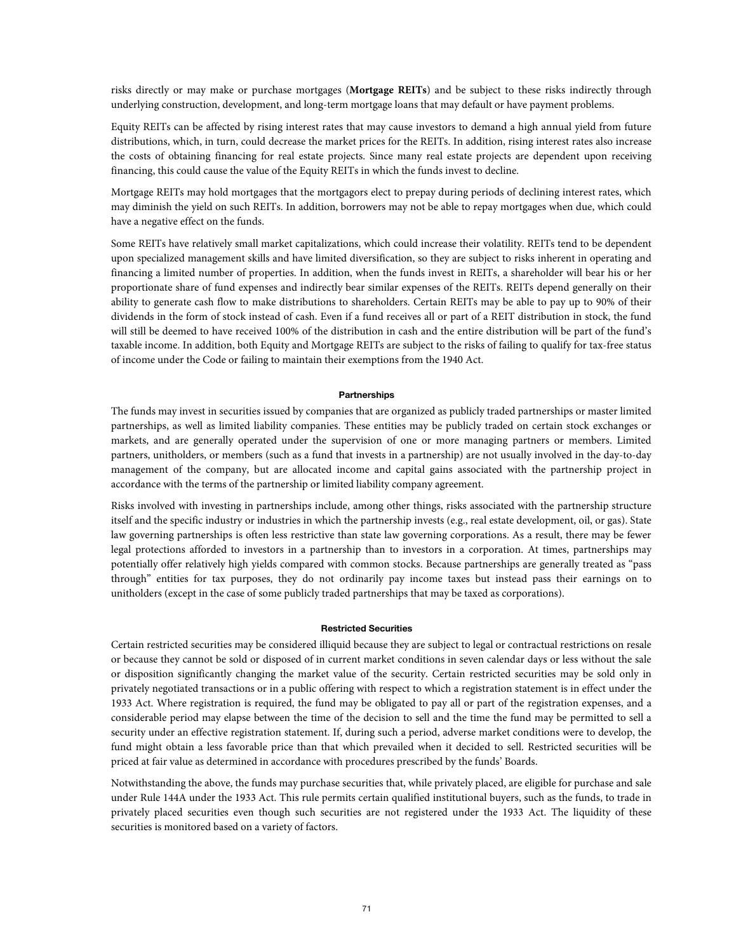risks directly or may make or purchase mortgages (**Mortgage REITs**) and be subject to these risks indirectly through underlying construction, development, and long-term mortgage loans that may default or have payment problems.

Equity REITs can be affected by rising interest rates that may cause investors to demand a high annual yield from future distributions, which, in turn, could decrease the market prices for the REITs. In addition, rising interest rates also increase the costs of obtaining financing for real estate projects. Since many real estate projects are dependent upon receiving financing, this could cause the value of the Equity REITs in which the funds invest to decline.

Mortgage REITs may hold mortgages that the mortgagors elect to prepay during periods of declining interest rates, which may diminish the yield on such REITs. In addition, borrowers may not be able to repay mortgages when due, which could have a negative effect on the funds.

Some REITs have relatively small market capitalizations, which could increase their volatility. REITs tend to be dependent upon specialized management skills and have limited diversification, so they are subject to risks inherent in operating and financing a limited number of properties. In addition, when the funds invest in REITs, a shareholder will bear his or her proportionate share of fund expenses and indirectly bear similar expenses of the REITs. REITs depend generally on their ability to generate cash flow to make distributions to shareholders. Certain REITs may be able to pay up to 90% of their dividends in the form of stock instead of cash. Even if a fund receives all or part of a REIT distribution in stock, the fund will still be deemed to have received 100% of the distribution in cash and the entire distribution will be part of the fund's taxable income. In addition, both Equity and Mortgage REITs are subject to the risks of failing to qualify for tax-free status of income under the Code or failing to maintain their exemptions from the 1940 Act.

### **Partnerships**

The funds may invest in securities issued by companies that are organized as publicly traded partnerships or master limited partnerships, as well as limited liability companies. These entities may be publicly traded on certain stock exchanges or markets, and are generally operated under the supervision of one or more managing partners or members. Limited partners, unitholders, or members (such as a fund that invests in a partnership) are not usually involved in the day-to-day management of the company, but are allocated income and capital gains associated with the partnership project in accordance with the terms of the partnership or limited liability company agreement.

Risks involved with investing in partnerships include, among other things, risks associated with the partnership structure itself and the specific industry or industries in which the partnership invests (e.g., real estate development, oil, or gas). State law governing partnerships is often less restrictive than state law governing corporations. As a result, there may be fewer legal protections afforded to investors in a partnership than to investors in a corporation. At times, partnerships may potentially offer relatively high yields compared with common stocks. Because partnerships are generally treated as "pass through" entities for tax purposes, they do not ordinarily pay income taxes but instead pass their earnings on to unitholders (except in the case of some publicly traded partnerships that may be taxed as corporations).

### **Restricted Securities**

Certain restricted securities may be considered illiquid because they are subject to legal or contractual restrictions on resale or because they cannot be sold or disposed of in current market conditions in seven calendar days or less without the sale or disposition significantly changing the market value of the security. Certain restricted securities may be sold only in privately negotiated transactions or in a public offering with respect to which a registration statement is in effect under the 1933 Act. Where registration is required, the fund may be obligated to pay all or part of the registration expenses, and a considerable period may elapse between the time of the decision to sell and the time the fund may be permitted to sell a security under an effective registration statement. If, during such a period, adverse market conditions were to develop, the fund might obtain a less favorable price than that which prevailed when it decided to sell. Restricted securities will be priced at fair value as determined in accordance with procedures prescribed by the funds' Boards.

Notwithstanding the above, the funds may purchase securities that, while privately placed, are eligible for purchase and sale under Rule 144A under the 1933 Act. This rule permits certain qualified institutional buyers, such as the funds, to trade in privately placed securities even though such securities are not registered under the 1933 Act. The liquidity of these securities is monitored based on a variety of factors.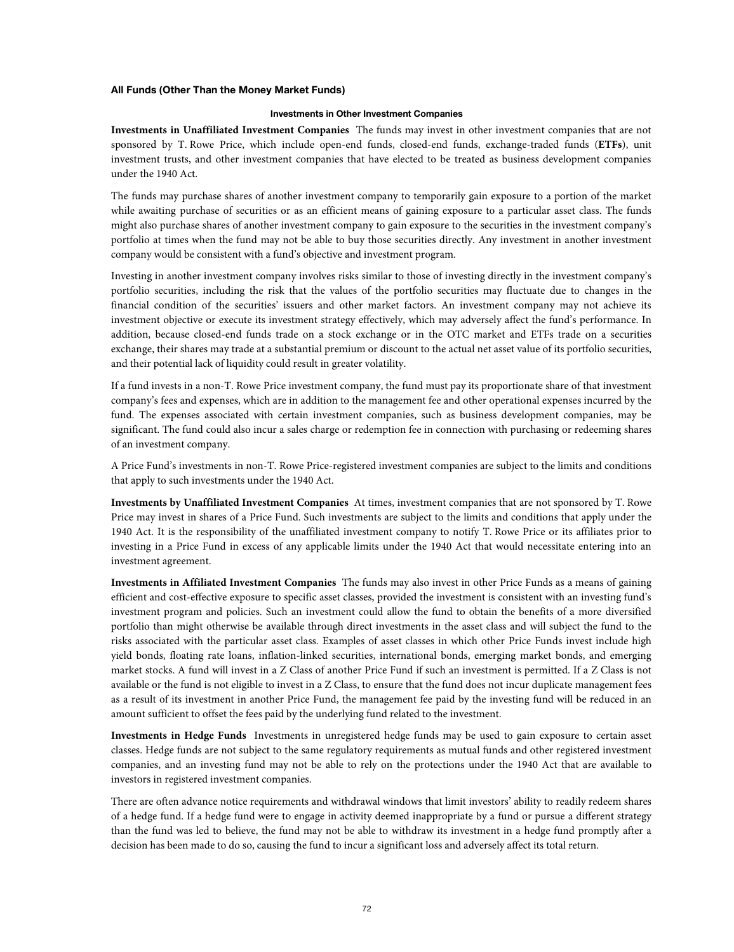# **All Funds (Other Than the Money Market Funds)**

### **Investments in Other Investment Companies**

**Investments in Unaffiliated Investment Companies** The funds may invest in other investment companies that are not sponsored by T. Rowe Price, which include open-end funds, closed-end funds, exchange-traded funds (**ETFs**), unit investment trusts, and other investment companies that have elected to be treated as business development companies under the 1940 Act.

The funds may purchase shares of another investment company to temporarily gain exposure to a portion of the market while awaiting purchase of securities or as an efficient means of gaining exposure to a particular asset class. The funds might also purchase shares of another investment company to gain exposure to the securities in the investment company's portfolio at times when the fund may not be able to buy those securities directly. Any investment in another investment company would be consistent with a fund's objective and investment program.

Investing in another investment company involves risks similar to those of investing directly in the investment company's portfolio securities, including the risk that the values of the portfolio securities may fluctuate due to changes in the financial condition of the securities' issuers and other market factors. An investment company may not achieve its investment objective or execute its investment strategy effectively, which may adversely affect the fund's performance. In addition, because closed-end funds trade on a stock exchange or in the OTC market and ETFs trade on a securities exchange, their shares may trade at a substantial premium or discount to the actual net asset value of its portfolio securities, and their potential lack of liquidity could result in greater volatility.

If a fund invests in a non-T. Rowe Price investment company, the fund must pay its proportionate share of that investment company's fees and expenses, which are in addition to the management fee and other operational expenses incurred by the fund. The expenses associated with certain investment companies, such as business development companies, may be significant. The fund could also incur a sales charge or redemption fee in connection with purchasing or redeeming shares of an investment company.

A Price Fund's investments in non-T. Rowe Price-registered investment companies are subject to the limits and conditions that apply to such investments under the 1940 Act.

**Investments by Unaffiliated Investment Companies** At times, investment companies that are not sponsored by T. Rowe Price may invest in shares of a Price Fund. Such investments are subject to the limits and conditions that apply under the 1940 Act. It is the responsibility of the unaffiliated investment company to notify T. Rowe Price or its affiliates prior to investing in a Price Fund in excess of any applicable limits under the 1940 Act that would necessitate entering into an investment agreement.

**Investments in Affiliated Investment Companies** The funds may also invest in other Price Funds as a means of gaining efficient and cost-effective exposure to specific asset classes, provided the investment is consistent with an investing fund's investment program and policies. Such an investment could allow the fund to obtain the benefits of a more diversified portfolio than might otherwise be available through direct investments in the asset class and will subject the fund to the risks associated with the particular asset class. Examples of asset classes in which other Price Funds invest include high yield bonds, floating rate loans, inflation-linked securities, international bonds, emerging market bonds, and emerging market stocks. A fund will invest in a Z Class of another Price Fund if such an investment is permitted. If a Z Class is not available or the fund is not eligible to invest in a Z Class, to ensure that the fund does not incur duplicate management fees as a result of its investment in another Price Fund, the management fee paid by the investing fund will be reduced in an amount sufficient to offset the fees paid by the underlying fund related to the investment.

**Investments in Hedge Funds** Investments in unregistered hedge funds may be used to gain exposure to certain asset classes. Hedge funds are not subject to the same regulatory requirements as mutual funds and other registered investment companies, and an investing fund may not be able to rely on the protections under the 1940 Act that are available to investors in registered investment companies.

There are often advance notice requirements and withdrawal windows that limit investors' ability to readily redeem shares of a hedge fund. If a hedge fund were to engage in activity deemed inappropriate by a fund or pursue a different strategy than the fund was led to believe, the fund may not be able to withdraw its investment in a hedge fund promptly after a decision has been made to do so, causing the fund to incur a significant loss and adversely affect its total return.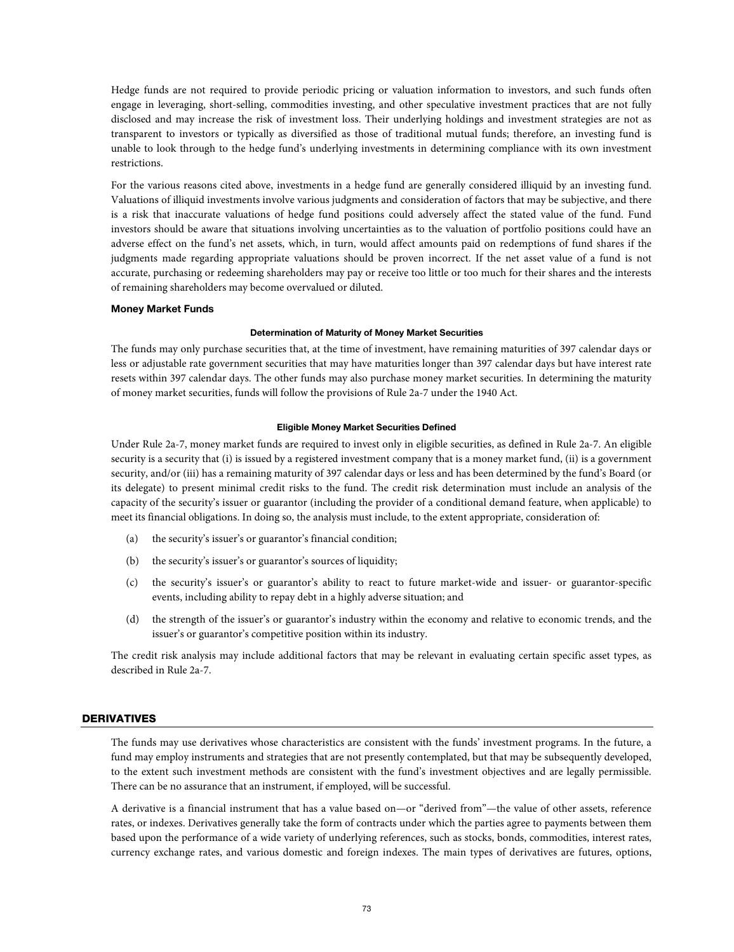Hedge funds are not required to provide periodic pricing or valuation information to investors, and such funds often engage in leveraging, short-selling, commodities investing, and other speculative investment practices that are not fully disclosed and may increase the risk of investment loss. Their underlying holdings and investment strategies are not as transparent to investors or typically as diversified as those of traditional mutual funds; therefore, an investing fund is unable to look through to the hedge fund's underlying investments in determining compliance with its own investment restrictions.

For the various reasons cited above, investments in a hedge fund are generally considered illiquid by an investing fund. Valuations of illiquid investments involve various judgments and consideration of factors that may be subjective, and there is a risk that inaccurate valuations of hedge fund positions could adversely affect the stated value of the fund. Fund investors should be aware that situations involving uncertainties as to the valuation of portfolio positions could have an adverse effect on the fund's net assets, which, in turn, would affect amounts paid on redemptions of fund shares if the judgments made regarding appropriate valuations should be proven incorrect. If the net asset value of a fund is not accurate, purchasing or redeeming shareholders may pay or receive too little or too much for their shares and the interests of remaining shareholders may become overvalued or diluted.

## **Money Market Funds**

#### **Determination of Maturity of Money Market Securities**

The funds may only purchase securities that, at the time of investment, have remaining maturities of 397 calendar days or less or adjustable rate government securities that may have maturities longer than 397 calendar days but have interest rate resets within 397 calendar days. The other funds may also purchase money market securities. In determining the maturity of money market securities, funds will follow the provisions of Rule 2a-7 under the 1940 Act.

### **Eligible Money Market Securities Defined**

Under Rule 2a-7, money market funds are required to invest only in eligible securities, as defined in Rule 2a-7. An eligible security is a security that (i) is issued by a registered investment company that is a money market fund, (ii) is a government security, and/or (iii) has a remaining maturity of 397 calendar days or less and has been determined by the fund's Board (or its delegate) to present minimal credit risks to the fund. The credit risk determination must include an analysis of the capacity of the security's issuer or guarantor (including the provider of a conditional demand feature, when applicable) to meet its financial obligations. In doing so, the analysis must include, to the extent appropriate, consideration of:

- (a) the security's issuer's or guarantor's financial condition;
- (b) the security's issuer's or guarantor's sources of liquidity;
- (c) the security's issuer's or guarantor's ability to react to future market-wide and issuer- or guarantor-specific events, including ability to repay debt in a highly adverse situation; and
- (d) the strength of the issuer's or guarantor's industry within the economy and relative to economic trends, and the issuer's or guarantor's competitive position within its industry.

The credit risk analysis may include additional factors that may be relevant in evaluating certain specific asset types, as described in Rule 2a-7.

# DERIVATIVES

The funds may use derivatives whose characteristics are consistent with the funds' investment programs. In the future, a fund may employ instruments and strategies that are not presently contemplated, but that may be subsequently developed, to the extent such investment methods are consistent with the fund's investment objectives and are legally permissible. There can be no assurance that an instrument, if employed, will be successful.

A derivative is a financial instrument that has a value based on—or "derived from"—the value of other assets, reference rates, or indexes. Derivatives generally take the form of contracts under which the parties agree to payments between them based upon the performance of a wide variety of underlying references, such as stocks, bonds, commodities, interest rates, currency exchange rates, and various domestic and foreign indexes. The main types of derivatives are futures, options,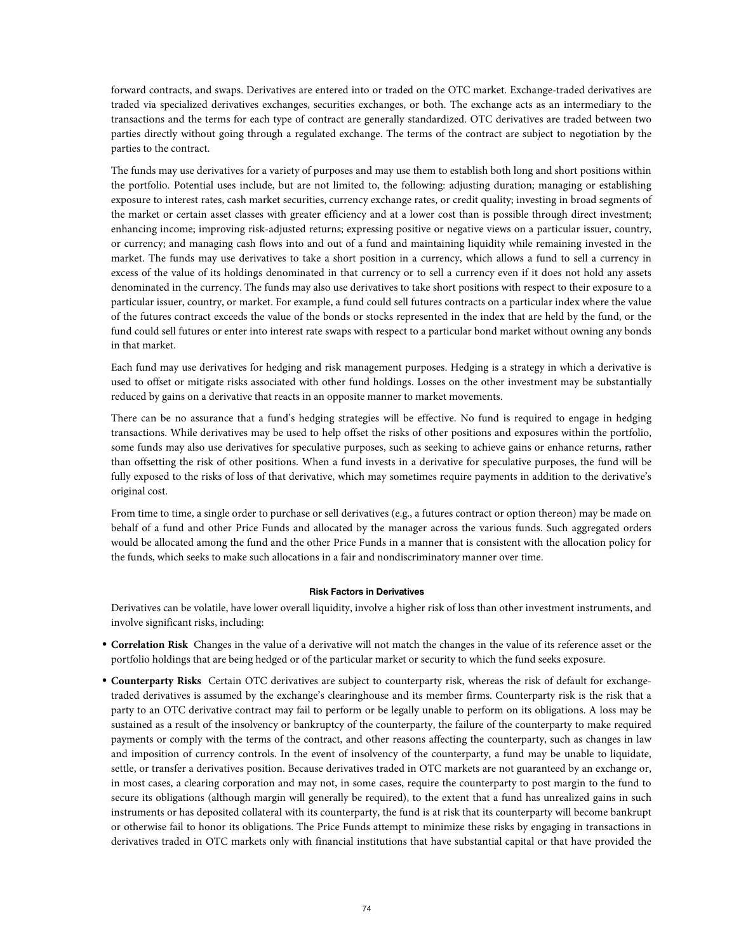forward contracts, and swaps. Derivatives are entered into or traded on the OTC market. Exchange-traded derivatives are traded via specialized derivatives exchanges, securities exchanges, or both. The exchange acts as an intermediary to the transactions and the terms for each type of contract are generally standardized. OTC derivatives are traded between two parties directly without going through a regulated exchange. The terms of the contract are subject to negotiation by the parties to the contract.

The funds may use derivatives for a variety of purposes and may use them to establish both long and short positions within the portfolio. Potential uses include, but are not limited to, the following: adjusting duration; managing or establishing exposure to interest rates, cash market securities, currency exchange rates, or credit quality; investing in broad segments of the market or certain asset classes with greater efficiency and at a lower cost than is possible through direct investment; enhancing income; improving risk-adjusted returns; expressing positive or negative views on a particular issuer, country, or currency; and managing cash flows into and out of a fund and maintaining liquidity while remaining invested in the market. The funds may use derivatives to take a short position in a currency, which allows a fund to sell a currency in excess of the value of its holdings denominated in that currency or to sell a currency even if it does not hold any assets denominated in the currency. The funds may also use derivatives to take short positions with respect to their exposure to a particular issuer, country, or market. For example, a fund could sell futures contracts on a particular index where the value of the futures contract exceeds the value of the bonds or stocks represented in the index that are held by the fund, or the fund could sell futures or enter into interest rate swaps with respect to a particular bond market without owning any bonds in that market.

Each fund may use derivatives for hedging and risk management purposes. Hedging is a strategy in which a derivative is used to offset or mitigate risks associated with other fund holdings. Losses on the other investment may be substantially reduced by gains on a derivative that reacts in an opposite manner to market movements.

There can be no assurance that a fund's hedging strategies will be effective. No fund is required to engage in hedging transactions. While derivatives may be used to help offset the risks of other positions and exposures within the portfolio, some funds may also use derivatives for speculative purposes, such as seeking to achieve gains or enhance returns, rather than offsetting the risk of other positions. When a fund invests in a derivative for speculative purposes, the fund will be fully exposed to the risks of loss of that derivative, which may sometimes require payments in addition to the derivative's original cost.

From time to time, a single order to purchase or sell derivatives (e.g., a futures contract or option thereon) may be made on behalf of a fund and other Price Funds and allocated by the manager across the various funds. Such aggregated orders would be allocated among the fund and the other Price Funds in a manner that is consistent with the allocation policy for the funds, which seeks to make such allocations in a fair and nondiscriminatory manner over time.

## **Risk Factors in Derivatives**

Derivatives can be volatile, have lower overall liquidity, involve a higher risk of loss than other investment instruments, and involve significant risks, including:

- **Correlation Risk** Changes in the value of a derivative will not match the changes in the value of its reference asset or the portfolio holdings that are being hedged or of the particular market or security to which the fund seeks exposure.
- **Counterparty Risks** Certain OTC derivatives are subject to counterparty risk, whereas the risk of default for exchangetraded derivatives is assumed by the exchange's clearinghouse and its member firms. Counterparty risk is the risk that a party to an OTC derivative contract may fail to perform or be legally unable to perform on its obligations. A loss may be sustained as a result of the insolvency or bankruptcy of the counterparty, the failure of the counterparty to make required payments or comply with the terms of the contract, and other reasons affecting the counterparty, such as changes in law and imposition of currency controls. In the event of insolvency of the counterparty, a fund may be unable to liquidate, settle, or transfer a derivatives position. Because derivatives traded in OTC markets are not guaranteed by an exchange or, in most cases, a clearing corporation and may not, in some cases, require the counterparty to post margin to the fund to secure its obligations (although margin will generally be required), to the extent that a fund has unrealized gains in such instruments or has deposited collateral with its counterparty, the fund is at risk that its counterparty will become bankrupt or otherwise fail to honor its obligations. The Price Funds attempt to minimize these risks by engaging in transactions in derivatives traded in OTC markets only with financial institutions that have substantial capital or that have provided the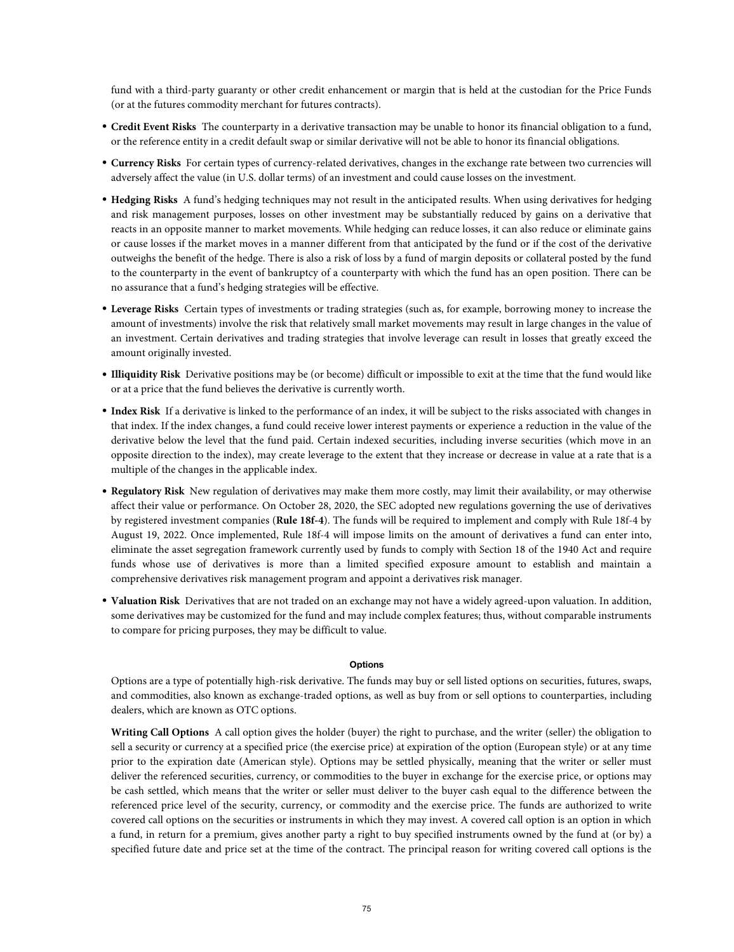fund with a third-party guaranty or other credit enhancement or margin that is held at the custodian for the Price Funds (or at the futures commodity merchant for futures contracts).

- **Credit Event Risks** The counterparty in a derivative transaction may be unable to honor its financial obligation to a fund, or the reference entity in a credit default swap or similar derivative will not be able to honor its financial obligations.
- **Currency Risks** For certain types of currency-related derivatives, changes in the exchange rate between two currencies will adversely affect the value (in U.S. dollar terms) of an investment and could cause losses on the investment.
- **Hedging Risks** A fund's hedging techniques may not result in the anticipated results. When using derivatives for hedging and risk management purposes, losses on other investment may be substantially reduced by gains on a derivative that reacts in an opposite manner to market movements. While hedging can reduce losses, it can also reduce or eliminate gains or cause losses if the market moves in a manner different from that anticipated by the fund or if the cost of the derivative outweighs the benefit of the hedge. There is also a risk of loss by a fund of margin deposits or collateral posted by the fund to the counterparty in the event of bankruptcy of a counterparty with which the fund has an open position. There can be no assurance that a fund's hedging strategies will be effective.
- **Leverage Risks** Certain types of investments or trading strategies (such as, for example, borrowing money to increase the amount of investments) involve the risk that relatively small market movements may result in large changes in the value of an investment. Certain derivatives and trading strategies that involve leverage can result in losses that greatly exceed the amount originally invested.
- **Illiquidity Risk** Derivative positions may be (or become) difficult or impossible to exit at the time that the fund would like or at a price that the fund believes the derivative is currently worth.
- **Index Risk** If a derivative is linked to the performance of an index, it will be subject to the risks associated with changes in that index. If the index changes, a fund could receive lower interest payments or experience a reduction in the value of the derivative below the level that the fund paid. Certain indexed securities, including inverse securities (which move in an opposite direction to the index), may create leverage to the extent that they increase or decrease in value at a rate that is a multiple of the changes in the applicable index.
- **Regulatory Risk** New regulation of derivatives may make them more costly, may limit their availability, or may otherwise affect their value or performance. On October 28, 2020, the SEC adopted new regulations governing the use of derivatives by registered investment companies (**Rule 18f-4**). The funds will be required to implement and comply with Rule 18f-4 by August 19, 2022. Once implemented, Rule 18f-4 will impose limits on the amount of derivatives a fund can enter into, eliminate the asset segregation framework currently used by funds to comply with Section 18 of the 1940 Act and require funds whose use of derivatives is more than a limited specified exposure amount to establish and maintain a comprehensive derivatives risk management program and appoint a derivatives risk manager.
- **Valuation Risk** Derivatives that are not traded on an exchange may not have a widely agreed-upon valuation. In addition, some derivatives may be customized for the fund and may include complex features; thus, without comparable instruments to compare for pricing purposes, they may be difficult to value.

### **Options**

Options are a type of potentially high-risk derivative. The funds may buy or sell listed options on securities, futures, swaps, and commodities, also known as exchange-traded options, as well as buy from or sell options to counterparties, including dealers, which are known as OTC options.

**Writing Call Options** A call option gives the holder (buyer) the right to purchase, and the writer (seller) the obligation to sell a security or currency at a specified price (the exercise price) at expiration of the option (European style) or at any time prior to the expiration date (American style). Options may be settled physically, meaning that the writer or seller must deliver the referenced securities, currency, or commodities to the buyer in exchange for the exercise price, or options may be cash settled, which means that the writer or seller must deliver to the buyer cash equal to the difference between the referenced price level of the security, currency, or commodity and the exercise price. The funds are authorized to write covered call options on the securities or instruments in which they may invest. A covered call option is an option in which a fund, in return for a premium, gives another party a right to buy specified instruments owned by the fund at (or by) a specified future date and price set at the time of the contract. The principal reason for writing covered call options is the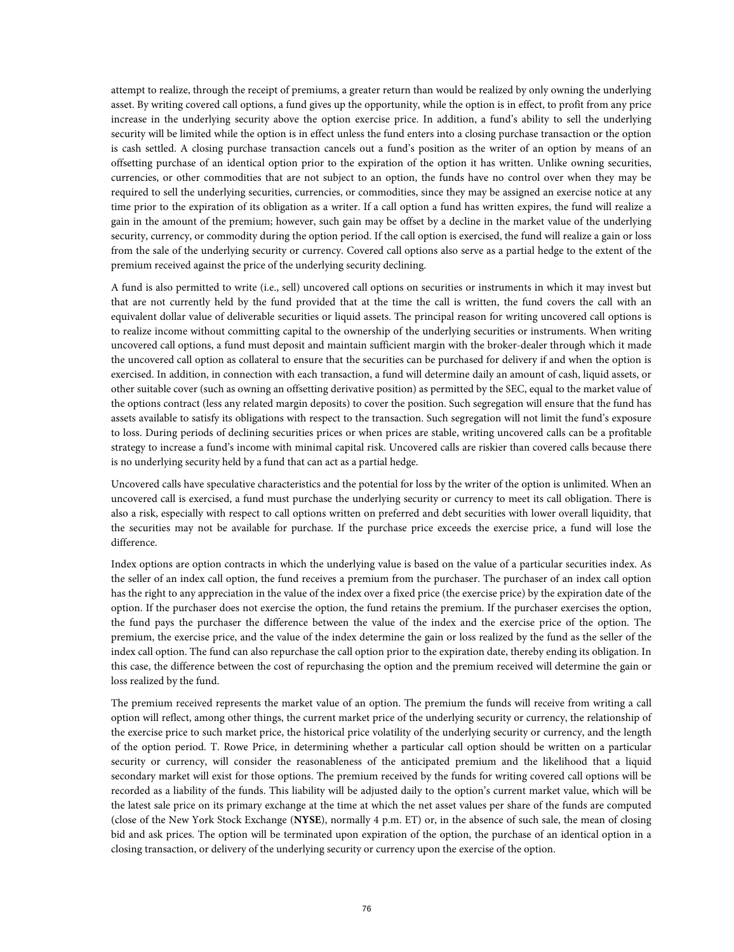attempt to realize, through the receipt of premiums, a greater return than would be realized by only owning the underlying asset. By writing covered call options, a fund gives up the opportunity, while the option is in effect, to profit from any price increase in the underlying security above the option exercise price. In addition, a fund's ability to sell the underlying security will be limited while the option is in effect unless the fund enters into a closing purchase transaction or the option is cash settled. A closing purchase transaction cancels out a fund's position as the writer of an option by means of an offsetting purchase of an identical option prior to the expiration of the option it has written. Unlike owning securities, currencies, or other commodities that are not subject to an option, the funds have no control over when they may be required to sell the underlying securities, currencies, or commodities, since they may be assigned an exercise notice at any time prior to the expiration of its obligation as a writer. If a call option a fund has written expires, the fund will realize a gain in the amount of the premium; however, such gain may be offset by a decline in the market value of the underlying security, currency, or commodity during the option period. If the call option is exercised, the fund will realize a gain or loss from the sale of the underlying security or currency. Covered call options also serve as a partial hedge to the extent of the premium received against the price of the underlying security declining.

A fund is also permitted to write (i.e., sell) uncovered call options on securities or instruments in which it may invest but that are not currently held by the fund provided that at the time the call is written, the fund covers the call with an equivalent dollar value of deliverable securities or liquid assets. The principal reason for writing uncovered call options is to realize income without committing capital to the ownership of the underlying securities or instruments. When writing uncovered call options, a fund must deposit and maintain sufficient margin with the broker-dealer through which it made the uncovered call option as collateral to ensure that the securities can be purchased for delivery if and when the option is exercised. In addition, in connection with each transaction, a fund will determine daily an amount of cash, liquid assets, or other suitable cover (such as owning an offsetting derivative position) as permitted by the SEC, equal to the market value of the options contract (less any related margin deposits) to cover the position. Such segregation will ensure that the fund has assets available to satisfy its obligations with respect to the transaction. Such segregation will not limit the fund's exposure to loss. During periods of declining securities prices or when prices are stable, writing uncovered calls can be a profitable strategy to increase a fund's income with minimal capital risk. Uncovered calls are riskier than covered calls because there is no underlying security held by a fund that can act as a partial hedge.

Uncovered calls have speculative characteristics and the potential for loss by the writer of the option is unlimited. When an uncovered call is exercised, a fund must purchase the underlying security or currency to meet its call obligation. There is also a risk, especially with respect to call options written on preferred and debt securities with lower overall liquidity, that the securities may not be available for purchase. If the purchase price exceeds the exercise price, a fund will lose the difference.

Index options are option contracts in which the underlying value is based on the value of a particular securities index. As the seller of an index call option, the fund receives a premium from the purchaser. The purchaser of an index call option has the right to any appreciation in the value of the index over a fixed price (the exercise price) by the expiration date of the option. If the purchaser does not exercise the option, the fund retains the premium. If the purchaser exercises the option, the fund pays the purchaser the difference between the value of the index and the exercise price of the option. The premium, the exercise price, and the value of the index determine the gain or loss realized by the fund as the seller of the index call option. The fund can also repurchase the call option prior to the expiration date, thereby ending its obligation. In this case, the difference between the cost of repurchasing the option and the premium received will determine the gain or loss realized by the fund.

The premium received represents the market value of an option. The premium the funds will receive from writing a call option will reflect, among other things, the current market price of the underlying security or currency, the relationship of the exercise price to such market price, the historical price volatility of the underlying security or currency, and the length of the option period. T. Rowe Price, in determining whether a particular call option should be written on a particular security or currency, will consider the reasonableness of the anticipated premium and the likelihood that a liquid secondary market will exist for those options. The premium received by the funds for writing covered call options will be recorded as a liability of the funds. This liability will be adjusted daily to the option's current market value, which will be the latest sale price on its primary exchange at the time at which the net asset values per share of the funds are computed (close of the New York Stock Exchange (**NYSE**), normally 4 p.m. ET) or, in the absence of such sale, the mean of closing bid and ask prices. The option will be terminated upon expiration of the option, the purchase of an identical option in a closing transaction, or delivery of the underlying security or currency upon the exercise of the option.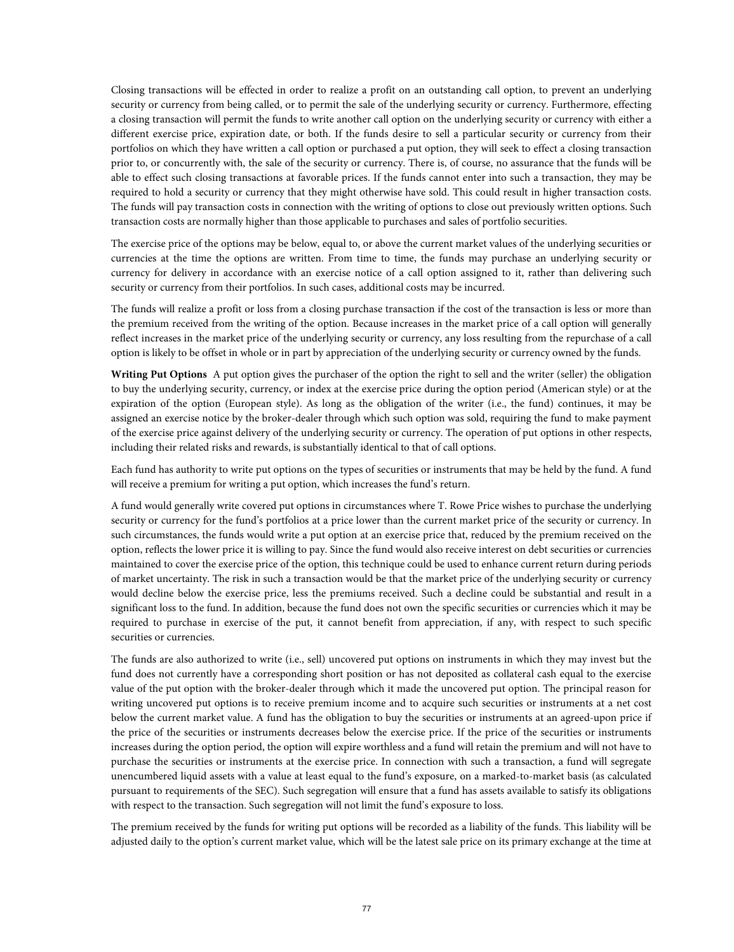Closing transactions will be effected in order to realize a profit on an outstanding call option, to prevent an underlying security or currency from being called, or to permit the sale of the underlying security or currency. Furthermore, effecting a closing transaction will permit the funds to write another call option on the underlying security or currency with either a different exercise price, expiration date, or both. If the funds desire to sell a particular security or currency from their portfolios on which they have written a call option or purchased a put option, they will seek to effect a closing transaction prior to, or concurrently with, the sale of the security or currency. There is, of course, no assurance that the funds will be able to effect such closing transactions at favorable prices. If the funds cannot enter into such a transaction, they may be required to hold a security or currency that they might otherwise have sold. This could result in higher transaction costs. The funds will pay transaction costs in connection with the writing of options to close out previously written options. Such transaction costs are normally higher than those applicable to purchases and sales of portfolio securities.

The exercise price of the options may be below, equal to, or above the current market values of the underlying securities or currencies at the time the options are written. From time to time, the funds may purchase an underlying security or currency for delivery in accordance with an exercise notice of a call option assigned to it, rather than delivering such security or currency from their portfolios. In such cases, additional costs may be incurred.

The funds will realize a profit or loss from a closing purchase transaction if the cost of the transaction is less or more than the premium received from the writing of the option. Because increases in the market price of a call option will generally reflect increases in the market price of the underlying security or currency, any loss resulting from the repurchase of a call option is likely to be offset in whole or in part by appreciation of the underlying security or currency owned by the funds.

**Writing Put Options** A put option gives the purchaser of the option the right to sell and the writer (seller) the obligation to buy the underlying security, currency, or index at the exercise price during the option period (American style) or at the expiration of the option (European style). As long as the obligation of the writer (i.e., the fund) continues, it may be assigned an exercise notice by the broker-dealer through which such option was sold, requiring the fund to make payment of the exercise price against delivery of the underlying security or currency. The operation of put options in other respects, including their related risks and rewards, is substantially identical to that of call options.

Each fund has authority to write put options on the types of securities or instruments that may be held by the fund. A fund will receive a premium for writing a put option, which increases the fund's return.

A fund would generally write covered put options in circumstances where T. Rowe Price wishes to purchase the underlying security or currency for the fund's portfolios at a price lower than the current market price of the security or currency. In such circumstances, the funds would write a put option at an exercise price that, reduced by the premium received on the option, reflects the lower price it is willing to pay. Since the fund would also receive interest on debt securities or currencies maintained to cover the exercise price of the option, this technique could be used to enhance current return during periods of market uncertainty. The risk in such a transaction would be that the market price of the underlying security or currency would decline below the exercise price, less the premiums received. Such a decline could be substantial and result in a significant loss to the fund. In addition, because the fund does not own the specific securities or currencies which it may be required to purchase in exercise of the put, it cannot benefit from appreciation, if any, with respect to such specific securities or currencies.

The funds are also authorized to write (i.e., sell) uncovered put options on instruments in which they may invest but the fund does not currently have a corresponding short position or has not deposited as collateral cash equal to the exercise value of the put option with the broker-dealer through which it made the uncovered put option. The principal reason for writing uncovered put options is to receive premium income and to acquire such securities or instruments at a net cost below the current market value. A fund has the obligation to buy the securities or instruments at an agreed-upon price if the price of the securities or instruments decreases below the exercise price. If the price of the securities or instruments increases during the option period, the option will expire worthless and a fund will retain the premium and will not have to purchase the securities or instruments at the exercise price. In connection with such a transaction, a fund will segregate unencumbered liquid assets with a value at least equal to the fund's exposure, on a marked-to-market basis (as calculated pursuant to requirements of the SEC). Such segregation will ensure that a fund has assets available to satisfy its obligations with respect to the transaction. Such segregation will not limit the fund's exposure to loss.

The premium received by the funds for writing put options will be recorded as a liability of the funds. This liability will be adjusted daily to the option's current market value, which will be the latest sale price on its primary exchange at the time at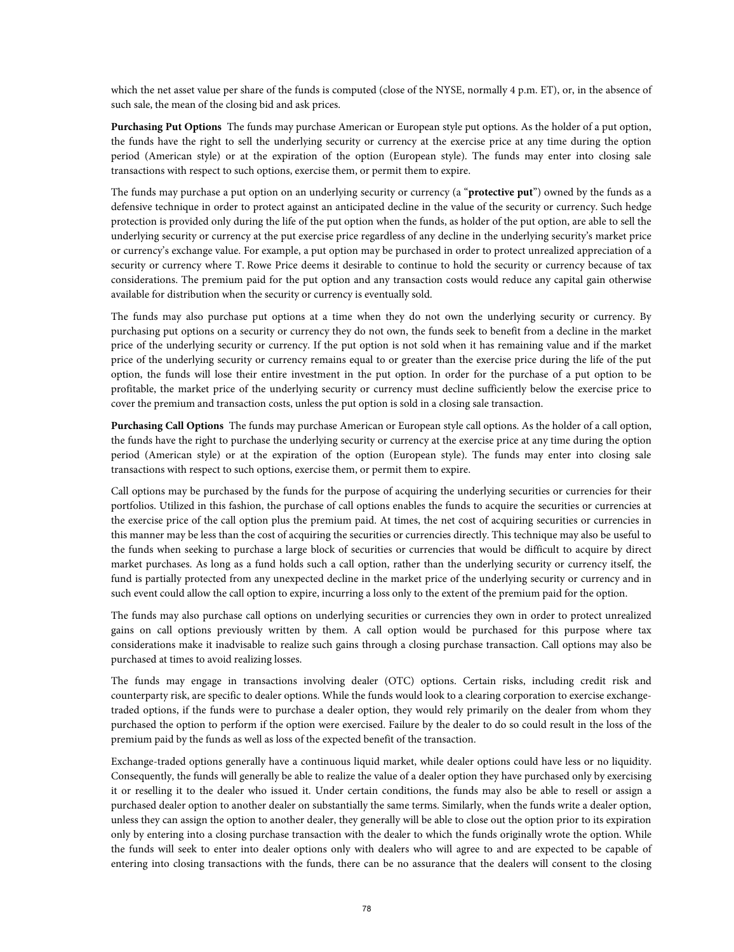which the net asset value per share of the funds is computed (close of the NYSE, normally 4 p.m. ET), or, in the absence of such sale, the mean of the closing bid and ask prices.

**Purchasing Put Options** The funds may purchase American or European style put options. As the holder of a put option, the funds have the right to sell the underlying security or currency at the exercise price at any time during the option period (American style) or at the expiration of the option (European style). The funds may enter into closing sale transactions with respect to such options, exercise them, or permit them to expire.

The funds may purchase a put option on an underlying security or currency (a "**protective put**") owned by the funds as a defensive technique in order to protect against an anticipated decline in the value of the security or currency. Such hedge protection is provided only during the life of the put option when the funds, as holder of the put option, are able to sell the underlying security or currency at the put exercise price regardless of any decline in the underlying security's market price or currency's exchange value. For example, a put option may be purchased in order to protect unrealized appreciation of a security or currency where T. Rowe Price deems it desirable to continue to hold the security or currency because of tax considerations. The premium paid for the put option and any transaction costs would reduce any capital gain otherwise available for distribution when the security or currency is eventually sold.

The funds may also purchase put options at a time when they do not own the underlying security or currency. By purchasing put options on a security or currency they do not own, the funds seek to benefit from a decline in the market price of the underlying security or currency. If the put option is not sold when it has remaining value and if the market price of the underlying security or currency remains equal to or greater than the exercise price during the life of the put option, the funds will lose their entire investment in the put option. In order for the purchase of a put option to be profitable, the market price of the underlying security or currency must decline sufficiently below the exercise price to cover the premium and transaction costs, unless the put option is sold in a closing sale transaction.

**Purchasing Call Options** The funds may purchase American or European style call options. As the holder of a call option, the funds have the right to purchase the underlying security or currency at the exercise price at any time during the option period (American style) or at the expiration of the option (European style). The funds may enter into closing sale transactions with respect to such options, exercise them, or permit them to expire.

Call options may be purchased by the funds for the purpose of acquiring the underlying securities or currencies for their portfolios. Utilized in this fashion, the purchase of call options enables the funds to acquire the securities or currencies at the exercise price of the call option plus the premium paid. At times, the net cost of acquiring securities or currencies in this manner may be less than the cost of acquiring the securities or currencies directly. This technique may also be useful to the funds when seeking to purchase a large block of securities or currencies that would be difficult to acquire by direct market purchases. As long as a fund holds such a call option, rather than the underlying security or currency itself, the fund is partially protected from any unexpected decline in the market price of the underlying security or currency and in such event could allow the call option to expire, incurring a loss only to the extent of the premium paid for the option.

The funds may also purchase call options on underlying securities or currencies they own in order to protect unrealized gains on call options previously written by them. A call option would be purchased for this purpose where tax considerations make it inadvisable to realize such gains through a closing purchase transaction. Call options may also be purchased at times to avoid realizing losses.

The funds may engage in transactions involving dealer (OTC) options. Certain risks, including credit risk and counterparty risk, are specific to dealer options. While the funds would look to a clearing corporation to exercise exchangetraded options, if the funds were to purchase a dealer option, they would rely primarily on the dealer from whom they purchased the option to perform if the option were exercised. Failure by the dealer to do so could result in the loss of the premium paid by the funds as well as loss of the expected benefit of the transaction.

Exchange-traded options generally have a continuous liquid market, while dealer options could have less or no liquidity. Consequently, the funds will generally be able to realize the value of a dealer option they have purchased only by exercising it or reselling it to the dealer who issued it. Under certain conditions, the funds may also be able to resell or assign a purchased dealer option to another dealer on substantially the same terms. Similarly, when the funds write a dealer option, unless they can assign the option to another dealer, they generally will be able to close out the option prior to its expiration only by entering into a closing purchase transaction with the dealer to which the funds originally wrote the option. While the funds will seek to enter into dealer options only with dealers who will agree to and are expected to be capable of entering into closing transactions with the funds, there can be no assurance that the dealers will consent to the closing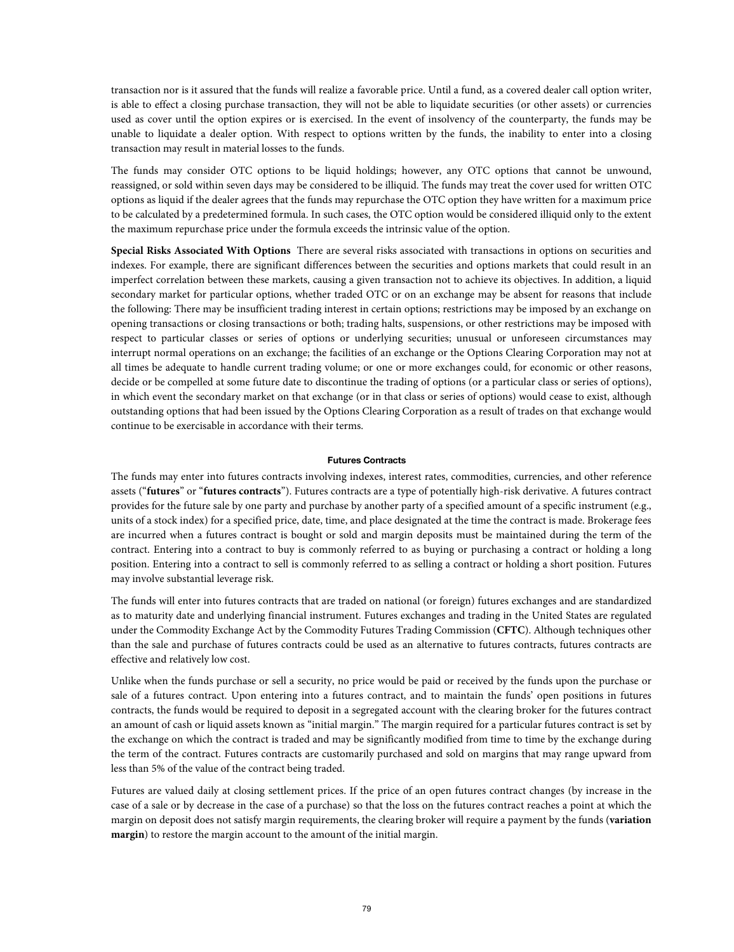transaction nor is it assured that the funds will realize a favorable price. Until a fund, as a covered dealer call option writer, is able to effect a closing purchase transaction, they will not be able to liquidate securities (or other assets) or currencies used as cover until the option expires or is exercised. In the event of insolvency of the counterparty, the funds may be unable to liquidate a dealer option. With respect to options written by the funds, the inability to enter into a closing transaction may result in material losses to the funds.

The funds may consider OTC options to be liquid holdings; however, any OTC options that cannot be unwound, reassigned, or sold within seven days may be considered to be illiquid. The funds may treat the cover used for written OTC options as liquid if the dealer agrees that the funds may repurchase the OTC option they have written for a maximum price to be calculated by a predetermined formula. In such cases, the OTC option would be considered illiquid only to the extent the maximum repurchase price under the formula exceeds the intrinsic value of the option.

**Special Risks Associated With Options** There are several risks associated with transactions in options on securities and indexes. For example, there are significant differences between the securities and options markets that could result in an imperfect correlation between these markets, causing a given transaction not to achieve its objectives. In addition, a liquid secondary market for particular options, whether traded OTC or on an exchange may be absent for reasons that include the following: There may be insufficient trading interest in certain options; restrictions may be imposed by an exchange on opening transactions or closing transactions or both; trading halts, suspensions, or other restrictions may be imposed with respect to particular classes or series of options or underlying securities; unusual or unforeseen circumstances may interrupt normal operations on an exchange; the facilities of an exchange or the Options Clearing Corporation may not at all times be adequate to handle current trading volume; or one or more exchanges could, for economic or other reasons, decide or be compelled at some future date to discontinue the trading of options (or a particular class or series of options), in which event the secondary market on that exchange (or in that class or series of options) would cease to exist, although outstanding options that had been issued by the Options Clearing Corporation as a result of trades on that exchange would continue to be exercisable in accordance with their terms.

### **Futures Contracts**

The funds may enter into futures contracts involving indexes, interest rates, commodities, currencies, and other reference assets ("**futures**" or "**futures contracts**"). Futures contracts are a type of potentially high-risk derivative. A futures contract provides for the future sale by one party and purchase by another party of a specified amount of a specific instrument (e.g., units of a stock index) for a specified price, date, time, and place designated at the time the contract is made. Brokerage fees are incurred when a futures contract is bought or sold and margin deposits must be maintained during the term of the contract. Entering into a contract to buy is commonly referred to as buying or purchasing a contract or holding a long position. Entering into a contract to sell is commonly referred to as selling a contract or holding a short position. Futures may involve substantial leverage risk.

The funds will enter into futures contracts that are traded on national (or foreign) futures exchanges and are standardized as to maturity date and underlying financial instrument. Futures exchanges and trading in the United States are regulated under the Commodity Exchange Act by the Commodity Futures Trading Commission (**CFTC**). Although techniques other than the sale and purchase of futures contracts could be used as an alternative to futures contracts, futures contracts are effective and relatively low cost.

Unlike when the funds purchase or sell a security, no price would be paid or received by the funds upon the purchase or sale of a futures contract. Upon entering into a futures contract, and to maintain the funds' open positions in futures contracts, the funds would be required to deposit in a segregated account with the clearing broker for the futures contract an amount of cash or liquid assets known as "initial margin." The margin required for a particular futures contract is set by the exchange on which the contract is traded and may be significantly modified from time to time by the exchange during the term of the contract. Futures contracts are customarily purchased and sold on margins that may range upward from less than 5% of the value of the contract being traded.

Futures are valued daily at closing settlement prices. If the price of an open futures contract changes (by increase in the case of a sale or by decrease in the case of a purchase) so that the loss on the futures contract reaches a point at which the margin on deposit does not satisfy margin requirements, the clearing broker will require a payment by the funds (**variation margin**) to restore the margin account to the amount of the initial margin.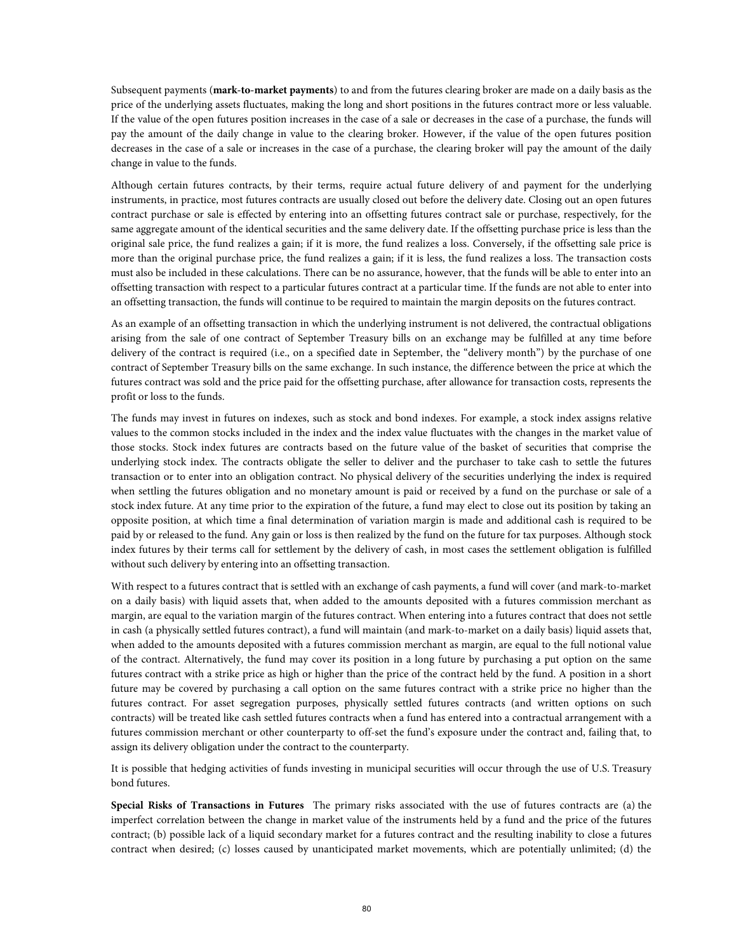Subsequent payments (**mark-to-market payments**) to and from the futures clearing broker are made on a daily basis as the price of the underlying assets fluctuates, making the long and short positions in the futures contract more or less valuable. If the value of the open futures position increases in the case of a sale or decreases in the case of a purchase, the funds will pay the amount of the daily change in value to the clearing broker. However, if the value of the open futures position decreases in the case of a sale or increases in the case of a purchase, the clearing broker will pay the amount of the daily change in value to the funds.

Although certain futures contracts, by their terms, require actual future delivery of and payment for the underlying instruments, in practice, most futures contracts are usually closed out before the delivery date. Closing out an open futures contract purchase or sale is effected by entering into an offsetting futures contract sale or purchase, respectively, for the same aggregate amount of the identical securities and the same delivery date. If the offsetting purchase price is less than the original sale price, the fund realizes a gain; if it is more, the fund realizes a loss. Conversely, if the offsetting sale price is more than the original purchase price, the fund realizes a gain; if it is less, the fund realizes a loss. The transaction costs must also be included in these calculations. There can be no assurance, however, that the funds will be able to enter into an offsetting transaction with respect to a particular futures contract at a particular time. If the funds are not able to enter into an offsetting transaction, the funds will continue to be required to maintain the margin deposits on the futures contract.

As an example of an offsetting transaction in which the underlying instrument is not delivered, the contractual obligations arising from the sale of one contract of September Treasury bills on an exchange may be fulfilled at any time before delivery of the contract is required (i.e., on a specified date in September, the "delivery month") by the purchase of one contract of September Treasury bills on the same exchange. In such instance, the difference between the price at which the futures contract was sold and the price paid for the offsetting purchase, after allowance for transaction costs, represents the profit or loss to the funds.

The funds may invest in futures on indexes, such as stock and bond indexes. For example, a stock index assigns relative values to the common stocks included in the index and the index value fluctuates with the changes in the market value of those stocks. Stock index futures are contracts based on the future value of the basket of securities that comprise the underlying stock index. The contracts obligate the seller to deliver and the purchaser to take cash to settle the futures transaction or to enter into an obligation contract. No physical delivery of the securities underlying the index is required when settling the futures obligation and no monetary amount is paid or received by a fund on the purchase or sale of a stock index future. At any time prior to the expiration of the future, a fund may elect to close out its position by taking an opposite position, at which time a final determination of variation margin is made and additional cash is required to be paid by or released to the fund. Any gain or loss is then realized by the fund on the future for tax purposes. Although stock index futures by their terms call for settlement by the delivery of cash, in most cases the settlement obligation is fulfilled without such delivery by entering into an offsetting transaction.

With respect to a futures contract that is settled with an exchange of cash payments, a fund will cover (and mark-to-market on a daily basis) with liquid assets that, when added to the amounts deposited with a futures commission merchant as margin, are equal to the variation margin of the futures contract. When entering into a futures contract that does not settle in cash (a physically settled futures contract), a fund will maintain (and mark-to-market on a daily basis) liquid assets that, when added to the amounts deposited with a futures commission merchant as margin, are equal to the full notional value of the contract. Alternatively, the fund may cover its position in a long future by purchasing a put option on the same futures contract with a strike price as high or higher than the price of the contract held by the fund. A position in a short future may be covered by purchasing a call option on the same futures contract with a strike price no higher than the futures contract. For asset segregation purposes, physically settled futures contracts (and written options on such contracts) will be treated like cash settled futures contracts when a fund has entered into a contractual arrangement with a futures commission merchant or other counterparty to off-set the fund's exposure under the contract and, failing that, to assign its delivery obligation under the contract to the counterparty.

It is possible that hedging activities of funds investing in municipal securities will occur through the use of U.S. Treasury bond futures.

**Special Risks of Transactions in Futures** The primary risks associated with the use of futures contracts are (a) the imperfect correlation between the change in market value of the instruments held by a fund and the price of the futures contract; (b) possible lack of a liquid secondary market for a futures contract and the resulting inability to close a futures contract when desired; (c) losses caused by unanticipated market movements, which are potentially unlimited; (d) the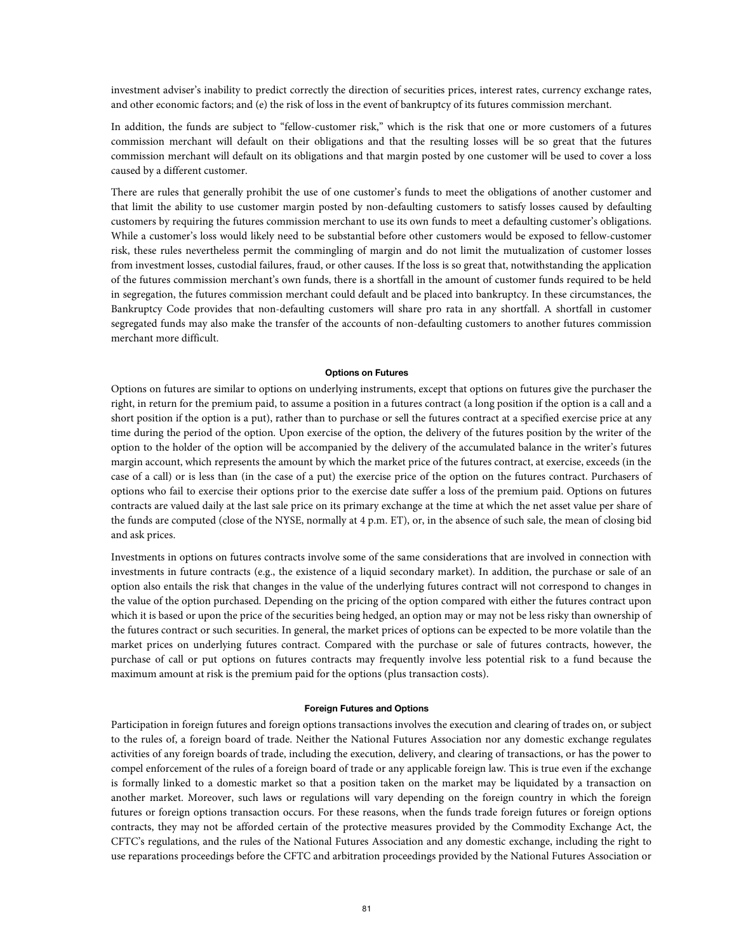investment adviser's inability to predict correctly the direction of securities prices, interest rates, currency exchange rates, and other economic factors; and (e) the risk of loss in the event of bankruptcy of its futures commission merchant.

In addition, the funds are subject to "fellow-customer risk," which is the risk that one or more customers of a futures commission merchant will default on their obligations and that the resulting losses will be so great that the futures commission merchant will default on its obligations and that margin posted by one customer will be used to cover a loss caused by a different customer.

There are rules that generally prohibit the use of one customer's funds to meet the obligations of another customer and that limit the ability to use customer margin posted by non-defaulting customers to satisfy losses caused by defaulting customers by requiring the futures commission merchant to use its own funds to meet a defaulting customer's obligations. While a customer's loss would likely need to be substantial before other customers would be exposed to fellow-customer risk, these rules nevertheless permit the commingling of margin and do not limit the mutualization of customer losses from investment losses, custodial failures, fraud, or other causes. If the loss is so great that, notwithstanding the application of the futures commission merchant's own funds, there is a shortfall in the amount of customer funds required to be held in segregation, the futures commission merchant could default and be placed into bankruptcy. In these circumstances, the Bankruptcy Code provides that non-defaulting customers will share pro rata in any shortfall. A shortfall in customer segregated funds may also make the transfer of the accounts of non-defaulting customers to another futures commission merchant more difficult.

#### **Options on Futures**

Options on futures are similar to options on underlying instruments, except that options on futures give the purchaser the right, in return for the premium paid, to assume a position in a futures contract (a long position if the option is a call and a short position if the option is a put), rather than to purchase or sell the futures contract at a specified exercise price at any time during the period of the option. Upon exercise of the option, the delivery of the futures position by the writer of the option to the holder of the option will be accompanied by the delivery of the accumulated balance in the writer's futures margin account, which represents the amount by which the market price of the futures contract, at exercise, exceeds (in the case of a call) or is less than (in the case of a put) the exercise price of the option on the futures contract. Purchasers of options who fail to exercise their options prior to the exercise date suffer a loss of the premium paid. Options on futures contracts are valued daily at the last sale price on its primary exchange at the time at which the net asset value per share of the funds are computed (close of the NYSE, normally at 4 p.m. ET), or, in the absence of such sale, the mean of closing bid and ask prices.

Investments in options on futures contracts involve some of the same considerations that are involved in connection with investments in future contracts (e.g., the existence of a liquid secondary market). In addition, the purchase or sale of an option also entails the risk that changes in the value of the underlying futures contract will not correspond to changes in the value of the option purchased. Depending on the pricing of the option compared with either the futures contract upon which it is based or upon the price of the securities being hedged, an option may or may not be less risky than ownership of the futures contract or such securities. In general, the market prices of options can be expected to be more volatile than the market prices on underlying futures contract. Compared with the purchase or sale of futures contracts, however, the purchase of call or put options on futures contracts may frequently involve less potential risk to a fund because the maximum amount at risk is the premium paid for the options (plus transaction costs).

#### **Foreign Futures and Options**

Participation in foreign futures and foreign options transactions involves the execution and clearing of trades on, or subject to the rules of, a foreign board of trade. Neither the National Futures Association nor any domestic exchange regulates activities of any foreign boards of trade, including the execution, delivery, and clearing of transactions, or has the power to compel enforcement of the rules of a foreign board of trade or any applicable foreign law. This is true even if the exchange is formally linked to a domestic market so that a position taken on the market may be liquidated by a transaction on another market. Moreover, such laws or regulations will vary depending on the foreign country in which the foreign futures or foreign options transaction occurs. For these reasons, when the funds trade foreign futures or foreign options contracts, they may not be afforded certain of the protective measures provided by the Commodity Exchange Act, the CFTC's regulations, and the rules of the National Futures Association and any domestic exchange, including the right to use reparations proceedings before the CFTC and arbitration proceedings provided by the National Futures Association or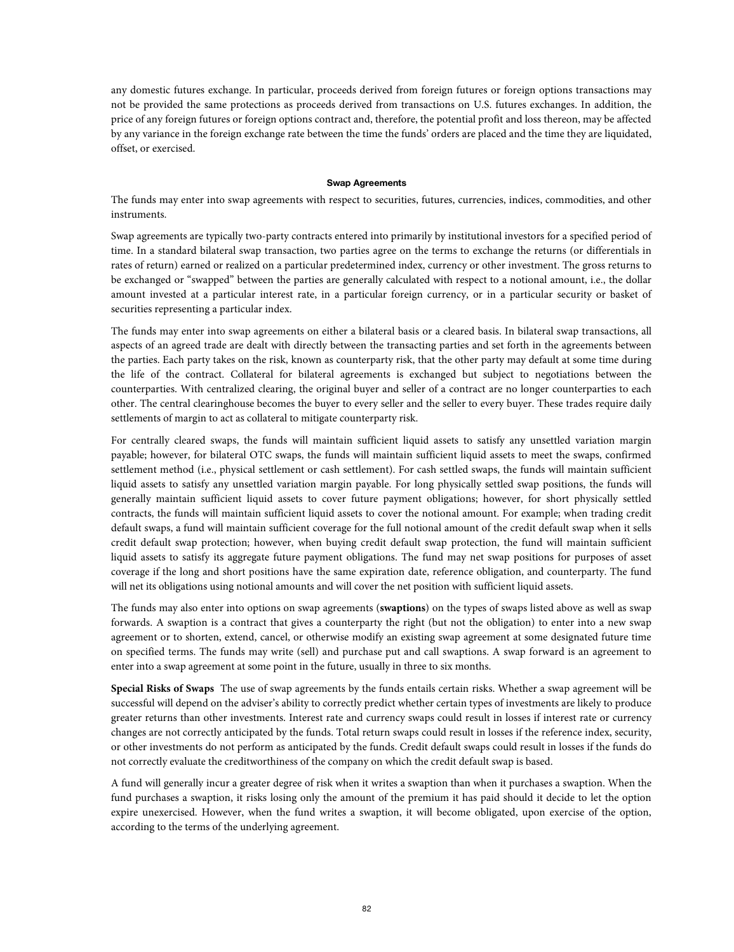any domestic futures exchange. In particular, proceeds derived from foreign futures or foreign options transactions may not be provided the same protections as proceeds derived from transactions on U.S. futures exchanges. In addition, the price of any foreign futures or foreign options contract and, therefore, the potential profit and loss thereon, may be affected by any variance in the foreign exchange rate between the time the funds' orders are placed and the time they are liquidated, offset, or exercised.

#### **Swap Agreements**

The funds may enter into swap agreements with respect to securities, futures, currencies, indices, commodities, and other instruments.

Swap agreements are typically two-party contracts entered into primarily by institutional investors for a specified period of time. In a standard bilateral swap transaction, two parties agree on the terms to exchange the returns (or differentials in rates of return) earned or realized on a particular predetermined index, currency or other investment. The gross returns to be exchanged or "swapped" between the parties are generally calculated with respect to a notional amount, i.e., the dollar amount invested at a particular interest rate, in a particular foreign currency, or in a particular security or basket of securities representing a particular index.

The funds may enter into swap agreements on either a bilateral basis or a cleared basis. In bilateral swap transactions, all aspects of an agreed trade are dealt with directly between the transacting parties and set forth in the agreements between the parties. Each party takes on the risk, known as counterparty risk, that the other party may default at some time during the life of the contract. Collateral for bilateral agreements is exchanged but subject to negotiations between the counterparties. With centralized clearing, the original buyer and seller of a contract are no longer counterparties to each other. The central clearinghouse becomes the buyer to every seller and the seller to every buyer. These trades require daily settlements of margin to act as collateral to mitigate counterparty risk.

For centrally cleared swaps, the funds will maintain sufficient liquid assets to satisfy any unsettled variation margin payable; however, for bilateral OTC swaps, the funds will maintain sufficient liquid assets to meet the swaps, confirmed settlement method (i.e., physical settlement or cash settlement). For cash settled swaps, the funds will maintain sufficient liquid assets to satisfy any unsettled variation margin payable. For long physically settled swap positions, the funds will generally maintain sufficient liquid assets to cover future payment obligations; however, for short physically settled contracts, the funds will maintain sufficient liquid assets to cover the notional amount. For example; when trading credit default swaps, a fund will maintain sufficient coverage for the full notional amount of the credit default swap when it sells credit default swap protection; however, when buying credit default swap protection, the fund will maintain sufficient liquid assets to satisfy its aggregate future payment obligations. The fund may net swap positions for purposes of asset coverage if the long and short positions have the same expiration date, reference obligation, and counterparty. The fund will net its obligations using notional amounts and will cover the net position with sufficient liquid assets.

The funds may also enter into options on swap agreements (**swaptions**) on the types of swaps listed above as well as swap forwards. A swaption is a contract that gives a counterparty the right (but not the obligation) to enter into a new swap agreement or to shorten, extend, cancel, or otherwise modify an existing swap agreement at some designated future time on specified terms. The funds may write (sell) and purchase put and call swaptions. A swap forward is an agreement to enter into a swap agreement at some point in the future, usually in three to six months.

**Special Risks of Swaps** The use of swap agreements by the funds entails certain risks. Whether a swap agreement will be successful will depend on the adviser's ability to correctly predict whether certain types of investments are likely to produce greater returns than other investments. Interest rate and currency swaps could result in losses if interest rate or currency changes are not correctly anticipated by the funds. Total return swaps could result in losses if the reference index, security, or other investments do not perform as anticipated by the funds. Credit default swaps could result in losses if the funds do not correctly evaluate the creditworthiness of the company on which the credit default swap is based.

A fund will generally incur a greater degree of risk when it writes a swaption than when it purchases a swaption. When the fund purchases a swaption, it risks losing only the amount of the premium it has paid should it decide to let the option expire unexercised. However, when the fund writes a swaption, it will become obligated, upon exercise of the option, according to the terms of the underlying agreement.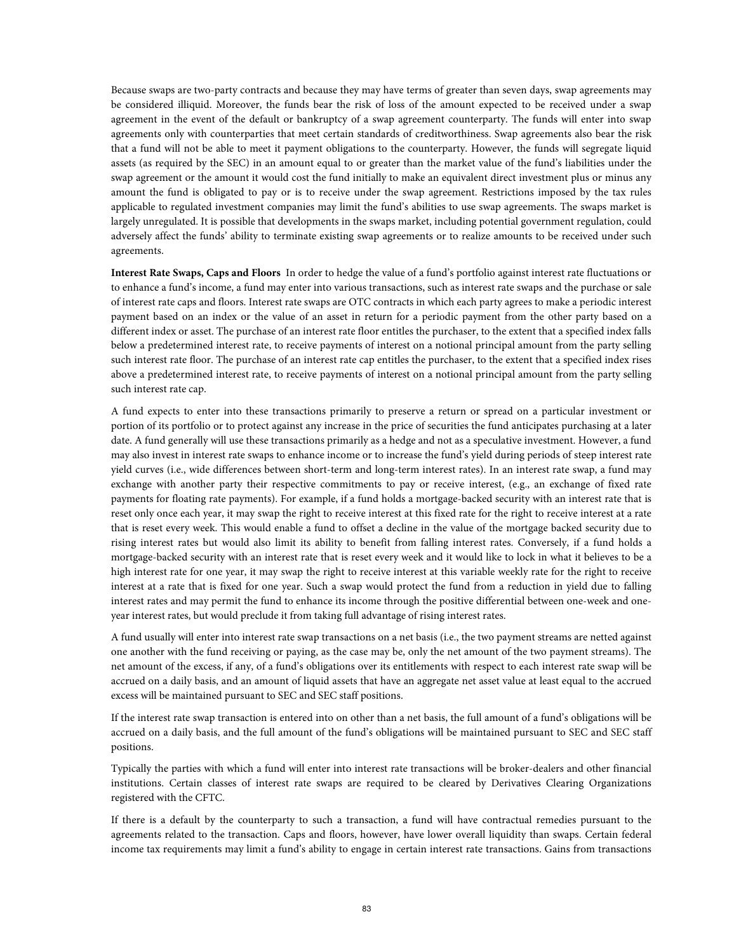Because swaps are two-party contracts and because they may have terms of greater than seven days, swap agreements may be considered illiquid. Moreover, the funds bear the risk of loss of the amount expected to be received under a swap agreement in the event of the default or bankruptcy of a swap agreement counterparty. The funds will enter into swap agreements only with counterparties that meet certain standards of creditworthiness. Swap agreements also bear the risk that a fund will not be able to meet it payment obligations to the counterparty. However, the funds will segregate liquid assets (as required by the SEC) in an amount equal to or greater than the market value of the fund's liabilities under the swap agreement or the amount it would cost the fund initially to make an equivalent direct investment plus or minus any amount the fund is obligated to pay or is to receive under the swap agreement. Restrictions imposed by the tax rules applicable to regulated investment companies may limit the fund's abilities to use swap agreements. The swaps market is largely unregulated. It is possible that developments in the swaps market, including potential government regulation, could adversely affect the funds' ability to terminate existing swap agreements or to realize amounts to be received under such agreements.

**Interest Rate Swaps, Caps and Floors** In order to hedge the value of a fund's portfolio against interest rate fluctuations or to enhance a fund's income, a fund may enter into various transactions, such as interest rate swaps and the purchase or sale of interest rate caps and floors. Interest rate swaps are OTC contracts in which each party agrees to make a periodic interest payment based on an index or the value of an asset in return for a periodic payment from the other party based on a different index or asset. The purchase of an interest rate floor entitles the purchaser, to the extent that a specified index falls below a predetermined interest rate, to receive payments of interest on a notional principal amount from the party selling such interest rate floor. The purchase of an interest rate cap entitles the purchaser, to the extent that a specified index rises above a predetermined interest rate, to receive payments of interest on a notional principal amount from the party selling such interest rate cap.

A fund expects to enter into these transactions primarily to preserve a return or spread on a particular investment or portion of its portfolio or to protect against any increase in the price of securities the fund anticipates purchasing at a later date. A fund generally will use these transactions primarily as a hedge and not as a speculative investment. However, a fund may also invest in interest rate swaps to enhance income or to increase the fund's yield during periods of steep interest rate yield curves (i.e., wide differences between short-term and long-term interest rates). In an interest rate swap, a fund may exchange with another party their respective commitments to pay or receive interest, (e.g., an exchange of fixed rate payments for floating rate payments). For example, if a fund holds a mortgage-backed security with an interest rate that is reset only once each year, it may swap the right to receive interest at this fixed rate for the right to receive interest at a rate that is reset every week. This would enable a fund to offset a decline in the value of the mortgage backed security due to rising interest rates but would also limit its ability to benefit from falling interest rates. Conversely, if a fund holds a mortgage-backed security with an interest rate that is reset every week and it would like to lock in what it believes to be a high interest rate for one year, it may swap the right to receive interest at this variable weekly rate for the right to receive interest at a rate that is fixed for one year. Such a swap would protect the fund from a reduction in yield due to falling interest rates and may permit the fund to enhance its income through the positive differential between one-week and oneyear interest rates, but would preclude it from taking full advantage of rising interest rates.

A fund usually will enter into interest rate swap transactions on a net basis (i.e., the two payment streams are netted against one another with the fund receiving or paying, as the case may be, only the net amount of the two payment streams). The net amount of the excess, if any, of a fund's obligations over its entitlements with respect to each interest rate swap will be accrued on a daily basis, and an amount of liquid assets that have an aggregate net asset value at least equal to the accrued excess will be maintained pursuant to SEC and SEC staff positions.

If the interest rate swap transaction is entered into on other than a net basis, the full amount of a fund's obligations will be accrued on a daily basis, and the full amount of the fund's obligations will be maintained pursuant to SEC and SEC staff positions.

Typically the parties with which a fund will enter into interest rate transactions will be broker-dealers and other financial institutions. Certain classes of interest rate swaps are required to be cleared by Derivatives Clearing Organizations registered with the CFTC.

If there is a default by the counterparty to such a transaction, a fund will have contractual remedies pursuant to the agreements related to the transaction. Caps and floors, however, have lower overall liquidity than swaps. Certain federal income tax requirements may limit a fund's ability to engage in certain interest rate transactions. Gains from transactions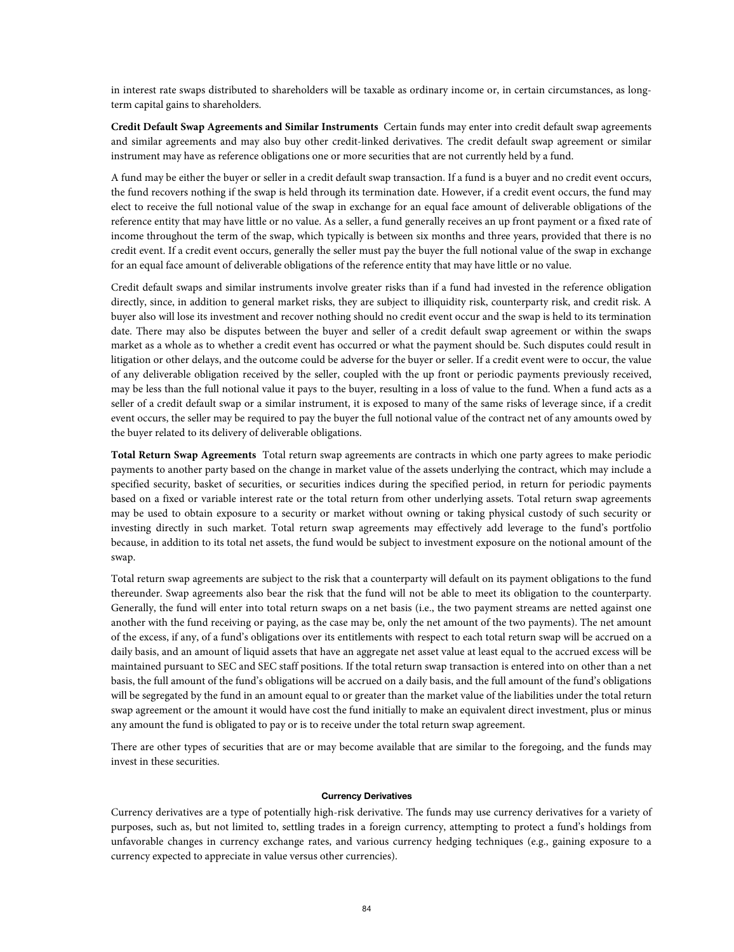in interest rate swaps distributed to shareholders will be taxable as ordinary income or, in certain circumstances, as longterm capital gains to shareholders.

**Credit Default Swap Agreements and Similar Instruments** Certain funds may enter into credit default swap agreements and similar agreements and may also buy other credit-linked derivatives. The credit default swap agreement or similar instrument may have as reference obligations one or more securities that are not currently held by a fund.

A fund may be either the buyer or seller in a credit default swap transaction. If a fund is a buyer and no credit event occurs, the fund recovers nothing if the swap is held through its termination date. However, if a credit event occurs, the fund may elect to receive the full notional value of the swap in exchange for an equal face amount of deliverable obligations of the reference entity that may have little or no value. As a seller, a fund generally receives an up front payment or a fixed rate of income throughout the term of the swap, which typically is between six months and three years, provided that there is no credit event. If a credit event occurs, generally the seller must pay the buyer the full notional value of the swap in exchange for an equal face amount of deliverable obligations of the reference entity that may have little or no value.

Credit default swaps and similar instruments involve greater risks than if a fund had invested in the reference obligation directly, since, in addition to general market risks, they are subject to illiquidity risk, counterparty risk, and credit risk. A buyer also will lose its investment and recover nothing should no credit event occur and the swap is held to its termination date. There may also be disputes between the buyer and seller of a credit default swap agreement or within the swaps market as a whole as to whether a credit event has occurred or what the payment should be. Such disputes could result in litigation or other delays, and the outcome could be adverse for the buyer or seller. If a credit event were to occur, the value of any deliverable obligation received by the seller, coupled with the up front or periodic payments previously received, may be less than the full notional value it pays to the buyer, resulting in a loss of value to the fund. When a fund acts as a seller of a credit default swap or a similar instrument, it is exposed to many of the same risks of leverage since, if a credit event occurs, the seller may be required to pay the buyer the full notional value of the contract net of any amounts owed by the buyer related to its delivery of deliverable obligations.

**Total Return Swap Agreements** Total return swap agreements are contracts in which one party agrees to make periodic payments to another party based on the change in market value of the assets underlying the contract, which may include a specified security, basket of securities, or securities indices during the specified period, in return for periodic payments based on a fixed or variable interest rate or the total return from other underlying assets. Total return swap agreements may be used to obtain exposure to a security or market without owning or taking physical custody of such security or investing directly in such market. Total return swap agreements may effectively add leverage to the fund's portfolio because, in addition to its total net assets, the fund would be subject to investment exposure on the notional amount of the swap.

Total return swap agreements are subject to the risk that a counterparty will default on its payment obligations to the fund thereunder. Swap agreements also bear the risk that the fund will not be able to meet its obligation to the counterparty. Generally, the fund will enter into total return swaps on a net basis (i.e., the two payment streams are netted against one another with the fund receiving or paying, as the case may be, only the net amount of the two payments). The net amount of the excess, if any, of a fund's obligations over its entitlements with respect to each total return swap will be accrued on a daily basis, and an amount of liquid assets that have an aggregate net asset value at least equal to the accrued excess will be maintained pursuant to SEC and SEC staff positions. If the total return swap transaction is entered into on other than a net basis, the full amount of the fund's obligations will be accrued on a daily basis, and the full amount of the fund's obligations will be segregated by the fund in an amount equal to or greater than the market value of the liabilities under the total return swap agreement or the amount it would have cost the fund initially to make an equivalent direct investment, plus or minus any amount the fund is obligated to pay or is to receive under the total return swap agreement.

There are other types of securities that are or may become available that are similar to the foregoing, and the funds may invest in these securities.

#### **Currency Derivatives**

Currency derivatives are a type of potentially high-risk derivative. The funds may use currency derivatives for a variety of purposes, such as, but not limited to, settling trades in a foreign currency, attempting to protect a fund's holdings from unfavorable changes in currency exchange rates, and various currency hedging techniques (e.g., gaining exposure to a currency expected to appreciate in value versus other currencies).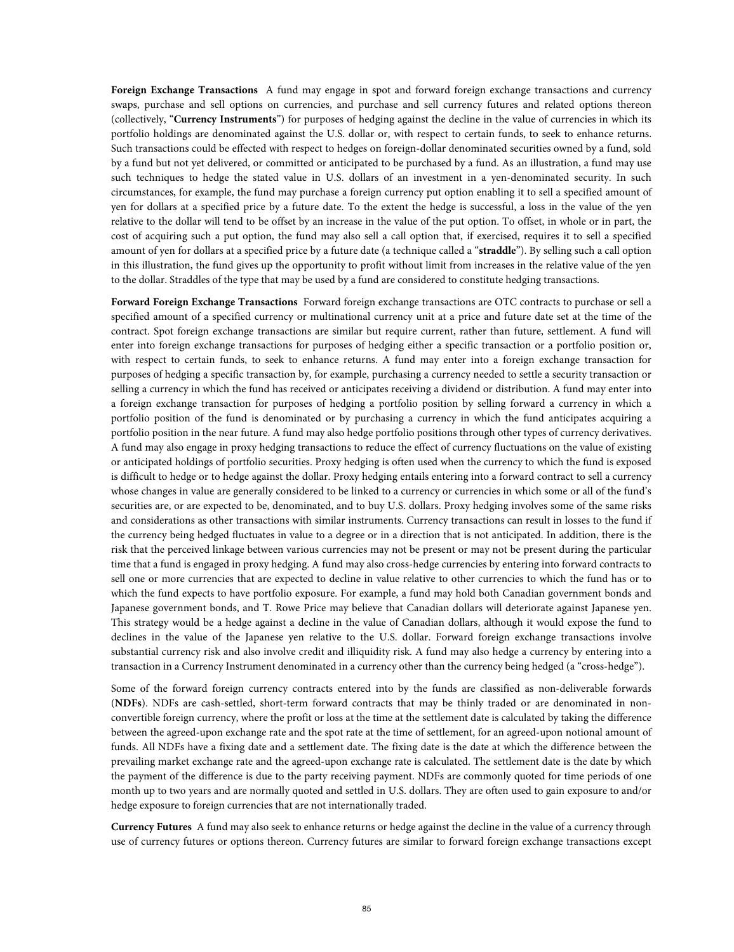**Foreign Exchange Transactions** A fund may engage in spot and forward foreign exchange transactions and currency swaps, purchase and sell options on currencies, and purchase and sell currency futures and related options thereon (collectively, "**Currency Instruments**") for purposes of hedging against the decline in the value of currencies in which its portfolio holdings are denominated against the U.S. dollar or, with respect to certain funds, to seek to enhance returns. Such transactions could be effected with respect to hedges on foreign-dollar denominated securities owned by a fund, sold by a fund but not yet delivered, or committed or anticipated to be purchased by a fund. As an illustration, a fund may use such techniques to hedge the stated value in U.S. dollars of an investment in a yen-denominated security. In such circumstances, for example, the fund may purchase a foreign currency put option enabling it to sell a specified amount of yen for dollars at a specified price by a future date. To the extent the hedge is successful, a loss in the value of the yen relative to the dollar will tend to be offset by an increase in the value of the put option. To offset, in whole or in part, the cost of acquiring such a put option, the fund may also sell a call option that, if exercised, requires it to sell a specified amount of yen for dollars at a specified price by a future date (a technique called a "**straddle**"). By selling such a call option in this illustration, the fund gives up the opportunity to profit without limit from increases in the relative value of the yen to the dollar. Straddles of the type that may be used by a fund are considered to constitute hedging transactions.

**Forward Foreign Exchange Transactions** Forward foreign exchange transactions are OTC contracts to purchase or sell a specified amount of a specified currency or multinational currency unit at a price and future date set at the time of the contract. Spot foreign exchange transactions are similar but require current, rather than future, settlement. A fund will enter into foreign exchange transactions for purposes of hedging either a specific transaction or a portfolio position or, with respect to certain funds, to seek to enhance returns. A fund may enter into a foreign exchange transaction for purposes of hedging a specific transaction by, for example, purchasing a currency needed to settle a security transaction or selling a currency in which the fund has received or anticipates receiving a dividend or distribution. A fund may enter into a foreign exchange transaction for purposes of hedging a portfolio position by selling forward a currency in which a portfolio position of the fund is denominated or by purchasing a currency in which the fund anticipates acquiring a portfolio position in the near future. A fund may also hedge portfolio positions through other types of currency derivatives. A fund may also engage in proxy hedging transactions to reduce the effect of currency fluctuations on the value of existing or anticipated holdings of portfolio securities. Proxy hedging is often used when the currency to which the fund is exposed is difficult to hedge or to hedge against the dollar. Proxy hedging entails entering into a forward contract to sell a currency whose changes in value are generally considered to be linked to a currency or currencies in which some or all of the fund's securities are, or are expected to be, denominated, and to buy U.S. dollars. Proxy hedging involves some of the same risks and considerations as other transactions with similar instruments. Currency transactions can result in losses to the fund if the currency being hedged fluctuates in value to a degree or in a direction that is not anticipated. In addition, there is the risk that the perceived linkage between various currencies may not be present or may not be present during the particular time that a fund is engaged in proxy hedging. A fund may also cross-hedge currencies by entering into forward contracts to sell one or more currencies that are expected to decline in value relative to other currencies to which the fund has or to which the fund expects to have portfolio exposure. For example, a fund may hold both Canadian government bonds and Japanese government bonds, and T. Rowe Price may believe that Canadian dollars will deteriorate against Japanese yen. This strategy would be a hedge against a decline in the value of Canadian dollars, although it would expose the fund to declines in the value of the Japanese yen relative to the U.S. dollar. Forward foreign exchange transactions involve substantial currency risk and also involve credit and illiquidity risk. A fund may also hedge a currency by entering into a transaction in a Currency Instrument denominated in a currency other than the currency being hedged (a "cross-hedge").

Some of the forward foreign currency contracts entered into by the funds are classified as non-deliverable forwards (**NDFs**). NDFs are cash-settled, short-term forward contracts that may be thinly traded or are denominated in nonconvertible foreign currency, where the profit or loss at the time at the settlement date is calculated by taking the difference between the agreed-upon exchange rate and the spot rate at the time of settlement, for an agreed-upon notional amount of funds. All NDFs have a fixing date and a settlement date. The fixing date is the date at which the difference between the prevailing market exchange rate and the agreed-upon exchange rate is calculated. The settlement date is the date by which the payment of the difference is due to the party receiving payment. NDFs are commonly quoted for time periods of one month up to two years and are normally quoted and settled in U.S. dollars. They are often used to gain exposure to and/or hedge exposure to foreign currencies that are not internationally traded.

**Currency Futures** A fund may also seek to enhance returns or hedge against the decline in the value of a currency through use of currency futures or options thereon. Currency futures are similar to forward foreign exchange transactions except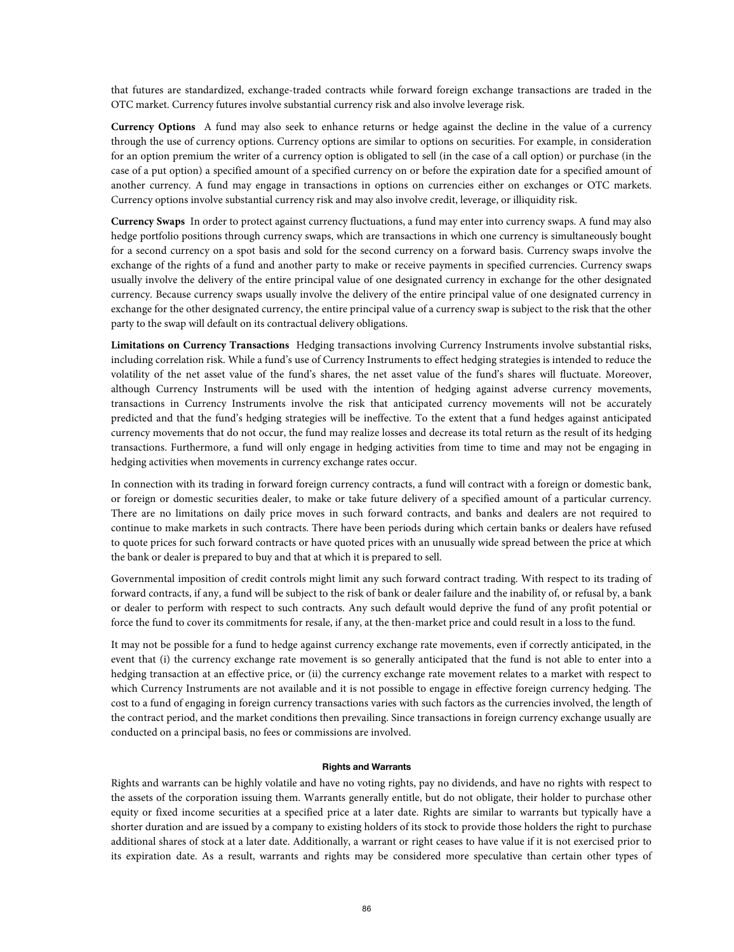that futures are standardized, exchange-traded contracts while forward foreign exchange transactions are traded in the OTC market. Currency futures involve substantial currency risk and also involve leverage risk.

**Currency Options** A fund may also seek to enhance returns or hedge against the decline in the value of a currency through the use of currency options. Currency options are similar to options on securities. For example, in consideration for an option premium the writer of a currency option is obligated to sell (in the case of a call option) or purchase (in the case of a put option) a specified amount of a specified currency on or before the expiration date for a specified amount of another currency. A fund may engage in transactions in options on currencies either on exchanges or OTC markets. Currency options involve substantial currency risk and may also involve credit, leverage, or illiquidity risk.

**Currency Swaps** In order to protect against currency fluctuations, a fund may enter into currency swaps. A fund may also hedge portfolio positions through currency swaps, which are transactions in which one currency is simultaneously bought for a second currency on a spot basis and sold for the second currency on a forward basis. Currency swaps involve the exchange of the rights of a fund and another party to make or receive payments in specified currencies. Currency swaps usually involve the delivery of the entire principal value of one designated currency in exchange for the other designated currency. Because currency swaps usually involve the delivery of the entire principal value of one designated currency in exchange for the other designated currency, the entire principal value of a currency swap is subject to the risk that the other party to the swap will default on its contractual delivery obligations.

**Limitations on Currency Transactions** Hedging transactions involving Currency Instruments involve substantial risks, including correlation risk. While a fund's use of Currency Instruments to effect hedging strategies is intended to reduce the volatility of the net asset value of the fund's shares, the net asset value of the fund's shares will fluctuate. Moreover, although Currency Instruments will be used with the intention of hedging against adverse currency movements, transactions in Currency Instruments involve the risk that anticipated currency movements will not be accurately predicted and that the fund's hedging strategies will be ineffective. To the extent that a fund hedges against anticipated currency movements that do not occur, the fund may realize losses and decrease its total return as the result of its hedging transactions. Furthermore, a fund will only engage in hedging activities from time to time and may not be engaging in hedging activities when movements in currency exchange rates occur.

In connection with its trading in forward foreign currency contracts, a fund will contract with a foreign or domestic bank, or foreign or domestic securities dealer, to make or take future delivery of a specified amount of a particular currency. There are no limitations on daily price moves in such forward contracts, and banks and dealers are not required to continue to make markets in such contracts. There have been periods during which certain banks or dealers have refused to quote prices for such forward contracts or have quoted prices with an unusually wide spread between the price at which the bank or dealer is prepared to buy and that at which it is prepared to sell.

Governmental imposition of credit controls might limit any such forward contract trading. With respect to its trading of forward contracts, if any, a fund will be subject to the risk of bank or dealer failure and the inability of, or refusal by, a bank or dealer to perform with respect to such contracts. Any such default would deprive the fund of any profit potential or force the fund to cover its commitments for resale, if any, at the then-market price and could result in a loss to the fund.

It may not be possible for a fund to hedge against currency exchange rate movements, even if correctly anticipated, in the event that (i) the currency exchange rate movement is so generally anticipated that the fund is not able to enter into a hedging transaction at an effective price, or (ii) the currency exchange rate movement relates to a market with respect to which Currency Instruments are not available and it is not possible to engage in effective foreign currency hedging. The cost to a fund of engaging in foreign currency transactions varies with such factors as the currencies involved, the length of the contract period, and the market conditions then prevailing. Since transactions in foreign currency exchange usually are conducted on a principal basis, no fees or commissions are involved.

## **Rights and Warrants**

Rights and warrants can be highly volatile and have no voting rights, pay no dividends, and have no rights with respect to the assets of the corporation issuing them. Warrants generally entitle, but do not obligate, their holder to purchase other equity or fixed income securities at a specified price at a later date. Rights are similar to warrants but typically have a shorter duration and are issued by a company to existing holders of its stock to provide those holders the right to purchase additional shares of stock at a later date. Additionally, a warrant or right ceases to have value if it is not exercised prior to its expiration date. As a result, warrants and rights may be considered more speculative than certain other types of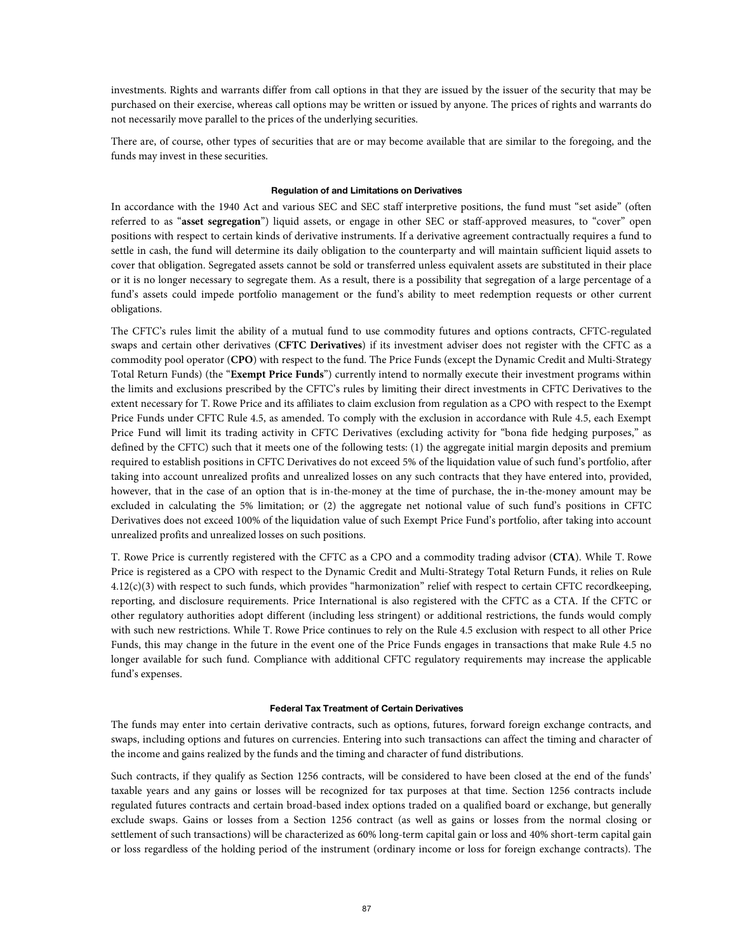investments. Rights and warrants differ from call options in that they are issued by the issuer of the security that may be purchased on their exercise, whereas call options may be written or issued by anyone. The prices of rights and warrants do not necessarily move parallel to the prices of the underlying securities.

There are, of course, other types of securities that are or may become available that are similar to the foregoing, and the funds may invest in these securities.

## **Regulation of and Limitations on Derivatives**

In accordance with the 1940 Act and various SEC and SEC staff interpretive positions, the fund must "set aside" (often referred to as "**asset segregation**") liquid assets, or engage in other SEC or staff-approved measures, to "cover" open positions with respect to certain kinds of derivative instruments. If a derivative agreement contractually requires a fund to settle in cash, the fund will determine its daily obligation to the counterparty and will maintain sufficient liquid assets to cover that obligation. Segregated assets cannot be sold or transferred unless equivalent assets are substituted in their place or it is no longer necessary to segregate them. As a result, there is a possibility that segregation of a large percentage of a fund's assets could impede portfolio management or the fund's ability to meet redemption requests or other current obligations.

The CFTC's rules limit the ability of a mutual fund to use commodity futures and options contracts, CFTC-regulated swaps and certain other derivatives (**CFTC Derivatives**) if its investment adviser does not register with the CFTC as a commodity pool operator (**CPO**) with respect to the fund. The Price Funds (except the Dynamic Credit and Multi-Strategy Total Return Funds) (the "**Exempt Price Funds**") currently intend to normally execute their investment programs within the limits and exclusions prescribed by the CFTC's rules by limiting their direct investments in CFTC Derivatives to the extent necessary for T. Rowe Price and its affiliates to claim exclusion from regulation as a CPO with respect to the Exempt Price Funds under CFTC Rule 4.5, as amended. To comply with the exclusion in accordance with Rule 4.5, each Exempt Price Fund will limit its trading activity in CFTC Derivatives (excluding activity for "bona fide hedging purposes," as defined by the CFTC) such that it meets one of the following tests: (1) the aggregate initial margin deposits and premium required to establish positions in CFTC Derivatives do not exceed 5% of the liquidation value of such fund's portfolio, after taking into account unrealized profits and unrealized losses on any such contracts that they have entered into, provided, however, that in the case of an option that is in-the-money at the time of purchase, the in-the-money amount may be excluded in calculating the 5% limitation; or (2) the aggregate net notional value of such fund's positions in CFTC Derivatives does not exceed 100% of the liquidation value of such Exempt Price Fund's portfolio, after taking into account unrealized profits and unrealized losses on such positions.

T. Rowe Price is currently registered with the CFTC as a CPO and a commodity trading advisor (**CTA**). While T. Rowe Price is registered as a CPO with respect to the Dynamic Credit and Multi-Strategy Total Return Funds, it relies on Rule 4.12(c)(3) with respect to such funds, which provides "harmonization" relief with respect to certain CFTC recordkeeping, reporting, and disclosure requirements. Price International is also registered with the CFTC as a CTA. If the CFTC or other regulatory authorities adopt different (including less stringent) or additional restrictions, the funds would comply with such new restrictions. While T. Rowe Price continues to rely on the Rule 4.5 exclusion with respect to all other Price Funds, this may change in the future in the event one of the Price Funds engages in transactions that make Rule 4.5 no longer available for such fund. Compliance with additional CFTC regulatory requirements may increase the applicable fund's expenses.

#### **Federal Tax Treatment of Certain Derivatives**

The funds may enter into certain derivative contracts, such as options, futures, forward foreign exchange contracts, and swaps, including options and futures on currencies. Entering into such transactions can affect the timing and character of the income and gains realized by the funds and the timing and character of fund distributions.

Such contracts, if they qualify as Section 1256 contracts, will be considered to have been closed at the end of the funds' taxable years and any gains or losses will be recognized for tax purposes at that time. Section 1256 contracts include regulated futures contracts and certain broad-based index options traded on a qualified board or exchange, but generally exclude swaps. Gains or losses from a Section 1256 contract (as well as gains or losses from the normal closing or settlement of such transactions) will be characterized as 60% long-term capital gain or loss and 40% short-term capital gain or loss regardless of the holding period of the instrument (ordinary income or loss for foreign exchange contracts). The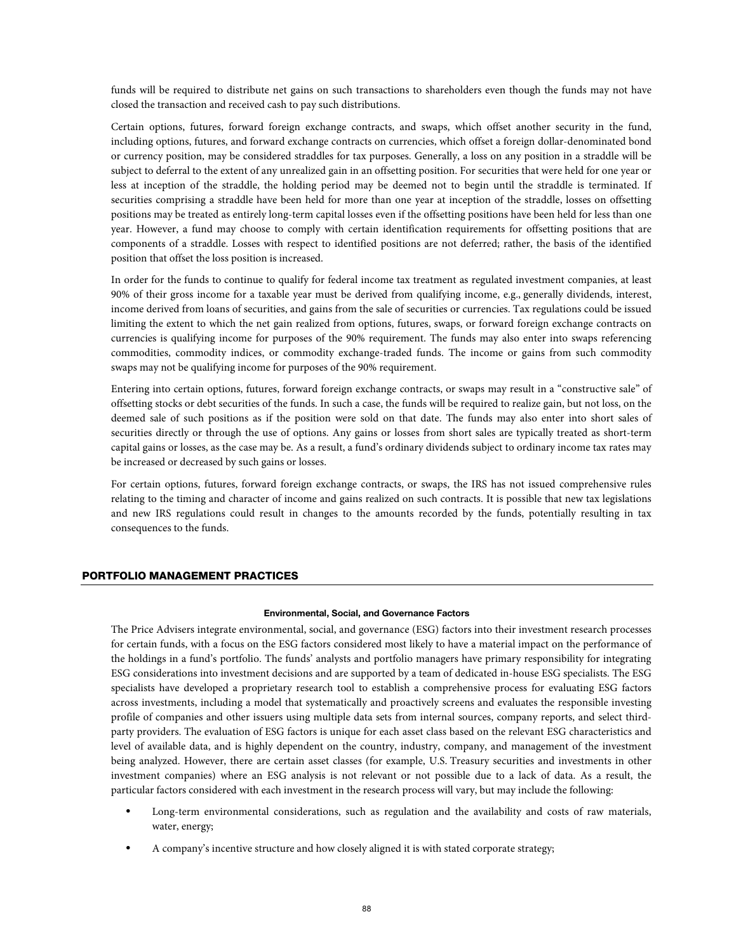funds will be required to distribute net gains on such transactions to shareholders even though the funds may not have closed the transaction and received cash to pay such distributions.

Certain options, futures, forward foreign exchange contracts, and swaps, which offset another security in the fund, including options, futures, and forward exchange contracts on currencies, which offset a foreign dollar-denominated bond or currency position, may be considered straddles for tax purposes. Generally, a loss on any position in a straddle will be subject to deferral to the extent of any unrealized gain in an offsetting position. For securities that were held for one year or less at inception of the straddle, the holding period may be deemed not to begin until the straddle is terminated. If securities comprising a straddle have been held for more than one year at inception of the straddle, losses on offsetting positions may be treated as entirely long-term capital losses even if the offsetting positions have been held for less than one year. However, a fund may choose to comply with certain identification requirements for offsetting positions that are components of a straddle. Losses with respect to identified positions are not deferred; rather, the basis of the identified position that offset the loss position is increased.

In order for the funds to continue to qualify for federal income tax treatment as regulated investment companies, at least 90% of their gross income for a taxable year must be derived from qualifying income, e.g., generally dividends, interest, income derived from loans of securities, and gains from the sale of securities or currencies. Tax regulations could be issued limiting the extent to which the net gain realized from options, futures, swaps, or forward foreign exchange contracts on currencies is qualifying income for purposes of the 90% requirement. The funds may also enter into swaps referencing commodities, commodity indices, or commodity exchange-traded funds. The income or gains from such commodity swaps may not be qualifying income for purposes of the 90% requirement.

Entering into certain options, futures, forward foreign exchange contracts, or swaps may result in a "constructive sale" of offsetting stocks or debt securities of the funds. In such a case, the funds will be required to realize gain, but not loss, on the deemed sale of such positions as if the position were sold on that date. The funds may also enter into short sales of securities directly or through the use of options. Any gains or losses from short sales are typically treated as short-term capital gains or losses, as the case may be. As a result, a fund's ordinary dividends subject to ordinary income tax rates may be increased or decreased by such gains or losses.

For certain options, futures, forward foreign exchange contracts, or swaps, the IRS has not issued comprehensive rules relating to the timing and character of income and gains realized on such contracts. It is possible that new tax legislations and new IRS regulations could result in changes to the amounts recorded by the funds, potentially resulting in tax consequences to the funds.

# PORTFOLIO MANAGEMENT PRACTICES

#### **Environmental, Social, and Governance Factors**

The Price Advisers integrate environmental, social, and governance (ESG) factors into their investment research processes for certain funds, with a focus on the ESG factors considered most likely to have a material impact on the performance of the holdings in a fund's portfolio. The funds' analysts and portfolio managers have primary responsibility for integrating ESG considerations into investment decisions and are supported by a team of dedicated in-house ESG specialists. The ESG specialists have developed a proprietary research tool to establish a comprehensive process for evaluating ESG factors across investments, including a model that systematically and proactively screens and evaluates the responsible investing profile of companies and other issuers using multiple data sets from internal sources, company reports, and select thirdparty providers. The evaluation of ESG factors is unique for each asset class based on the relevant ESG characteristics and level of available data, and is highly dependent on the country, industry, company, and management of the investment being analyzed. However, there are certain asset classes (for example, U.S. Treasury securities and investments in other investment companies) where an ESG analysis is not relevant or not possible due to a lack of data. As a result, the particular factors considered with each investment in the research process will vary, but may include the following:

- Long-term environmental considerations, such as regulation and the availability and costs of raw materials, water, energy;
- A company's incentive structure and how closely aligned it is with stated corporate strategy;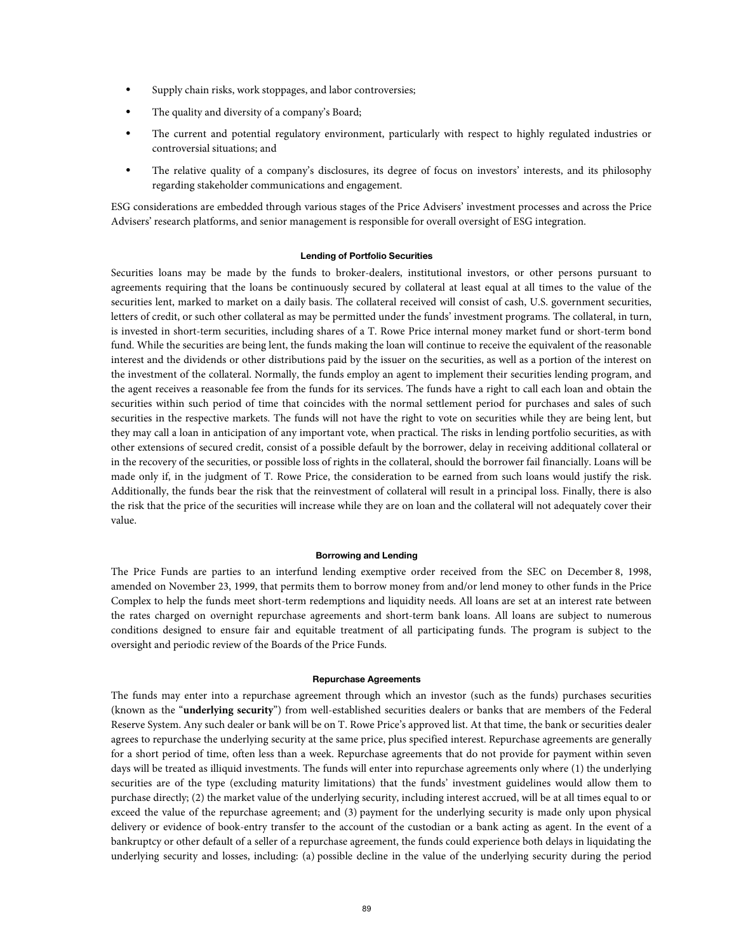- Supply chain risks, work stoppages, and labor controversies;
- The quality and diversity of a company's Board;
- The current and potential regulatory environment, particularly with respect to highly regulated industries or controversial situations; and
- The relative quality of a company's disclosures, its degree of focus on investors' interests, and its philosophy regarding stakeholder communications and engagement.

ESG considerations are embedded through various stages of the Price Advisers' investment processes and across the Price Advisers' research platforms, and senior management is responsible for overall oversight of ESG integration.

## **Lending of Portfolio Securities**

Securities loans may be made by the funds to broker-dealers, institutional investors, or other persons pursuant to agreements requiring that the loans be continuously secured by collateral at least equal at all times to the value of the securities lent, marked to market on a daily basis. The collateral received will consist of cash, U.S. government securities, letters of credit, or such other collateral as may be permitted under the funds' investment programs. The collateral, in turn, is invested in short-term securities, including shares of a T. Rowe Price internal money market fund or short-term bond fund. While the securities are being lent, the funds making the loan will continue to receive the equivalent of the reasonable interest and the dividends or other distributions paid by the issuer on the securities, as well as a portion of the interest on the investment of the collateral. Normally, the funds employ an agent to implement their securities lending program, and the agent receives a reasonable fee from the funds for its services. The funds have a right to call each loan and obtain the securities within such period of time that coincides with the normal settlement period for purchases and sales of such securities in the respective markets. The funds will not have the right to vote on securities while they are being lent, but they may call a loan in anticipation of any important vote, when practical. The risks in lending portfolio securities, as with other extensions of secured credit, consist of a possible default by the borrower, delay in receiving additional collateral or in the recovery of the securities, or possible loss of rights in the collateral, should the borrower fail financially. Loans will be made only if, in the judgment of T. Rowe Price, the consideration to be earned from such loans would justify the risk. Additionally, the funds bear the risk that the reinvestment of collateral will result in a principal loss. Finally, there is also the risk that the price of the securities will increase while they are on loan and the collateral will not adequately cover their value.

## **Borrowing and Lending**

The Price Funds are parties to an interfund lending exemptive order received from the SEC on December 8, 1998, amended on November 23, 1999, that permits them to borrow money from and/or lend money to other funds in the Price Complex to help the funds meet short-term redemptions and liquidity needs. All loans are set at an interest rate between the rates charged on overnight repurchase agreements and short-term bank loans. All loans are subject to numerous conditions designed to ensure fair and equitable treatment of all participating funds. The program is subject to the oversight and periodic review of the Boards of the Price Funds.

#### **Repurchase Agreements**

The funds may enter into a repurchase agreement through which an investor (such as the funds) purchases securities (known as the "**underlying security**") from well-established securities dealers or banks that are members of the Federal Reserve System. Any such dealer or bank will be on T. Rowe Price's approved list. At that time, the bank or securities dealer agrees to repurchase the underlying security at the same price, plus specified interest. Repurchase agreements are generally for a short period of time, often less than a week. Repurchase agreements that do not provide for payment within seven days will be treated as illiquid investments. The funds will enter into repurchase agreements only where (1) the underlying securities are of the type (excluding maturity limitations) that the funds' investment guidelines would allow them to purchase directly; (2) the market value of the underlying security, including interest accrued, will be at all times equal to or exceed the value of the repurchase agreement; and (3) payment for the underlying security is made only upon physical delivery or evidence of book-entry transfer to the account of the custodian or a bank acting as agent. In the event of a bankruptcy or other default of a seller of a repurchase agreement, the funds could experience both delays in liquidating the underlying security and losses, including: (a) possible decline in the value of the underlying security during the period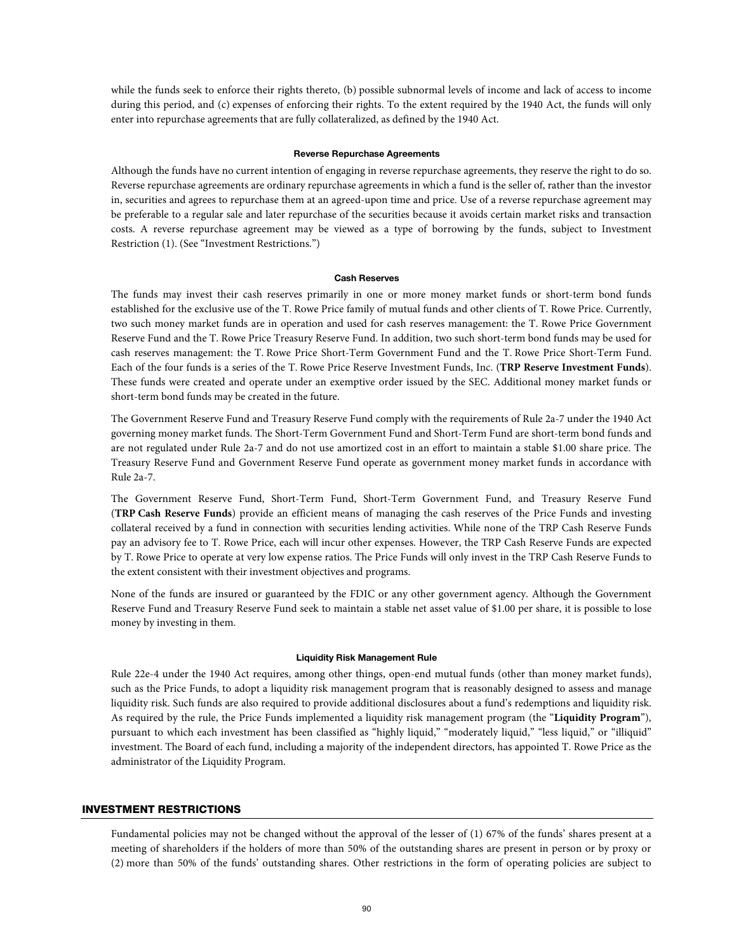while the funds seek to enforce their rights thereto, (b) possible subnormal levels of income and lack of access to income during this period, and (c) expenses of enforcing their rights. To the extent required by the 1940 Act, the funds will only enter into repurchase agreements that are fully collateralized, as defined by the 1940 Act.

#### **Reverse Repurchase Agreements**

Although the funds have no current intention of engaging in reverse repurchase agreements, they reserve the right to do so. Reverse repurchase agreements are ordinary repurchase agreements in which a fund is the seller of, rather than the investor in, securities and agrees to repurchase them at an agreed-upon time and price. Use of a reverse repurchase agreement may be preferable to a regular sale and later repurchase of the securities because it avoids certain market risks and transaction costs. A reverse repurchase agreement may be viewed as a type of borrowing by the funds, subject to Investment Restriction (1). (See "Investment Restrictions.")

#### **Cash Reserves**

The funds may invest their cash reserves primarily in one or more money market funds or short-term bond funds established for the exclusive use of the T. Rowe Price family of mutual funds and other clients of T. Rowe Price. Currently, two such money market funds are in operation and used for cash reserves management: the T. Rowe Price Government Reserve Fund and the T. Rowe Price Treasury Reserve Fund. In addition, two such short-term bond funds may be used for cash reserves management: the T. Rowe Price Short-Term Government Fund and the T. Rowe Price Short-Term Fund. Each of the four funds is a series of the T. Rowe Price Reserve Investment Funds, Inc. (**TRP Reserve Investment Funds**). These funds were created and operate under an exemptive order issued by the SEC. Additional money market funds or short-term bond funds may be created in the future.

The Government Reserve Fund and Treasury Reserve Fund comply with the requirements of Rule 2a-7 under the 1940 Act governing money market funds. The Short-Term Government Fund and Short-Term Fund are short-term bond funds and are not regulated under Rule 2a-7 and do not use amortized cost in an effort to maintain a stable \$1.00 share price. The Treasury Reserve Fund and Government Reserve Fund operate as government money market funds in accordance with Rule 2a-7.

The Government Reserve Fund, Short-Term Fund, Short-Term Government Fund, and Treasury Reserve Fund (**TRP Cash Reserve Funds**) provide an efficient means of managing the cash reserves of the Price Funds and investing collateral received by a fund in connection with securities lending activities. While none of the TRP Cash Reserve Funds pay an advisory fee to T. Rowe Price, each will incur other expenses. However, the TRP Cash Reserve Funds are expected by T. Rowe Price to operate at very low expense ratios. The Price Funds will only invest in the TRP Cash Reserve Funds to the extent consistent with their investment objectives and programs.

None of the funds are insured or guaranteed by the FDIC or any other government agency. Although the Government Reserve Fund and Treasury Reserve Fund seek to maintain a stable net asset value of \$1.00 per share, it is possible to lose money by investing in them.

#### **Liquidity Risk Management Rule**

Rule 22e-4 under the 1940 Act requires, among other things, open-end mutual funds (other than money market funds), such as the Price Funds, to adopt a liquidity risk management program that is reasonably designed to assess and manage liquidity risk. Such funds are also required to provide additional disclosures about a fund's redemptions and liquidity risk. As required by the rule, the Price Funds implemented a liquidity risk management program (the "**Liquidity Program**"), pursuant to which each investment has been classified as "highly liquid," "moderately liquid," "less liquid," or "illiquid" investment. The Board of each fund, including a majority of the independent directors, has appointed T. Rowe Price as the administrator of the Liquidity Program.

# INVESTMENT RESTRICTIONS

Fundamental policies may not be changed without the approval of the lesser of (1) 67% of the funds' shares present at a meeting of shareholders if the holders of more than 50% of the outstanding shares are present in person or by proxy or (2) more than 50% of the funds' outstanding shares. Other restrictions in the form of operating policies are subject to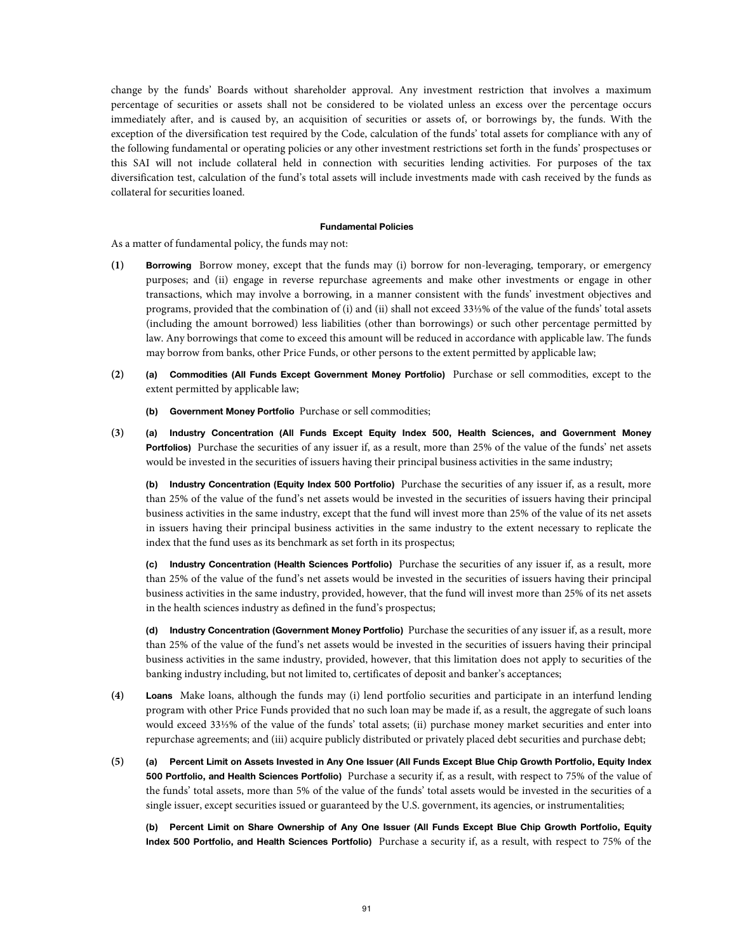change by the funds' Boards without shareholder approval. Any investment restriction that involves a maximum percentage of securities or assets shall not be considered to be violated unless an excess over the percentage occurs immediately after, and is caused by, an acquisition of securities or assets of, or borrowings by, the funds. With the exception of the diversification test required by the Code, calculation of the funds' total assets for compliance with any of the following fundamental or operating policies or any other investment restrictions set forth in the funds' prospectuses or this SAI will not include collateral held in connection with securities lending activities. For purposes of the tax diversification test, calculation of the fund's total assets will include investments made with cash received by the funds as collateral for securities loaned.

#### **Fundamental Policies**

As a matter of fundamental policy, the funds may not:

- **(1) Borrowing** Borrow money, except that the funds may (i) borrow for non-leveraging, temporary, or emergency purposes; and (ii) engage in reverse repurchase agreements and make other investments or engage in other transactions, which may involve a borrowing, in a manner consistent with the funds' investment objectives and programs, provided that the combination of (i) and (ii) shall not exceed 33⅓% of the value of the funds' total assets (including the amount borrowed) less liabilities (other than borrowings) or such other percentage permitted by law. Any borrowings that come to exceed this amount will be reduced in accordance with applicable law. The funds may borrow from banks, other Price Funds, or other persons to the extent permitted by applicable law;
- **(2) (a) Commodities (All Funds Except Government Money Portfolio)** Purchase or sell commodities, except to the extent permitted by applicable law;
	- **(b) Government Money Portfolio** Purchase or sell commodities;
- **(3) (a) Industry Concentration (All Funds Except Equity Index 500, Health Sciences, and Government Money Portfolios**) Purchase the securities of any issuer if, as a result, more than 25% of the value of the funds' net assets would be invested in the securities of issuers having their principal business activities in the same industry;

**(b) Industry Concentration (Equity Index 500 Portfolio)** Purchase the securities of any issuer if, as a result, more than 25% of the value of the fund's net assets would be invested in the securities of issuers having their principal business activities in the same industry, except that the fund will invest more than 25% of the value of its net assets in issuers having their principal business activities in the same industry to the extent necessary to replicate the index that the fund uses as its benchmark as set forth in its prospectus;

**(c) Industry Concentration (Health Sciences Portfolio)** Purchase the securities of any issuer if, as a result, more than 25% of the value of the fund's net assets would be invested in the securities of issuers having their principal business activities in the same industry, provided, however, that the fund will invest more than 25% of its net assets in the health sciences industry as defined in the fund's prospectus;

**(d) Industry Concentration (Government Money Portfolio)** Purchase the securities of any issuer if, as a result, more than 25% of the value of the fund's net assets would be invested in the securities of issuers having their principal business activities in the same industry, provided, however, that this limitation does not apply to securities of the banking industry including, but not limited to, certificates of deposit and banker's acceptances;

- **(4) Loans** Make loans, although the funds may (i) lend portfolio securities and participate in an interfund lending program with other Price Funds provided that no such loan may be made if, as a result, the aggregate of such loans would exceed 33⅓% of the value of the funds' total assets; (ii) purchase money market securities and enter into repurchase agreements; and (iii) acquire publicly distributed or privately placed debt securities and purchase debt;
- **(5) (a) Percent Limit on Assets Invested in Any One Issuer (All Funds Except Blue Chip Growth Portfolio, Equity Index 500 Portfolio, and Health Sciences Portfolio)** Purchase a security if, as a result, with respect to 75% of the value of the funds' total assets, more than 5% of the value of the funds' total assets would be invested in the securities of a single issuer, except securities issued or guaranteed by the U.S. government, its agencies, or instrumentalities;

 **(b) Percent Limit on Share Ownership of Any One Issuer (All Funds Except Blue Chip Growth Portfolio, Equity Index 500 Portfolio, and Health Sciences Portfolio)** Purchase a security if, as a result, with respect to 75% of the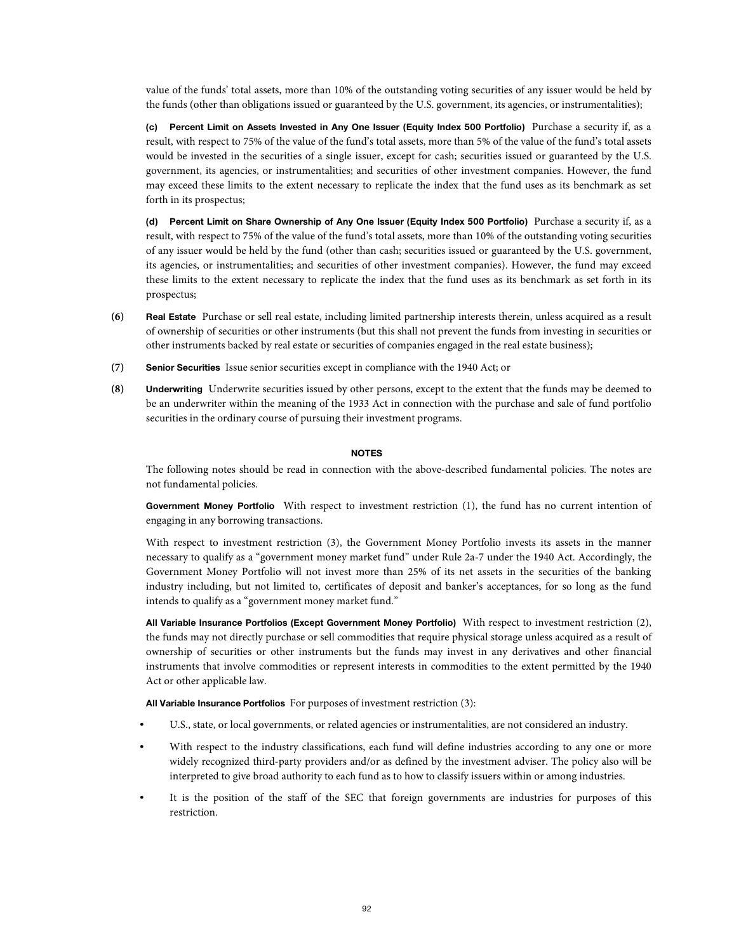value of the funds' total assets, more than 10% of the outstanding voting securities of any issuer would be held by the funds (other than obligations issued or guaranteed by the U.S. government, its agencies, or instrumentalities);

**(c) Percent Limit on Assets Invested in Any One Issuer (Equity Index 500 Portfolio)** Purchase a security if, as a result, with respect to 75% of the value of the fund's total assets, more than 5% of the value of the fund's total assets would be invested in the securities of a single issuer, except for cash; securities issued or guaranteed by the U.S. government, its agencies, or instrumentalities; and securities of other investment companies. However, the fund may exceed these limits to the extent necessary to replicate the index that the fund uses as its benchmark as set forth in its prospectus;

**(d) Percent Limit on Share Ownership of Any One Issuer (Equity Index 500 Portfolio)** Purchase a security if, as a result, with respect to 75% of the value of the fund's total assets, more than 10% of the outstanding voting securities of any issuer would be held by the fund (other than cash; securities issued or guaranteed by the U.S. government, its agencies, or instrumentalities; and securities of other investment companies). However, the fund may exceed these limits to the extent necessary to replicate the index that the fund uses as its benchmark as set forth in its prospectus;

- **(6) Real Estate** Purchase or sell real estate, including limited partnership interests therein, unless acquired as a result of ownership of securities or other instruments (but this shall not prevent the funds from investing in securities or other instruments backed by real estate or securities of companies engaged in the real estate business);
- **(7) Senior Securities** Issue senior securities except in compliance with the 1940 Act; or
- **(8) Underwriting** Underwrite securities issued by other persons, except to the extent that the funds may be deemed to be an underwriter within the meaning of the 1933 Act in connection with the purchase and sale of fund portfolio securities in the ordinary course of pursuing their investment programs.

## **NOTES**

 The following notes should be read in connection with the above-described fundamental policies. The notes are not fundamental policies.

**Government Money Portfolio** With respect to investment restriction (1), the fund has no current intention of engaging in any borrowing transactions.

With respect to investment restriction (3), the Government Money Portfolio invests its assets in the manner necessary to qualify as a "government money market fund" under Rule 2a-7 under the 1940 Act. Accordingly, the Government Money Portfolio will not invest more than 25% of its net assets in the securities of the banking industry including, but not limited to, certificates of deposit and banker's acceptances, for so long as the fund intends to qualify as a "government money market fund."

**All Variable Insurance Portfolios (Except Government Money Portfolio)** With respect to investment restriction (2), the funds may not directly purchase or sell commodities that require physical storage unless acquired as a result of ownership of securities or other instruments but the funds may invest in any derivatives and other financial instruments that involve commodities or represent interests in commodities to the extent permitted by the 1940 Act or other applicable law.

**All Variable Insurance Portfolios** For purposes of investment restriction (3):

- U.S., state, or local governments, or related agencies or instrumentalities, are not considered an industry.
- With respect to the industry classifications, each fund will define industries according to any one or more widely recognized third-party providers and/or as defined by the investment adviser. The policy also will be interpreted to give broad authority to each fund as to how to classify issuers within or among industries.
- It is the position of the staff of the SEC that foreign governments are industries for purposes of this restriction.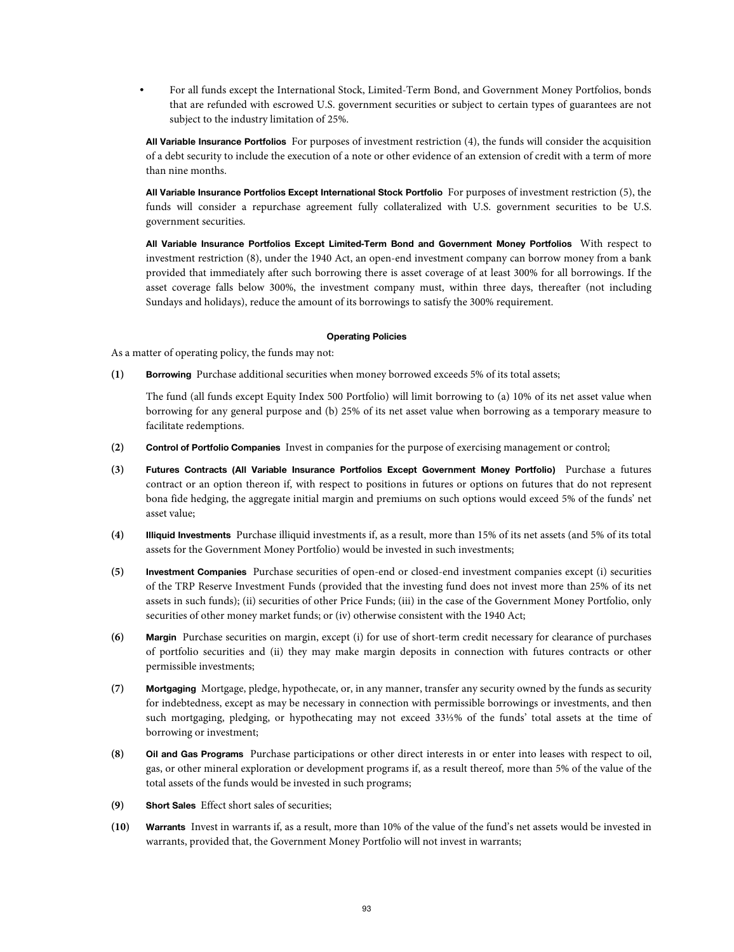• For all funds except the International Stock, Limited-Term Bond, and Government Money Portfolios, bonds that are refunded with escrowed U.S. government securities or subject to certain types of guarantees are not subject to the industry limitation of 25%.

**All Variable Insurance Portfolios** For purposes of investment restriction (4), the funds will consider the acquisition of a debt security to include the execution of a note or other evidence of an extension of credit with a term of more than nine months.

**All Variable Insurance Portfolios Except International Stock Portfolio** For purposes of investment restriction (5), the funds will consider a repurchase agreement fully collateralized with U.S. government securities to be U.S. government securities.

**All Variable Insurance Portfolios Except Limited-Term Bond and Government Money Portfolios** With respect to investment restriction (8), under the 1940 Act, an open-end investment company can borrow money from a bank provided that immediately after such borrowing there is asset coverage of at least 300% for all borrowings. If the asset coverage falls below 300%, the investment company must, within three days, thereafter (not including Sundays and holidays), reduce the amount of its borrowings to satisfy the 300% requirement.

## **Operating Policies**

As a matter of operating policy, the funds may not:

**(1) Borrowing** Purchase additional securities when money borrowed exceeds 5% of its total assets;

 The fund (all funds except Equity Index 500 Portfolio) will limit borrowing to (a) 10% of its net asset value when borrowing for any general purpose and (b) 25% of its net asset value when borrowing as a temporary measure to facilitate redemptions.

- **(2) Control of Portfolio Companies** Invest in companies for the purpose of exercising management or control;
- **(3) Futures Contracts (All Variable Insurance Portfolios Except Government Money Portfolio)** Purchase a futures contract or an option thereon if, with respect to positions in futures or options on futures that do not represent bona fide hedging, the aggregate initial margin and premiums on such options would exceed 5% of the funds' net asset value;
- **(4) Illiquid Investments** Purchase illiquid investments if, as a result, more than 15% of its net assets (and 5% of its total assets for the Government Money Portfolio) would be invested in such investments;
- **(5) Investment Companies** Purchase securities of open-end or closed-end investment companies except (i) securities of the TRP Reserve Investment Funds (provided that the investing fund does not invest more than 25% of its net assets in such funds); (ii) securities of other Price Funds; (iii) in the case of the Government Money Portfolio, only securities of other money market funds; or (iv) otherwise consistent with the 1940 Act;
- **(6) Margin** Purchase securities on margin, except (i) for use of short-term credit necessary for clearance of purchases of portfolio securities and (ii) they may make margin deposits in connection with futures contracts or other permissible investments;
- **(7) Mortgaging** Mortgage, pledge, hypothecate, or, in any manner, transfer any security owned by the funds as security for indebtedness, except as may be necessary in connection with permissible borrowings or investments, and then such mortgaging, pledging, or hypothecating may not exceed 33⅓% of the funds' total assets at the time of borrowing or investment;
- **(8) Oil and Gas Programs** Purchase participations or other direct interests in or enter into leases with respect to oil, gas, or other mineral exploration or development programs if, as a result thereof, more than 5% of the value of the total assets of the funds would be invested in such programs;
- **(9) Short Sales** Effect short sales of securities;
- **(10) Warrants** Invest in warrants if, as a result, more than 10% of the value of the fund's net assets would be invested in warrants, provided that, the Government Money Portfolio will not invest in warrants;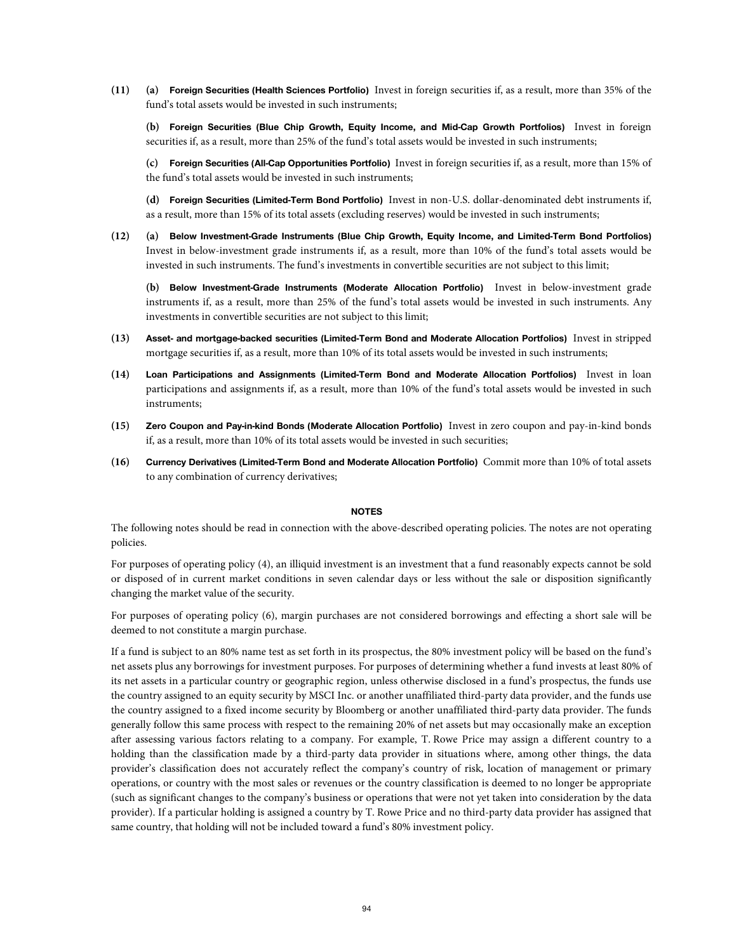**(11) (a) Foreign Securities (Health Sciences Portfolio)** Invest in foreign securities if, as a result, more than 35% of the fund's total assets would be invested in such instruments;

 **(b) Foreign Securities (Blue Chip Growth, Equity Income, and Mid-Cap Growth Portfolios)** Invest in foreign securities if, as a result, more than 25% of the fund's total assets would be invested in such instruments;

**(c) Foreign Securities (All-Cap Opportunities Portfolio)** Invest in foreign securities if, as a result, more than 15% of the fund's total assets would be invested in such instruments;

**(d) Foreign Securities (Limited-Term Bond Portfolio)** Invest in non-U.S. dollar-denominated debt instruments if, as a result, more than 15% of its total assets (excluding reserves) would be invested in such instruments;

**(12) (a) Below Investment-Grade Instruments (Blue Chip Growth, Equity Income, and Limited-Term Bond Portfolios)** Invest in below-investment grade instruments if, as a result, more than 10% of the fund's total assets would be invested in such instruments. The fund's investments in convertible securities are not subject to this limit;

**(b) Below Investment-Grade Instruments (Moderate Allocation Portfolio)** Invest in below-investment grade instruments if, as a result, more than 25% of the fund's total assets would be invested in such instruments. Any investments in convertible securities are not subject to this limit;

- **(13) Asset- and mortgage-backed securities (Limited-Term Bond and Moderate Allocation Portfolios)** Invest in stripped mortgage securities if, as a result, more than 10% of its total assets would be invested in such instruments;
- **(14) Loan Participations and Assignments (Limited-Term Bond and Moderate Allocation Portfolios)** Invest in loan participations and assignments if, as a result, more than 10% of the fund's total assets would be invested in such instruments;
- **(15) Zero Coupon and Pay-in-kind Bonds (Moderate Allocation Portfolio)** Invest in zero coupon and pay‐in‐kind bonds if, as a result, more than 10% of its total assets would be invested in such securities;
- **(16) Currency Derivatives (Limited-Term Bond and Moderate Allocation Portfolio)** Commit more than 10% of total assets to any combination of currency derivatives;

## **NOTES**

The following notes should be read in connection with the above-described operating policies. The notes are not operating policies.

For purposes of operating policy (4), an illiquid investment is an investment that a fund reasonably expects cannot be sold or disposed of in current market conditions in seven calendar days or less without the sale or disposition significantly changing the market value of the security.

For purposes of operating policy (6), margin purchases are not considered borrowings and effecting a short sale will be deemed to not constitute a margin purchase.

If a fund is subject to an 80% name test as set forth in its prospectus, the 80% investment policy will be based on the fund's net assets plus any borrowings for investment purposes. For purposes of determining whether a fund invests at least 80% of its net assets in a particular country or geographic region, unless otherwise disclosed in a fund's prospectus, the funds use the country assigned to an equity security by MSCI Inc. or another unaffiliated third-party data provider, and the funds use the country assigned to a fixed income security by Bloomberg or another unaffiliated third-party data provider. The funds generally follow this same process with respect to the remaining 20% of net assets but may occasionally make an exception after assessing various factors relating to a company. For example, T. Rowe Price may assign a different country to a holding than the classification made by a third-party data provider in situations where, among other things, the data provider's classification does not accurately reflect the company's country of risk, location of management or primary operations, or country with the most sales or revenues or the country classification is deemed to no longer be appropriate (such as significant changes to the company's business or operations that were not yet taken into consideration by the data provider). If a particular holding is assigned a country by T. Rowe Price and no third-party data provider has assigned that same country, that holding will not be included toward a fund's 80% investment policy.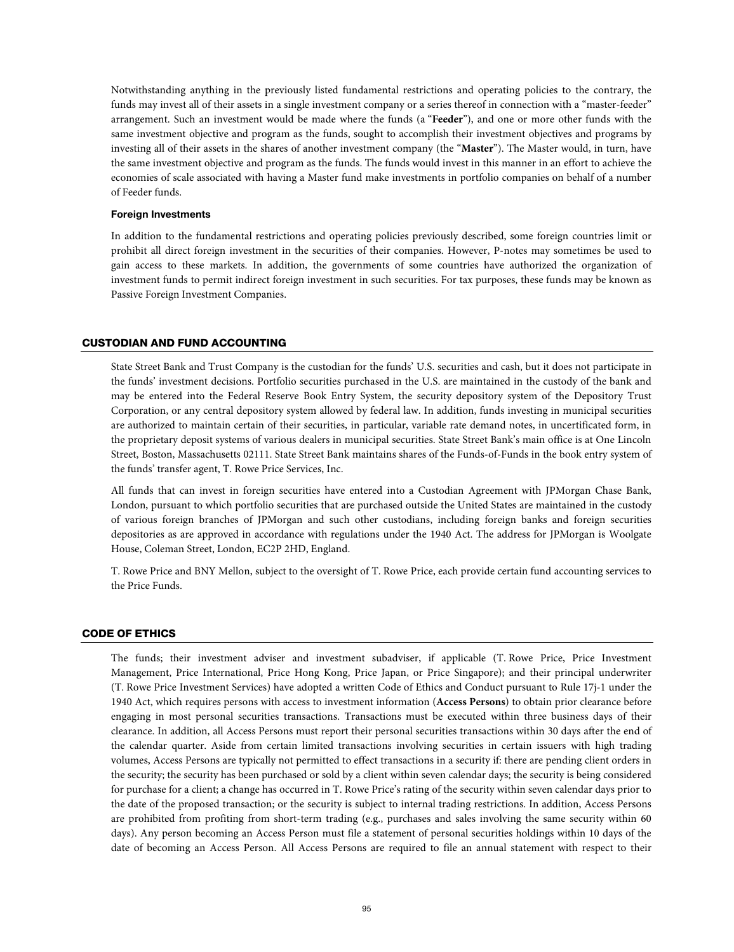Notwithstanding anything in the previously listed fundamental restrictions and operating policies to the contrary, the funds may invest all of their assets in a single investment company or a series thereof in connection with a "master-feeder" arrangement. Such an investment would be made where the funds (a "**Feeder**"), and one or more other funds with the same investment objective and program as the funds, sought to accomplish their investment objectives and programs by investing all of their assets in the shares of another investment company (the "**Master**"). The Master would, in turn, have the same investment objective and program as the funds. The funds would invest in this manner in an effort to achieve the economies of scale associated with having a Master fund make investments in portfolio companies on behalf of a number of Feeder funds.

## **Foreign Investments**

In addition to the fundamental restrictions and operating policies previously described, some foreign countries limit or prohibit all direct foreign investment in the securities of their companies. However, P-notes may sometimes be used to gain access to these markets. In addition, the governments of some countries have authorized the organization of investment funds to permit indirect foreign investment in such securities. For tax purposes, these funds may be known as Passive Foreign Investment Companies.

## CUSTODIAN AND FUND ACCOUNTING

State Street Bank and Trust Company is the custodian for the funds' U.S. securities and cash, but it does not participate in the funds' investment decisions. Portfolio securities purchased in the U.S. are maintained in the custody of the bank and may be entered into the Federal Reserve Book Entry System, the security depository system of the Depository Trust Corporation, or any central depository system allowed by federal law. In addition, funds investing in municipal securities are authorized to maintain certain of their securities, in particular, variable rate demand notes, in uncertificated form, in the proprietary deposit systems of various dealers in municipal securities. State Street Bank's main office is at One Lincoln Street, Boston, Massachusetts 02111. State Street Bank maintains shares of the Funds-of-Funds in the book entry system of the funds' transfer agent, T. Rowe Price Services, Inc.

All funds that can invest in foreign securities have entered into a Custodian Agreement with JPMorgan Chase Bank, London, pursuant to which portfolio securities that are purchased outside the United States are maintained in the custody of various foreign branches of JPMorgan and such other custodians, including foreign banks and foreign securities depositories as are approved in accordance with regulations under the 1940 Act. The address for JPMorgan is Woolgate House, Coleman Street, London, EC2P 2HD, England.

T. Rowe Price and BNY Mellon, subject to the oversight of T. Rowe Price, each provide certain fund accounting services to the Price Funds.

# CODE OF ETHICS

The funds; their investment adviser and investment subadviser, if applicable (T. Rowe Price, Price Investment Management, Price International, Price Hong Kong, Price Japan, or Price Singapore); and their principal underwriter (T. Rowe Price Investment Services) have adopted a written Code of Ethics and Conduct pursuant to Rule 17j-1 under the 1940 Act, which requires persons with access to investment information (**Access Persons**) to obtain prior clearance before engaging in most personal securities transactions. Transactions must be executed within three business days of their clearance. In addition, all Access Persons must report their personal securities transactions within 30 days after the end of the calendar quarter. Aside from certain limited transactions involving securities in certain issuers with high trading volumes, Access Persons are typically not permitted to effect transactions in a security if: there are pending client orders in the security; the security has been purchased or sold by a client within seven calendar days; the security is being considered for purchase for a client; a change has occurred in T. Rowe Price's rating of the security within seven calendar days prior to the date of the proposed transaction; or the security is subject to internal trading restrictions. In addition, Access Persons are prohibited from profiting from short-term trading (e.g., purchases and sales involving the same security within 60 days). Any person becoming an Access Person must file a statement of personal securities holdings within 10 days of the date of becoming an Access Person. All Access Persons are required to file an annual statement with respect to their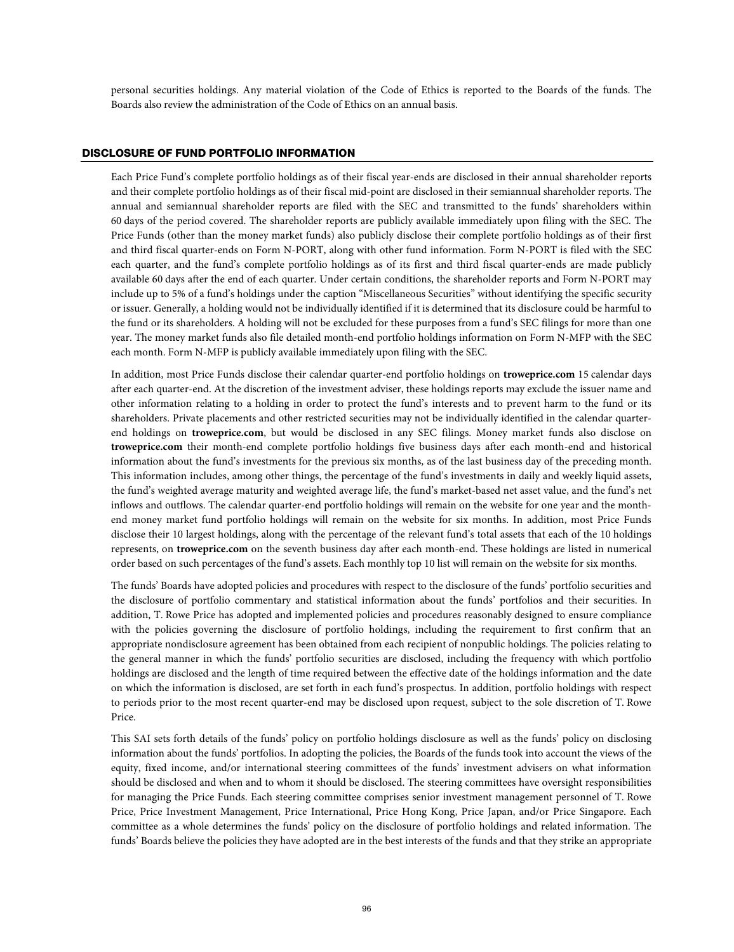personal securities holdings. Any material violation of the Code of Ethics is reported to the Boards of the funds. The Boards also review the administration of the Code of Ethics on an annual basis.

# DISCLOSURE OF FUND PORTFOLIO INFORMATION

Each Price Fund's complete portfolio holdings as of their fiscal year-ends are disclosed in their annual shareholder reports and their complete portfolio holdings as of their fiscal mid-point are disclosed in their semiannual shareholder reports. The annual and semiannual shareholder reports are filed with the SEC and transmitted to the funds' shareholders within 60 days of the period covered. The shareholder reports are publicly available immediately upon filing with the SEC. The Price Funds (other than the money market funds) also publicly disclose their complete portfolio holdings as of their first and third fiscal quarter-ends on Form N-PORT, along with other fund information. Form N-PORT is filed with the SEC each quarter, and the fund's complete portfolio holdings as of its first and third fiscal quarter-ends are made publicly available 60 days after the end of each quarter. Under certain conditions, the shareholder reports and Form N-PORT may include up to 5% of a fund's holdings under the caption "Miscellaneous Securities" without identifying the specific security or issuer. Generally, a holding would not be individually identified if it is determined that its disclosure could be harmful to the fund or its shareholders. A holding will not be excluded for these purposes from a fund's SEC filings for more than one year. The money market funds also file detailed month-end portfolio holdings information on Form N-MFP with the SEC each month. Form N-MFP is publicly available immediately upon filing with the SEC.

In addition, most Price Funds disclose their calendar quarter-end portfolio holdings on **troweprice.com** 15 calendar days after each quarter-end. At the discretion of the investment adviser, these holdings reports may exclude the issuer name and other information relating to a holding in order to protect the fund's interests and to prevent harm to the fund or its shareholders. Private placements and other restricted securities may not be individually identified in the calendar quarterend holdings on **troweprice.com**, but would be disclosed in any SEC filings. Money market funds also disclose on **troweprice.com** their month-end complete portfolio holdings five business days after each month-end and historical information about the fund's investments for the previous six months, as of the last business day of the preceding month. This information includes, among other things, the percentage of the fund's investments in daily and weekly liquid assets, the fund's weighted average maturity and weighted average life, the fund's market-based net asset value, and the fund's net inflows and outflows. The calendar quarter-end portfolio holdings will remain on the website for one year and the monthend money market fund portfolio holdings will remain on the website for six months. In addition, most Price Funds disclose their 10 largest holdings, along with the percentage of the relevant fund's total assets that each of the 10 holdings represents, on **troweprice.com** on the seventh business day after each month-end. These holdings are listed in numerical order based on such percentages of the fund's assets. Each monthly top 10 list will remain on the website for six months.

The funds' Boards have adopted policies and procedures with respect to the disclosure of the funds' portfolio securities and the disclosure of portfolio commentary and statistical information about the funds' portfolios and their securities. In addition, T. Rowe Price has adopted and implemented policies and procedures reasonably designed to ensure compliance with the policies governing the disclosure of portfolio holdings, including the requirement to first confirm that an appropriate nondisclosure agreement has been obtained from each recipient of nonpublic holdings. The policies relating to the general manner in which the funds' portfolio securities are disclosed, including the frequency with which portfolio holdings are disclosed and the length of time required between the effective date of the holdings information and the date on which the information is disclosed, are set forth in each fund's prospectus. In addition, portfolio holdings with respect to periods prior to the most recent quarter-end may be disclosed upon request, subject to the sole discretion of T. Rowe Price.

This SAI sets forth details of the funds' policy on portfolio holdings disclosure as well as the funds' policy on disclosing information about the funds' portfolios. In adopting the policies, the Boards of the funds took into account the views of the equity, fixed income, and/or international steering committees of the funds' investment advisers on what information should be disclosed and when and to whom it should be disclosed. The steering committees have oversight responsibilities for managing the Price Funds. Each steering committee comprises senior investment management personnel of T. Rowe Price, Price Investment Management, Price International, Price Hong Kong, Price Japan, and/or Price Singapore. Each committee as a whole determines the funds' policy on the disclosure of portfolio holdings and related information. The funds' Boards believe the policies they have adopted are in the best interests of the funds and that they strike an appropriate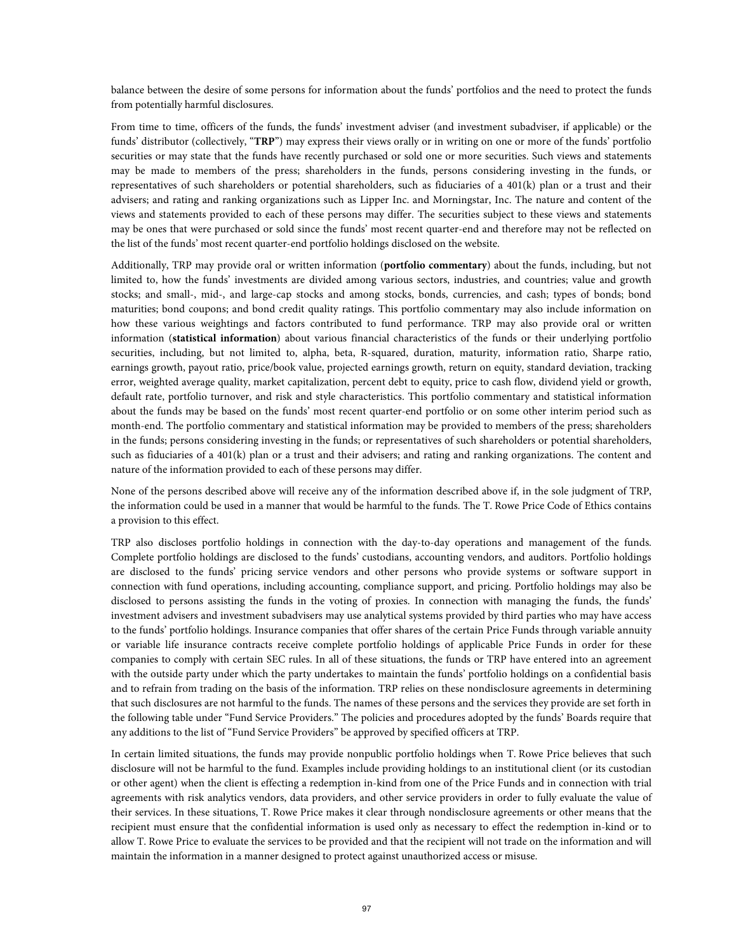balance between the desire of some persons for information about the funds' portfolios and the need to protect the funds from potentially harmful disclosures.

From time to time, officers of the funds, the funds' investment adviser (and investment subadviser, if applicable) or the funds' distributor (collectively, "**TRP**") may express their views orally or in writing on one or more of the funds' portfolio securities or may state that the funds have recently purchased or sold one or more securities. Such views and statements may be made to members of the press; shareholders in the funds, persons considering investing in the funds, or representatives of such shareholders or potential shareholders, such as fiduciaries of a 401(k) plan or a trust and their advisers; and rating and ranking organizations such as Lipper Inc. and Morningstar, Inc. The nature and content of the views and statements provided to each of these persons may differ. The securities subject to these views and statements may be ones that were purchased or sold since the funds' most recent quarter-end and therefore may not be reflected on the list of the funds' most recent quarter-end portfolio holdings disclosed on the website.

Additionally, TRP may provide oral or written information (**portfolio commentary**) about the funds, including, but not limited to, how the funds' investments are divided among various sectors, industries, and countries; value and growth stocks; and small-, mid-, and large-cap stocks and among stocks, bonds, currencies, and cash; types of bonds; bond maturities; bond coupons; and bond credit quality ratings. This portfolio commentary may also include information on how these various weightings and factors contributed to fund performance. TRP may also provide oral or written information (**statistical information**) about various financial characteristics of the funds or their underlying portfolio securities, including, but not limited to, alpha, beta, R-squared, duration, maturity, information ratio, Sharpe ratio, earnings growth, payout ratio, price/book value, projected earnings growth, return on equity, standard deviation, tracking error, weighted average quality, market capitalization, percent debt to equity, price to cash flow, dividend yield or growth, default rate, portfolio turnover, and risk and style characteristics. This portfolio commentary and statistical information about the funds may be based on the funds' most recent quarter-end portfolio or on some other interim period such as month-end. The portfolio commentary and statistical information may be provided to members of the press; shareholders in the funds; persons considering investing in the funds; or representatives of such shareholders or potential shareholders, such as fiduciaries of a 401(k) plan or a trust and their advisers; and rating and ranking organizations. The content and nature of the information provided to each of these persons may differ.

None of the persons described above will receive any of the information described above if, in the sole judgment of TRP, the information could be used in a manner that would be harmful to the funds. The T. Rowe Price Code of Ethics contains a provision to this effect.

TRP also discloses portfolio holdings in connection with the day-to-day operations and management of the funds. Complete portfolio holdings are disclosed to the funds' custodians, accounting vendors, and auditors. Portfolio holdings are disclosed to the funds' pricing service vendors and other persons who provide systems or software support in connection with fund operations, including accounting, compliance support, and pricing. Portfolio holdings may also be disclosed to persons assisting the funds in the voting of proxies. In connection with managing the funds, the funds' investment advisers and investment subadvisers may use analytical systems provided by third parties who may have access to the funds' portfolio holdings. Insurance companies that offer shares of the certain Price Funds through variable annuity or variable life insurance contracts receive complete portfolio holdings of applicable Price Funds in order for these companies to comply with certain SEC rules. In all of these situations, the funds or TRP have entered into an agreement with the outside party under which the party undertakes to maintain the funds' portfolio holdings on a confidential basis and to refrain from trading on the basis of the information. TRP relies on these nondisclosure agreements in determining that such disclosures are not harmful to the funds. The names of these persons and the services they provide are set forth in the following table under "Fund Service Providers." The policies and procedures adopted by the funds' Boards require that any additions to the list of "Fund Service Providers" be approved by specified officers at TRP.

In certain limited situations, the funds may provide nonpublic portfolio holdings when T. Rowe Price believes that such disclosure will not be harmful to the fund. Examples include providing holdings to an institutional client (or its custodian or other agent) when the client is effecting a redemption in-kind from one of the Price Funds and in connection with trial agreements with risk analytics vendors, data providers, and other service providers in order to fully evaluate the value of their services. In these situations, T. Rowe Price makes it clear through nondisclosure agreements or other means that the recipient must ensure that the confidential information is used only as necessary to effect the redemption in-kind or to allow T. Rowe Price to evaluate the services to be provided and that the recipient will not trade on the information and will maintain the information in a manner designed to protect against unauthorized access or misuse.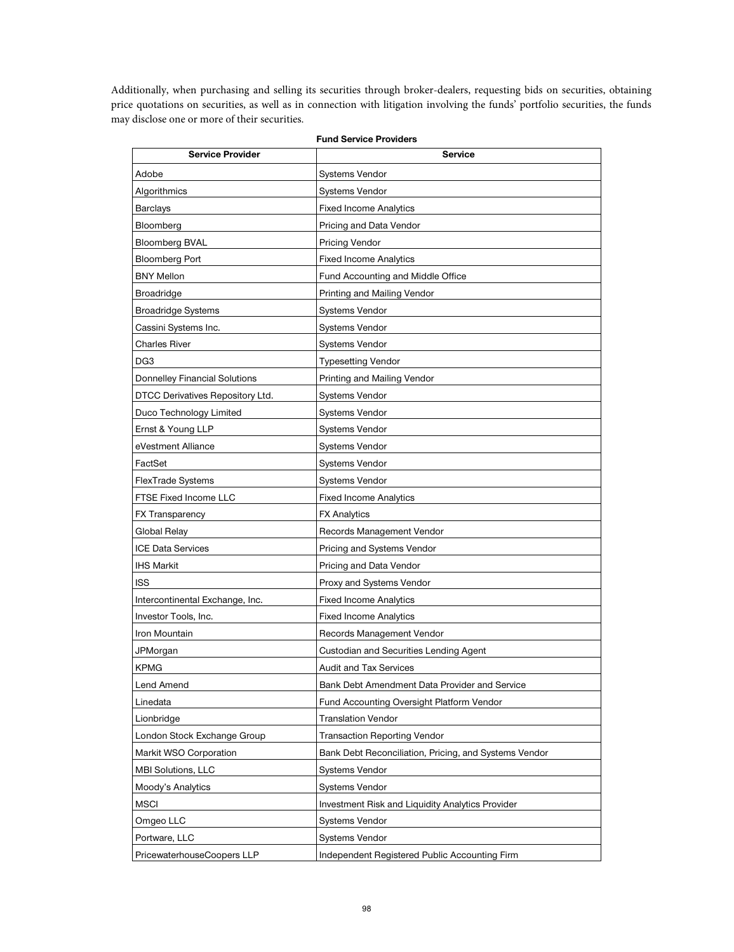Additionally, when purchasing and selling its securities through broker-dealers, requesting bids on securities, obtaining price quotations on securities, as well as in connection with litigation involving the funds' portfolio securities, the funds may disclose one or more of their securities.

| <b>Fund Service Providers</b>        |                                                       |  |
|--------------------------------------|-------------------------------------------------------|--|
| <b>Service Provider</b>              | <b>Service</b>                                        |  |
| Adobe                                | Systems Vendor                                        |  |
| Algorithmics                         | <b>Systems Vendor</b>                                 |  |
| Barclays                             | <b>Fixed Income Analytics</b>                         |  |
| Bloomberg                            | Pricing and Data Vendor                               |  |
| <b>Bloomberg BVAL</b>                | <b>Pricing Vendor</b>                                 |  |
| Bloomberg Port                       | <b>Fixed Income Analytics</b>                         |  |
| <b>BNY Mellon</b>                    | Fund Accounting and Middle Office                     |  |
| <b>Broadridge</b>                    | Printing and Mailing Vendor                           |  |
| Broadridge Systems                   | Systems Vendor                                        |  |
| Cassini Systems Inc.                 | <b>Systems Vendor</b>                                 |  |
| <b>Charles River</b>                 | <b>Systems Vendor</b>                                 |  |
| DG3                                  | <b>Typesetting Vendor</b>                             |  |
| <b>Donnelley Financial Solutions</b> | Printing and Mailing Vendor                           |  |
| DTCC Derivatives Repository Ltd.     | <b>Systems Vendor</b>                                 |  |
| Duco Technology Limited              | <b>Systems Vendor</b>                                 |  |
| Ernst & Young LLP                    | <b>Systems Vendor</b>                                 |  |
| eVestment Alliance                   | <b>Systems Vendor</b>                                 |  |
| FactSet                              | <b>Systems Vendor</b>                                 |  |
| <b>FlexTrade Systems</b>             | <b>Systems Vendor</b>                                 |  |
| <b>FTSE Fixed Income LLC</b>         | <b>Fixed Income Analytics</b>                         |  |
| <b>FX Transparency</b>               | <b>FX Analytics</b>                                   |  |
| Global Relay                         | Records Management Vendor                             |  |
| <b>ICE Data Services</b>             | Pricing and Systems Vendor                            |  |
| <b>IHS Markit</b>                    | Pricing and Data Vendor                               |  |
| <b>ISS</b>                           | Proxy and Systems Vendor                              |  |
| Intercontinental Exchange, Inc.      | <b>Fixed Income Analytics</b>                         |  |
| Investor Tools, Inc.                 | <b>Fixed Income Analytics</b>                         |  |
| Iron Mountain                        | Records Management Vendor                             |  |
| JPMorgan                             | Custodian and Securities Lending Agent                |  |
| KPMG                                 | <b>Audit and Tax Services</b>                         |  |
| Lend Amend                           | Bank Debt Amendment Data Provider and Service         |  |
| Linedata                             | Fund Accounting Oversight Platform Vendor             |  |
| Lionbridge                           | <b>Translation Vendor</b>                             |  |
| London Stock Exchange Group          | <b>Transaction Reporting Vendor</b>                   |  |
| Markit WSO Corporation               | Bank Debt Reconciliation, Pricing, and Systems Vendor |  |
| MBI Solutions, LLC                   | Systems Vendor                                        |  |
| Moody's Analytics                    | <b>Systems Vendor</b>                                 |  |
| <b>MSCI</b>                          | Investment Risk and Liquidity Analytics Provider      |  |
| Omgeo LLC                            | <b>Systems Vendor</b>                                 |  |
| Portware, LLC                        | <b>Systems Vendor</b>                                 |  |
| PricewaterhouseCoopers LLP           | Independent Registered Public Accounting Firm         |  |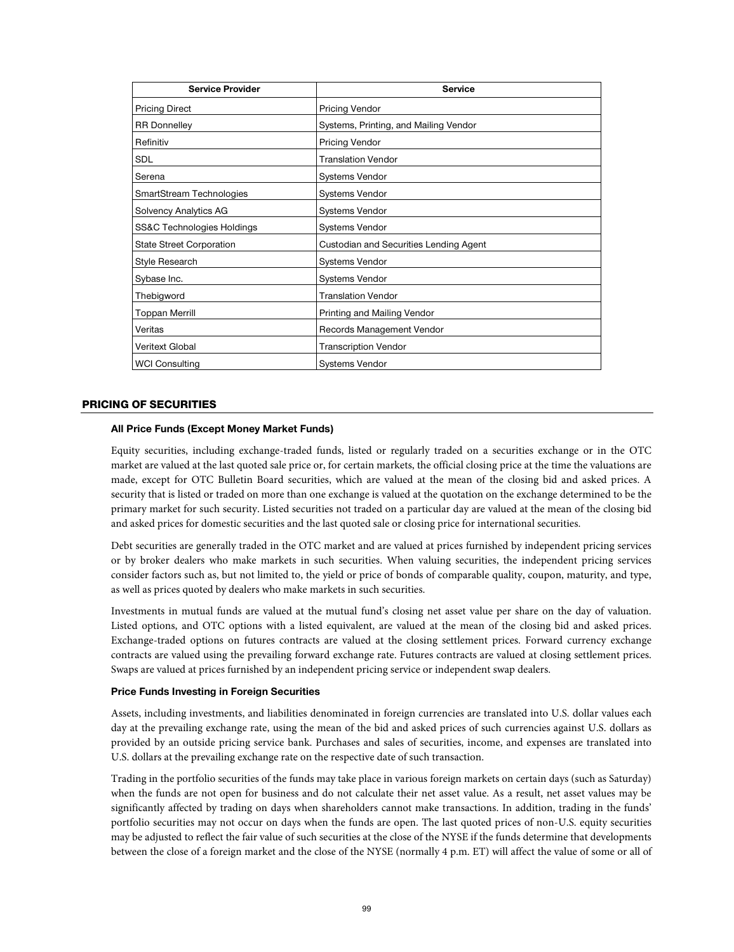| <b>Service Provider</b>         | <b>Service</b>                         |
|---------------------------------|----------------------------------------|
| <b>Pricing Direct</b>           | <b>Pricing Vendor</b>                  |
| <b>RR</b> Donnelley             | Systems, Printing, and Mailing Vendor  |
| Refinitiv                       | <b>Pricing Vendor</b>                  |
| <b>SDL</b>                      | <b>Translation Vendor</b>              |
| Serena                          | <b>Systems Vendor</b>                  |
| SmartStream Technologies        | <b>Systems Vendor</b>                  |
| Solvency Analytics AG           | <b>Systems Vendor</b>                  |
| SS&C Technologies Holdings      | <b>Systems Vendor</b>                  |
| <b>State Street Corporation</b> | Custodian and Securities Lending Agent |
| Style Research                  | <b>Systems Vendor</b>                  |
| Sybase Inc.                     | <b>Systems Vendor</b>                  |
| Thebigword                      | <b>Translation Vendor</b>              |
| <b>Toppan Merrill</b>           | Printing and Mailing Vendor            |
| Veritas                         | Records Management Vendor              |
| <b>Veritext Global</b>          | <b>Transcription Vendor</b>            |
| <b>WCI Consulting</b>           | <b>Systems Vendor</b>                  |

## PRICING OF SECURITIES

## **All Price Funds (Except Money Market Funds)**

Equity securities, including exchange-traded funds, listed or regularly traded on a securities exchange or in the OTC market are valued at the last quoted sale price or, for certain markets, the official closing price at the time the valuations are made, except for OTC Bulletin Board securities, which are valued at the mean of the closing bid and asked prices. A security that is listed or traded on more than one exchange is valued at the quotation on the exchange determined to be the primary market for such security. Listed securities not traded on a particular day are valued at the mean of the closing bid and asked prices for domestic securities and the last quoted sale or closing price for international securities.

Debt securities are generally traded in the OTC market and are valued at prices furnished by independent pricing services or by broker dealers who make markets in such securities. When valuing securities, the independent pricing services consider factors such as, but not limited to, the yield or price of bonds of comparable quality, coupon, maturity, and type, as well as prices quoted by dealers who make markets in such securities.

Investments in mutual funds are valued at the mutual fund's closing net asset value per share on the day of valuation. Listed options, and OTC options with a listed equivalent, are valued at the mean of the closing bid and asked prices. Exchange-traded options on futures contracts are valued at the closing settlement prices. Forward currency exchange contracts are valued using the prevailing forward exchange rate. Futures contracts are valued at closing settlement prices. Swaps are valued at prices furnished by an independent pricing service or independent swap dealers.

## **Price Funds Investing in Foreign Securities**

Assets, including investments, and liabilities denominated in foreign currencies are translated into U.S. dollar values each day at the prevailing exchange rate, using the mean of the bid and asked prices of such currencies against U.S. dollars as provided by an outside pricing service bank. Purchases and sales of securities, income, and expenses are translated into U.S. dollars at the prevailing exchange rate on the respective date of such transaction.

Trading in the portfolio securities of the funds may take place in various foreign markets on certain days (such as Saturday) when the funds are not open for business and do not calculate their net asset value. As a result, net asset values may be significantly affected by trading on days when shareholders cannot make transactions. In addition, trading in the funds' portfolio securities may not occur on days when the funds are open. The last quoted prices of non-U.S. equity securities may be adjusted to reflect the fair value of such securities at the close of the NYSE if the funds determine that developments between the close of a foreign market and the close of the NYSE (normally 4 p.m. ET) will affect the value of some or all of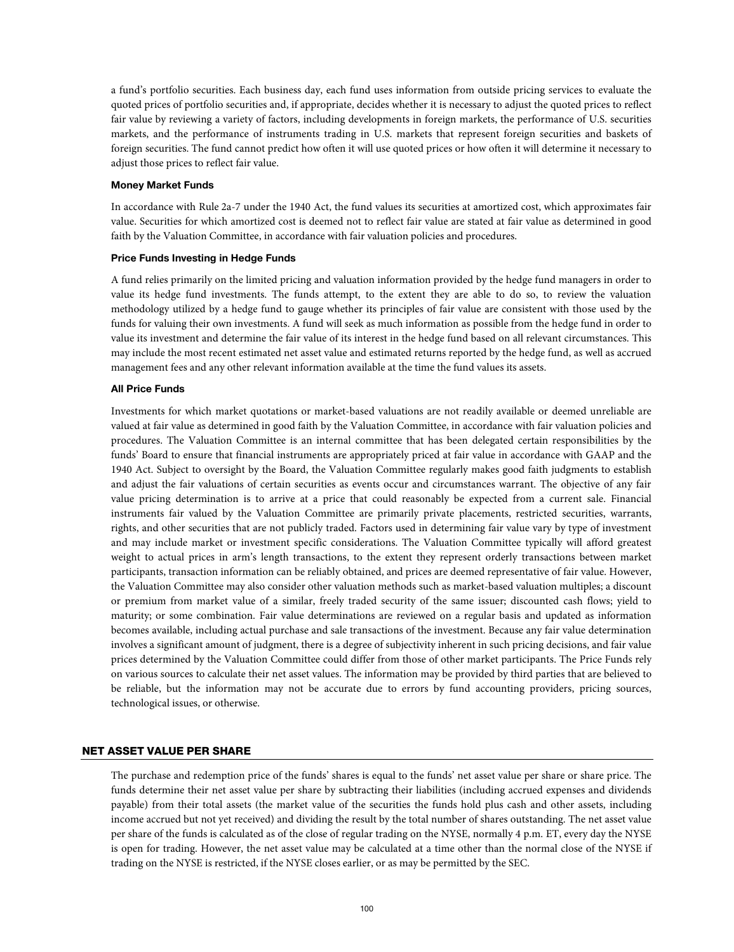a fund's portfolio securities. Each business day, each fund uses information from outside pricing services to evaluate the quoted prices of portfolio securities and, if appropriate, decides whether it is necessary to adjust the quoted prices to reflect fair value by reviewing a variety of factors, including developments in foreign markets, the performance of U.S. securities markets, and the performance of instruments trading in U.S. markets that represent foreign securities and baskets of foreign securities. The fund cannot predict how often it will use quoted prices or how often it will determine it necessary to adjust those prices to reflect fair value.

## **Money Market Funds**

In accordance with Rule 2a-7 under the 1940 Act, the fund values its securities at amortized cost, which approximates fair value. Securities for which amortized cost is deemed not to reflect fair value are stated at fair value as determined in good faith by the Valuation Committee, in accordance with fair valuation policies and procedures.

# **Price Funds Investing in Hedge Funds**

A fund relies primarily on the limited pricing and valuation information provided by the hedge fund managers in order to value its hedge fund investments. The funds attempt, to the extent they are able to do so, to review the valuation methodology utilized by a hedge fund to gauge whether its principles of fair value are consistent with those used by the funds for valuing their own investments. A fund will seek as much information as possible from the hedge fund in order to value its investment and determine the fair value of its interest in the hedge fund based on all relevant circumstances. This may include the most recent estimated net asset value and estimated returns reported by the hedge fund, as well as accrued management fees and any other relevant information available at the time the fund values its assets.

## **All Price Funds**

Investments for which market quotations or market-based valuations are not readily available or deemed unreliable are valued at fair value as determined in good faith by the Valuation Committee, in accordance with fair valuation policies and procedures. The Valuation Committee is an internal committee that has been delegated certain responsibilities by the funds' Board to ensure that financial instruments are appropriately priced at fair value in accordance with GAAP and the 1940 Act. Subject to oversight by the Board, the Valuation Committee regularly makes good faith judgments to establish and adjust the fair valuations of certain securities as events occur and circumstances warrant. The objective of any fair value pricing determination is to arrive at a price that could reasonably be expected from a current sale. Financial instruments fair valued by the Valuation Committee are primarily private placements, restricted securities, warrants, rights, and other securities that are not publicly traded. Factors used in determining fair value vary by type of investment and may include market or investment specific considerations. The Valuation Committee typically will afford greatest weight to actual prices in arm's length transactions, to the extent they represent orderly transactions between market participants, transaction information can be reliably obtained, and prices are deemed representative of fair value. However, the Valuation Committee may also consider other valuation methods such as market-based valuation multiples; a discount or premium from market value of a similar, freely traded security of the same issuer; discounted cash flows; yield to maturity; or some combination. Fair value determinations are reviewed on a regular basis and updated as information becomes available, including actual purchase and sale transactions of the investment. Because any fair value determination involves a significant amount of judgment, there is a degree of subjectivity inherent in such pricing decisions, and fair value prices determined by the Valuation Committee could differ from those of other market participants. The Price Funds rely on various sources to calculate their net asset values. The information may be provided by third parties that are believed to be reliable, but the information may not be accurate due to errors by fund accounting providers, pricing sources, technological issues, or otherwise.

# NET ASSET VALUE PER SHARE

The purchase and redemption price of the funds' shares is equal to the funds' net asset value per share or share price. The funds determine their net asset value per share by subtracting their liabilities (including accrued expenses and dividends payable) from their total assets (the market value of the securities the funds hold plus cash and other assets, including income accrued but not yet received) and dividing the result by the total number of shares outstanding. The net asset value per share of the funds is calculated as of the close of regular trading on the NYSE, normally 4 p.m. ET, every day the NYSE is open for trading. However, the net asset value may be calculated at a time other than the normal close of the NYSE if trading on the NYSE is restricted, if the NYSE closes earlier, or as may be permitted by the SEC.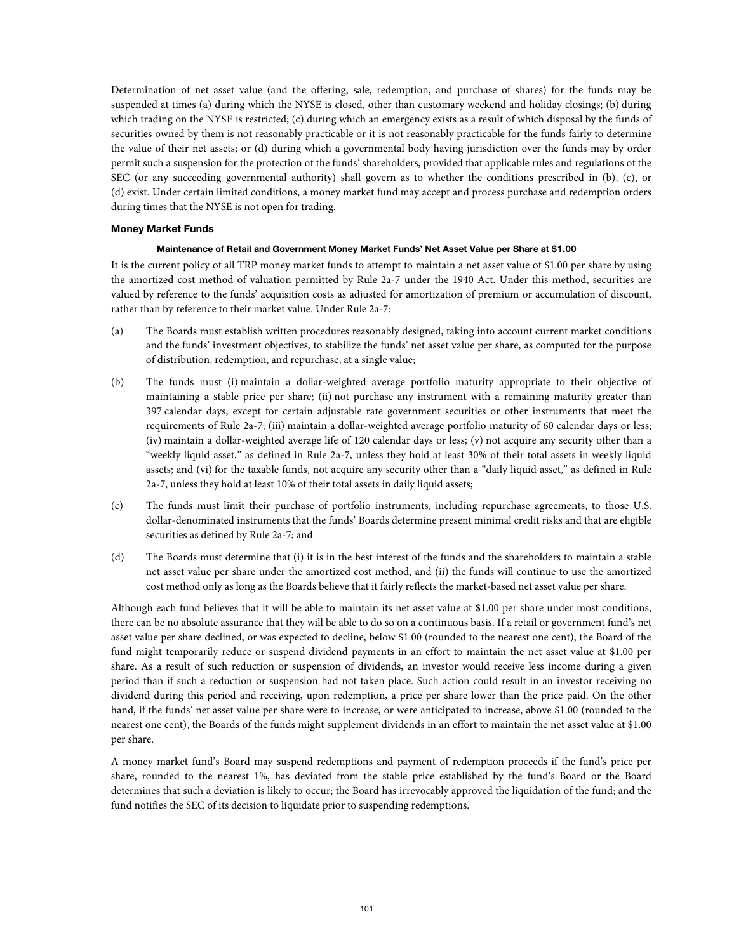Determination of net asset value (and the offering, sale, redemption, and purchase of shares) for the funds may be suspended at times (a) during which the NYSE is closed, other than customary weekend and holiday closings; (b) during which trading on the NYSE is restricted; (c) during which an emergency exists as a result of which disposal by the funds of securities owned by them is not reasonably practicable or it is not reasonably practicable for the funds fairly to determine the value of their net assets; or (d) during which a governmental body having jurisdiction over the funds may by order permit such a suspension for the protection of the funds' shareholders, provided that applicable rules and regulations of the SEC (or any succeeding governmental authority) shall govern as to whether the conditions prescribed in (b), (c), or (d) exist. Under certain limited conditions, a money market fund may accept and process purchase and redemption orders during times that the NYSE is not open for trading.

## **Money Market Funds**

#### **Maintenance of Retail and Government Money Market Funds' Net Asset Value per Share at \$1.00**

It is the current policy of all TRP money market funds to attempt to maintain a net asset value of \$1.00 per share by using the amortized cost method of valuation permitted by Rule 2a-7 under the 1940 Act. Under this method, securities are valued by reference to the funds' acquisition costs as adjusted for amortization of premium or accumulation of discount, rather than by reference to their market value. Under Rule 2a-7:

- (a) The Boards must establish written procedures reasonably designed, taking into account current market conditions and the funds' investment objectives, to stabilize the funds' net asset value per share, as computed for the purpose of distribution, redemption, and repurchase, at a single value;
- (b) The funds must (i) maintain a dollar-weighted average portfolio maturity appropriate to their objective of maintaining a stable price per share; (ii) not purchase any instrument with a remaining maturity greater than 397 calendar days, except for certain adjustable rate government securities or other instruments that meet the requirements of Rule 2a-7; (iii) maintain a dollar-weighted average portfolio maturity of 60 calendar days or less; (iv) maintain a dollar-weighted average life of 120 calendar days or less; (v) not acquire any security other than a "weekly liquid asset," as defined in Rule 2a-7, unless they hold at least 30% of their total assets in weekly liquid assets; and (vi) for the taxable funds, not acquire any security other than a "daily liquid asset," as defined in Rule 2a-7, unless they hold at least 10% of their total assets in daily liquid assets;
- (c) The funds must limit their purchase of portfolio instruments, including repurchase agreements, to those U.S. dollar-denominated instruments that the funds' Boards determine present minimal credit risks and that are eligible securities as defined by Rule 2a-7; and
- (d) The Boards must determine that (i) it is in the best interest of the funds and the shareholders to maintain a stable net asset value per share under the amortized cost method, and (ii) the funds will continue to use the amortized cost method only as long as the Boards believe that it fairly reflects the market-based net asset value per share.

Although each fund believes that it will be able to maintain its net asset value at \$1.00 per share under most conditions, there can be no absolute assurance that they will be able to do so on a continuous basis. If a retail or government fund's net asset value per share declined, or was expected to decline, below \$1.00 (rounded to the nearest one cent), the Board of the fund might temporarily reduce or suspend dividend payments in an effort to maintain the net asset value at \$1.00 per share. As a result of such reduction or suspension of dividends, an investor would receive less income during a given period than if such a reduction or suspension had not taken place. Such action could result in an investor receiving no dividend during this period and receiving, upon redemption, a price per share lower than the price paid. On the other hand, if the funds' net asset value per share were to increase, or were anticipated to increase, above \$1.00 (rounded to the nearest one cent), the Boards of the funds might supplement dividends in an effort to maintain the net asset value at \$1.00 per share.

A money market fund's Board may suspend redemptions and payment of redemption proceeds if the fund's price per share, rounded to the nearest 1%, has deviated from the stable price established by the fund's Board or the Board determines that such a deviation is likely to occur; the Board has irrevocably approved the liquidation of the fund; and the fund notifies the SEC of its decision to liquidate prior to suspending redemptions.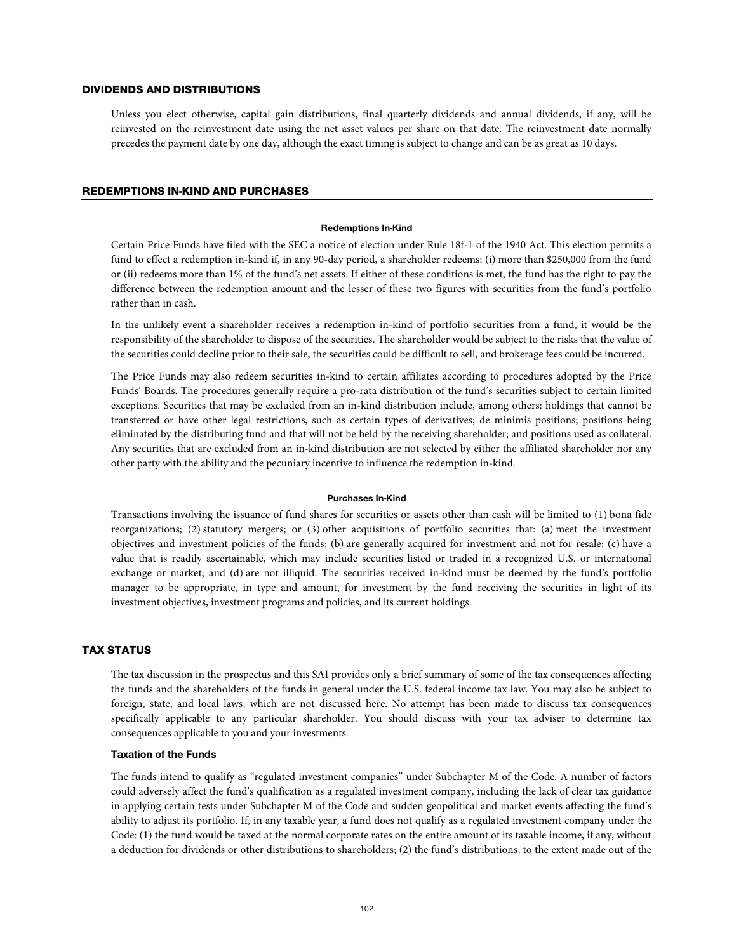## DIVIDENDS AND DISTRIBUTIONS

Unless you elect otherwise, capital gain distributions, final quarterly dividends and annual dividends, if any, will be reinvested on the reinvestment date using the net asset values per share on that date. The reinvestment date normally precedes the payment date by one day, although the exact timing is subject to change and can be as great as 10 days.

# REDEMPTIONS IN-KIND AND PURCHASES

#### **Redemptions In-Kind**

Certain Price Funds have filed with the SEC a notice of election under Rule 18f-1 of the 1940 Act. This election permits a fund to effect a redemption in-kind if, in any 90-day period, a shareholder redeems: (i) more than \$250,000 from the fund or (ii) redeems more than 1% of the fund's net assets. If either of these conditions is met, the fund has the right to pay the difference between the redemption amount and the lesser of these two figures with securities from the fund's portfolio rather than in cash.

In the unlikely event a shareholder receives a redemption in-kind of portfolio securities from a fund, it would be the responsibility of the shareholder to dispose of the securities. The shareholder would be subject to the risks that the value of the securities could decline prior to their sale, the securities could be difficult to sell, and brokerage fees could be incurred.

The Price Funds may also redeem securities in-kind to certain affiliates according to procedures adopted by the Price Funds' Boards. The procedures generally require a pro-rata distribution of the fund's securities subject to certain limited exceptions. Securities that may be excluded from an in-kind distribution include, among others: holdings that cannot be transferred or have other legal restrictions, such as certain types of derivatives; de minimis positions; positions being eliminated by the distributing fund and that will not be held by the receiving shareholder; and positions used as collateral. Any securities that are excluded from an in-kind distribution are not selected by either the affiliated shareholder nor any other party with the ability and the pecuniary incentive to influence the redemption in-kind.

#### **Purchases In-Kind**

Transactions involving the issuance of fund shares for securities or assets other than cash will be limited to (1) bona fide reorganizations; (2) statutory mergers; or (3) other acquisitions of portfolio securities that: (a) meet the investment objectives and investment policies of the funds; (b) are generally acquired for investment and not for resale; (c) have a value that is readily ascertainable, which may include securities listed or traded in a recognized U.S. or international exchange or market; and (d) are not illiquid. The securities received in-kind must be deemed by the fund's portfolio manager to be appropriate, in type and amount, for investment by the fund receiving the securities in light of its investment objectives, investment programs and policies, and its current holdings.

## TAX STATUS

The tax discussion in the prospectus and this SAI provides only a brief summary of some of the tax consequences affecting the funds and the shareholders of the funds in general under the U.S. federal income tax law. You may also be subject to foreign, state, and local laws, which are not discussed here. No attempt has been made to discuss tax consequences specifically applicable to any particular shareholder. You should discuss with your tax adviser to determine tax consequences applicable to you and your investments.

## **Taxation of the Funds**

The funds intend to qualify as "regulated investment companies" under Subchapter M of the Code. A number of factors could adversely affect the fund's qualification as a regulated investment company, including the lack of clear tax guidance in applying certain tests under Subchapter M of the Code and sudden geopolitical and market events affecting the fund's ability to adjust its portfolio. If, in any taxable year, a fund does not qualify as a regulated investment company under the Code: (1) the fund would be taxed at the normal corporate rates on the entire amount of its taxable income, if any, without a deduction for dividends or other distributions to shareholders; (2) the fund's distributions, to the extent made out of the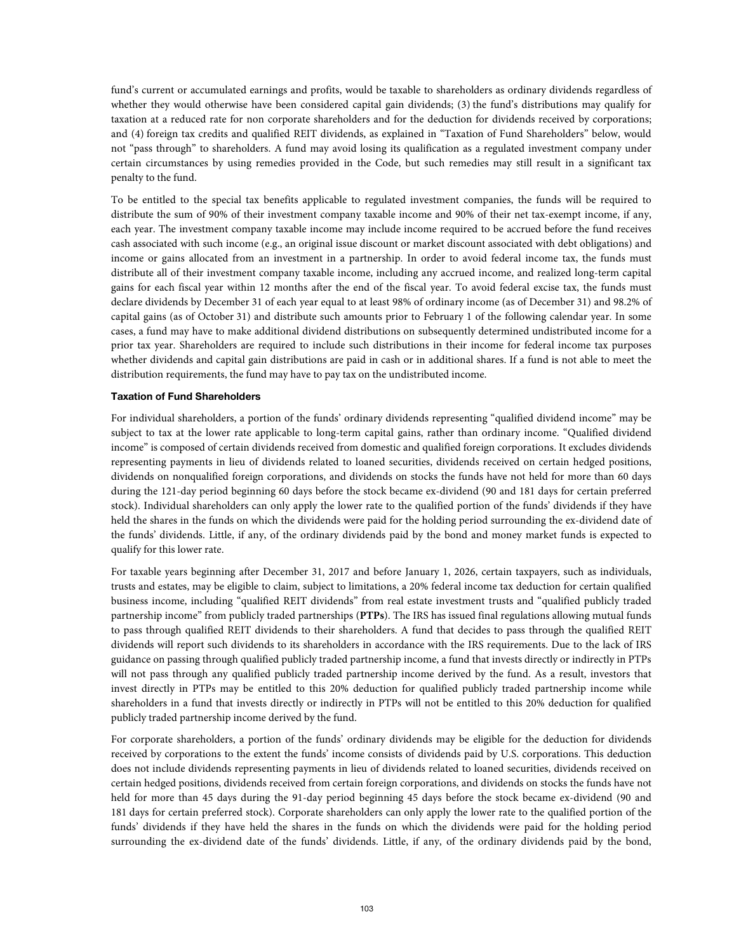fund's current or accumulated earnings and profits, would be taxable to shareholders as ordinary dividends regardless of whether they would otherwise have been considered capital gain dividends; (3) the fund's distributions may qualify for taxation at a reduced rate for non corporate shareholders and for the deduction for dividends received by corporations; and (4) foreign tax credits and qualified REIT dividends, as explained in "Taxation of Fund Shareholders" below, would not "pass through" to shareholders. A fund may avoid losing its qualification as a regulated investment company under certain circumstances by using remedies provided in the Code, but such remedies may still result in a significant tax penalty to the fund.

To be entitled to the special tax benefits applicable to regulated investment companies, the funds will be required to distribute the sum of 90% of their investment company taxable income and 90% of their net tax-exempt income, if any, each year. The investment company taxable income may include income required to be accrued before the fund receives cash associated with such income (e.g., an original issue discount or market discount associated with debt obligations) and income or gains allocated from an investment in a partnership. In order to avoid federal income tax, the funds must distribute all of their investment company taxable income, including any accrued income, and realized long-term capital gains for each fiscal year within 12 months after the end of the fiscal year. To avoid federal excise tax, the funds must declare dividends by December 31 of each year equal to at least 98% of ordinary income (as of December 31) and 98.2% of capital gains (as of October 31) and distribute such amounts prior to February 1 of the following calendar year. In some cases, a fund may have to make additional dividend distributions on subsequently determined undistributed income for a prior tax year. Shareholders are required to include such distributions in their income for federal income tax purposes whether dividends and capital gain distributions are paid in cash or in additional shares. If a fund is not able to meet the distribution requirements, the fund may have to pay tax on the undistributed income.

# **Taxation of Fund Shareholders**

For individual shareholders, a portion of the funds' ordinary dividends representing "qualified dividend income" may be subject to tax at the lower rate applicable to long-term capital gains, rather than ordinary income. "Qualified dividend income" is composed of certain dividends received from domestic and qualified foreign corporations. It excludes dividends representing payments in lieu of dividends related to loaned securities, dividends received on certain hedged positions, dividends on nonqualified foreign corporations, and dividends on stocks the funds have not held for more than 60 days during the 121-day period beginning 60 days before the stock became ex-dividend (90 and 181 days for certain preferred stock). Individual shareholders can only apply the lower rate to the qualified portion of the funds' dividends if they have held the shares in the funds on which the dividends were paid for the holding period surrounding the ex-dividend date of the funds' dividends. Little, if any, of the ordinary dividends paid by the bond and money market funds is expected to qualify for this lower rate.

For taxable years beginning after December 31, 2017 and before January 1, 2026, certain taxpayers, such as individuals, trusts and estates, may be eligible to claim, subject to limitations, a 20% federal income tax deduction for certain qualified business income, including "qualified REIT dividends" from real estate investment trusts and "qualified publicly traded partnership income" from publicly traded partnerships (**PTPs**). The IRS has issued final regulations allowing mutual funds to pass through qualified REIT dividends to their shareholders. A fund that decides to pass through the qualified REIT dividends will report such dividends to its shareholders in accordance with the IRS requirements. Due to the lack of IRS guidance on passing through qualified publicly traded partnership income, a fund that invests directly or indirectly in PTPs will not pass through any qualified publicly traded partnership income derived by the fund. As a result, investors that invest directly in PTPs may be entitled to this 20% deduction for qualified publicly traded partnership income while shareholders in a fund that invests directly or indirectly in PTPs will not be entitled to this 20% deduction for qualified publicly traded partnership income derived by the fund.

For corporate shareholders, a portion of the funds' ordinary dividends may be eligible for the deduction for dividends received by corporations to the extent the funds' income consists of dividends paid by U.S. corporations. This deduction does not include dividends representing payments in lieu of dividends related to loaned securities, dividends received on certain hedged positions, dividends received from certain foreign corporations, and dividends on stocks the funds have not held for more than 45 days during the 91-day period beginning 45 days before the stock became ex-dividend (90 and 181 days for certain preferred stock). Corporate shareholders can only apply the lower rate to the qualified portion of the funds' dividends if they have held the shares in the funds on which the dividends were paid for the holding period surrounding the ex-dividend date of the funds' dividends. Little, if any, of the ordinary dividends paid by the bond,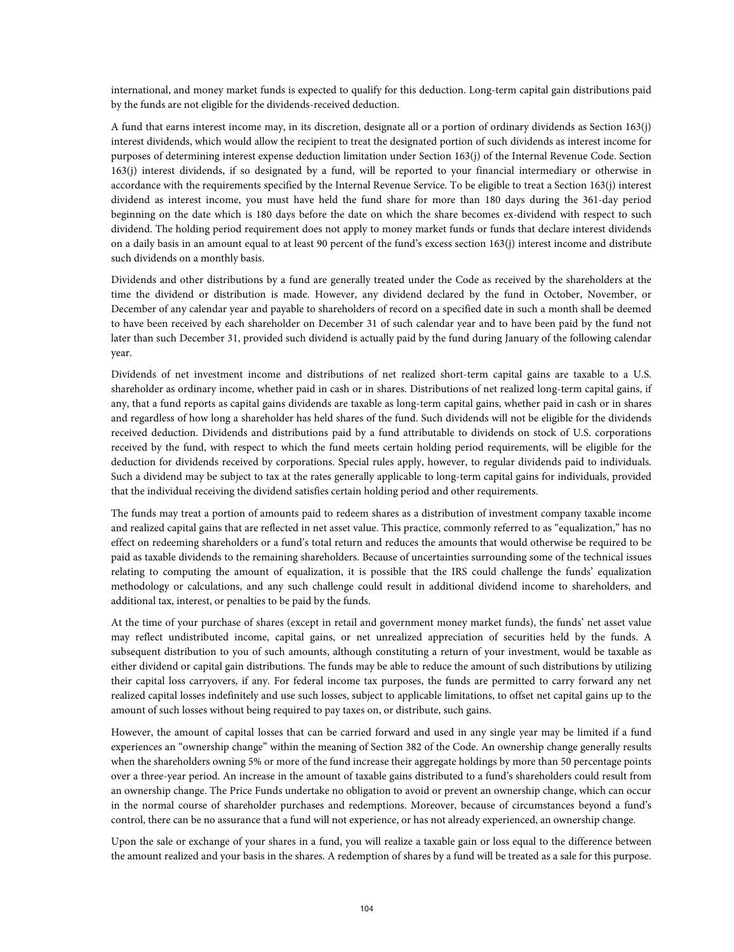international, and money market funds is expected to qualify for this deduction. Long-term capital gain distributions paid by the funds are not eligible for the dividends-received deduction.

A fund that earns interest income may, in its discretion, designate all or a portion of ordinary dividends as Section 163(j) interest dividends, which would allow the recipient to treat the designated portion of such dividends as interest income for purposes of determining interest expense deduction limitation under Section 163(j) of the Internal Revenue Code. Section 163(j) interest dividends, if so designated by a fund, will be reported to your financial intermediary or otherwise in accordance with the requirements specified by the Internal Revenue Service. To be eligible to treat a Section 163(j) interest dividend as interest income, you must have held the fund share for more than 180 days during the 361-day period beginning on the date which is 180 days before the date on which the share becomes ex-dividend with respect to such dividend. The holding period requirement does not apply to money market funds or funds that declare interest dividends on a daily basis in an amount equal to at least 90 percent of the fund's excess section 163(j) interest income and distribute such dividends on a monthly basis.

Dividends and other distributions by a fund are generally treated under the Code as received by the shareholders at the time the dividend or distribution is made. However, any dividend declared by the fund in October, November, or December of any calendar year and payable to shareholders of record on a specified date in such a month shall be deemed to have been received by each shareholder on December 31 of such calendar year and to have been paid by the fund not later than such December 31, provided such dividend is actually paid by the fund during January of the following calendar year.

Dividends of net investment income and distributions of net realized short-term capital gains are taxable to a U.S. shareholder as ordinary income, whether paid in cash or in shares. Distributions of net realized long-term capital gains, if any, that a fund reports as capital gains dividends are taxable as long-term capital gains, whether paid in cash or in shares and regardless of how long a shareholder has held shares of the fund. Such dividends will not be eligible for the dividends received deduction. Dividends and distributions paid by a fund attributable to dividends on stock of U.S. corporations received by the fund, with respect to which the fund meets certain holding period requirements, will be eligible for the deduction for dividends received by corporations. Special rules apply, however, to regular dividends paid to individuals. Such a dividend may be subject to tax at the rates generally applicable to long-term capital gains for individuals, provided that the individual receiving the dividend satisfies certain holding period and other requirements.

The funds may treat a portion of amounts paid to redeem shares as a distribution of investment company taxable income and realized capital gains that are reflected in net asset value. This practice, commonly referred to as "equalization," has no effect on redeeming shareholders or a fund's total return and reduces the amounts that would otherwise be required to be paid as taxable dividends to the remaining shareholders. Because of uncertainties surrounding some of the technical issues relating to computing the amount of equalization, it is possible that the IRS could challenge the funds' equalization methodology or calculations, and any such challenge could result in additional dividend income to shareholders, and additional tax, interest, or penalties to be paid by the funds.

At the time of your purchase of shares (except in retail and government money market funds), the funds' net asset value may reflect undistributed income, capital gains, or net unrealized appreciation of securities held by the funds. A subsequent distribution to you of such amounts, although constituting a return of your investment, would be taxable as either dividend or capital gain distributions. The funds may be able to reduce the amount of such distributions by utilizing their capital loss carryovers, if any. For federal income tax purposes, the funds are permitted to carry forward any net realized capital losses indefinitely and use such losses, subject to applicable limitations, to offset net capital gains up to the amount of such losses without being required to pay taxes on, or distribute, such gains.

However, the amount of capital losses that can be carried forward and used in any single year may be limited if a fund experiences an "ownership change" within the meaning of Section 382 of the Code. An ownership change generally results when the shareholders owning 5% or more of the fund increase their aggregate holdings by more than 50 percentage points over a three-year period. An increase in the amount of taxable gains distributed to a fund's shareholders could result from an ownership change. The Price Funds undertake no obligation to avoid or prevent an ownership change, which can occur in the normal course of shareholder purchases and redemptions. Moreover, because of circumstances beyond a fund's control, there can be no assurance that a fund will not experience, or has not already experienced, an ownership change.

Upon the sale or exchange of your shares in a fund, you will realize a taxable gain or loss equal to the difference between the amount realized and your basis in the shares. A redemption of shares by a fund will be treated as a sale for this purpose.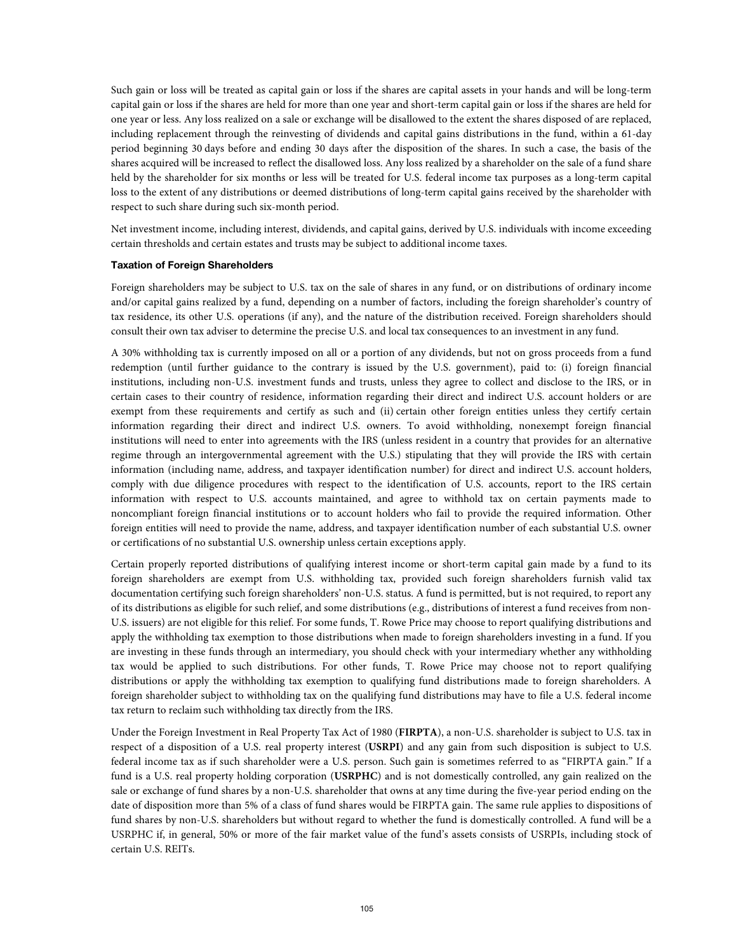Such gain or loss will be treated as capital gain or loss if the shares are capital assets in your hands and will be long-term capital gain or loss if the shares are held for more than one year and short-term capital gain or loss if the shares are held for one year or less. Any loss realized on a sale or exchange will be disallowed to the extent the shares disposed of are replaced, including replacement through the reinvesting of dividends and capital gains distributions in the fund, within a 61-day period beginning 30 days before and ending 30 days after the disposition of the shares. In such a case, the basis of the shares acquired will be increased to reflect the disallowed loss. Any loss realized by a shareholder on the sale of a fund share held by the shareholder for six months or less will be treated for U.S. federal income tax purposes as a long-term capital loss to the extent of any distributions or deemed distributions of long-term capital gains received by the shareholder with respect to such share during such six-month period.

Net investment income, including interest, dividends, and capital gains, derived by U.S. individuals with income exceeding certain thresholds and certain estates and trusts may be subject to additional income taxes.

## **Taxation of Foreign Shareholders**

Foreign shareholders may be subject to U.S. tax on the sale of shares in any fund, or on distributions of ordinary income and/or capital gains realized by a fund, depending on a number of factors, including the foreign shareholder's country of tax residence, its other U.S. operations (if any), and the nature of the distribution received. Foreign shareholders should consult their own tax adviser to determine the precise U.S. and local tax consequences to an investment in any fund.

A 30% withholding tax is currently imposed on all or a portion of any dividends, but not on gross proceeds from a fund redemption (until further guidance to the contrary is issued by the U.S. government), paid to: (i) foreign financial institutions, including non-U.S. investment funds and trusts, unless they agree to collect and disclose to the IRS, or in certain cases to their country of residence, information regarding their direct and indirect U.S. account holders or are exempt from these requirements and certify as such and (ii) certain other foreign entities unless they certify certain information regarding their direct and indirect U.S. owners. To avoid withholding, nonexempt foreign financial institutions will need to enter into agreements with the IRS (unless resident in a country that provides for an alternative regime through an intergovernmental agreement with the U.S.) stipulating that they will provide the IRS with certain information (including name, address, and taxpayer identification number) for direct and indirect U.S. account holders, comply with due diligence procedures with respect to the identification of U.S. accounts, report to the IRS certain information with respect to U.S. accounts maintained, and agree to withhold tax on certain payments made to noncompliant foreign financial institutions or to account holders who fail to provide the required information. Other foreign entities will need to provide the name, address, and taxpayer identification number of each substantial U.S. owner or certifications of no substantial U.S. ownership unless certain exceptions apply.

Certain properly reported distributions of qualifying interest income or short-term capital gain made by a fund to its foreign shareholders are exempt from U.S. withholding tax, provided such foreign shareholders furnish valid tax documentation certifying such foreign shareholders' non-U.S. status. A fund is permitted, but is not required, to report any of its distributions as eligible for such relief, and some distributions (e.g., distributions of interest a fund receives from non-U.S. issuers) are not eligible for this relief. For some funds, T. Rowe Price may choose to report qualifying distributions and apply the withholding tax exemption to those distributions when made to foreign shareholders investing in a fund. If you are investing in these funds through an intermediary, you should check with your intermediary whether any withholding tax would be applied to such distributions. For other funds, T. Rowe Price may choose not to report qualifying distributions or apply the withholding tax exemption to qualifying fund distributions made to foreign shareholders. A foreign shareholder subject to withholding tax on the qualifying fund distributions may have to file a U.S. federal income tax return to reclaim such withholding tax directly from the IRS.

Under the Foreign Investment in Real Property Tax Act of 1980 (**FIRPTA**), a non-U.S. shareholder is subject to U.S. tax in respect of a disposition of a U.S. real property interest (**USRPI**) and any gain from such disposition is subject to U.S. federal income tax as if such shareholder were a U.S. person. Such gain is sometimes referred to as "FIRPTA gain." If a fund is a U.S. real property holding corporation (**USRPHC**) and is not domestically controlled, any gain realized on the sale or exchange of fund shares by a non-U.S. shareholder that owns at any time during the five-year period ending on the date of disposition more than 5% of a class of fund shares would be FIRPTA gain. The same rule applies to dispositions of fund shares by non-U.S. shareholders but without regard to whether the fund is domestically controlled. A fund will be a USRPHC if, in general, 50% or more of the fair market value of the fund's assets consists of USRPIs, including stock of certain U.S. REITs.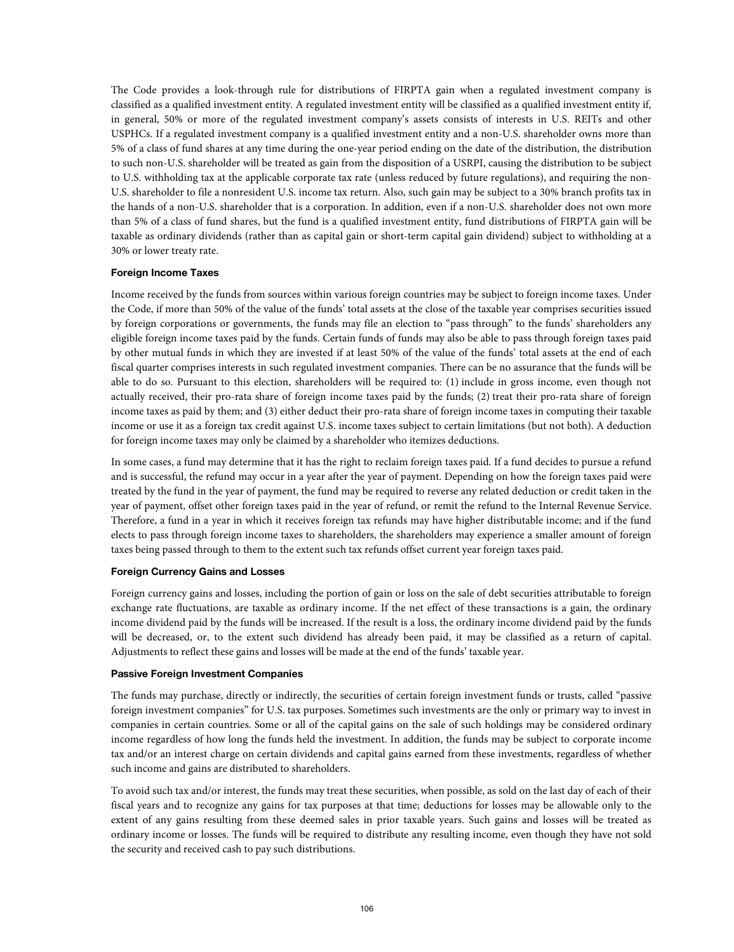The Code provides a look-through rule for distributions of FIRPTA gain when a regulated investment company is classified as a qualified investment entity. A regulated investment entity will be classified as a qualified investment entity if, in general, 50% or more of the regulated investment company's assets consists of interests in U.S. REITs and other USPHCs. If a regulated investment company is a qualified investment entity and a non-U.S. shareholder owns more than 5% of a class of fund shares at any time during the one-year period ending on the date of the distribution, the distribution to such non-U.S. shareholder will be treated as gain from the disposition of a USRPI, causing the distribution to be subject to U.S. withholding tax at the applicable corporate tax rate (unless reduced by future regulations), and requiring the non-U.S. shareholder to file a nonresident U.S. income tax return. Also, such gain may be subject to a 30% branch profits tax in the hands of a non-U.S. shareholder that is a corporation. In addition, even if a non-U.S. shareholder does not own more than 5% of a class of fund shares, but the fund is a qualified investment entity, fund distributions of FIRPTA gain will be taxable as ordinary dividends (rather than as capital gain or short-term capital gain dividend) subject to withholding at a 30% or lower treaty rate.

# **Foreign Income Taxes**

Income received by the funds from sources within various foreign countries may be subject to foreign income taxes. Under the Code, if more than 50% of the value of the funds' total assets at the close of the taxable year comprises securities issued by foreign corporations or governments, the funds may file an election to "pass through" to the funds' shareholders any eligible foreign income taxes paid by the funds. Certain funds of funds may also be able to pass through foreign taxes paid by other mutual funds in which they are invested if at least 50% of the value of the funds' total assets at the end of each fiscal quarter comprises interests in such regulated investment companies. There can be no assurance that the funds will be able to do so. Pursuant to this election, shareholders will be required to: (1) include in gross income, even though not actually received, their pro-rata share of foreign income taxes paid by the funds; (2) treat their pro-rata share of foreign income taxes as paid by them; and (3) either deduct their pro-rata share of foreign income taxes in computing their taxable income or use it as a foreign tax credit against U.S. income taxes subject to certain limitations (but not both). A deduction for foreign income taxes may only be claimed by a shareholder who itemizes deductions.

In some cases, a fund may determine that it has the right to reclaim foreign taxes paid. If a fund decides to pursue a refund and is successful, the refund may occur in a year after the year of payment. Depending on how the foreign taxes paid were treated by the fund in the year of payment, the fund may be required to reverse any related deduction or credit taken in the year of payment, offset other foreign taxes paid in the year of refund, or remit the refund to the Internal Revenue Service. Therefore, a fund in a year in which it receives foreign tax refunds may have higher distributable income; and if the fund elects to pass through foreign income taxes to shareholders, the shareholders may experience a smaller amount of foreign taxes being passed through to them to the extent such tax refunds offset current year foreign taxes paid.

## **Foreign Currency Gains and Losses**

Foreign currency gains and losses, including the portion of gain or loss on the sale of debt securities attributable to foreign exchange rate fluctuations, are taxable as ordinary income. If the net effect of these transactions is a gain, the ordinary income dividend paid by the funds will be increased. If the result is a loss, the ordinary income dividend paid by the funds will be decreased, or, to the extent such dividend has already been paid, it may be classified as a return of capital. Adjustments to reflect these gains and losses will be made at the end of the funds' taxable year.

# **Passive Foreign Investment Companies**

The funds may purchase, directly or indirectly, the securities of certain foreign investment funds or trusts, called "passive foreign investment companies" for U.S. tax purposes. Sometimes such investments are the only or primary way to invest in companies in certain countries. Some or all of the capital gains on the sale of such holdings may be considered ordinary income regardless of how long the funds held the investment. In addition, the funds may be subject to corporate income tax and/or an interest charge on certain dividends and capital gains earned from these investments, regardless of whether such income and gains are distributed to shareholders.

To avoid such tax and/or interest, the funds may treat these securities, when possible, as sold on the last day of each of their fiscal years and to recognize any gains for tax purposes at that time; deductions for losses may be allowable only to the extent of any gains resulting from these deemed sales in prior taxable years. Such gains and losses will be treated as ordinary income or losses. The funds will be required to distribute any resulting income, even though they have not sold the security and received cash to pay such distributions.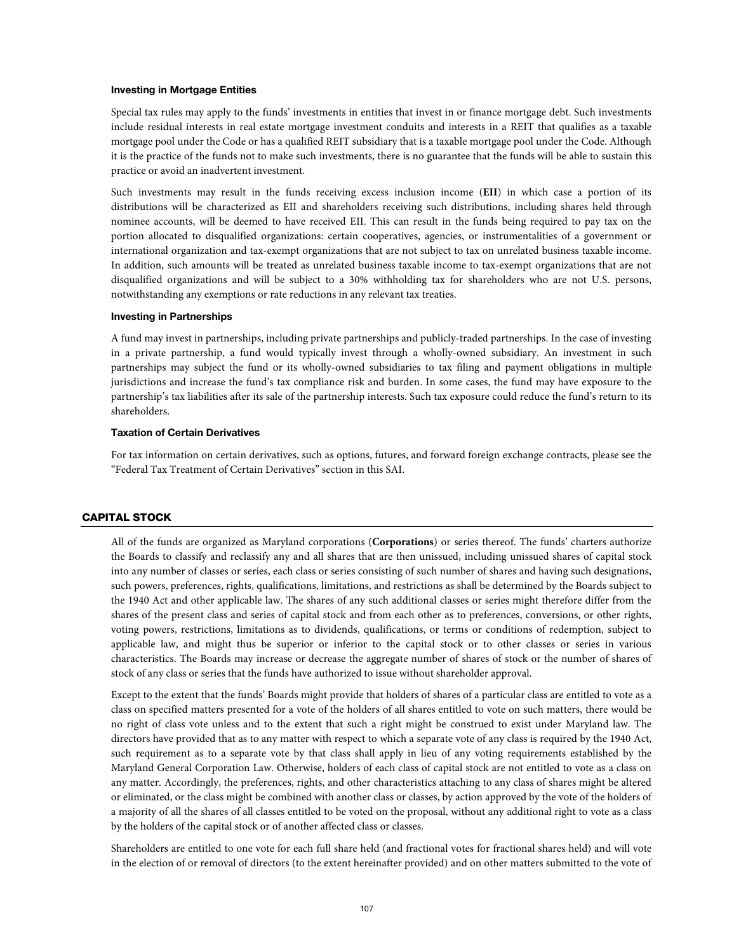#### **Investing in Mortgage Entities**

Special tax rules may apply to the funds' investments in entities that invest in or finance mortgage debt. Such investments include residual interests in real estate mortgage investment conduits and interests in a REIT that qualifies as a taxable mortgage pool under the Code or has a qualified REIT subsidiary that is a taxable mortgage pool under the Code. Although it is the practice of the funds not to make such investments, there is no guarantee that the funds will be able to sustain this practice or avoid an inadvertent investment.

Such investments may result in the funds receiving excess inclusion income (**EII**) in which case a portion of its distributions will be characterized as EII and shareholders receiving such distributions, including shares held through nominee accounts, will be deemed to have received EII. This can result in the funds being required to pay tax on the portion allocated to disqualified organizations: certain cooperatives, agencies, or instrumentalities of a government or international organization and tax-exempt organizations that are not subject to tax on unrelated business taxable income. In addition, such amounts will be treated as unrelated business taxable income to tax-exempt organizations that are not disqualified organizations and will be subject to a 30% withholding tax for shareholders who are not U.S. persons, notwithstanding any exemptions or rate reductions in any relevant tax treaties.

## **Investing in Partnerships**

A fund may invest in partnerships, including private partnerships and publicly-traded partnerships. In the case of investing in a private partnership, a fund would typically invest through a wholly-owned subsidiary. An investment in such partnerships may subject the fund or its wholly-owned subsidiaries to tax filing and payment obligations in multiple jurisdictions and increase the fund's tax compliance risk and burden. In some cases, the fund may have exposure to the partnership's tax liabilities after its sale of the partnership interests. Such tax exposure could reduce the fund's return to its shareholders.

## **Taxation of Certain Derivatives**

For tax information on certain derivatives, such as options, futures, and forward foreign exchange contracts, please see the "Federal Tax Treatment of Certain Derivatives" section in this SAI.

# CAPITAL STOCK

All of the funds are organized as Maryland corporations (**Corporations**) or series thereof. The funds' charters authorize the Boards to classify and reclassify any and all shares that are then unissued, including unissued shares of capital stock into any number of classes or series, each class or series consisting of such number of shares and having such designations, such powers, preferences, rights, qualifications, limitations, and restrictions as shall be determined by the Boards subject to the 1940 Act and other applicable law. The shares of any such additional classes or series might therefore differ from the shares of the present class and series of capital stock and from each other as to preferences, conversions, or other rights, voting powers, restrictions, limitations as to dividends, qualifications, or terms or conditions of redemption, subject to applicable law, and might thus be superior or inferior to the capital stock or to other classes or series in various characteristics. The Boards may increase or decrease the aggregate number of shares of stock or the number of shares of stock of any class or series that the funds have authorized to issue without shareholder approval.

Except to the extent that the funds' Boards might provide that holders of shares of a particular class are entitled to vote as a class on specified matters presented for a vote of the holders of all shares entitled to vote on such matters, there would be no right of class vote unless and to the extent that such a right might be construed to exist under Maryland law. The directors have provided that as to any matter with respect to which a separate vote of any class is required by the 1940 Act, such requirement as to a separate vote by that class shall apply in lieu of any voting requirements established by the Maryland General Corporation Law. Otherwise, holders of each class of capital stock are not entitled to vote as a class on any matter. Accordingly, the preferences, rights, and other characteristics attaching to any class of shares might be altered or eliminated, or the class might be combined with another class or classes, by action approved by the vote of the holders of a majority of all the shares of all classes entitled to be voted on the proposal, without any additional right to vote as a class by the holders of the capital stock or of another affected class or classes.

Shareholders are entitled to one vote for each full share held (and fractional votes for fractional shares held) and will vote in the election of or removal of directors (to the extent hereinafter provided) and on other matters submitted to the vote of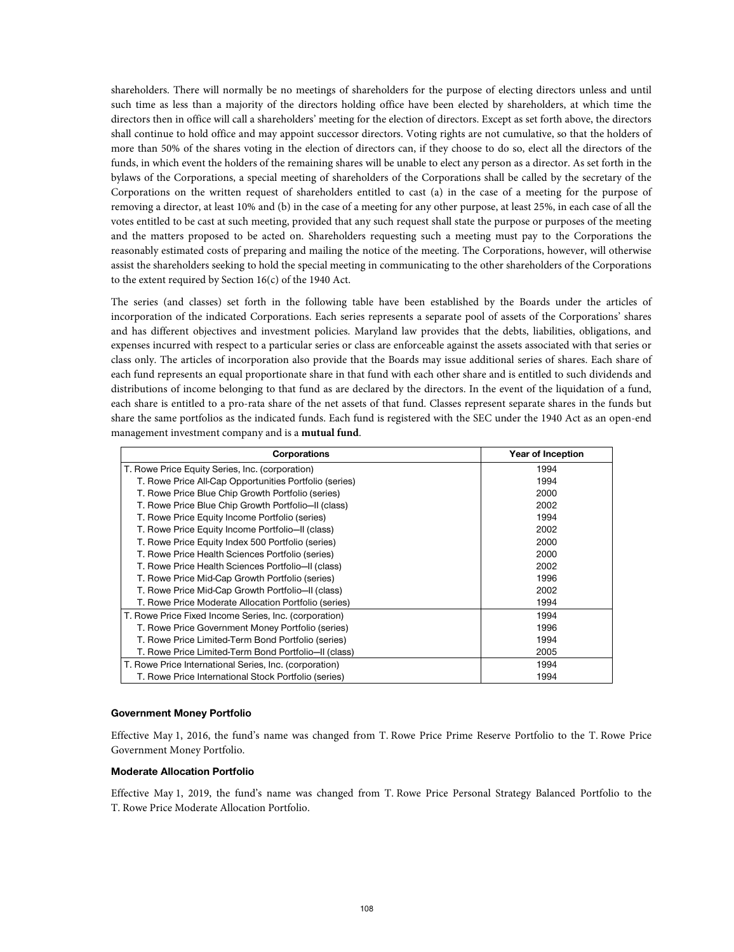shareholders. There will normally be no meetings of shareholders for the purpose of electing directors unless and until such time as less than a majority of the directors holding office have been elected by shareholders, at which time the directors then in office will call a shareholders' meeting for the election of directors. Except as set forth above, the directors shall continue to hold office and may appoint successor directors. Voting rights are not cumulative, so that the holders of more than 50% of the shares voting in the election of directors can, if they choose to do so, elect all the directors of the funds, in which event the holders of the remaining shares will be unable to elect any person as a director. As set forth in the bylaws of the Corporations, a special meeting of shareholders of the Corporations shall be called by the secretary of the Corporations on the written request of shareholders entitled to cast (a) in the case of a meeting for the purpose of removing a director, at least 10% and (b) in the case of a meeting for any other purpose, at least 25%, in each case of all the votes entitled to be cast at such meeting, provided that any such request shall state the purpose or purposes of the meeting and the matters proposed to be acted on. Shareholders requesting such a meeting must pay to the Corporations the reasonably estimated costs of preparing and mailing the notice of the meeting. The Corporations, however, will otherwise assist the shareholders seeking to hold the special meeting in communicating to the other shareholders of the Corporations to the extent required by Section 16(c) of the 1940 Act.

The series (and classes) set forth in the following table have been established by the Boards under the articles of incorporation of the indicated Corporations. Each series represents a separate pool of assets of the Corporations' shares and has different objectives and investment policies. Maryland law provides that the debts, liabilities, obligations, and expenses incurred with respect to a particular series or class are enforceable against the assets associated with that series or class only. The articles of incorporation also provide that the Boards may issue additional series of shares. Each share of each fund represents an equal proportionate share in that fund with each other share and is entitled to such dividends and distributions of income belonging to that fund as are declared by the directors. In the event of the liquidation of a fund, each share is entitled to a pro-rata share of the net assets of that fund. Classes represent separate shares in the funds but share the same portfolios as the indicated funds. Each fund is registered with the SEC under the 1940 Act as an open-end management investment company and is a **mutual fund**.

| <b>Corporations</b>                                    | Year of Inception |
|--------------------------------------------------------|-------------------|
| T. Rowe Price Equity Series, Inc. (corporation)        | 1994              |
| T. Rowe Price All-Cap Opportunities Portfolio (series) | 1994              |
| T. Rowe Price Blue Chip Growth Portfolio (series)      | 2000              |
| T. Rowe Price Blue Chip Growth Portfolio-II (class)    | 2002              |
| T. Rowe Price Equity Income Portfolio (series)         | 1994              |
| T. Rowe Price Equity Income Portfolio-II (class)       | 2002              |
| T. Rowe Price Equity Index 500 Portfolio (series)      | 2000              |
| T. Rowe Price Health Sciences Portfolio (series)       | 2000              |
| T. Rowe Price Health Sciences Portfolio-II (class)     | 2002              |
| T. Rowe Price Mid-Cap Growth Portfolio (series)        | 1996              |
| T. Rowe Price Mid-Cap Growth Portfolio-II (class)      | 2002              |
| T. Rowe Price Moderate Allocation Portfolio (series)   | 1994              |
| T. Rowe Price Fixed Income Series, Inc. (corporation)  | 1994              |
| T. Rowe Price Government Money Portfolio (series)      | 1996              |
| T. Rowe Price Limited-Term Bond Portfolio (series)     | 1994              |
| T. Rowe Price Limited-Term Bond Portfolio-II (class)   | 2005              |
| T. Rowe Price International Series, Inc. (corporation) | 1994              |
| T. Rowe Price International Stock Portfolio (series)   | 1994              |

## **Government Money Portfolio**

Effective May 1, 2016, the fund's name was changed from T. Rowe Price Prime Reserve Portfolio to the T. Rowe Price Government Money Portfolio.

#### **Moderate Allocation Portfolio**

Effective May 1, 2019, the fund's name was changed from T. Rowe Price Personal Strategy Balanced Portfolio to the T. Rowe Price Moderate Allocation Portfolio.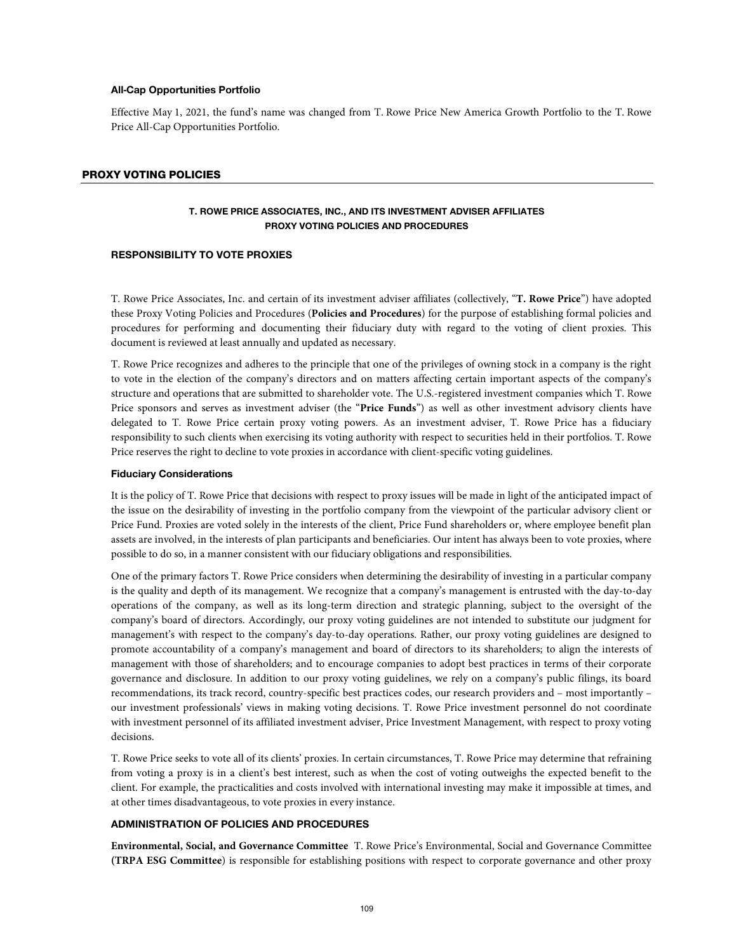#### **All-Cap Opportunities Portfolio**

Effective May 1, 2021, the fund's name was changed from T. Rowe Price New America Growth Portfolio to the T. Rowe Price All-Cap Opportunities Portfolio.

### PROXY VOTING POLICIES

# **T. ROWE PRICE ASSOCIATES, INC., AND ITS INVESTMENT ADVISER AFFILIATES PROXY VOTING POLICIES AND PROCEDURES**

# **RESPONSIBILITY TO VOTE PROXIES**

T. Rowe Price Associates, Inc. and certain of its investment adviser affiliates (collectively, "**T. Rowe Price**") have adopted these Proxy Voting Policies and Procedures (**Policies and Procedures**) for the purpose of establishing formal policies and procedures for performing and documenting their fiduciary duty with regard to the voting of client proxies. This document is reviewed at least annually and updated as necessary.

T. Rowe Price recognizes and adheres to the principle that one of the privileges of owning stock in a company is the right to vote in the election of the company's directors and on matters affecting certain important aspects of the company's structure and operations that are submitted to shareholder vote. The U.S.-registered investment companies which T. Rowe Price sponsors and serves as investment adviser (the "**Price Funds**") as well as other investment advisory clients have delegated to T. Rowe Price certain proxy voting powers. As an investment adviser, T. Rowe Price has a fiduciary responsibility to such clients when exercising its voting authority with respect to securities held in their portfolios. T. Rowe Price reserves the right to decline to vote proxies in accordance with client-specific voting guidelines.

#### **Fiduciary Considerations**

It is the policy of T. Rowe Price that decisions with respect to proxy issues will be made in light of the anticipated impact of the issue on the desirability of investing in the portfolio company from the viewpoint of the particular advisory client or Price Fund. Proxies are voted solely in the interests of the client, Price Fund shareholders or, where employee benefit plan assets are involved, in the interests of plan participants and beneficiaries. Our intent has always been to vote proxies, where possible to do so, in a manner consistent with our fiduciary obligations and responsibilities.

One of the primary factors T. Rowe Price considers when determining the desirability of investing in a particular company is the quality and depth of its management. We recognize that a company's management is entrusted with the day-to-day operations of the company, as well as its long-term direction and strategic planning, subject to the oversight of the company's board of directors. Accordingly, our proxy voting guidelines are not intended to substitute our judgment for management's with respect to the company's day-to-day operations. Rather, our proxy voting guidelines are designed to promote accountability of a company's management and board of directors to its shareholders; to align the interests of management with those of shareholders; and to encourage companies to adopt best practices in terms of their corporate governance and disclosure. In addition to our proxy voting guidelines, we rely on a company's public filings, its board recommendations, its track record, country-specific best practices codes, our research providers and – most importantly – our investment professionals' views in making voting decisions. T. Rowe Price investment personnel do not coordinate with investment personnel of its affiliated investment adviser, Price Investment Management, with respect to proxy voting decisions.

T. Rowe Price seeks to vote all of its clients' proxies. In certain circumstances, T. Rowe Price may determine that refraining from voting a proxy is in a client's best interest, such as when the cost of voting outweighs the expected benefit to the client. For example, the practicalities and costs involved with international investing may make it impossible at times, and at other times disadvantageous, to vote proxies in every instance.

# **ADMINISTRATION OF POLICIES AND PROCEDURES**

**Environmental, Social, and Governance Committee** T. Rowe Price's Environmental, Social and Governance Committee **(TRPA ESG Committee**) is responsible for establishing positions with respect to corporate governance and other proxy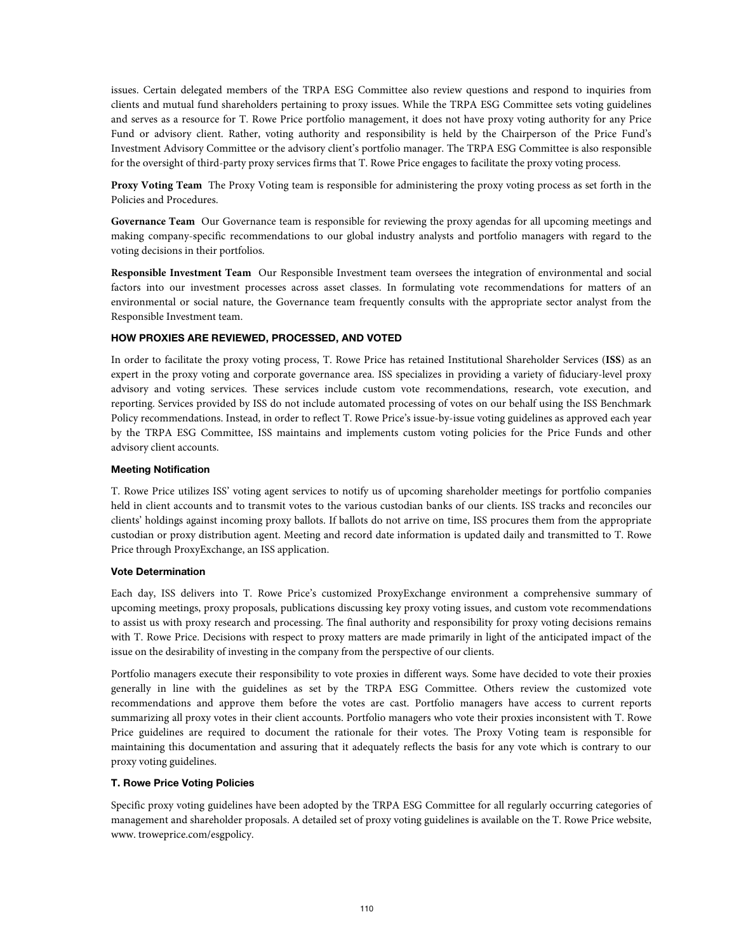issues. Certain delegated members of the TRPA ESG Committee also review questions and respond to inquiries from clients and mutual fund shareholders pertaining to proxy issues. While the TRPA ESG Committee sets voting guidelines and serves as a resource for T. Rowe Price portfolio management, it does not have proxy voting authority for any Price Fund or advisory client. Rather, voting authority and responsibility is held by the Chairperson of the Price Fund's Investment Advisory Committee or the advisory client's portfolio manager. The TRPA ESG Committee is also responsible for the oversight of third-party proxy services firms that T. Rowe Price engages to facilitate the proxy voting process.

**Proxy Voting Team** The Proxy Voting team is responsible for administering the proxy voting process as set forth in the Policies and Procedures.

**Governance Team** Our Governance team is responsible for reviewing the proxy agendas for all upcoming meetings and making company-specific recommendations to our global industry analysts and portfolio managers with regard to the voting decisions in their portfolios.

**Responsible Investment Team** Our Responsible Investment team oversees the integration of environmental and social factors into our investment processes across asset classes. In formulating vote recommendations for matters of an environmental or social nature, the Governance team frequently consults with the appropriate sector analyst from the Responsible Investment team.

# **HOW PROXIES ARE REVIEWED, PROCESSED, AND VOTED**

In order to facilitate the proxy voting process, T. Rowe Price has retained Institutional Shareholder Services (**ISS**) as an expert in the proxy voting and corporate governance area. ISS specializes in providing a variety of fiduciary-level proxy advisory and voting services. These services include custom vote recommendations, research, vote execution, and reporting. Services provided by ISS do not include automated processing of votes on our behalf using the ISS Benchmark Policy recommendations. Instead, in order to reflect T. Rowe Price's issue-by-issue voting guidelines as approved each year by the TRPA ESG Committee, ISS maintains and implements custom voting policies for the Price Funds and other advisory client accounts.

# **Meeting Notification**

T. Rowe Price utilizes ISS' voting agent services to notify us of upcoming shareholder meetings for portfolio companies held in client accounts and to transmit votes to the various custodian banks of our clients. ISS tracks and reconciles our clients' holdings against incoming proxy ballots. If ballots do not arrive on time, ISS procures them from the appropriate custodian or proxy distribution agent. Meeting and record date information is updated daily and transmitted to T. Rowe Price through ProxyExchange, an ISS application.

### **Vote Determination**

Each day, ISS delivers into T. Rowe Price's customized ProxyExchange environment a comprehensive summary of upcoming meetings, proxy proposals, publications discussing key proxy voting issues, and custom vote recommendations to assist us with proxy research and processing. The final authority and responsibility for proxy voting decisions remains with T. Rowe Price. Decisions with respect to proxy matters are made primarily in light of the anticipated impact of the issue on the desirability of investing in the company from the perspective of our clients.

Portfolio managers execute their responsibility to vote proxies in different ways. Some have decided to vote their proxies generally in line with the guidelines as set by the TRPA ESG Committee. Others review the customized vote recommendations and approve them before the votes are cast. Portfolio managers have access to current reports summarizing all proxy votes in their client accounts. Portfolio managers who vote their proxies inconsistent with T. Rowe Price guidelines are required to document the rationale for their votes. The Proxy Voting team is responsible for maintaining this documentation and assuring that it adequately reflects the basis for any vote which is contrary to our proxy voting guidelines.

# **T. Rowe Price Voting Policies**

Specific proxy voting guidelines have been adopted by the TRPA ESG Committee for all regularly occurring categories of management and shareholder proposals. A detailed set of proxy voting guidelines is available on the T. Rowe Price website, www. troweprice.com/esgpolicy.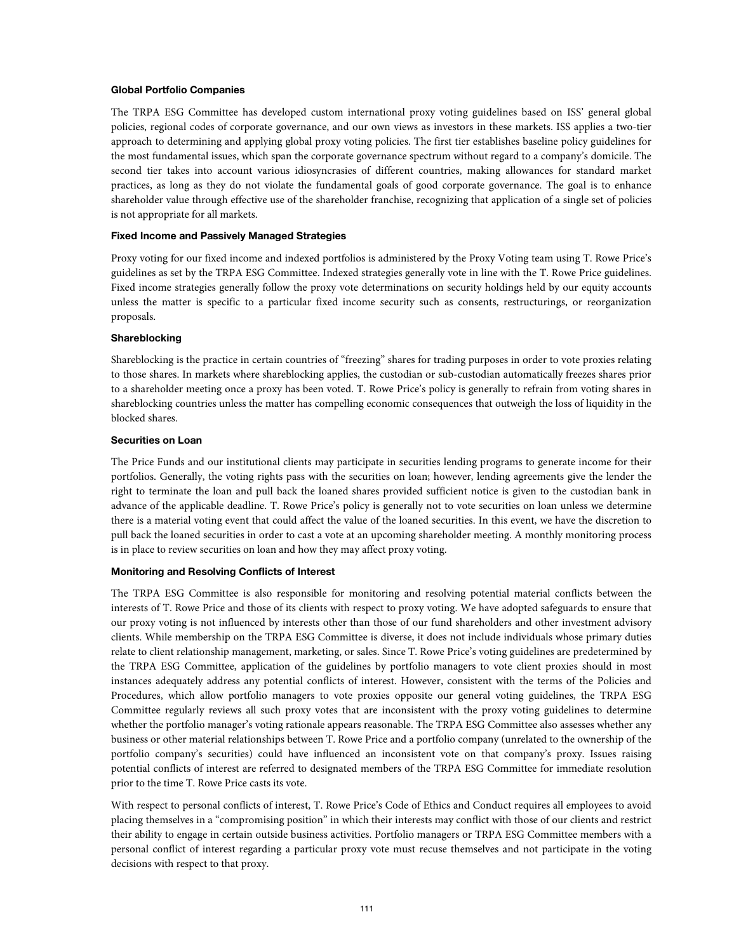# **Global Portfolio Companies**

The TRPA ESG Committee has developed custom international proxy voting guidelines based on ISS' general global policies, regional codes of corporate governance, and our own views as investors in these markets. ISS applies a two-tier approach to determining and applying global proxy voting policies. The first tier establishes baseline policy guidelines for the most fundamental issues, which span the corporate governance spectrum without regard to a company's domicile. The second tier takes into account various idiosyncrasies of different countries, making allowances for standard market practices, as long as they do not violate the fundamental goals of good corporate governance. The goal is to enhance shareholder value through effective use of the shareholder franchise, recognizing that application of a single set of policies is not appropriate for all markets.

### **Fixed Income and Passively Managed Strategies**

Proxy voting for our fixed income and indexed portfolios is administered by the Proxy Voting team using T. Rowe Price's guidelines as set by the TRPA ESG Committee. Indexed strategies generally vote in line with the T. Rowe Price guidelines. Fixed income strategies generally follow the proxy vote determinations on security holdings held by our equity accounts unless the matter is specific to a particular fixed income security such as consents, restructurings, or reorganization proposals.

### **Shareblocking**

Shareblocking is the practice in certain countries of "freezing" shares for trading purposes in order to vote proxies relating to those shares. In markets where shareblocking applies, the custodian or sub-custodian automatically freezes shares prior to a shareholder meeting once a proxy has been voted. T. Rowe Price's policy is generally to refrain from voting shares in shareblocking countries unless the matter has compelling economic consequences that outweigh the loss of liquidity in the blocked shares.

# **Securities on Loan**

The Price Funds and our institutional clients may participate in securities lending programs to generate income for their portfolios. Generally, the voting rights pass with the securities on loan; however, lending agreements give the lender the right to terminate the loan and pull back the loaned shares provided sufficient notice is given to the custodian bank in advance of the applicable deadline. T. Rowe Price's policy is generally not to vote securities on loan unless we determine there is a material voting event that could affect the value of the loaned securities. In this event, we have the discretion to pull back the loaned securities in order to cast a vote at an upcoming shareholder meeting. A monthly monitoring process is in place to review securities on loan and how they may affect proxy voting.

# **Monitoring and Resolving Conflicts of Interest**

The TRPA ESG Committee is also responsible for monitoring and resolving potential material conflicts between the interests of T. Rowe Price and those of its clients with respect to proxy voting. We have adopted safeguards to ensure that our proxy voting is not influenced by interests other than those of our fund shareholders and other investment advisory clients. While membership on the TRPA ESG Committee is diverse, it does not include individuals whose primary duties relate to client relationship management, marketing, or sales. Since T. Rowe Price's voting guidelines are predetermined by the TRPA ESG Committee, application of the guidelines by portfolio managers to vote client proxies should in most instances adequately address any potential conflicts of interest. However, consistent with the terms of the Policies and Procedures, which allow portfolio managers to vote proxies opposite our general voting guidelines, the TRPA ESG Committee regularly reviews all such proxy votes that are inconsistent with the proxy voting guidelines to determine whether the portfolio manager's voting rationale appears reasonable. The TRPA ESG Committee also assesses whether any business or other material relationships between T. Rowe Price and a portfolio company (unrelated to the ownership of the portfolio company's securities) could have influenced an inconsistent vote on that company's proxy. Issues raising potential conflicts of interest are referred to designated members of the TRPA ESG Committee for immediate resolution prior to the time T. Rowe Price casts its vote.

With respect to personal conflicts of interest, T. Rowe Price's Code of Ethics and Conduct requires all employees to avoid placing themselves in a "compromising position" in which their interests may conflict with those of our clients and restrict their ability to engage in certain outside business activities. Portfolio managers or TRPA ESG Committee members with a personal conflict of interest regarding a particular proxy vote must recuse themselves and not participate in the voting decisions with respect to that proxy.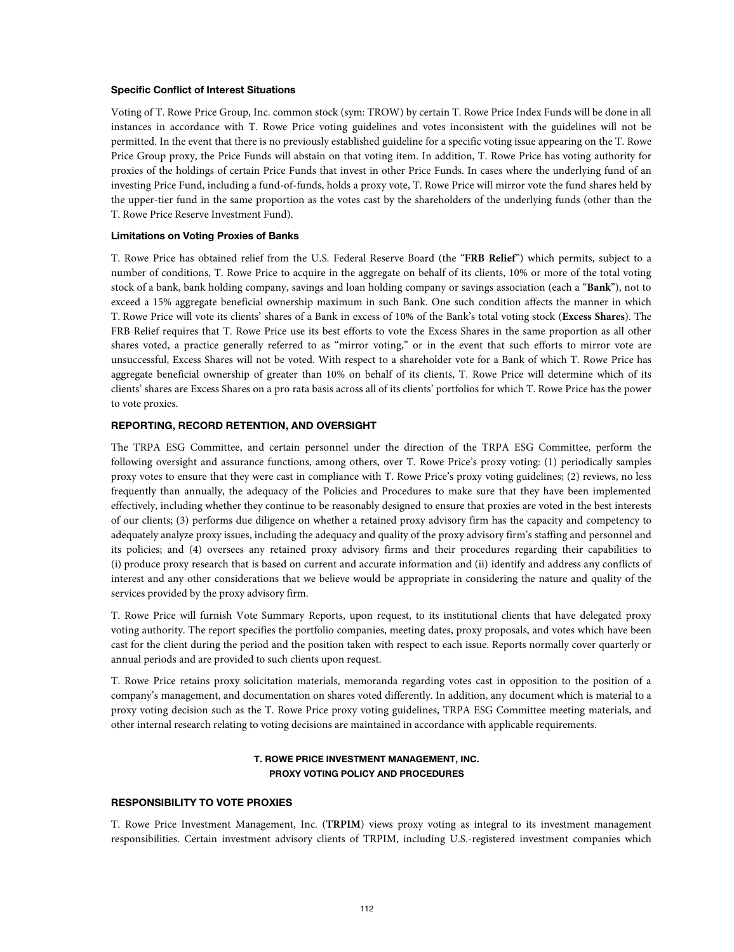## **Specific Conflict of Interest Situations**

Voting of T. Rowe Price Group, Inc. common stock (sym: TROW) by certain T. Rowe Price Index Funds will be done in all instances in accordance with T. Rowe Price voting guidelines and votes inconsistent with the guidelines will not be permitted. In the event that there is no previously established guideline for a specific voting issue appearing on the T. Rowe Price Group proxy, the Price Funds will abstain on that voting item. In addition, T. Rowe Price has voting authority for proxies of the holdings of certain Price Funds that invest in other Price Funds. In cases where the underlying fund of an investing Price Fund, including a fund-of-funds, holds a proxy vote, T. Rowe Price will mirror vote the fund shares held by the upper-tier fund in the same proportion as the votes cast by the shareholders of the underlying funds (other than the T. Rowe Price Reserve Investment Fund).

#### **Limitations on Voting Proxies of Banks**

T. Rowe Price has obtained relief from the U.S. Federal Reserve Board (the "**FRB Relief**") which permits, subject to a number of conditions, T. Rowe Price to acquire in the aggregate on behalf of its clients, 10% or more of the total voting stock of a bank, bank holding company, savings and loan holding company or savings association (each a "**Bank**"), not to exceed a 15% aggregate beneficial ownership maximum in such Bank. One such condition affects the manner in which T. Rowe Price will vote its clients' shares of a Bank in excess of 10% of the Bank's total voting stock (**Excess Shares**). The FRB Relief requires that T. Rowe Price use its best efforts to vote the Excess Shares in the same proportion as all other shares voted, a practice generally referred to as "mirror voting," or in the event that such efforts to mirror vote are unsuccessful, Excess Shares will not be voted. With respect to a shareholder vote for a Bank of which T. Rowe Price has aggregate beneficial ownership of greater than 10% on behalf of its clients, T. Rowe Price will determine which of its clients' shares are Excess Shares on a pro rata basis across all of its clients' portfolios for which T. Rowe Price has the power to vote proxies.

# **REPORTING, RECORD RETENTION, AND OVERSIGHT**

The TRPA ESG Committee, and certain personnel under the direction of the TRPA ESG Committee, perform the following oversight and assurance functions, among others, over T. Rowe Price's proxy voting: (1) periodically samples proxy votes to ensure that they were cast in compliance with T. Rowe Price's proxy voting guidelines; (2) reviews, no less frequently than annually, the adequacy of the Policies and Procedures to make sure that they have been implemented effectively, including whether they continue to be reasonably designed to ensure that proxies are voted in the best interests of our clients; (3) performs due diligence on whether a retained proxy advisory firm has the capacity and competency to adequately analyze proxy issues, including the adequacy and quality of the proxy advisory firm's staffing and personnel and its policies; and (4) oversees any retained proxy advisory firms and their procedures regarding their capabilities to (i) produce proxy research that is based on current and accurate information and (ii) identify and address any conflicts of interest and any other considerations that we believe would be appropriate in considering the nature and quality of the services provided by the proxy advisory firm.

T. Rowe Price will furnish Vote Summary Reports, upon request, to its institutional clients that have delegated proxy voting authority. The report specifies the portfolio companies, meeting dates, proxy proposals, and votes which have been cast for the client during the period and the position taken with respect to each issue. Reports normally cover quarterly or annual periods and are provided to such clients upon request.

T. Rowe Price retains proxy solicitation materials, memoranda regarding votes cast in opposition to the position of a company's management, and documentation on shares voted differently. In addition, any document which is material to a proxy voting decision such as the T. Rowe Price proxy voting guidelines, TRPA ESG Committee meeting materials, and other internal research relating to voting decisions are maintained in accordance with applicable requirements.

# **T. ROWE PRICE INVESTMENT MANAGEMENT, INC. PROXY VOTING POLICY AND PROCEDURES**

### **RESPONSIBILITY TO VOTE PROXIES**

T. Rowe Price Investment Management, Inc. (**TRPIM**) views proxy voting as integral to its investment management responsibilities. Certain investment advisory clients of TRPIM, including U.S.-registered investment companies which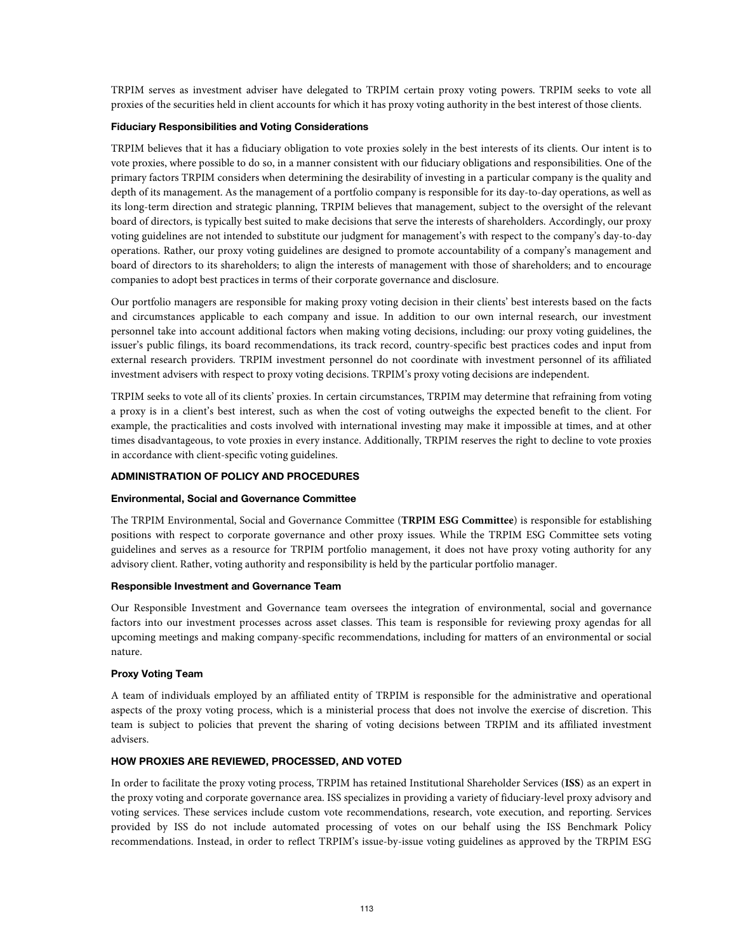TRPIM serves as investment adviser have delegated to TRPIM certain proxy voting powers. TRPIM seeks to vote all proxies of the securities held in client accounts for which it has proxy voting authority in the best interest of those clients.

# **Fiduciary Responsibilities and Voting Considerations**

TRPIM believes that it has a fiduciary obligation to vote proxies solely in the best interests of its clients. Our intent is to vote proxies, where possible to do so, in a manner consistent with our fiduciary obligations and responsibilities. One of the primary factors TRPIM considers when determining the desirability of investing in a particular company is the quality and depth of its management. As the management of a portfolio company is responsible for its day-to-day operations, as well as its long-term direction and strategic planning, TRPIM believes that management, subject to the oversight of the relevant board of directors, is typically best suited to make decisions that serve the interests of shareholders. Accordingly, our proxy voting guidelines are not intended to substitute our judgment for management's with respect to the company's day-to-day operations. Rather, our proxy voting guidelines are designed to promote accountability of a company's management and board of directors to its shareholders; to align the interests of management with those of shareholders; and to encourage companies to adopt best practices in terms of their corporate governance and disclosure.

Our portfolio managers are responsible for making proxy voting decision in their clients' best interests based on the facts and circumstances applicable to each company and issue. In addition to our own internal research, our investment personnel take into account additional factors when making voting decisions, including: our proxy voting guidelines, the issuer's public filings, its board recommendations, its track record, country-specific best practices codes and input from external research providers. TRPIM investment personnel do not coordinate with investment personnel of its affiliated investment advisers with respect to proxy voting decisions. TRPIM's proxy voting decisions are independent.

TRPIM seeks to vote all of its clients' proxies. In certain circumstances, TRPIM may determine that refraining from voting a proxy is in a client's best interest, such as when the cost of voting outweighs the expected benefit to the client. For example, the practicalities and costs involved with international investing may make it impossible at times, and at other times disadvantageous, to vote proxies in every instance. Additionally, TRPIM reserves the right to decline to vote proxies in accordance with client-specific voting guidelines.

# **ADMINISTRATION OF POLICY AND PROCEDURES**

#### **Environmental, Social and Governance Committee**

The TRPIM Environmental, Social and Governance Committee (**TRPIM ESG Committee**) is responsible for establishing positions with respect to corporate governance and other proxy issues. While the TRPIM ESG Committee sets voting guidelines and serves as a resource for TRPIM portfolio management, it does not have proxy voting authority for any advisory client. Rather, voting authority and responsibility is held by the particular portfolio manager.

#### **Responsible Investment and Governance Team**

Our Responsible Investment and Governance team oversees the integration of environmental, social and governance factors into our investment processes across asset classes. This team is responsible for reviewing proxy agendas for all upcoming meetings and making company-specific recommendations, including for matters of an environmental or social nature.

# **Proxy Voting Team**

A team of individuals employed by an affiliated entity of TRPIM is responsible for the administrative and operational aspects of the proxy voting process, which is a ministerial process that does not involve the exercise of discretion. This team is subject to policies that prevent the sharing of voting decisions between TRPIM and its affiliated investment advisers.

### **HOW PROXIES ARE REVIEWED, PROCESSED, AND VOTED**

In order to facilitate the proxy voting process, TRPIM has retained Institutional Shareholder Services (**ISS**) as an expert in the proxy voting and corporate governance area. ISS specializes in providing a variety of fiduciary-level proxy advisory and voting services. These services include custom vote recommendations, research, vote execution, and reporting. Services provided by ISS do not include automated processing of votes on our behalf using the ISS Benchmark Policy recommendations. Instead, in order to reflect TRPIM's issue-by-issue voting guidelines as approved by the TRPIM ESG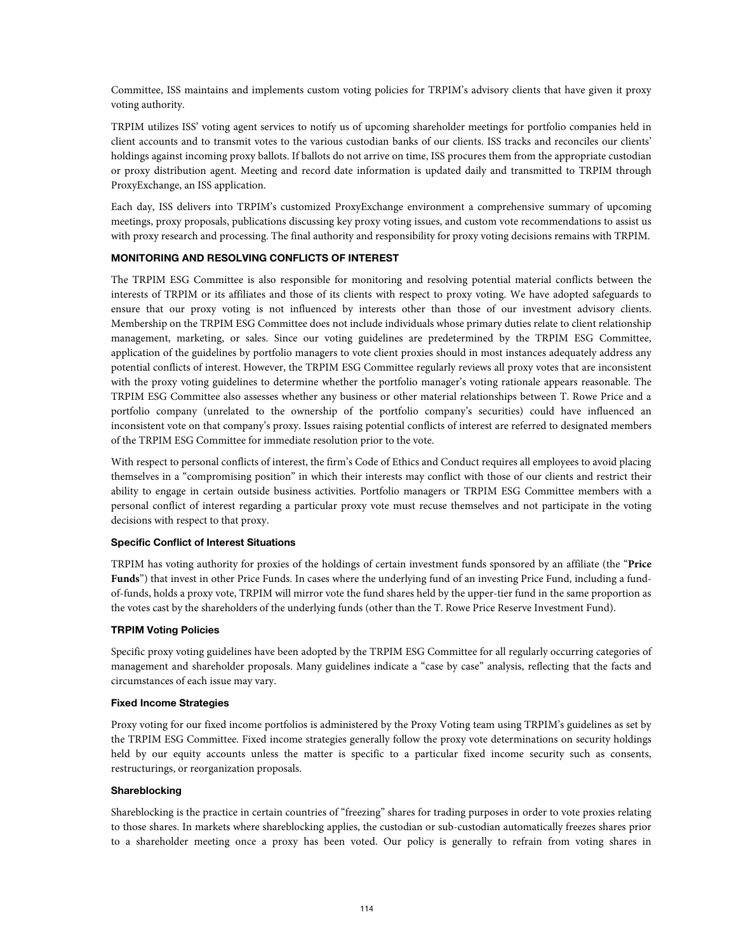Committee, ISS maintains and implements custom voting policies for TRPIM's advisory clients that have given it proxy voting authority.

TRPIM utilizes ISS' voting agent services to notify us of upcoming shareholder meetings for portfolio companies held in client accounts and to transmit votes to the various custodian banks of our clients. ISS tracks and reconciles our clients' holdings against incoming proxy ballots. If ballots do not arrive on time, ISS procures them from the appropriate custodian or proxy distribution agent. Meeting and record date information is updated daily and transmitted to TRPIM through ProxyExchange, an ISS application.

Each day, ISS delivers into TRPIM's customized ProxyExchange environment a comprehensive summary of upcoming meetings, proxy proposals, publications discussing key proxy voting issues, and custom vote recommendations to assist us with proxy research and processing. The final authority and responsibility for proxy voting decisions remains with TRPIM.

# **MONITORING AND RESOLVING CONFLICTS OF INTEREST**

The TRPIM ESG Committee is also responsible for monitoring and resolving potential material conflicts between the interests of TRPIM or its affiliates and those of its clients with respect to proxy voting. We have adopted safeguards to ensure that our proxy voting is not influenced by interests other than those of our investment advisory clients. Membership on the TRPIM ESG Committee does not include individuals whose primary duties relate to client relationship management, marketing, or sales. Since our voting guidelines are predetermined by the TRPIM ESG Committee, application of the guidelines by portfolio managers to vote client proxies should in most instances adequately address any potential conflicts of interest. However, the TRPIM ESG Committee regularly reviews all proxy votes that are inconsistent with the proxy voting guidelines to determine whether the portfolio manager's voting rationale appears reasonable. The TRPIM ESG Committee also assesses whether any business or other material relationships between T. Rowe Price and a portfolio company (unrelated to the ownership of the portfolio company's securities) could have influenced an inconsistent vote on that company's proxy. Issues raising potential conflicts of interest are referred to designated members of the TRPIM ESG Committee for immediate resolution prior to the vote.

With respect to personal conflicts of interest, the firm's Code of Ethics and Conduct requires all employees to avoid placing themselves in a "compromising position" in which their interests may conflict with those of our clients and restrict their ability to engage in certain outside business activities. Portfolio managers or TRPIM ESG Committee members with a personal conflict of interest regarding a particular proxy vote must recuse themselves and not participate in the voting decisions with respect to that proxy.

# **Specific Conflict of Interest Situations**

TRPIM has voting authority for proxies of the holdings of certain investment funds sponsored by an affiliate (the "**Price Funds**") that invest in other Price Funds. In cases where the underlying fund of an investing Price Fund, including a fundof-funds, holds a proxy vote, TRPIM will mirror vote the fund shares held by the upper-tier fund in the same proportion as the votes cast by the shareholders of the underlying funds (other than the T. Rowe Price Reserve Investment Fund).

# **TRPIM Voting Policies**

Specific proxy voting guidelines have been adopted by the TRPIM ESG Committee for all regularly occurring categories of management and shareholder proposals. Many guidelines indicate a "case by case" analysis, reflecting that the facts and circumstances of each issue may vary.

### **Fixed Income Strategies**

Proxy voting for our fixed income portfolios is administered by the Proxy Voting team using TRPIM's guidelines as set by the TRPIM ESG Committee. Fixed income strategies generally follow the proxy vote determinations on security holdings held by our equity accounts unless the matter is specific to a particular fixed income security such as consents, restructurings, or reorganization proposals.

### **Shareblocking**

Shareblocking is the practice in certain countries of "freezing" shares for trading purposes in order to vote proxies relating to those shares. In markets where shareblocking applies, the custodian or sub-custodian automatically freezes shares prior to a shareholder meeting once a proxy has been voted. Our policy is generally to refrain from voting shares in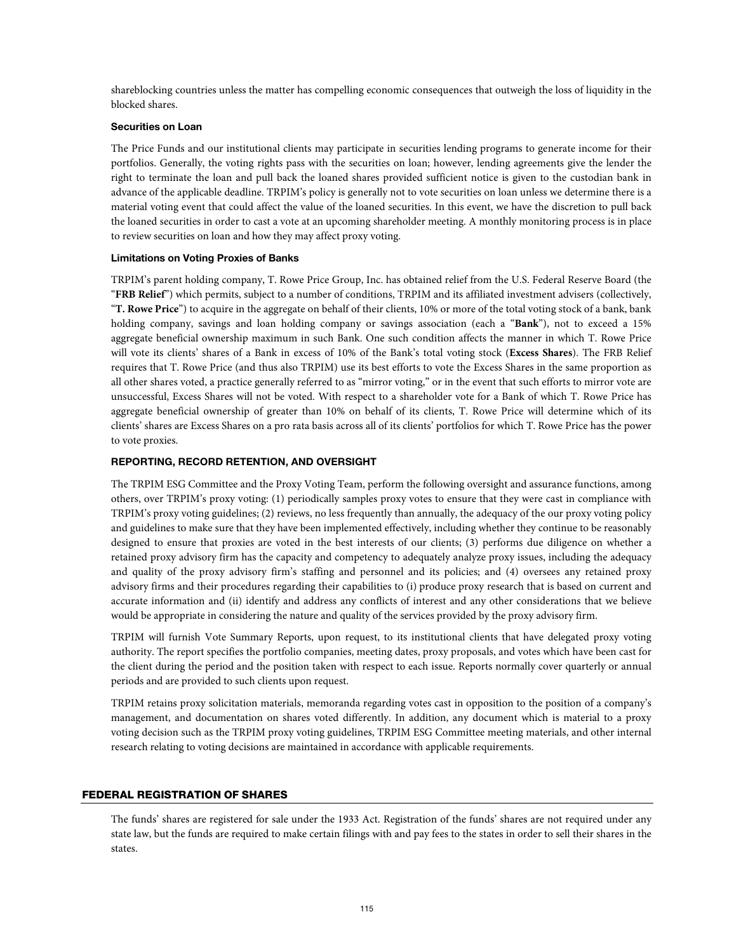shareblocking countries unless the matter has compelling economic consequences that outweigh the loss of liquidity in the blocked shares.

# **Securities on Loan**

The Price Funds and our institutional clients may participate in securities lending programs to generate income for their portfolios. Generally, the voting rights pass with the securities on loan; however, lending agreements give the lender the right to terminate the loan and pull back the loaned shares provided sufficient notice is given to the custodian bank in advance of the applicable deadline. TRPIM's policy is generally not to vote securities on loan unless we determine there is a material voting event that could affect the value of the loaned securities. In this event, we have the discretion to pull back the loaned securities in order to cast a vote at an upcoming shareholder meeting. A monthly monitoring process is in place to review securities on loan and how they may affect proxy voting.

### **Limitations on Voting Proxies of Banks**

TRPIM's parent holding company, T. Rowe Price Group, Inc. has obtained relief from the U.S. Federal Reserve Board (the "**FRB Relief**") which permits, subject to a number of conditions, TRPIM and its affiliated investment advisers (collectively, "**T. Rowe Price**") to acquire in the aggregate on behalf of their clients, 10% or more of the total voting stock of a bank, bank holding company, savings and loan holding company or savings association (each a "**Bank**"), not to exceed a 15% aggregate beneficial ownership maximum in such Bank. One such condition affects the manner in which T. Rowe Price will vote its clients' shares of a Bank in excess of 10% of the Bank's total voting stock (**Excess Shares**). The FRB Relief requires that T. Rowe Price (and thus also TRPIM) use its best efforts to vote the Excess Shares in the same proportion as all other shares voted, a practice generally referred to as "mirror voting," or in the event that such efforts to mirror vote are unsuccessful, Excess Shares will not be voted. With respect to a shareholder vote for a Bank of which T. Rowe Price has aggregate beneficial ownership of greater than 10% on behalf of its clients, T. Rowe Price will determine which of its clients' shares are Excess Shares on a pro rata basis across all of its clients' portfolios for which T. Rowe Price has the power to vote proxies.

### **REPORTING, RECORD RETENTION, AND OVERSIGHT**

The TRPIM ESG Committee and the Proxy Voting Team, perform the following oversight and assurance functions, among others, over TRPIM's proxy voting: (1) periodically samples proxy votes to ensure that they were cast in compliance with TRPIM's proxy voting guidelines; (2) reviews, no less frequently than annually, the adequacy of the our proxy voting policy and guidelines to make sure that they have been implemented effectively, including whether they continue to be reasonably designed to ensure that proxies are voted in the best interests of our clients; (3) performs due diligence on whether a retained proxy advisory firm has the capacity and competency to adequately analyze proxy issues, including the adequacy and quality of the proxy advisory firm's staffing and personnel and its policies; and (4) oversees any retained proxy advisory firms and their procedures regarding their capabilities to (i) produce proxy research that is based on current and accurate information and (ii) identify and address any conflicts of interest and any other considerations that we believe would be appropriate in considering the nature and quality of the services provided by the proxy advisory firm.

TRPIM will furnish Vote Summary Reports, upon request, to its institutional clients that have delegated proxy voting authority. The report specifies the portfolio companies, meeting dates, proxy proposals, and votes which have been cast for the client during the period and the position taken with respect to each issue. Reports normally cover quarterly or annual periods and are provided to such clients upon request.

TRPIM retains proxy solicitation materials, memoranda regarding votes cast in opposition to the position of a company's management, and documentation on shares voted differently. In addition, any document which is material to a proxy voting decision such as the TRPIM proxy voting guidelines, TRPIM ESG Committee meeting materials, and other internal research relating to voting decisions are maintained in accordance with applicable requirements.

# FEDERAL REGISTRATION OF SHARES

The funds' shares are registered for sale under the 1933 Act. Registration of the funds' shares are not required under any state law, but the funds are required to make certain filings with and pay fees to the states in order to sell their shares in the states.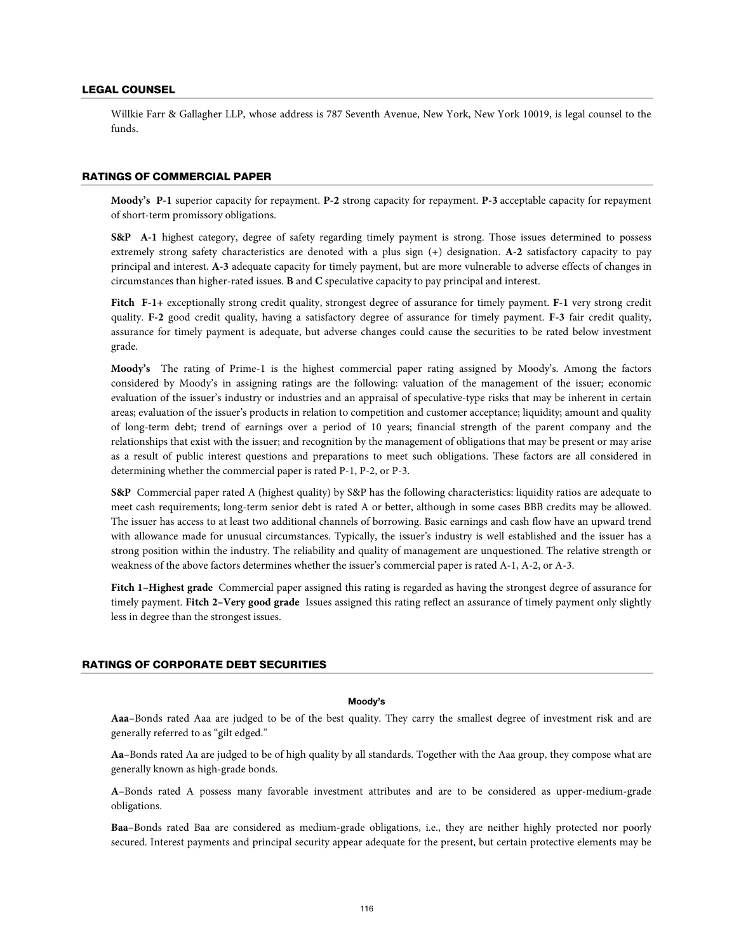### LEGAL COUNSEL

Willkie Farr & Gallagher LLP, whose address is 787 Seventh Avenue, New York, New York 10019, is legal counsel to the funds.

### RATINGS OF COMMERCIAL PAPER

**Moody's P-1** superior capacity for repayment. **P-2** strong capacity for repayment. **P-3** acceptable capacity for repayment of short-term promissory obligations.

**S&P A-1** highest category, degree of safety regarding timely payment is strong. Those issues determined to possess extremely strong safety characteristics are denoted with a plus sign (+) designation. **A-2** satisfactory capacity to pay principal and interest. **A-3** adequate capacity for timely payment, but are more vulnerable to adverse effects of changes in circumstances than higher-rated issues. **B** and **C** speculative capacity to pay principal and interest.

**Fitch F-1+** exceptionally strong credit quality, strongest degree of assurance for timely payment. **F-1** very strong credit quality. **F-2** good credit quality, having a satisfactory degree of assurance for timely payment. **F-3** fair credit quality, assurance for timely payment is adequate, but adverse changes could cause the securities to be rated below investment grade.

**Moody's** The rating of Prime-1 is the highest commercial paper rating assigned by Moody's. Among the factors considered by Moody's in assigning ratings are the following: valuation of the management of the issuer; economic evaluation of the issuer's industry or industries and an appraisal of speculative-type risks that may be inherent in certain areas; evaluation of the issuer's products in relation to competition and customer acceptance; liquidity; amount and quality of long-term debt; trend of earnings over a period of 10 years; financial strength of the parent company and the relationships that exist with the issuer; and recognition by the management of obligations that may be present or may arise as a result of public interest questions and preparations to meet such obligations. These factors are all considered in determining whether the commercial paper is rated P-1, P-2, or P-3.

**S&P** Commercial paper rated A (highest quality) by S&P has the following characteristics: liquidity ratios are adequate to meet cash requirements; long-term senior debt is rated A or better, although in some cases BBB credits may be allowed. The issuer has access to at least two additional channels of borrowing. Basic earnings and cash flow have an upward trend with allowance made for unusual circumstances. Typically, the issuer's industry is well established and the issuer has a strong position within the industry. The reliability and quality of management are unquestioned. The relative strength or weakness of the above factors determines whether the issuer's commercial paper is rated A-1, A-2, or A-3.

**Fitch 1–Highest grade** Commercial paper assigned this rating is regarded as having the strongest degree of assurance for timely payment. **Fitch 2–Very good grade** Issues assigned this rating reflect an assurance of timely payment only slightly less in degree than the strongest issues.

# RATINGS OF CORPORATE DEBT SECURITIES

#### **Moody's**

**Aaa**–Bonds rated Aaa are judged to be of the best quality. They carry the smallest degree of investment risk and are generally referred to as "gilt edged."

**Aa**–Bonds rated Aa are judged to be of high quality by all standards. Together with the Aaa group, they compose what are generally known as high-grade bonds.

**A**–Bonds rated A possess many favorable investment attributes and are to be considered as upper-medium-grade obligations.

**Baa**–Bonds rated Baa are considered as medium-grade obligations, i.e., they are neither highly protected nor poorly secured. Interest payments and principal security appear adequate for the present, but certain protective elements may be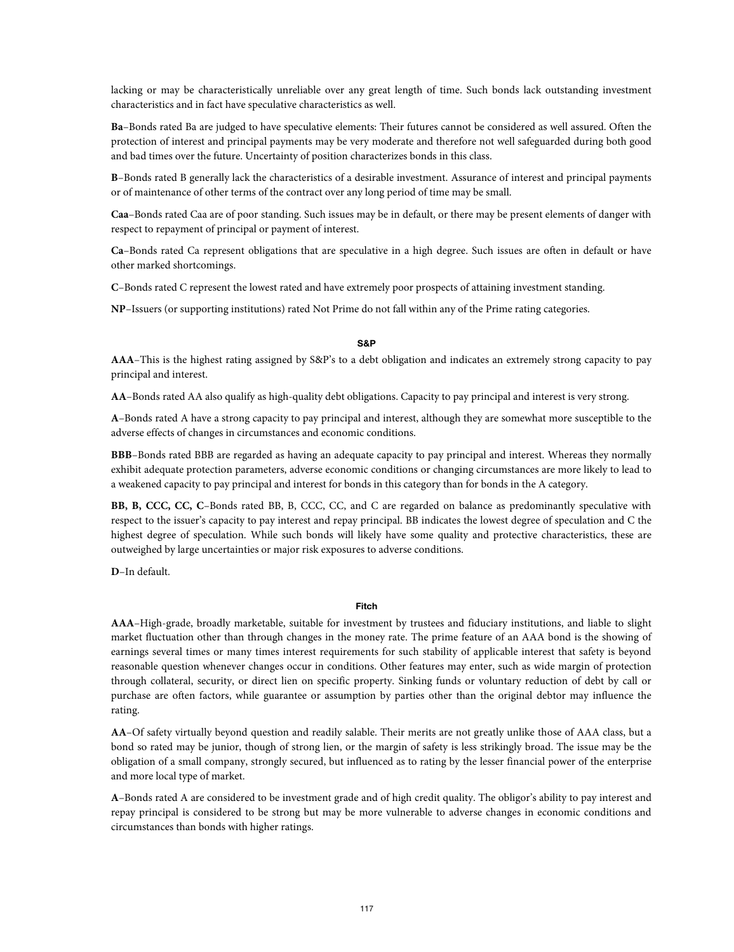lacking or may be characteristically unreliable over any great length of time. Such bonds lack outstanding investment characteristics and in fact have speculative characteristics as well.

**Ba**–Bonds rated Ba are judged to have speculative elements: Their futures cannot be considered as well assured. Often the protection of interest and principal payments may be very moderate and therefore not well safeguarded during both good and bad times over the future. Uncertainty of position characterizes bonds in this class.

**B**–Bonds rated B generally lack the characteristics of a desirable investment. Assurance of interest and principal payments or of maintenance of other terms of the contract over any long period of time may be small.

**Caa**–Bonds rated Caa are of poor standing. Such issues may be in default, or there may be present elements of danger with respect to repayment of principal or payment of interest.

**Ca**–Bonds rated Ca represent obligations that are speculative in a high degree. Such issues are often in default or have other marked shortcomings.

**C**–Bonds rated C represent the lowest rated and have extremely poor prospects of attaining investment standing.

**NP**–Issuers (or supporting institutions) rated Not Prime do not fall within any of the Prime rating categories.

# **S&P**

**AAA**–This is the highest rating assigned by S&P's to a debt obligation and indicates an extremely strong capacity to pay principal and interest.

**AA**–Bonds rated AA also qualify as high-quality debt obligations. Capacity to pay principal and interest is very strong.

**A**–Bonds rated A have a strong capacity to pay principal and interest, although they are somewhat more susceptible to the adverse effects of changes in circumstances and economic conditions.

**BBB**–Bonds rated BBB are regarded as having an adequate capacity to pay principal and interest. Whereas they normally exhibit adequate protection parameters, adverse economic conditions or changing circumstances are more likely to lead to a weakened capacity to pay principal and interest for bonds in this category than for bonds in the A category.

**BB, B, CCC, CC, C**–Bonds rated BB, B, CCC, CC, and C are regarded on balance as predominantly speculative with respect to the issuer's capacity to pay interest and repay principal. BB indicates the lowest degree of speculation and C the highest degree of speculation. While such bonds will likely have some quality and protective characteristics, these are outweighed by large uncertainties or major risk exposures to adverse conditions.

**D**–In default.

### **Fitch**

**AAA**–High-grade, broadly marketable, suitable for investment by trustees and fiduciary institutions, and liable to slight market fluctuation other than through changes in the money rate. The prime feature of an AAA bond is the showing of earnings several times or many times interest requirements for such stability of applicable interest that safety is beyond reasonable question whenever changes occur in conditions. Other features may enter, such as wide margin of protection through collateral, security, or direct lien on specific property. Sinking funds or voluntary reduction of debt by call or purchase are often factors, while guarantee or assumption by parties other than the original debtor may influence the rating.

**AA**–Of safety virtually beyond question and readily salable. Their merits are not greatly unlike those of AAA class, but a bond so rated may be junior, though of strong lien, or the margin of safety is less strikingly broad. The issue may be the obligation of a small company, strongly secured, but influenced as to rating by the lesser financial power of the enterprise and more local type of market.

**A**–Bonds rated A are considered to be investment grade and of high credit quality. The obligor's ability to pay interest and repay principal is considered to be strong but may be more vulnerable to adverse changes in economic conditions and circumstances than bonds with higher ratings.